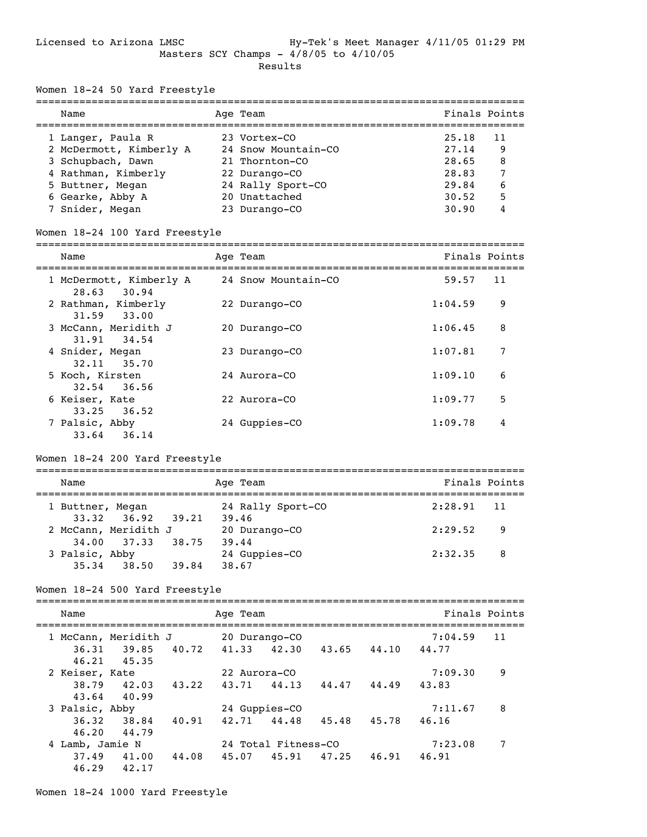$18.24$  50 Yard Freestyle

| Women 18-24 50 Yard Freestyle          |                      |                |                         |                     |       |                               |                                                                |               |
|----------------------------------------|----------------------|----------------|-------------------------|---------------------|-------|-------------------------------|----------------------------------------------------------------|---------------|
| Name<br>-----------------------        |                      | -------------- | Age Team                |                     |       |                               | =============================<br>============================= | Finals Points |
| 1 Langer, Paula R                      |                      |                | 23 Vortex-CO            |                     |       |                               | 25.18                                                          | 11            |
| 2 McDermott, Kimberly A                |                      |                |                         | 24 Snow Mountain-CO |       |                               | 27.14                                                          | 9             |
| 3 Schupbach, Dawn                      |                      |                |                         | 21 Thornton-CO      |       |                               | 28.65                                                          | 8             |
| 4 Rathman, Kimberly                    |                      |                |                         | 22 Durango-CO       |       |                               | 28.83                                                          | 7             |
| 5 Buttner, Megan                       |                      |                |                         | 24 Rally Sport-CO   |       |                               | 29.84                                                          | 6             |
| 6 Gearke, Abby A                       |                      |                |                         | 20 Unattached       |       |                               | 30.52                                                          | 5             |
| 7 Snider, Megan                        |                      |                |                         | 23 Durango-CO       |       |                               | 30.90                                                          | 4             |
| Women 18-24 100 Yard Freestyle         |                      |                |                         |                     |       |                               |                                                                |               |
| ==============================<br>Name |                      |                | ===========<br>Age Team |                     |       |                               |                                                                | Finals Points |
| 1 McDermott, Kimberly A<br>28.63       | 30.94                |                |                         | 24 Snow Mountain-CO |       |                               | 59.57                                                          | 11            |
| 2 Rathman, Kimberly<br>31.59           | 33.00                |                |                         | 22 Durango-CO       |       |                               | 1:04.59                                                        | 9             |
| 3 McCann, Meridith J<br>31.91          | 34.54                |                |                         | 20 Durango-CO       |       |                               | 1:06.45                                                        | 8             |
| 4 Snider, Megan<br>32.11               | 35.70                |                |                         | 23 Durango-CO       |       |                               | 1:07.81                                                        | 7             |
| 5 Koch, Kirsten<br>32.54               | 36.56                |                | 24 Aurora-CO            |                     |       |                               | 1:09.10                                                        | 6             |
| 6 Keiser, Kate<br>33.25                | 36.52                |                | 22 Aurora-CO            |                     |       |                               | 1:09.77                                                        | 5             |
| 7 Palsic, Abby<br>33.64                | 36.14                |                |                         | 24 Guppies-CO       |       |                               | 1:09.78                                                        | 4             |
| Women 18-24 200 Yard Freestyle         |                      |                |                         |                     |       |                               |                                                                |               |
| Name                                   |                      |                | Age Team                |                     |       |                               |                                                                | Finals Points |
| 1 Buttner, Megan                       |                      |                |                         | 24 Rally Sport-CO   |       |                               | 2:28.91                                                        | 11            |
| 33.32<br>2 McCann, Meridith J          | 36.92<br>39.21       |                | 39.46                   | 20 Durango-CO       |       |                               | 2:29.52                                                        | 9             |
| 34.00<br>3 Palsic, Abby                | 37.33<br>38.75       |                | 39.44                   | 24 Guppies-CO       |       |                               | 2:32.35                                                        | 8             |
| 35.34                                  | 38.50<br>39.84       |                | 38.67                   |                     |       |                               |                                                                |               |
| Women 18-24 500 Yard Freestyle         | ==================== |                |                         |                     |       |                               |                                                                |               |
| Name                                   |                      |                | Age Team                |                     |       |                               |                                                                | Finals Points |
|                                        |                      |                |                         |                     |       |                               | 7:04.59                                                        | 11            |
| 1 McCann, Meridith J<br>36.31 39.85    |                      |                |                         | 20 Durango-CO       |       | 40.72 41.33 42.30 43.65 44.10 | 44.77                                                          |               |
| 46.21                                  | 45.35                |                |                         |                     |       |                               |                                                                |               |
| 2 Keiser, Kate                         |                      |                | 22 Aurora-CO            |                     |       |                               | 7:09.30                                                        | 9             |
| 38.79                                  | 42.03<br>43.22       |                | 43.71                   | 44.13               |       | 44.47 44.49                   | 43.83                                                          |               |
| 43.64                                  | 40.99                |                |                         |                     |       |                               |                                                                |               |
| 3 Palsic, Abby                         |                      |                |                         | 24 Guppies-CO       |       |                               | 7:11.67                                                        | 8             |
| 36.32                                  | 38.84<br>40.91       |                |                         | 42.71 44.48         |       | 45.48 45.78                   | 46.16                                                          |               |
| 46.20                                  | 44.79                |                |                         |                     |       |                               |                                                                |               |
| 4 Lamb, Jamie N                        |                      |                |                         | 24 Total Fitness-CO |       |                               | 7:23.08                                                        | 7             |
| 37.49                                  | 41.00<br>44.08       |                | 45.07                   | 45.91               | 47.25 | 46.91                         | 46.91                                                          |               |
| 46.29 42.17                            |                      |                |                         |                     |       |                               |                                                                |               |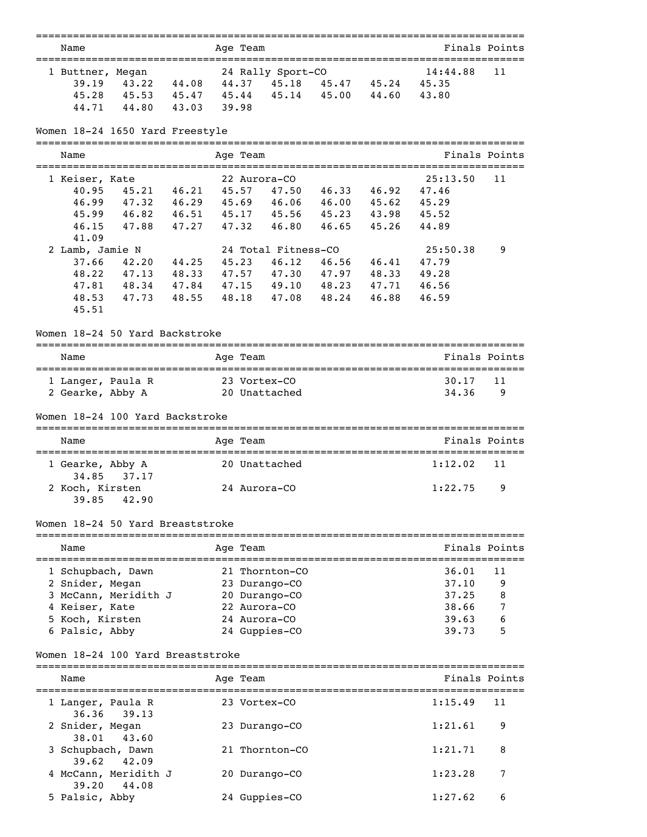| Name                                  |                                           |       |          | Age Team |                               |             |                             |                | Finals Points |
|---------------------------------------|-------------------------------------------|-------|----------|----------|-------------------------------|-------------|-----------------------------|----------------|---------------|
| 1 Buttner, Megan                      |                                           |       |          |          | 24 Rally Sport-CO             |             |                             | 14:44.88       | 11            |
| 39.19                                 | 43.22 44.08 44.37 45.18 45.47 45.24 45.35 |       |          |          |                               |             |                             |                |               |
| 45.28                                 | 45.53 45.47 45.44                         |       |          |          |                               | 45.14 45.00 | 44.60                       | 43.80          |               |
|                                       | 44.71 44.80                               | 43.03 | 39.98    |          |                               |             |                             |                |               |
|                                       | Women 18-24 1650 Yard Freestyle           |       |          |          |                               |             |                             |                |               |
| Name                                  |                                           |       |          | Age Team |                               |             |                             |                | Finals Points |
|                                       |                                           |       |          |          |                               |             |                             |                |               |
| 1 Keiser, Kate                        |                                           |       |          |          | 22 Aurora-CO                  |             |                             | 25:13.50       | 11            |
| 40.95                                 | 45.21 46.21                               |       | 45.57    |          | 47.50 46.33 46.92             |             |                             | 47.46          |               |
| 46.99                                 | 47.32 46.29                               |       | 45.69    |          |                               |             | 46.06 46.00 45.62 45.29     |                |               |
| 45.99                                 | 46.82 46.51 45.17 45.56 45.23 43.98 45.52 |       |          |          |                               |             |                             |                |               |
| 46.15                                 | 47.88                                     | 47.27 | 47.32    |          | 46.80 46.65                   |             | 45.26                       | 44.89          |               |
| 41.09                                 |                                           |       |          |          |                               |             |                             |                |               |
| 2 Lamb, Jamie N                       |                                           |       |          |          | 24 Total Fitness-CO           |             |                             | 25:50.38       | 9             |
| 37.66                                 | 42.20 44.25                               |       | 45.23    |          | $46.12$ $46.56$               |             | 46.41                       | 47.79          |               |
| 48.22                                 | 47.13 48.33                               |       |          |          | 47.57 47.30 47.97 48.33       |             |                             | 49.28          |               |
|                                       | 47.81 48.34 47.84                         |       | 47.15    |          | 49.10 48.23 47.71             |             |                             | 46.56          |               |
| 48.53                                 | 47.73                                     | 48.55 | 48.18    |          | 47.08 48.24                   |             | 46.88                       | 46.59          |               |
| 45.51                                 |                                           |       |          |          |                               |             |                             |                |               |
|                                       | Women 18-24 50 Yard Backstroke            |       |          |          |                               |             |                             |                |               |
| Name                                  |                                           |       | Age Team |          |                               |             |                             |                | Finals Points |
|                                       |                                           |       |          |          |                               |             |                             |                |               |
| 1 Langer, Paula R<br>2 Gearke, Abby A |                                           |       |          |          | 23 Vortex-CO<br>20 Unattached |             |                             | 30.17<br>34.36 | 11<br>9       |
|                                       |                                           |       |          |          |                               |             |                             |                |               |
|                                       | Women 18-24 100 Yard Backstroke           |       |          |          |                               |             |                             |                |               |
| Name                                  |                                           |       |          | Age Team |                               |             |                             |                | Finals Points |
| 1 Gearke, Abby A                      |                                           |       |          |          | 20 Unattached                 |             |                             | 1:12.02        | 11            |
| 34.85                                 | 37.17                                     |       |          |          |                               |             |                             |                |               |
| 2 Koch, Kirsten                       |                                           |       |          |          | 24 Aurora-CO                  |             |                             | 1:22.75        | 9             |
| 39.85                                 | 42.90                                     |       |          |          |                               |             |                             |                |               |
|                                       | Women 18-24 50 Yard Breaststroke          |       |          |          |                               |             |                             |                |               |
| Name                                  |                                           |       |          | Age Team |                               |             |                             |                | Finals Points |
| 1 Schupbach, Dawn                     |                                           |       |          |          | 21 Thornton-CO                |             |                             | 36.01          | 11            |
| 2 Snider, Megan                       |                                           |       |          |          | 23 Durango-CO                 |             |                             | 37.10          | 9             |
|                                       | 3 McCann, Meridith J                      |       |          |          | 20 Durango-CO                 |             |                             | 37.25          | 8             |
| 4 Keiser, Kate                        |                                           |       |          |          | 22 Aurora-CO                  |             |                             | 38.66          | 7             |
| 5 Koch, Kirsten                       |                                           |       |          |          | 24 Aurora-CO                  |             |                             | 39.63          | 6             |
| 6 Palsic, Abby                        |                                           |       |          |          | 24 Guppies-CO                 |             |                             | 39.73          | 5             |
|                                       | Women 18-24 100 Yard Breaststroke         |       |          |          |                               |             |                             |                |               |
|                                       | =================================         |       |          |          |                               |             | .========================== |                |               |
| Name                                  |                                           |       |          | Age Team |                               |             |                             |                | Finals Points |
| 1 Langer, Paula R<br>36.36            | 39.13                                     |       |          |          | 23 Vortex-CO                  |             |                             | 1:15.49        | 11            |
| 2 Snider, Megan<br>38.01              | 43.60                                     |       |          |          | 23 Durango-CO                 |             |                             | 1:21.61        | 9             |
| 3 Schupbach, Dawn<br>39.62            | 42.09                                     |       |          |          | 21 Thornton-CO                |             |                             | 1:21.71        | 8             |
| 39.20                                 | 4 McCann, Meridith J<br>44.08             |       |          |          | 20 Durango-CO                 |             |                             | 1:23.28        | 7             |
| 5 Palsic, Abby                        |                                           |       |          |          | 24 Guppies-CO                 |             |                             | 1:27.62        | 6             |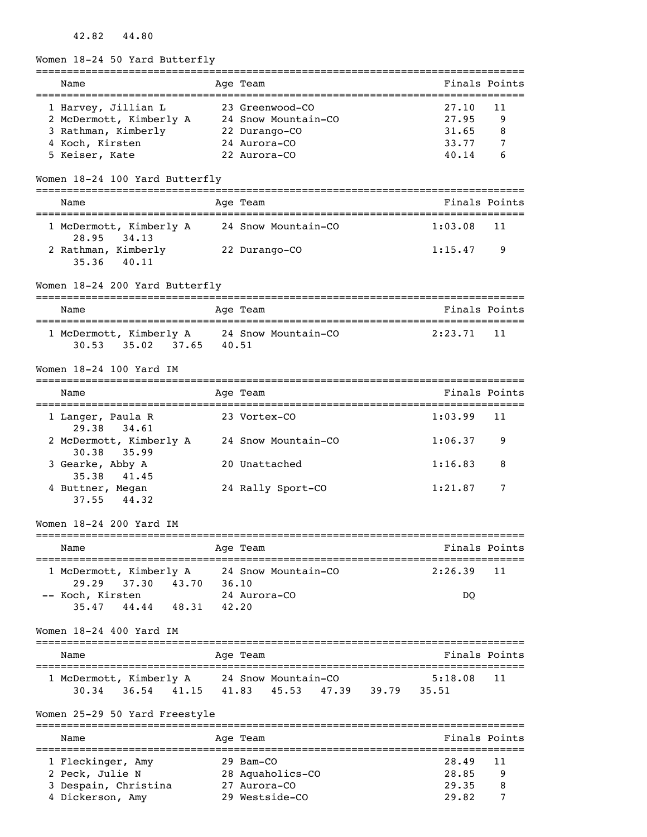### 42.82 44.80

Women 18-24 50 Yard Butterfly

| Name                                                                      | Age Team                                     | Finals Points |               |
|---------------------------------------------------------------------------|----------------------------------------------|---------------|---------------|
| 1 Harvey, Jillian L                                                       | 23 Greenwood-CO                              | 27.10         | 11            |
| 2 McDermott, Kimberly A 24 Snow Mountain-CO                               |                                              | 27.95         | 9             |
| 3 Rathman, Kimberly 22 Durango-CO                                         |                                              | 31.65         | 8             |
| 4 Koch, Kirsten                                                           | 24 Aurora-CO                                 | 33.77         | 7             |
| 5 Keiser, Kate                                                            | 22 Aurora-CO                                 | 40.14         | 6             |
| Women 18-24 100 Yard Butterfly                                            |                                              |               |               |
| Name                                                                      | Age Team                                     |               | Finals Points |
| 1 McDermott, Kimberly A 24 Snow Mountain-CO                               |                                              | 1:03.08       | 11            |
| 28.95<br>34.13<br>2 Rathman, Kimberly 22 Durango-CO<br>40.11<br>35.36     |                                              | 1:15.47       | 9             |
| Women 18-24 200 Yard Butterfly                                            |                                              |               |               |
| Name                                                                      | Age Team                                     | Finals Points |               |
| 1 McDermott, Kimberly A 24 Snow Mountain-CO<br>35.02 37.65 40.51<br>30.53 |                                              | 2:23.71       | 11            |
| Women 18-24 100 Yard IM                                                   |                                              |               |               |
| Name                                                                      | Age Team                                     |               | Finals Points |
| 1 Langer, Paula R<br>29.38 34.61                                          | 23 Vortex-CO                                 | 1:03.99       | 11            |
| 2 McDermott, Kimberly A 24 Snow Mountain-CO<br>30.38<br>35.99             |                                              | 1:06.37       | 9             |
| 3 Gearke, Abby A<br>35.38 41.45                                           | 20 Unattached                                | 1:16.83       | 8             |
| 4 Buttner, Megan<br>44.32<br>37.55                                        | 24 Rally Sport-CO                            | 1:21.87       | 7             |
| Women 18-24 200 Yard IM                                                   |                                              |               |               |
| Name<br>===================================                               | Age Team<br>================================ | Finals Points |               |
| 1 McDermott, Kimberly A<br>29.29<br>37.30 43.70                           | 24 Snow Mountain-CO<br>36.10                 | 2:26.39       | 11            |
| -- Koch, Kirsten                                                          | 24 Aurora-CO                                 | DQ            |               |
| 44.44 48.31<br>35.47                                                      | 42.20                                        |               |               |
| Women 18-24 400 Yard IM                                                   |                                              |               |               |
| Name                                                                      | Age Team                                     |               | Finals Points |
| 1 McDermott, Kimberly A 24 Snow Mountain-CO                               |                                              | 5:18.08       | 11            |
|                                                                           | 30.34 36.54 41.15 41.83 45.53 47.39 39.79    | 35.51         |               |
| Women 25-29 50 Yard Freestyle                                             |                                              |               |               |
| Name                                                                      | Age Team                                     |               | Finals Points |
| 1 Fleckinger, Amy                                                         | 29 Bam-CO                                    | 28.49         | 11            |
| 2 Peck, Julie N                                                           | 28 Aquaholics-CO                             | 28.85         | 9             |
| 3 Despain, Christina                                                      | 27 Aurora-CO                                 | 29.35         | 8             |
| 4 Dickerson, Amy                                                          | 29 Westside-CO                               | 29.82         | 7             |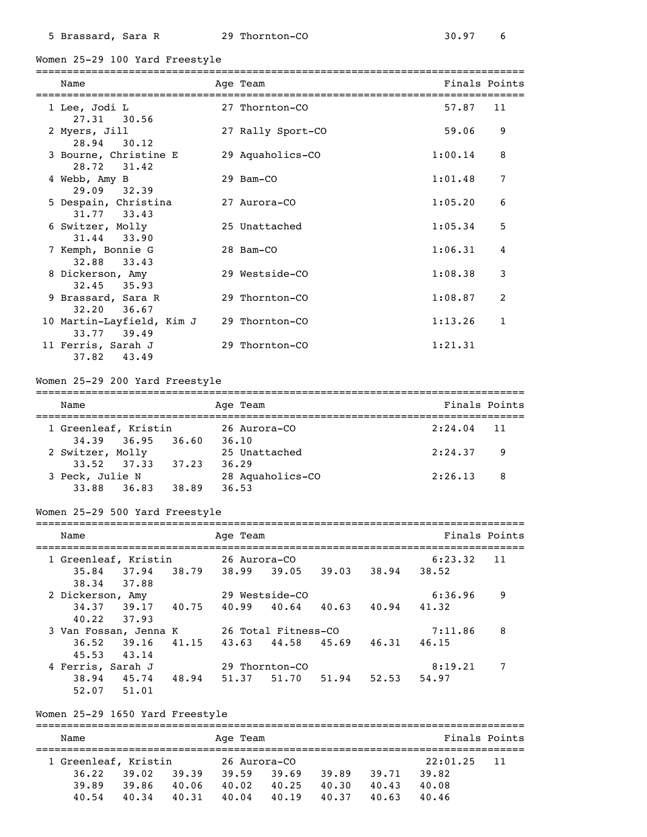Women 25-29 100 Yard Freestyle

| Name                                     | Age Team          | Finals Points |              |
|------------------------------------------|-------------------|---------------|--------------|
| 1 Lee, Jodi L<br>$27.31$ 30.56           | 27 Thornton-CO    | 57.87         | 11           |
| 2 Myers, Jill<br>28.94 30.12             | 27 Rally Sport-CO | 59.06         | 9            |
| 3 Bourne, Christine E<br>28.72 31.42     | 29 Aquaholics-CO  | 1:00.14       | 8            |
| 4 Webb, Amy B<br>29.09 32.39             | 29 Bam-CO         | 1:01.48       | 7            |
| 5 Despain, Christina<br>31.77 33.43      | 27 Aurora-CO      | 1:05.20       | 6            |
| 6 Switzer, Molly<br>31.44 33.90          | 25 Unattached     | 1:05.34       | 5            |
| 7 Kemph, Bonnie G<br>32.88 33.43         | 28 Bam-CO         | 1:06.31       | 4            |
| 8 Dickerson, Amy<br>$32.45$ $35.93$      | 29 Westside-CO    | 1:08.38       | 3            |
| 9 Brassard, Sara R<br>$32.20$ $36.67$    | 29 Thornton-CO    | 1:08.87       | 2            |
| 10 Martin-Layfield, Kim J<br>33.77 39.49 | 29 Thornton-CO    | 1:13.26       | $\mathbf{1}$ |
| 11 Ferris, Sarah J<br>$37.82$ $43.49$    | 29 Thornton-CO    | 1:21.31       |              |

#### Women 25-29 200 Yard Freestyle

| Name                 |       | Age Team         | Finals Points             |
|----------------------|-------|------------------|---------------------------|
| 1 Greenleaf, Kristin |       | 26 Aurora-CO     | $2:24.04$ 11              |
| 34,39 36,95          | 36.60 | 36.10            |                           |
| 2 Switzer, Molly     |       | 25 Unattached    | 2:24.37<br>$\overline{9}$ |
| 33.52 37.33          | 37.23 | 36.29            |                           |
| 3 Peck, Julie N      |       | 28 Aquaholics-CO | 2:26.13<br>- 8            |
| 33.88 36.83          | 38.89 | 36.53            |                           |

#### Women 25-29 500 Yard Freestyle

| Name                  |       | Age Team            |                |       |       | Finals Points |    |
|-----------------------|-------|---------------------|----------------|-------|-------|---------------|----|
| 1 Greenleaf, Kristin  |       | 26 Aurora-CO        |                |       |       | 6:23.32       | 11 |
| 37.94<br>35.84        | 38.79 | 38.99               | 39.05          | 39.03 | 38.94 | 38.52         |    |
| 37.88<br>38.34        |       |                     |                |       |       |               |    |
| 2 Dickerson, Amy      |       |                     | 29 Westside-CO |       |       | 6:36.96       | 9  |
| 34.37<br>39.17        | 40.75 | 40.99               | 40.64          | 40.63 | 40.94 | 41.32         |    |
| 40.22<br>37.93        |       |                     |                |       |       |               |    |
| 3 Van Fossan, Jenna K |       | 26 Total Fitness-CO |                |       |       | 7:11.86       | 8  |
| 36.52<br>39.16        | 41.15 | 43.63               | 44.58          | 45.69 | 46.31 | 46.15         |    |
| 43.14<br>45.53        |       |                     |                |       |       |               |    |
| 4 Ferris, Sarah J     |       |                     | 29 Thornton-CO |       |       | 8:19.21       | 7  |
| 45.74<br>38.94        | 48.94 | 51.37               | 51.70          | 51.94 | 52.53 | 54.97         |    |
| 51.01<br>52.07        |       |                     |                |       |       |               |    |

#### Women 25-29 1650 Yard Freestyle

=============================================================================== Name **Age Team** Age Team **Finals Points** =============================================================================== 1 Greenleaf, Kristin 26 Aurora-CO 22:01.25 11 36.22 39.02 39.39 39.59 39.69 39.89 39.71 39.82 39.89 39.86 40.06 40.02 40.25 40.30 40.43 40.08 40.54 40.34 40.31 40.04 40.19 40.37 40.63 40.46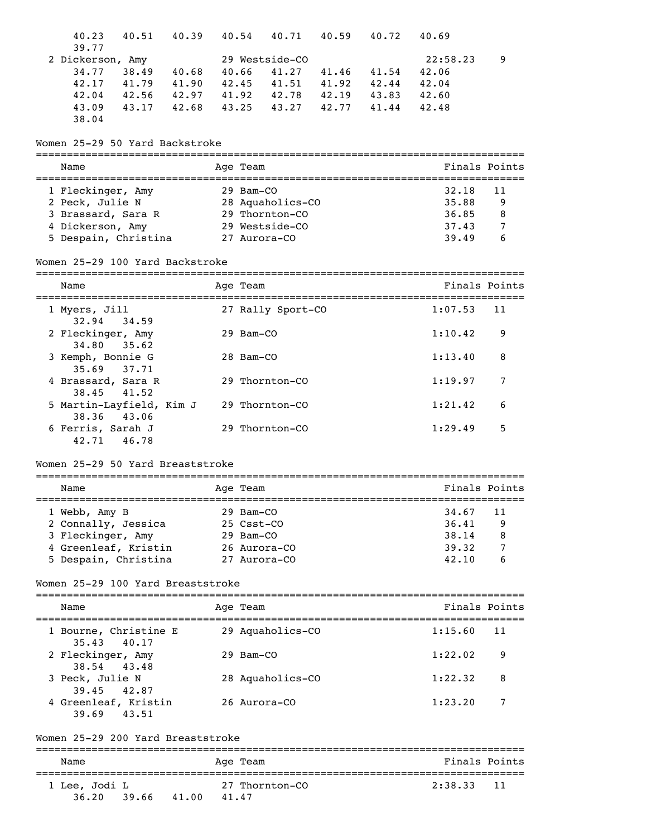| 40.23<br>40.51 40.39<br>39.77                         |             |            | 40.54 40.71       |       | 40.59 40.72       | 40.69         |    |
|-------------------------------------------------------|-------------|------------|-------------------|-------|-------------------|---------------|----|
| 2 Dickerson, Amy                                      |             |            | 29 Westside-CO    |       |                   | 22:58.23      | 9  |
| 34.77<br>38.49                                        | 40.68       | 40.66      | 41.27             | 41.46 | 41.54             | 42.06         |    |
| 42.17                                                 | 41.79 41.90 | 42.45      |                   |       | 41.51 41.92 42.44 | 42.04         |    |
| 42.56 42.97 41.92 42.78 42.19 43.83<br>42.04          |             |            |                   |       |                   | 42.60         |    |
| 43.17 42.68<br>43.09                                  |             |            | 43.25 43.27 42.77 |       | 41.44             | 42.48         |    |
| 38.04                                                 |             |            |                   |       |                   |               |    |
| Women 25-29 50 Yard Backstroke                        |             |            |                   |       |                   |               |    |
| Name                                                  |             | Age Team   |                   |       |                   | Finals Points |    |
| 1 Fleckinger, Amy                                     |             | 29 Bam-CO  |                   |       |                   | 32.18         | 11 |
| 2 Peck, Julie N                                       |             |            | 28 Aquaholics-CO  |       |                   | 35.88         | 9  |
| 3 Brassard, Sara R                                    |             |            | 29 Thornton-CO    |       |                   | 36.85         | 8  |
| 4 Dickerson, Amy                                      |             |            | 29 Westside-CO    |       |                   | 37.43         | 7  |
| 5 Despain, Christina                                  |             |            | 27 Aurora-CO      |       |                   | 39.49         | 6  |
| Women 25-29 100 Yard Backstroke                       |             |            |                   |       |                   |               |    |
| Name                                                  |             | Age Team   |                   |       |                   | Finals Points |    |
| 1 Myers, Jill                                         |             |            | 27 Rally Sport-CO |       |                   | 1:07.53       | 11 |
| 34.59<br>32.94<br>2 Fleckinger, Amy                   |             | 29 Bam-CO  |                   |       |                   | 1:10.42       | 9  |
| 34.80<br>35.62<br>3 Kemph, Bonnie G                   |             | 28 Bam-CO  |                   |       |                   | 1:13.40       | 8  |
| 35.69<br>37.71<br>4 Brassard, Sara R                  |             |            | 29 Thornton-CO    |       |                   | 1:19.97       | 7  |
| 38.45 41.52<br>5 Martin-Layfield, Kim J               |             |            | 29 Thornton-CO    |       |                   | 1:21.42       | 6  |
| 38.36<br>43.06<br>6 Ferris, Sarah J<br>42.71<br>46.78 |             |            | 29 Thornton-CO    |       |                   | 1:29.49       | 5  |
| Women 25-29 50 Yard Breaststroke                      |             |            |                   |       |                   |               |    |
| Name                                                  | Age Team    |            |                   |       |                   | Finals Points |    |
| 1 Webb, Amy B                                         |             | 29 Bam-CO  |                   |       |                   | 34.67         | 11 |
| 2 Connally, Jessica                                   |             | 25 Csst-CO |                   |       |                   | 36.41         | 9  |
| 3 Fleckinger, Amy                                     |             | 29 Bam-CO  |                   |       |                   | 38.14         | 8  |
| 4 Greenleaf, Kristin                                  |             |            | 26 Aurora-CO      |       |                   | 39.32         | 7  |
| 5 Despain, Christina                                  |             |            | 27 Aurora-CO      |       |                   | 42.10         | 6  |
| Women 25-29 100 Yard Breaststroke                     |             |            |                   |       |                   |               |    |
| Name                                                  |             | Age Team   |                   |       |                   | Finals Points |    |
|                                                       |             |            |                   |       |                   |               |    |
| 1 Bourne, Christine E<br>35.43<br>40.17               |             |            | 29 Aquaholics-CO  |       |                   | 1:15.60       | 11 |
| 2 Fleckinger, Amy<br>38.54<br>43.48                   |             | 29 Bam-CO  |                   |       |                   | 1:22.02       | 9  |
| 3 Peck, Julie N<br>39.45<br>42.87                     |             |            | 28 Aquaholics-CO  |       |                   | 1:22.32       | 8  |
| 4 Greenleaf, Kristin<br>39.69<br>43.51                |             |            | 26 Aurora-CO      |       |                   | 1:23.20       | 7  |
| Women 25-29 200 Yard Breaststroke                     |             |            |                   |       |                   |               |    |
| Name                                                  |             | Age Team   |                   |       |                   | Finals Points |    |

=============================================================================== 1 Lee, Jodi L 27 Thornton-CO 2:38.33 11

36.20 39.66 41.00 41.47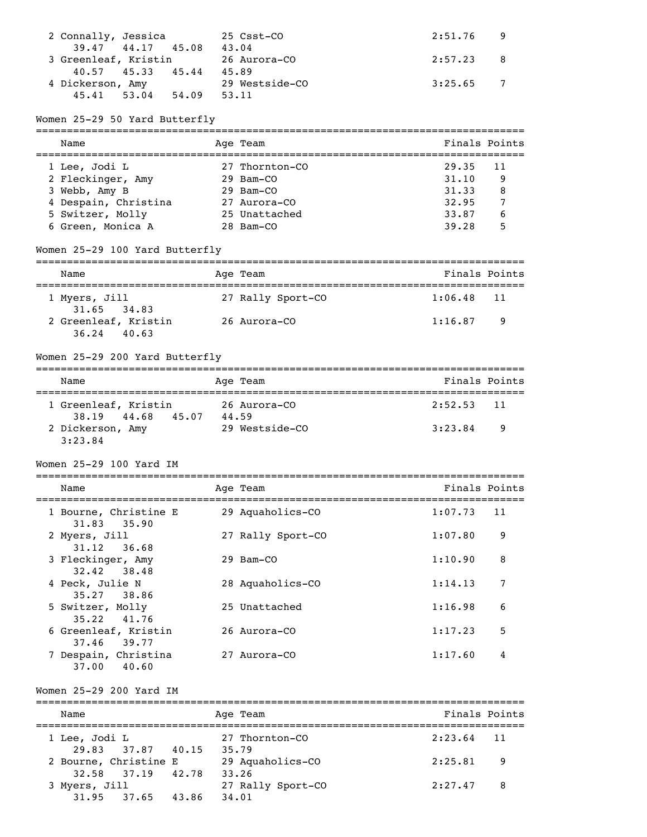| 2 Connally, Jessica  | 25 Csst-CO     | $2:51.76$ 9 |  |
|----------------------|----------------|-------------|--|
| 39.47 44.17 45.08    | 43.04          |             |  |
| 3 Greenleaf, Kristin | 26 Aurora-CO   | $2:57.23$ 8 |  |
| 40.57 45.33 45.44    | 45.89          |             |  |
| 4 Dickerson, Amy     | 29 Westside-CO | $3:25.65$ 7 |  |
| 45.41 53.04<br>54.09 | 53.11          |             |  |

### Women 25-29 50 Yard Butterfly

| Name                 | Age Team       | Finals Points |     |
|----------------------|----------------|---------------|-----|
| 1 Lee, Jodi L        | 27 Thornton-CO | 29.35         | -11 |
| 2 Fleckinger, Amy    | $29$ Bam $-CO$ | 31.10         | 9   |
| 3 Webb, Amy B        | $29$ Bam $-CO$ | 31.33         | 8   |
| 4 Despain, Christina | 27 Aurora-CO   | 32.95         |     |
| 5 Switzer, Molly     | 25 Unattached  | 33.87         | 6   |
| 6 Green, Monica A    | 28 Bam-CO      | 39.28         | 5   |

### Women 25-29 100 Yard Butterfly

| Name                                  | Age Team          |              | Finals Points |  |  |  |
|---------------------------------------|-------------------|--------------|---------------|--|--|--|
| 1 Myers, Jill<br>$31.65$ $34.83$      | 27 Rally Sport-CO | $1:06.48$ 11 |               |  |  |  |
| 2 Greenleaf, Kristin<br>$36.24$ 40.63 | 26 Aurora-CO      | 1:16.87      | - 9           |  |  |  |

### Women 25-29 200 Yard Butterfly

| Name                                         | Age Team              | Finals Points |  |  |  |  |
|----------------------------------------------|-----------------------|---------------|--|--|--|--|
| 1 Greenleaf, Kristin<br>38,19 44,68<br>45.07 | 26 Aurora-CO<br>44.59 | $2:52.53$ 11  |  |  |  |  |
| 2 Dickerson, Amy<br>3:23.84                  | 29 Westside-CO        | 3:23.84<br>-9 |  |  |  |  |

### Women 25-29 100 Yard IM

| Name                                   | Age Team          | Finals Points |    |
|----------------------------------------|-------------------|---------------|----|
| 1 Bourne, Christine E<br>31.83 35.90   | 29 Aquaholics-CO  | 1:07.73       | 11 |
| 2 Myers, Jill<br>$31.12$ $36.68$       | 27 Rally Sport-CO | 1:07.80       | 9  |
| 3 Fleckinger, Amy<br>32.42 38.48       | 29 Bam-CO         | 1:10.90       | 8  |
| 4 Peck, Julie N<br>35.27 38.86         | 28 Aquaholics-CO  | 1:14.13       | 7  |
| 5 Switzer, Molly<br>35.22 41.76        | 25 Unattached     | 1:16.98       | 6  |
| 6 Greenleaf, Kristin<br>37.46<br>39.77 | 26 Aurora-CO      | 1:17.23       | 5  |
| 7 Despain, Christina<br>37.00<br>40.60 | 27 Aurora-CO      | 1:17.60       | 4  |

### Women 25-29 200 Yard IM

| Name                                       | Age Team                   | Finals Points  |
|--------------------------------------------|----------------------------|----------------|
| 1 Lee, Jodi L<br>29.83 37.87 40.15         | 27 Thornton-CO<br>35.79    | $2:23.64$ 11   |
| 2 Bourne, Christine E<br>32.58 37.19 42.78 | 29 Aquaholics-CO<br>33.26  | 2:25.81<br>- 9 |
| 3 Myers, Jill<br>$31.95$ $37.65$<br>43.86  | 27 Rally Sport-CO<br>34,01 | 2:27.47<br>- 8 |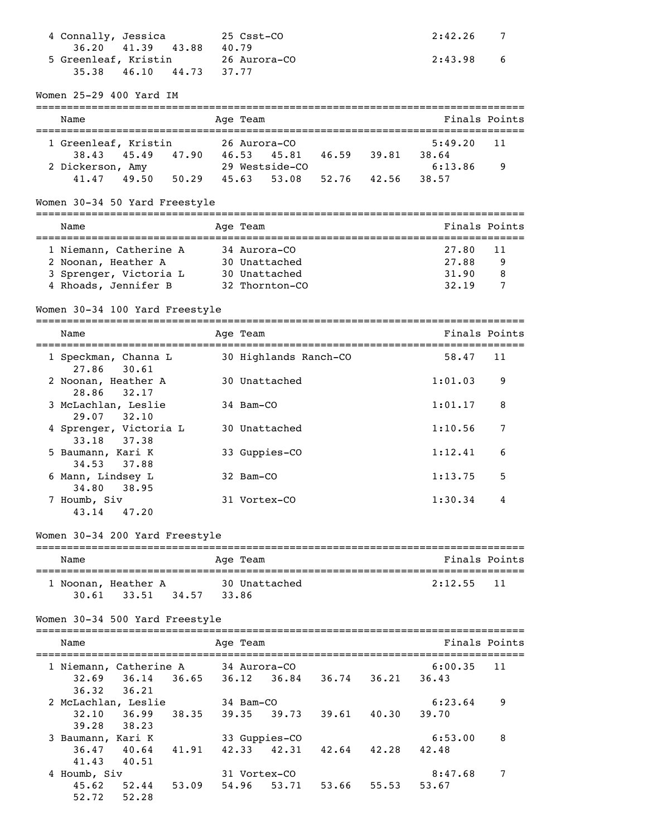| 4 Connally, Jessica                               | 25 Csst-CO                                              | 2:42.26<br>7           |
|---------------------------------------------------|---------------------------------------------------------|------------------------|
| 36.20 41.39 43.88<br>5 Greenleaf, Kristin         | 40.79                                                   | 2:43.98                |
| 46.10 44.73<br>35.38                              | 26 Aurora–CO<br>37.77                                   | 6                      |
|                                                   |                                                         |                        |
| Women 25-29 400 Yard IM                           |                                                         |                        |
| Name                                              | Age Team                                                | Finals Points          |
| 1 Greenleaf, Kristin                              | 26 Aurora-CO                                            | 5:49.20<br>11          |
|                                                   | 38.43 45.49 47.90 46.53 45.81 46.59 39.81 38.64         |                        |
| 2 Dickerson, Amy                                  | 29 Westside-CO                                          | 6:13.86<br>9           |
|                                                   | $41.47$ $49.50$ $50.29$ $45.63$ $53.08$ $52.76$ $42.56$ | 38.57                  |
| Women 30-34 50 Yard Freestyle                     |                                                         |                        |
| Name                                              | Age Team                                                | Finals Points          |
| 1 Niemann, Catherine A                            | 34 Aurora-CO                                            | 27.80<br>11            |
| 2 Noonan, Heather A                               | 30 Unattached                                           | 27.88<br>9             |
| 3 Sprenger, Victoria L                            | 30 Unattached                                           | 31.90<br>8             |
| 4 Rhoads, Jennifer B                              | 32 Thornton-CO                                          | 32.19<br>7             |
| Women 30-34 100 Yard Freestyle                    |                                                         |                        |
| Name                                              | Age Team                                                | Finals Points          |
| 1 Speckman, Channa L                              | 30 Highlands Ranch-CO                                   | 58.47<br>11            |
| 27.86<br>30.61                                    |                                                         |                        |
| 2 Noonan, Heather A                               | 30 Unattached                                           | 1:01.03<br>9           |
| 28.86<br>32.17<br>3 McLachlan, Leslie             | 34 Bam-CO                                               | 1:01.17<br>8           |
| 29.07<br>32.10                                    |                                                         |                        |
| 4 Sprenger, Victoria L<br>33.18<br>37.38          | 30 Unattached                                           | 7<br>1:10.56           |
| 5 Baumann, Kari K                                 | 33 Guppies-CO                                           | 1:12.41<br>6           |
| 37.88<br>34.53<br>6 Mann, Lindsey L               | 32 Bam-CO                                               | 1:13.75<br>5           |
| 34.80<br>38.95                                    |                                                         |                        |
| 7 Houmb, Siv<br>43.14<br>47.20                    | 31 Vortex-CO                                            | 1:30.34<br>4           |
| Women 30-34 200 Yard Freestyle                    |                                                         |                        |
|                                                   | . _ _ _ _ _ _ _ _ _ _ _ _ _ _ _ _ _ _                   |                        |
| Name                                              | Age Team                                                | Finals Points          |
| 1 Noonan, Heather A                               | 30 Unattached                                           | 2:12.55<br>11          |
| 34.57<br>30.61<br>33.51                           | 33.86                                                   |                        |
| Women 30-34 500 Yard Freestyle                    |                                                         |                        |
| Name                                              | Age Team                                                | Finals Points          |
|                                                   |                                                         |                        |
| 1 Niemann, Catherine A<br>32.69<br>36.14<br>36.65 | 34 Aurora-CO<br>$36.84$ $36.74$ $36.21$<br>36.12        | 6:00.35<br>11<br>36.43 |
| 36.32<br>36.21                                    |                                                         |                        |
| 2 McLachlan, Leslie                               | 34 Bam-CO                                               | 6:23.64<br>9           |
| 36.99<br>38.35<br>32.10                           | 39.35<br>$39.73$ $39.61$ $40.30$                        | 39.70                  |
| 38.23<br>39.28                                    |                                                         |                        |
| 3 Baumann, Kari K                                 | 33 Guppies-CO                                           | 6:53.00<br>8           |
| 36.47<br>40.64<br>41.91                           | 42.33<br>42.31<br>42.64 42.28                           | 42.48                  |
| 40.51<br>41.43                                    |                                                         |                        |
| 4 Houmb, Siv<br>$52.44$ $53.09$<br>45.62          | 31 Vortex-CO<br>53.66<br>55.53<br>54.96<br>53.71        | 8:47.68<br>7<br>53.67  |
| 52.72<br>52.28                                    |                                                         |                        |
|                                                   |                                                         |                        |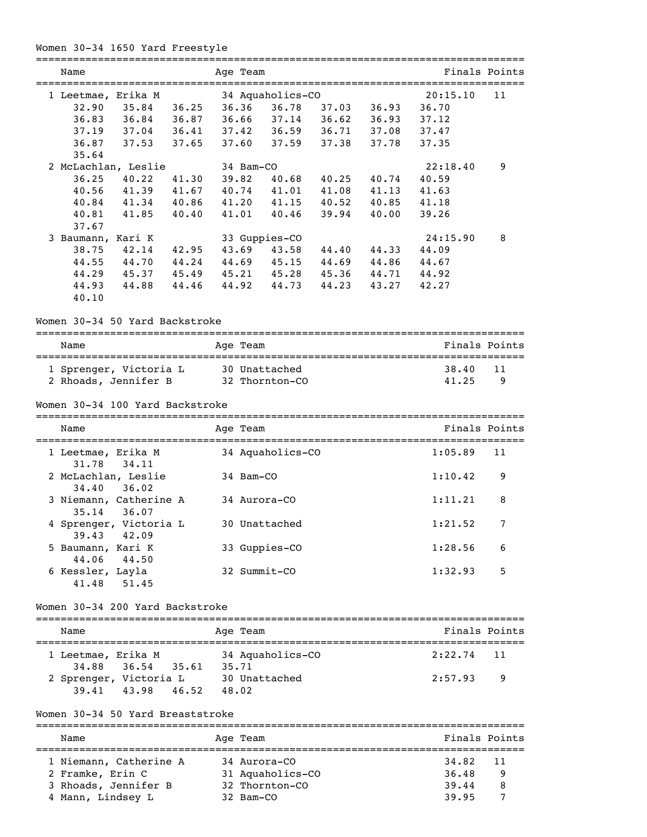### Women 30-34 1650 Yard Freestyle

| Name                                         |       | Age Team |       | ==========              |       |             | ============================= | Finals Points  |
|----------------------------------------------|-------|----------|-------|-------------------------|-------|-------------|-------------------------------|----------------|
|                                              |       |          |       |                         |       |             |                               |                |
| 1 Leetmae, Erika M                           |       |          |       | 34 Aquaholics-CO        |       |             | 20:15.10                      | 11             |
| 32.90                                        |       |          |       | 35.84 36.25 36.36 36.78 |       | 37.03 36.93 | 36.70                         |                |
| 36.84 36.87<br>36.83                         |       | 36.66    |       | 37.14                   | 36.62 | 36.93       | 37.12                         |                |
| 37.19<br>$37.04$ $36.41$                     |       |          |       | 37.42 36.59 36.71       |       | 37.08       | 37.47                         |                |
| 37.53 37.65<br>36.87                         |       |          | 37.60 | 37.59                   | 37.38 | 37.78       | 37.35                         |                |
| 35.64                                        |       |          |       |                         |       |             |                               |                |
| 2 McLachlan, Leslie                          |       |          |       | 34 Bam-CO               |       |             | 22:18.40                      | 9              |
| 36.25<br>40.22                               | 41.30 | 39.82    |       | 40.68                   | 40.25 | 40.74       | 40.59                         |                |
| 41.39<br>40.56                               | 41.67 |          |       | 40.74 41.01             |       | 41.08 41.13 | 41.63                         |                |
| 40.84<br>41.34 40.86                         |       | 41.20    |       | 41.15                   | 40.52 | 40.85       | 41.18                         |                |
| 41.85<br>40.81                               | 40.40 |          | 41.01 | 40.46                   | 39.94 | 40.00       | 39.26                         |                |
| 37.67                                        |       |          |       |                         |       |             |                               |                |
| 3 Baumann, Kari K                            |       |          |       | 33 Guppies-CO           |       |             | 24:15.90                      | 8              |
| 42.14<br>38.75                               | 42.95 |          |       | 43.69 43.58             | 44.40 | 44.33       | 44.09                         |                |
| 44.55<br>44.70 44.24                         |       |          |       | 44.69 45.15 44.69 44.86 |       |             | 44.67                         |                |
| 45.37 45.49 45.21 45.28 45.36 44.71<br>44.29 |       |          |       |                         |       |             | 44.92                         |                |
| 44.93<br>44.88                               | 44.46 |          |       | 44.92 44.73             | 44.23 | 43.27       | 42.27                         |                |
| 40.10                                        |       |          |       |                         |       |             |                               |                |
|                                              |       |          |       |                         |       |             |                               |                |
| Women 30-34 50 Yard Backstroke               |       |          |       |                         |       |             |                               |                |
| Name                                         |       | Age Team |       |                         |       |             |                               | Finals Points  |
|                                              |       |          |       |                         |       |             |                               |                |
| 1 Sprenger, Victoria L                       |       |          |       | 30 Unattached           |       |             | 38.40                         | 11             |
| 2 Rhoads, Jennifer B                         |       |          |       | 32 Thornton-CO          |       |             | 41.25                         | 9              |
|                                              |       |          |       |                         |       |             |                               |                |
| Women 30-34 100 Yard Backstroke              |       |          |       |                         |       |             |                               |                |
| Name                                         |       | Age Team |       |                         |       |             | Finals Points                 |                |
| 1 Leetmae, Erika M<br>34.11<br>31.78         |       |          |       | 34 Aquaholics-CO        |       |             | 1:05.89                       | 11             |
| 2 McLachlan, Leslie<br>34.40<br>36.02        |       |          |       | 34 Bam-CO               |       |             | 1:10.42                       | 9              |
| 3 Niemann, Catherine A<br>36.07<br>35.14     |       |          |       | 34 Aurora-CO            |       |             | 1:11.21                       | 8              |
| 4 Sprenger, Victoria L<br>39.43<br>42.09     |       |          |       | 30 Unattached           |       |             | 1:21.52                       | $\overline{7}$ |
| 5 Baumann, Kari K                            |       |          |       | 33 Guppies-CO           |       |             | 1:28.56                       | 6              |
| 44.50<br>44.06<br>6 Kessler, Layla           |       |          |       | 32 Summit-CO            |       |             | 1:32.93                       | 5              |
| 41.48<br>51.45                               |       |          |       |                         |       |             |                               |                |
| Women 30-34 200 Yard Backstroke              |       |          |       |                         |       |             |                               |                |
| Name                                         |       | Age Team |       |                         |       |             |                               | Finals Points  |
| 1 Leetmae, Erika M                           |       |          |       | 34 Aquaholics-CO        |       |             | 2:22.74                       | 11             |
| 36.54<br>34.88                               | 35.61 | 35.71    |       |                         |       |             |                               |                |
| 2 Sprenger, Victoria L                       |       |          |       | 30 Unattached           |       |             | 2:57.93                       | 9              |
| 43.98<br>39.41                               | 46.52 | 48.02    |       |                         |       |             |                               |                |
| Women 30-34 50 Yard Breaststroke             |       |          |       |                         |       |             |                               |                |
| Name                                         |       | Age Team |       |                         |       |             | Finals Points                 |                |
|                                              |       |          |       |                         |       |             |                               |                |
| 1 Niemann, Catherine A                       |       |          |       | 34 Aurora-CO            |       |             | 34.82                         | 11             |
| 2 Framke, Erin C                             |       |          |       | 31 Aquaholics-CO        |       |             | 36.48                         | 9              |
| 3 Rhoads, Jennifer B                         |       |          |       | 32 Thornton-CO          |       |             | 39.44                         | 8              |
| 4 Mann, Lindsey L                            |       |          |       | 32 Bam-CO               |       |             | 39.95                         | 7              |
|                                              |       |          |       |                         |       |             |                               |                |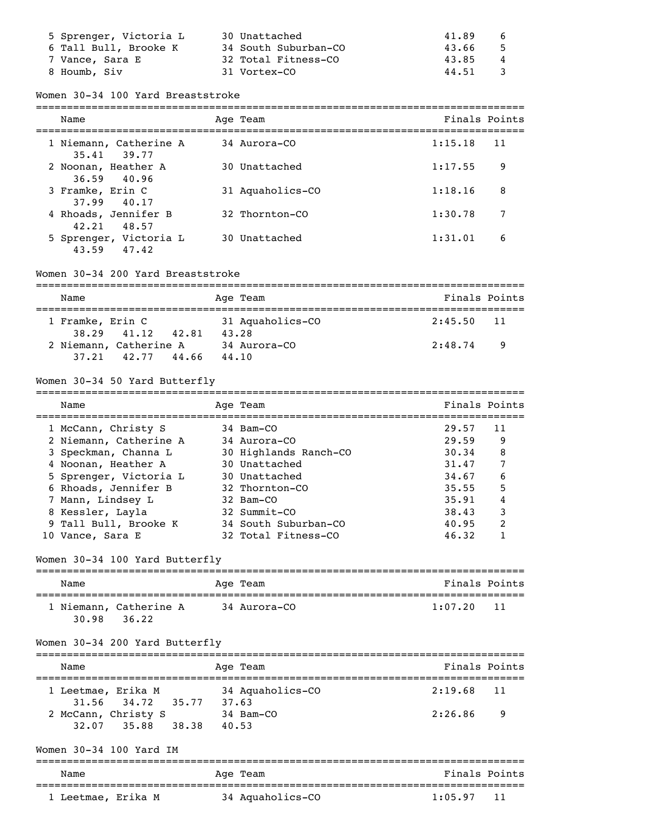| 5 Sprenger, Victoria L | 30 Unattached        | 41.89<br>6              |
|------------------------|----------------------|-------------------------|
| 6 Tall Bull, Brooke K  | 34 South Suburban-CO | - 5<br>43.66            |
| 7 Vance, Sara E        | 32 Total Fitness-CO  | 43.85<br>$\overline{4}$ |
| 8 Houmb, Siv           | 31 Vortex-CO         | $\mathcal{R}$<br>44.51  |

#### Women 30-34 100 Yard Breaststroke

| Name                                   | Age Team         | Finals Points |     |
|----------------------------------------|------------------|---------------|-----|
| 1 Niemann, Catherine A<br>35.41 39.77  | 34 Aurora-CO     | 1:15.18       | -11 |
| 2 Noonan, Heather A<br>36.59 40.96     | 30 Unattached    | 1:17.55       | 9   |
| 3 Framke, Erin C<br>37.99 40.17        | 31 Aquaholics-CO | 1:18.16       | 8   |
| 4 Rhoads, Jennifer B<br>48.57<br>42.21 | 32 Thornton-CO   | 1:30.78       | 7   |
| 5 Sprenger, Victoria L<br>43.59 47.42  | 30 Unattached    | 1:31.01       | 6   |

#### Women 30-34 200 Yard Breaststroke

| Name             |                                       |       | Age Team                  | Finals Points  |  |
|------------------|---------------------------------------|-------|---------------------------|----------------|--|
| 1 Framke, Erin C | 38.29 41.12                           | 42.81 | 31 Aquaholics-CO<br>43.28 | $2:45.50$ 11   |  |
|                  | 2 Niemann, Catherine A<br>37.21 42.77 | 44.66 | 34 Aurora-CO<br>44.10     | 2:48.74<br>- 9 |  |

### Women 30-34 50 Yard Butterfly

| Name                   | Age Team              | Finals Points |                |
|------------------------|-----------------------|---------------|----------------|
| 1 McCann, Christy S    | 34 Bam-CO             | 29.57         | 11             |
| 2 Niemann, Catherine A | 34 Aurora-CO          | 29.59         | 9              |
| 3 Speckman, Channa L   | 30 Highlands Ranch-CO | 30.34         | 8              |
| 4 Noonan, Heather A    | 30 Unattached         | 31.47         | 7              |
| 5 Sprenger, Victoria L | 30 Unattached         | 34.67         | 6              |
| 6 Rhoads, Jennifer B   | 32 Thornton-CO        | 35.55         | 5              |
| 7 Mann, Lindsey L      | 32 Bam-CO             | 35.91         | 4              |
| 8 Kessler, Layla       | 32 Summit-CO          | 38.43         | 3              |
| 9 Tall Bull, Brooke K  | 34 South Suburban-CO  | 40.95         | $\overline{2}$ |
| 10 Vance, Sara E       | 32 Total Fitness-CO   | 46.32         |                |

### Women 30-34 100 Yard Butterfly

| Name                                     | Age Team     | Finals Points   |
|------------------------------------------|--------------|-----------------|
| 1 Niemann, Catherine A<br>30.98<br>36.22 | 34 Aurora-CO | 1:07.20<br>- 11 |

### Women 30-34 200 Yard Butterfly

| Name |                                                         |       | Age Team                    | Finals Points |    |
|------|---------------------------------------------------------|-------|-----------------------------|---------------|----|
|      | 1 Leetmae, Erika M                                      |       | 34 Aquaholics-CO            | $2:19.68$ 11  |    |
|      | 31.56 34.72 35.77<br>2 McCann, Christy S<br>32.07 35.88 | 38.38 | 37.63<br>34 Bam-CO<br>40.53 | 2:26.86       | -9 |

### Women 30-34 100 Yard IM

| Name               | Age Team         | Finals Points |
|--------------------|------------------|---------------|
| 1 Leetmae, Erika M | 34 Aquaholics-CO | 1:05.97<br>11 |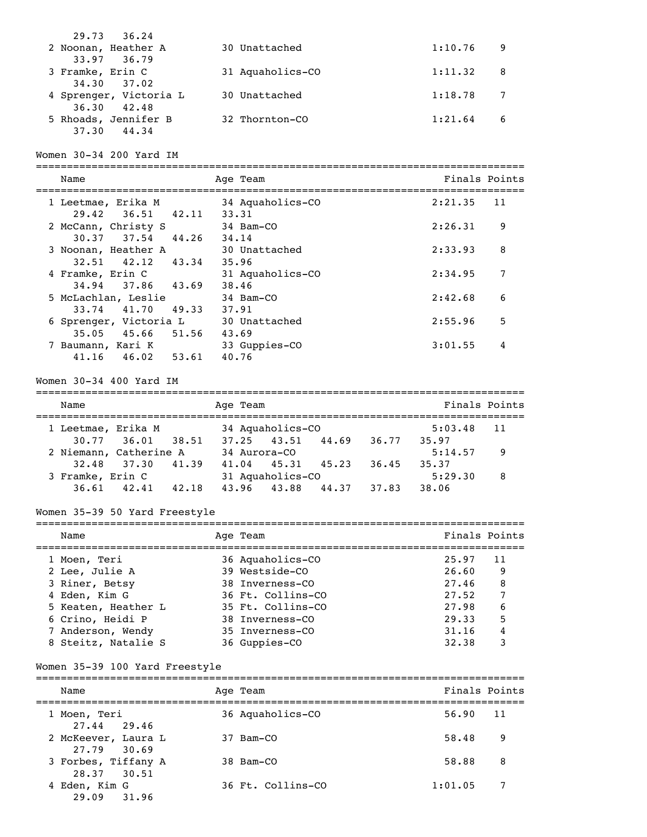| 29.73 36.24                            |                  |               |   |
|----------------------------------------|------------------|---------------|---|
| 2 Noonan, Heather A<br>33.97 36.79     | 30 Unattached    | 1:10.76       | 9 |
| 3 Framke, Erin C<br>34.30 37.02        | 31 Aquaholics-CO | 1:11.32<br>-8 |   |
| 4 Sprenger, Victoria L<br>36.30 42.48  | 30 Unattached    | 1:18.78       |   |
| 5 Rhoads, Jennifer B<br>44.34<br>37.30 | 32 Thornton-CO   | 1:21.64       | 6 |

### Women 30-34 200 Yard IM

| Name                                           | Age Team                  | Finals Points |
|------------------------------------------------|---------------------------|---------------|
| 1 Leetmae, Erika M<br>29.42 36.51 42.11        | 34 Aquaholics-CO<br>33.31 | 2:21.35<br>11 |
| 2 McCann, Christy S<br>37.54 44.26<br>30.37    | 34 Bam-CO<br>34.14        | 9<br>2:26.31  |
| 3 Noonan, Heather A<br>$32.51$ $42.12$ $43.34$ | 30 Unattached<br>35.96    | 8<br>2:33.93  |
| 4 Framke, Erin C<br>34.94 37.86 43.69          | 31 Aquaholics-CO<br>38.46 | 7<br>2:34.95  |
| 5 McLachlan, Leslie<br>41.70<br>49.33<br>33.74 | 34 Bam-CO<br>37.91        | 6<br>2:42.68  |
| 6 Sprenger, Victoria L<br>35.05 45.66 51.56    | 30 Unattached<br>43.69    | 5<br>2:55.96  |
| 7 Baumann, Kari K<br>46.02 53.61<br>41.16      | 33 Guppies-CO<br>40.76    | 4<br>3:01.55  |

#### Women 30-34 400 Yard IM

| Name             |                        |       | Age Team     |                  |       |       | Finals Points |     |
|------------------|------------------------|-------|--------------|------------------|-------|-------|---------------|-----|
|                  | 1 Leetmae, Erika M     |       |              | 34 Aquaholics-CO |       |       | 5:03.48       | 11  |
|                  | $30.77$ $36.01$        | 38.51 |              | $37.25$ $43.51$  | 44.69 | 36.77 | 35.97         |     |
|                  | 2 Niemann, Catherine A |       | 34 Aurora-CO |                  |       |       | 5:14.57       | - 9 |
|                  | 32.48 37.30            | 41.39 | 41.04        | 45.31            | 45.23 | 36.45 | 35.37         |     |
| 3 Framke, Erin C |                        |       |              | 31 Aquaholics-CO |       |       | 5:29.30       | 8   |
| 36.61            | 42.41                  | 42.18 | 43.96        | 43.88            | 44.37 | 37.83 | 38.06         |     |

### Women 35-39 50 Yard Freestyle

| Name                | Age Team          | Finals Points |     |
|---------------------|-------------------|---------------|-----|
| 1 Moen, Teri        | 36 Aquaholics-CO  | 25.97         | -11 |
| 2 Lee, Julie A      | 39 Westside-CO    | 26.60         | -9  |
| 3 Riner, Betsy      | 38 Inverness-CO   | 27.46         | 8   |
| 4 Eden, Kim G       | 36 Ft. Collins-CO | 27.52         | 7   |
| 5 Keaten, Heather L | 35 Ft. Collins-CO | 27.98         | 6   |
| 6 Crino, Heidi P    | 38 Inverness-CO   | 29.33         | 5   |
| 7 Anderson, Wendy   | 35 Inverness-CO   | 31.16         | 4   |
| 8 Steitz, Natalie S | 36 Guppies-CO     | 32.38         | 3   |

### Women 35-39 100 Yard Freestyle

| Name                               | Age Team          | Finals Points |    |
|------------------------------------|-------------------|---------------|----|
| 1 Moen, Teri<br>27.44 29.46        | 36 Aquaholics-CO  | 56.90         | 11 |
| 2 McKeever, Laura L<br>27.79 30.69 | 37 Bam-CO         | 58.48         | 9  |
| 3 Forbes, Tiffany A<br>28.37 30.51 | 38 Bam-CO         | 58.88         | 8  |
| 4 Eden, Kim G<br>29.09 31.96       | 36 Ft. Collins-CO | 1:01.05       | 7  |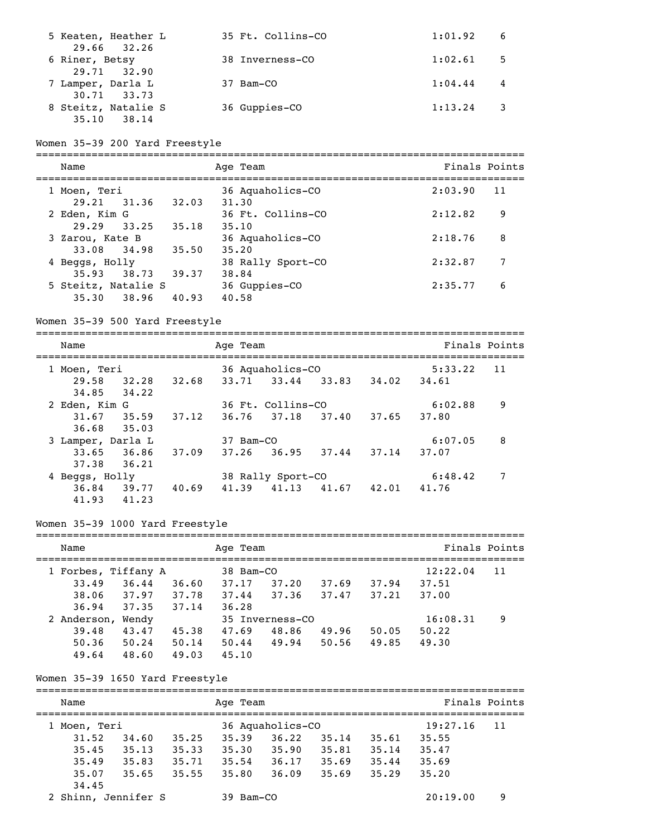| 5 Keaten, Heather L<br>29.66 32.26    | 35 Ft. Collins-CO | 1:01.92<br>- 6            |  |
|---------------------------------------|-------------------|---------------------------|--|
| 6 Riner, Betsy<br>29.71 32.90         | 38 Inverness-CO   | 1:02.61<br>$-5$           |  |
| 7 Lamper, Darla L<br>30.71 33.73      | 37 Bam-CO         | 1:04.44<br>$\overline{4}$ |  |
| 8 Steitz, Natalie S<br>35.10<br>38.14 | 36 Guppies-CO     | 1:13.24                   |  |

## Women 35-39 200 Yard Freestyle

| Name                               |       | Age Team                   | Finals Points |    |
|------------------------------------|-------|----------------------------|---------------|----|
| 1 Moen, Teri<br>29.21 31.36        | 32.03 | 36 Aquaholics-CO<br>31,30  | 2:03.90       | 11 |
| 2 Eden, Kim G<br>29.29 33.25       | 35.18 | 36 Ft. Collins-CO<br>35.10 | 2:12.82       | 9  |
| 3 Zarou, Kate B<br>33.08 34.98     | 35.50 | 36 Aquaholics-CO<br>35.20  | 2:18.76       | 8  |
| 4 Beggs, Holly<br>35.93 38.73      | 39.37 | 38 Rally Sport-CO<br>38.84 | 2:32.87       | 7  |
| 5 Steitz, Natalie S<br>35,30 38,96 | 40.93 | 36 Guppies-CO<br>40.58     | 2:35.77       | 6  |

### Women 35-39 500 Yard Freestyle

| Name              |       |       | Age Team  |                   |       |       |         | Finals Points |
|-------------------|-------|-------|-----------|-------------------|-------|-------|---------|---------------|
| 1 Moen, Teri      |       |       |           | 36 Aquaholics-CO  |       |       | 5:33.22 | 11            |
| 29.58             | 32.28 | 32.68 | 33.71     | 33.44             | 33.83 | 34.02 | 34.61   |               |
| 34.85             | 34.22 |       |           |                   |       |       |         |               |
| 2 Eden, Kim G     |       |       |           | 36 Ft. Collins-CO |       |       | 6:02.88 | 9             |
| 31.67             | 35.59 | 37.12 | 36.76     | 37.18 37.40       |       | 37.65 | 37.80   |               |
| 36.68             | 35.03 |       |           |                   |       |       |         |               |
| 3 Lamper, Darla L |       |       | 37 Bam-CO |                   |       |       | 6:07.05 | 8             |
| 33.65             | 36.86 | 37.09 | 37.26     | 36.95             | 37.44 | 37.14 | 37.07   |               |
| 37.38             | 36.21 |       |           |                   |       |       |         |               |
| 4 Beggs, Holly    |       |       |           | 38 Rally Sport-CO |       |       | 6:48.42 | 7             |
| 36.84             | 39.77 | 40.69 | 41.39     | 41.13             | 41.67 | 42.01 | 41.76   |               |
| 41.93             | 41.23 |       |           |                   |       |       |         |               |

### Women 35-39 1000 Yard Freestyle

| Name        |                     |       | Age Team  |                 |       |       |          | Finals Points |
|-------------|---------------------|-------|-----------|-----------------|-------|-------|----------|---------------|
|             | 1 Forbes, Tiffany A |       | 38 Bam-CO |                 |       |       | 12:22.04 | 11            |
| 33.49       | 36.44               | 36.60 | 37.17     | 37.20           | 37.69 | 37.94 | 37.51    |               |
| 38.06       | 37.97               | 37.78 | 37.44     | 37.36           | 37.47 | 37.21 | 37.00    |               |
| 36.94       | 37.35               | 37.14 | 36.28     |                 |       |       |          |               |
| 2 Anderson, | Wendy               |       |           | 35 Inverness-CO |       |       | 16:08.31 | 9             |
| 39.48       | 43.47               | 45.38 | 47.69     | 48.86           | 49.96 | 50.05 | 50.22    |               |
| 50.36       | 50.24               | 50.14 | 50.44     | 49.94           | 50.56 | 49.85 | 49.30    |               |
| 49.64       | 48.60               | 49.03 | 45.10     |                 |       |       |          |               |

### Women 35-39 1650 Yard Freestyle

| Name                |       |       | Age Team  |                  |       |       | Finals Points |    |
|---------------------|-------|-------|-----------|------------------|-------|-------|---------------|----|
| Moen, Teri          |       |       |           | 36 Aquaholics-CO |       |       | 19:27.16      | 11 |
| 31.52               | 34.60 | 35.25 | 35.39     | 36.22            | 35.14 | 35.61 | 35.55         |    |
| 35.45               | 35.13 | 35.33 | 35.30     | 35.90            | 35.81 | 35.14 | 35.47         |    |
| 35.49               | 35.83 | 35.71 | 35.54     | 36.17            | 35.69 | 35.44 | 35.69         |    |
| 35.07               | 35.65 | 35.55 | 35.80     | 36.09            | 35.69 | 35.29 | 35.20         |    |
| 34.45               |       |       |           |                  |       |       |               |    |
| 2 Shinn, Jennifer S |       |       | 39 Bam-CO |                  |       |       | 20:19.00      | 9  |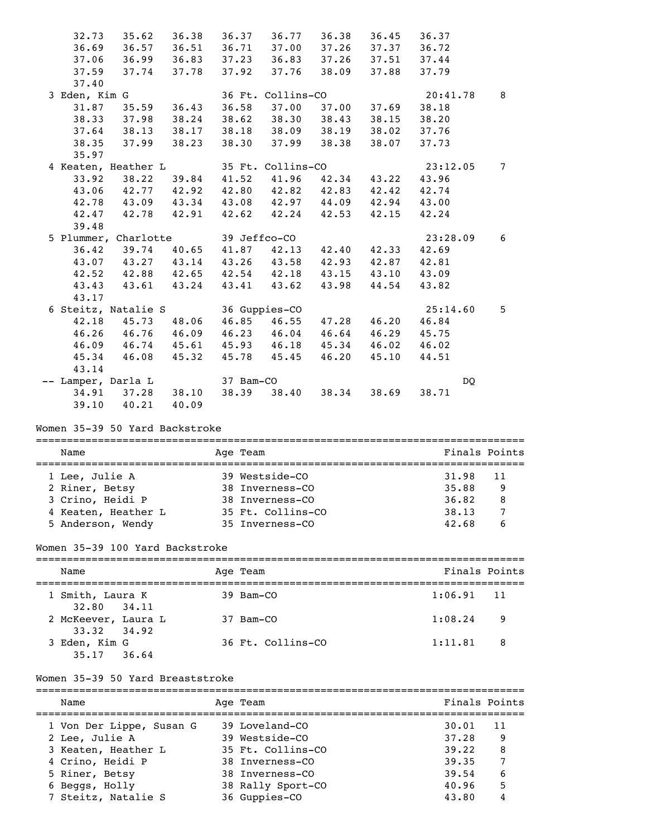| 32.73         | 35.62                         | 36.38 | 36.37               | 36.77             | 36.38             | 36.45       | 36.37    |                 |
|---------------|-------------------------------|-------|---------------------|-------------------|-------------------|-------------|----------|-----------------|
| 36.69         | 36.57                         |       | 36.51 36.71 37.00   |                   |                   | 37.26 37.37 | 36.72    |                 |
| 37.06         | 36.99 36.83 37.23 36.83 37.26 |       |                     |                   |                   | 37.51       | 37.44    |                 |
| 37.59         | 37.74                         | 37.78 | 37.92               | 37.76             | 38.09             | 37.88       | 37.79    |                 |
| 37.40         |                               |       |                     |                   |                   |             |          |                 |
| 3 Eden, Kim G |                               |       |                     | 36 Ft. Collins-CO |                   |             | 20:41.78 | 8               |
| 31.87         | 35.59                         | 36.43 | 36.58               | 37.00             | 37.00             | 37.69       | 38.18    |                 |
| 38.33         | 37.98                         | 38.24 |                     |                   | 38.62 38.30 38.43 | 38.15       | 38.20    |                 |
|               | $37.64$ $38.13$               | 38.17 |                     |                   | 38.18 38.09 38.19 | 38.02       | 37.76    |                 |
| 38.35         | 37.99                         | 38.23 | 38.30               | 37.99             | 38.38             | 38.07       | 37.73    |                 |
| 35.97         |                               |       |                     |                   |                   |             |          |                 |
|               | 4 Keaten, Heather L           |       |                     | 35 Ft. Collins-CO |                   |             | 23:12.05 | $7\phantom{.0}$ |
| 33.92         | 38.22                         | 39.84 | 41.52               | 41.96             | 42.34             | 43.22       | 43.96    |                 |
| 43.06         | 42.77 42.92                   |       | 42.80  42.82  42.83 |                   |                   | 42.42       | 42.74    |                 |
|               | 42.78 43.09 43.34             |       | 43.08 42.97 44.09   |                   |                   | 42.94       | 43.00    |                 |
| 42.47         | 42.78                         | 42.91 | 42.62               | 42.24             | 42.53             | 42.15       | 42.24    |                 |
| 39.48         |                               |       |                     |                   |                   |             |          |                 |
|               | 5 Plummer, Charlotte          |       | 39 Jeffco-CO        |                   |                   |             | 23:28.09 | 6               |
| 36.42         | 39.74                         | 40.65 | 41.87 42.13         |                   | 42.40             | 42.33       | 42.69    |                 |
|               | 43.07 43.27 43.14 43.26 43.58 |       |                     |                   | 42.93             | 42.87       | 42.81    |                 |
|               | $42.52$ $42.88$ $42.65$       |       |                     | $42.54$ $42.18$   | 43.15             | 43.10       | 43.09    |                 |
| 43.43         | 43.61                         | 43.24 | 43.41               | 43.62             | 43.98             | 44.54       | 43.82    |                 |
| 43.17         |                               |       |                     |                   |                   |             |          |                 |
|               | 6 Steitz, Natalie S           |       |                     | 36 Guppies-CO     |                   |             | 25:14.60 | 5               |
| 42.18         | 45.73 48.06                   |       |                     | 46.85 46.55       | 47.28             | 46.20       | 46.84    |                 |
| 46.26         | 46.76 46.09                   |       |                     | 46.23 46.04       | 46.64             | 46.29       | 45.75    |                 |
| 46.09         | 46.74                         | 45.61 |                     | 45.93 46.18       | 45.34             | 46.02       | 46.02    |                 |
| 45.34         | 46.08                         | 45.32 | 45.78               | 45.45             | 46.20             | 45.10       | 44.51    |                 |
| 43.14         |                               |       |                     |                   |                   |             |          |                 |
|               | -- Lamper, Darla L            |       | 37 Bam-CO           |                   |                   |             | DQ       |                 |
| 34.91         | 37.28                         | 38.10 | 38.39               | 38.40             | 38.34             | 38.69       | 38.71    |                 |
| 39.10         | 40.21                         | 40.09 |                     |                   |                   |             |          |                 |

### Women 35-39 50 Yard Backstroke

| Name                | Age Team          | Finals Points  |  |  |  |  |
|---------------------|-------------------|----------------|--|--|--|--|
|                     |                   |                |  |  |  |  |
| 1 Lee, Julie A      | 39 Westside-CO    | 31.98<br>$-11$ |  |  |  |  |
| 2 Riner, Betsy      | 38 Inverness-CO   | 35.88<br>9     |  |  |  |  |
| 3 Crino, Heidi P    | 38 Inverness-CO   | 36.82<br>8     |  |  |  |  |
| 4 Keaten, Heather L | 35 Ft. Collins-CO | 38.13          |  |  |  |  |
| 5 Anderson, Wendy   | 35 Inverness-CO   | 42.68<br>6     |  |  |  |  |

### Women 35-39 100 Yard Backstroke

| Name                               | Age Team            | Finals Points |     |
|------------------------------------|---------------------|---------------|-----|
| 1 Smith, Laura K<br>32.80 34.11    | 39 Bam-CO           | $1:06.91$ 11  |     |
| 2 McKeever, Laura L<br>33.32 34.92 | 37 Bam-CO           | 1:08.24       | - 9 |
| 3 Eden, Kim G<br>$35.17$ $36.64$   | $36$ Ft. Collins-CO | 1:11.81       | - 8 |

### Women 35-39 50 Yard Breaststroke

| Name                     | Age Team          | Finals Points |
|--------------------------|-------------------|---------------|
| 1 Von Der Lippe, Susan G | 39 Loveland-CO    | 30.01<br>11   |
| 2 Lee, Julie A           | 39 Westside-CO    | 37.28<br>-9   |
| 3 Keaten, Heather L      | 35 Ft. Collins-CO | 39.22<br>8    |
| 4 Crino, Heidi P         | 38 Inverness-CO   | 7<br>39.35    |
| 5 Riner, Betsy           | 38 Inverness-CO   | 39.54<br>6    |
| 6 Beggs, Holly           | 38 Rally Sport-CO | 5<br>40.96    |
| 7 Steitz, Natalie S      | 36 Guppies-CO     | 4<br>43.80    |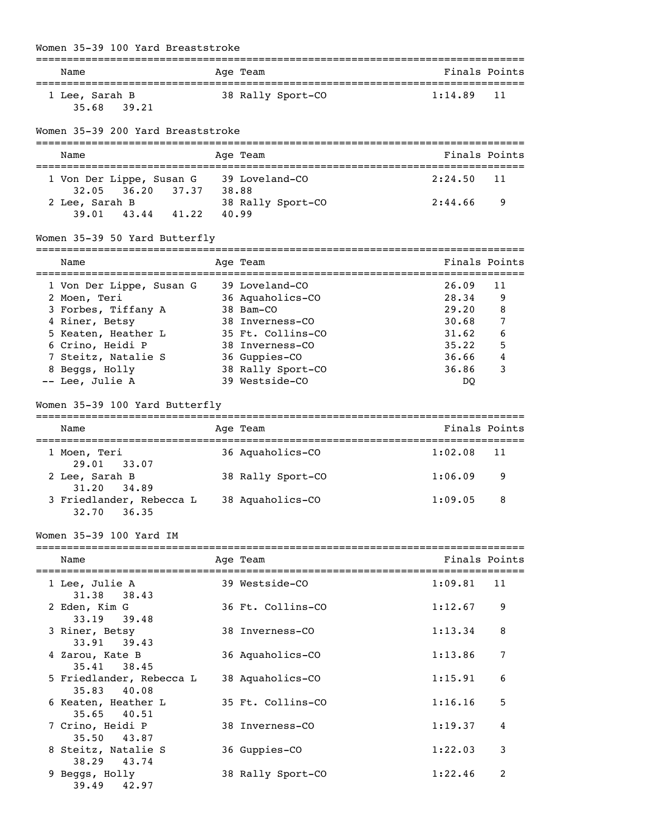#### Women 35-39 100 Yard Breaststroke

|                                                                       |       | ______________________                                 |               |               |
|-----------------------------------------------------------------------|-------|--------------------------------------------------------|---------------|---------------|
| Name                                                                  |       | Age Team                                               | Finals Points |               |
| 1 Lee, Sarah B<br>39.21<br>35.68                                      |       | 38 Rally Sport-CO                                      | 1:14.89       | 11            |
| Women 35-39 200 Yard Breaststroke                                     |       |                                                        |               |               |
| Name                                                                  |       | Age Team                                               |               | Finals Points |
| 1 Von Der Lippe, Susan G 39 Loveland-CO<br>36.20 37.37 38.88<br>32.05 |       |                                                        | 2:24.50       | 11            |
| 2 Lee, Sarah B<br>43.44 41.22<br>39.01                                | 40.99 | 38 Rally Sport-CO                                      | 2:44.66       | 9             |
| Women 35-39 50 Yard Butterfly                                         |       | -----------                                            |               |               |
| Name                                                                  |       | Age Team                                               | Finals Points |               |
| 1 Von Der Lippe, Susan G                                              |       | 39 Loveland-CO                                         | 26.09         | 11            |
| 2 Moen, Teri                                                          |       | 36 Aquaholics-CO                                       | 28.34         | 9             |
| 3 Forbes, Tiffany A                                                   |       | 38 Bam-CO                                              | 29.20         | 8             |
| 4 Riner, Betsy                                                        |       | 38 Inverness-CO                                        | 30.68         | 7             |
| 5 Keaten, Heather L                                                   |       | 35 Ft. Collins-CO                                      | 31.62         | 6             |
| 6 Crino, Heidi P                                                      |       | 38 Inverness-CO                                        | 35.22         | 5             |
| 7 Steitz, Natalie S                                                   |       | 36 Guppies-CO                                          | 36.66         | 4             |
| 8 Beggs, Holly                                                        |       | 38 Rally Sport-CO                                      | 36.86         | 3             |
| -- Lee, Julie A                                                       |       | 39 Westside-CO                                         | DQ            |               |
| Women 35-39 100 Yard Butterfly                                        |       |                                                        |               |               |
| Name                                                                  |       | Age Team                                               | Finals Points |               |
| 1 Moen, Teri<br>33.07<br>29.01                                        |       | 36 Aquaholics-CO                                       | 1:02.08       | 11            |
| 2 Lee, Sarah B<br>31.20<br>34.89                                      |       | 38 Rally Sport-CO                                      | 1:06.09       | 9             |
| 3 Friedlander, Rebecca L 38 Aquaholics-CO<br>32.70<br>36.35           |       |                                                        | 1:09.05       | 8             |
| Women 35-39 100 Yard IM                                               |       |                                                        |               |               |
| _______________________<br>Name                                       |       | -----------<br>___________________________<br>Age Team | Finals Points |               |
| 1 Lee, Julie A<br>38.43<br>31.38                                      |       | 39 Westside-CO                                         | 1:09.81       | 11            |
| 2 Eden, Kim G<br>33.19<br>39.48                                       |       | 36 Ft. Collins-CO                                      | 1:12.67       | 9             |
| 3 Riner, Betsy<br>33.91<br>39.43                                      |       | 38 Inverness-CO                                        | 1:13.34       | 8             |
| 4 Zarou, Kate B<br>35.41<br>38.45                                     |       | 36 Aquaholics-CO                                       | 1:13.86       | 7             |
| 5 Friedlander, Rebecca L<br>40.08<br>35.83                            |       | 38 Aquaholics-CO                                       | 1:15.91       | 6             |
| 6 Keaten, Heather L<br>35.65<br>40.51                                 |       | 35 Ft. Collins-CO                                      | 1:16.16       | 5             |
| 7 Crino, Heidi P<br>43.87<br>35.50                                    |       | 38 Inverness-CO                                        | 1:19.37       | 4             |
| 8 Steitz, Natalie S<br>38.29<br>43.74                                 |       | 36 Guppies-CO                                          | 1:22.03       | 3             |
| 9 Beggs, Holly<br>39.49<br>42.97                                      |       | 38 Rally Sport-CO                                      | 1:22.46       | 2             |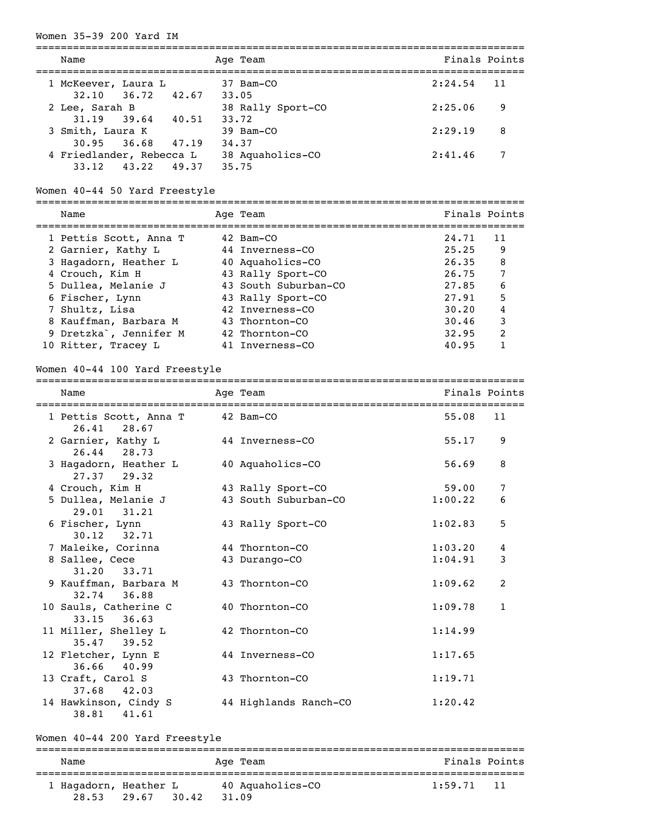#### Women 35-39 200 Yard IM

| Name                                           |       | Age Team                   |         | Finals Points   |
|------------------------------------------------|-------|----------------------------|---------|-----------------|
| 1 McKeever, Laura L<br>$32.10$ $36.72$ $42.67$ |       | $37$ Bam $-CO$<br>33.05    | 2:24.54 | $\overline{11}$ |
| 2 Lee, Sarah B<br>$31.19$ $39.64$              | 40.51 | 38 Rally Sport-CO<br>33.72 | 2:25.06 | 9               |
| 3 Smith, Laura K<br>$30.95$ $36.68$ $47.19$    |       | 39 Bam-CO<br>34,37         | 2:29.19 | 8               |
| 4 Friedlander, Rebecca L<br>$33.12$ $43.22$    | 49.37 | 38 Aquaholics-CO<br>35.75  | 2:41.46 | 7               |

### Women 40-44 50 Yard Freestyle

| Name                                | Age Team             | Finals Points |               |
|-------------------------------------|----------------------|---------------|---------------|
| 1 Pettis Scott, Anna T              | 42 Bam-CO            | 24.71         | 11            |
| 2 Garnier, Kathy L                  | 44 Inverness-CO      | 25.25         | 9             |
| 3 Hagadorn, Heather L               | 40 Aquaholics-CO     | 26.35         | 8             |
| 4 Crouch, Kim H                     | 43 Rally Sport-CO    | 26.75         | 7             |
| 5 Dullea, Melanie J                 | 43 South Suburban-CO | 27.85         | 6             |
| 6 Fischer, Lynn                     | 43 Rally Sport-CO    | 27.91         | 5             |
| 7 Shultz, Lisa                      | 42 Inverness-CO      | 30.20         | 4             |
| 8 Kauffman, Barbara M               | 43 Thornton-CO       | 30.46         | 3             |
| 9 Dretzka <sup>o</sup> , Jennifer M | 42 Thornton-CO       | 32.95         | $\mathcal{L}$ |
| 10 Ritter, Tracey L                 | 41 Inverness-CO      | 40.95         |               |

===============================================================================

### Women 40-44 100 Yard Freestyle

| Name                                     | Age Team              | Finals Points |              |
|------------------------------------------|-----------------------|---------------|--------------|
| 1 Pettis Scott, Anna T<br>26.41 28.67    | 42 Bam-CO             | 55.08         | 11           |
| 2 Garnier, Kathy L<br>26.44 28.73        | 44 Inverness-CO       | 55.17         | 9            |
| 3 Hagadorn, Heather L<br>$27.37$ $29.32$ | 40 Aquaholics-CO      | 56.69         | 8            |
| 4 Crouch, Kim H                          | 43 Rally Sport-CO     | 59.00         | 7            |
| 5 Dullea, Melanie J<br>$29.01$ $31.21$   | 43 South Suburban-CO  | 1:00.22       | 6            |
| 6 Fischer, Lynn<br>$30.12$ $32.71$       | 43 Rally Sport-CO     | 1:02.83       | 5            |
| 7 Maleike, Corinna                       | 44 Thornton-CO        | 1:03.20       | 4            |
| 8 Sallee, Cece<br>$31.20$ $33.71$        | 43 Durango-CO         | 1:04.91       | 3            |
| 9 Kauffman, Barbara M<br>32.74 36.88     | 43 Thornton-CO        | 1:09.62       | 2            |
| 10 Sauls, Catherine C<br>$33.15$ $36.63$ | 40 Thornton-CO        | 1:09.78       | $\mathbf{1}$ |
| 11 Miller, Shelley L<br>$35.47$ 39.52    | 42 Thornton-CO        | 1:14.99       |              |
| 12 Fletcher, Lynn E<br>36.66 40.99       | 44 Inverness-CO       | 1:17.65       |              |
| 13 Craft, Carol S<br>37.68 42.03         | 43 Thornton-CO        | 1:19.71       |              |
| 14 Hawkinson, Cindy S<br>38.81<br>41.61  | 44 Highlands Ranch-CO | 1:20.42       |              |

Women 40-44 200 Yard Freestyle

=============================================================================== Name Age Team Age Team Finals Points =============================================================================== 1 Hagadorn, Heather L 40 Aquaholics-CO 1:59.71 11 28.53 29.67 30.42 31.09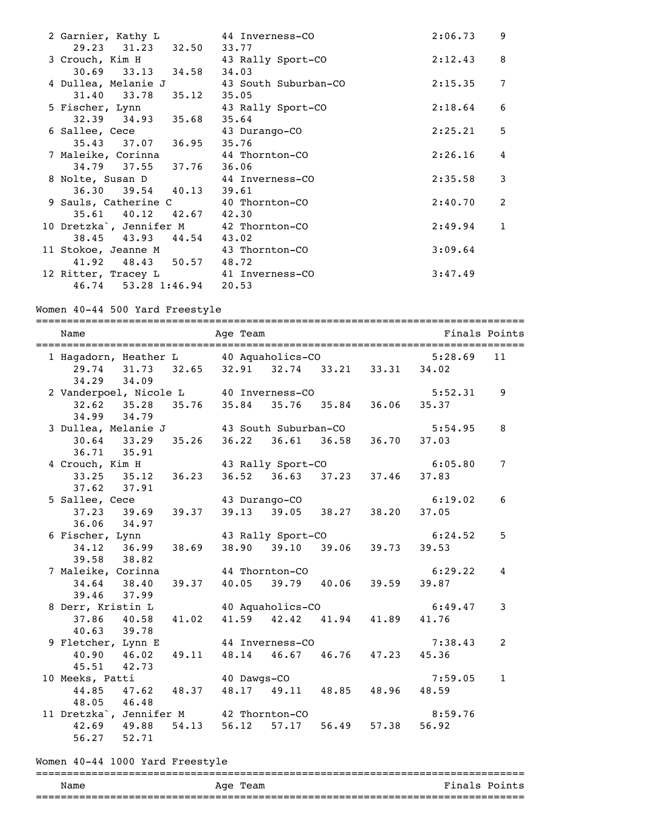| 2 Garnier, Kathy L 44 Inverness-CO                      | 2:06.73     | 9              |
|---------------------------------------------------------|-------------|----------------|
| 29.23 31.23 32.50 33.77                                 |             |                |
| 3 Crouch, Kim H 43 Rally Sport-CO                       | 2:12.43     | -8             |
| $30.69$ $33.13$ $34.58$ $34.03$                         |             |                |
| 4 Dullea, Melanie J 43 South Suburban-CO                | $2:15.35$ 7 |                |
| 31.40 33.78 35.12 35.05                                 |             |                |
| 5 Fischer, Lynn <a> 43 Rally Sport-CO</a>               | 2:18.64     | 6              |
| 32.39 34.93 35.68 35.64                                 |             |                |
|                                                         | 2:25.21 5   |                |
| 6 Sallee, Cece 43 Durango-CO<br>35.43 37.07 36.95 35.76 |             |                |
| 7 Maleike, Corinna 44 Thornton-CO                       | $2:26.16$ 4 |                |
| 34.79 37.55 37.76 36.06                                 |             |                |
| 8 Nolte, Susan D 44 Inverness-CO                        | 2:35.58     | 3              |
| 36.30 39.54 40.13 39.61                                 |             |                |
| 9 Sauls, Catherine C 40 Thornton-CO                     | 2:40.70     | $\overline{2}$ |
| 35.61 40.12 42.67 42.30                                 |             |                |
| 10 Dretzka', Jennifer M 42 Thornton-CO                  | $2:49.94$ 1 |                |
| 38.45 43.93 44.54 43.02                                 |             |                |
| 11 Stokoe, Jeanne M 43 Thornton-CO                      | 3:09.64     |                |
| 41.92 48.43 50.57 48.72                                 |             |                |
| 12 Ritter, Tracey L 41 Inverness-CO                     | 3:47.49     |                |
| 46.74 53.28 1:46.94 20.53                               |             |                |

Women 40-44 500 Yard Freestyle

=============================================================================== Name Age Team Finals Points =============================================================================== 1 Hagadorn, Heather L 40 Aquaholics-CO 5:28.69 11 29.74 31.73 32.65 32.91 32.74 33.21 33.31 34.02 34.29 34.09 2 Vanderpoel, Nicole L 40 Inverness-CO 5:52.31 9 32.62 35.28 35.76 35.84 35.76 35.84 36.06 35.37 34.99 34.79 3 Dullea, Melanie J 43 South Suburban-CO 5:54.95 8 30.64 33.29 35.26 36.22 36.61 36.58 36.70 37.03 36.71 35.91<br>4 Crouch, Kim H 43 Rally Sport-CO 6:05.80 7 33.25 35.12 36.23 36.52 36.63 37.23 37.46 37.83 37.62 37.91<br>5 Sallee, Cece 11ee, Cece 43 Durango-CO 6:19.02 6<br>37.23 39.69 39.37 39.13 39.05 38.27 38.20 37.05 37.23 39.69 39.37 39.13 39.05 38.27 38.20 37.05 36.06 34.97<br>6 Fischer, Lynn 43 Rally Sport-CO 6:24.52 5 34.12 36.99 38.69 38.90 39.10 39.06 39.73 39.53 39.58 38.82 7 Maleike, Corinna 44 Thornton-CO 6:29.22 4 34.64 38.40 39.37 40.05 39.79 40.06 39.59 39.87 39.46 37.99 8 Derr, Kristin L<br>37.86 40.58 41.02 41.59 42.42 41.94 41.89 41.76 37.86 40.58 41.02 41.59 42.42 41.94 41.89 41.76 40.63 39.78 9 Fletcher, Lynn E 44 Inverness-CO 7:38.43 2 40.90 46.02 49.11 48.14 46.67 46.76 47.23 45.36 45.51 42.73 10 Meeks, Patti 40 Dawgs-CO 7:59.05 1 44.85 47.62 48.37 48.17 49.11 48.85 48.96 48.59 48.05 46.48 11 Dretzka, Jennifer M 42 Thornton-CO 8:59.76<br>42.69 49.88 54.13 56.12 57.17 56.49 57.38 56.92 42.69 49.88 54.13 56.12 57.17 56.49 57.38 56.92

#### Women 40-44 1000 Yard Freestyle

56.27 52.71

#### =============================================================================== Name Age Team Age Team Finals Points ===============================================================================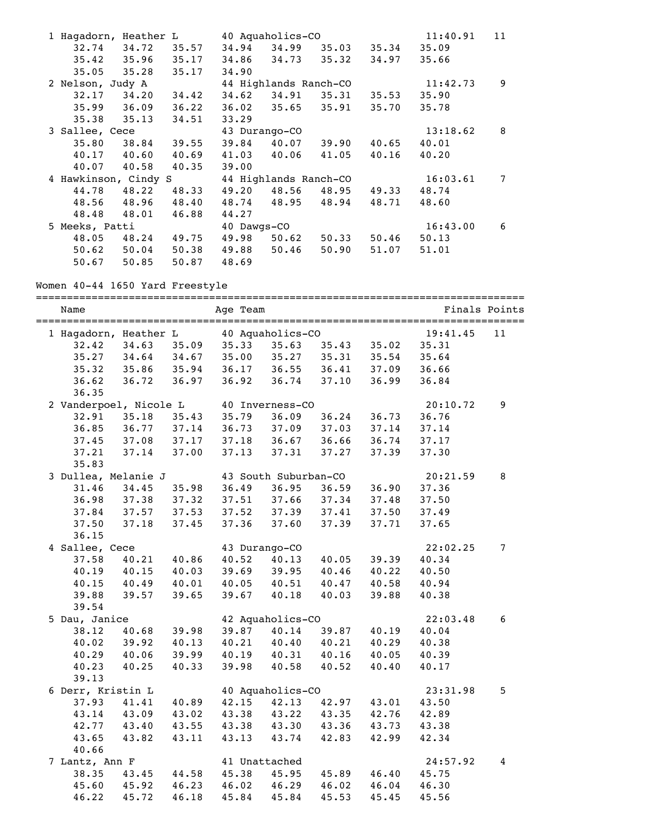| 1 Hagadorn, Heather L |       |                 |                                         | 40 Aquaholics-CO |                       |             | 11:40.91 | 11 |
|-----------------------|-------|-----------------|-----------------------------------------|------------------|-----------------------|-------------|----------|----|
|                       |       |                 | $32.74$ $34.72$ $35.57$ $34.94$ $34.99$ |                  | 35.03                 | 35.34       | 35.09    |    |
| $35.42$ $35.96$       |       |                 | 35.17 34.86 34.73                       |                  | 35.32                 | 34.97       | 35.66    |    |
| $35.05$ $35.28$       |       | 35.17           | 34.90                                   |                  |                       |             |          |    |
| 2 Nelson, Judy A      |       |                 |                                         |                  | 44 Highlands Ranch-CO |             | 11:42.73 | 9  |
| 32.17                 |       | $34.20$ $34.42$ | 34.62                                   | 34.91            | 35.31                 | 35.53       | 35.90    |    |
| $35.99$ $36.09$       |       | 36.22           | 36.02 35.65 35.91                       |                  |                       | 35.70       | 35.78    |    |
| 35.38                 | 35.13 | 34.51           | 33.29                                   |                  |                       |             |          |    |
| 3 Sallee, Cece        |       |                 |                                         | 43 Durango-CO    |                       |             | 13:18.62 | 8  |
| 35.80 38.84           |       | 39.55           | 39.84                                   | 40.07            | 39.90                 | 40.65       | 40.01    |    |
| $40.17$ $40.60$       |       | 40.69           | 41.03                                   | 40.06            | 41.05                 | 40.16       | 40.20    |    |
| 40.07 40.58           |       | 40.35           | 39.00                                   |                  |                       |             |          |    |
| 4 Hawkinson, Cindy S  |       |                 | 44 Highlands Ranch-CO                   |                  |                       |             | 16:03.61 | 7  |
| 44.78                 | 48.22 | 48.33           | 49.20                                   | 48.56            |                       | 48.95 49.33 | 48.74    |    |
| 48.56                 | 48.96 | 48.40           | 48.74 48.95 48.94                       |                  |                       | 48.71       | 48.60    |    |
| 48.48                 | 48.01 | 46.88           | 44.27                                   |                  |                       |             |          |    |
| 5 Meeks, Patti        |       |                 | 40 Dawgs-CO                             |                  |                       |             | 16:43.00 | 6  |
| 48.05 48.24           |       | 49.75           | 49.98                                   | 50.62            | 50.33                 | 50.46       | 50.13    |    |
| $50.62$ $50.04$       |       | 50.38           | 49.88                                   | 50.46            | 50.90                 | 51.07       | 51.01    |    |
| 50.67                 | 50.85 | 50.87           | 48.69                                   |                  |                       |             |          |    |

Women 40-44 1650 Yard Freestyle

| Name                   |       |       | Age Team          |                      |                 |             |          | Finals Points |
|------------------------|-------|-------|-------------------|----------------------|-----------------|-------------|----------|---------------|
| 1 Hagadorn, Heather L  |       |       |                   | 40 Aquaholics-CO     |                 |             | 19:41.45 | 11            |
| 32.42                  | 34.63 | 35.09 | 35.33             | 35.63                |                 | 35.43 35.02 | 35.31    |               |
| 35.27                  | 34.64 | 34.67 | 35.00             | 35.27                | 35.31           | 35.54       | 35.64    |               |
| 35.32                  | 35.86 | 35.94 | 36.17             | $36.55$<br>$36.74$   | 36.41           | 37.09       | 36.66    |               |
| 36.62                  | 36.72 | 36.97 | 36.92             | 36.74                | 37.10           | 36.99       | 36.84    |               |
| 36.35                  |       |       |                   |                      |                 |             |          |               |
| 2 Vanderpoel, Nicole L |       |       |                   | 40 Inverness-CO      |                 |             | 20:10.72 | 9             |
| 32.91                  | 35.18 | 35.43 | 35.79             | 36.09                | 36.24           | 36.73       | 36.76    |               |
| 36.85                  | 36.77 | 37.14 | 36.73             | 37.09                | 37.03           | 37.14       | 37.14    |               |
| 37.45 37.08            |       | 37.17 | 37.18             |                      | $36.67$ $36.66$ | 36.74       | 37.17    |               |
| 37.21                  | 37.14 | 37.00 | 37.13             | 37.31                | 37.27           | 37.39       | 37.30    |               |
| 35.83                  |       |       |                   |                      |                 |             |          |               |
| 3 Dullea, Melanie J    |       |       |                   | 43 South Suburban-CO |                 |             | 20:21.59 | 8             |
| 31.46                  | 34.45 | 35.98 | 36.49             |                      | 36.95 36.59     | 36.90       | 37.36    |               |
| 36.98 37.38            |       | 37.32 | 37.51             |                      | 37.66 37.34     | 37.48       | 37.50    |               |
| 37.84 37.57            |       | 37.53 | 37.52             | 37.39                | 37.41           | 37.50       | 37.49    |               |
| 37.50                  | 37.18 | 37.45 | 37.36             | 37.60                | 37.39           | 37.71       | 37.65    |               |
| 36.15                  |       |       |                   |                      |                 |             |          |               |
| 4 Sallee, Cece         |       |       |                   | 43 Durango-CO        |                 |             | 22:02.25 | 7             |
| 37.58                  | 40.21 | 40.86 | 40.52             | 40.13                | 40.05           | 39.39       | 40.34    |               |
| 40.19                  | 40.15 | 40.03 | 39.69             | 39.95 40.46          |                 | 40.22       | 40.50    |               |
| 40.15 40.49            |       | 40.01 | 40.05 40.51 40.47 |                      |                 | 40.58       | 40.94    |               |
| 39.88                  | 39.57 | 39.65 | 39.67             | 40.18                | 40.03           | 39.88       | 40.38    |               |
| 39.54                  |       |       |                   |                      |                 |             |          |               |
| 5 Dau, Janice          |       |       |                   | 42 Aquaholics-CO     |                 |             | 22:03.48 | 6             |
| 38.12                  | 40.68 | 39.98 | 39.87             | 40.14                | 39.87           | 40.19       | 40.04    |               |
| 40.02                  | 39.92 | 40.13 | 40.21             | 40.40                | 40.21           | 40.29       | 40.38    |               |
| 40.29 40.06            |       | 39.99 | 40.19             | 40.31 40.16          |                 | 40.05       | 40.39    |               |
| 40.23                  | 40.25 | 40.33 | 39.98             | 40.58                | 40.52           | 40.40       | 40.17    |               |
| 39.13                  |       |       |                   |                      |                 |             |          |               |
| 6 Derr, Kristin L      |       |       |                   | 40 Aquaholics-CO     |                 |             | 23:31.98 | 5             |
| 37.93                  | 41.41 | 40.89 | 42.15             | 42.13 42.97          |                 | 43.01       | 43.50    |               |
| 43.14                  | 43.09 | 43.02 | 43.38             | 43.22 43.35          |                 | 42.76       | 42.89    |               |
| 42.77 43.40            |       | 43.55 | 43.38             |                      | 43.30 43.36     | 43.73       | 43.38    |               |
| 43.65                  | 43.82 | 43.11 | 43.13             | 43.74                | 42.83           | 42.99       | 42.34    |               |
| 40.66                  |       |       |                   |                      |                 |             |          |               |
| 7 Lantz, Ann F         |       |       |                   | 41 Unattached        |                 |             | 24:57.92 | 4             |
| 38.35                  | 43.45 | 44.58 | 45.38             | 45.95                | 45.89           | 46.40       | 45.75    |               |
| 45.60 45.92            |       | 46.23 | 46.02             |                      | 46.29 46.02     | 46.04       | 46.30    |               |
| 46.22                  | 45.72 | 46.18 | 45.84             | 45.84                | 45.53           | 45.45       | 45.56    |               |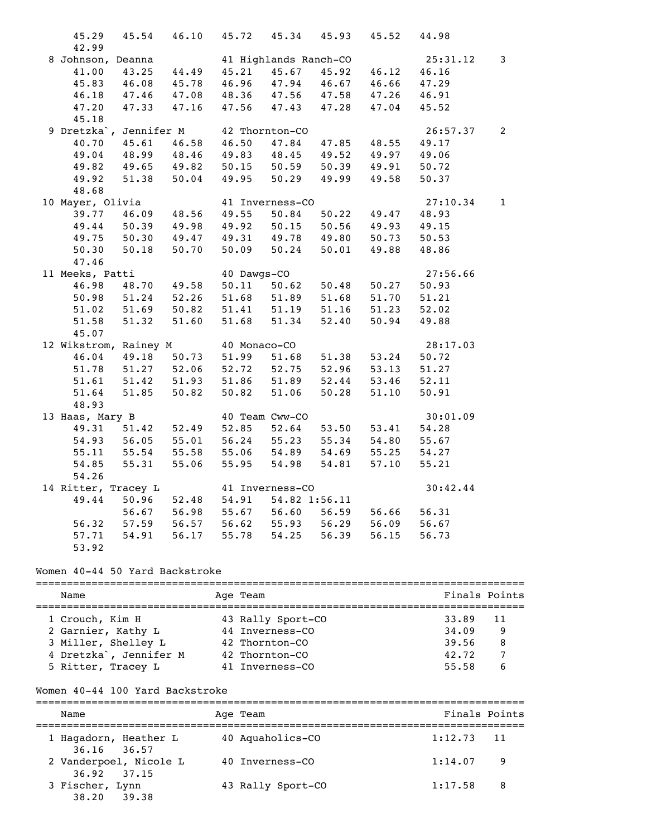| 45.29             |                                     | 45.54 46.10 |                                 |                 | 45.72 45.34 45.93                      | 45.52       | 44.98    |                |
|-------------------|-------------------------------------|-------------|---------------------------------|-----------------|----------------------------------------|-------------|----------|----------------|
| 42.99             |                                     |             |                                 |                 |                                        |             |          |                |
| 8 Johnson, Deanna |                                     |             |                                 |                 | 41 Highlands Ranch-CO                  |             | 25:31.12 | 3              |
| 41.00             |                                     | 43.25 44.49 | 45.21                           | 45.67           |                                        | 45.92 46.12 | 46.16    |                |
| 45.83             | 46.08 45.78                         |             |                                 |                 | 46.96 47.94 46.67                      | 46.66       | 47.29    |                |
|                   | 46.18 47.46 47.08 48.36 47.56 47.58 |             |                                 |                 |                                        | 47.26       | 46.91    |                |
| 47.20             | 47.33 47.16 47.56 47.43 47.28       |             |                                 |                 |                                        | 47.04       | 45.52    |                |
| 45.18             |                                     |             |                                 |                 |                                        |             |          |                |
|                   | 9 Dretzka', Jennifer M              |             | 42 Thornton-CO                  |                 |                                        |             | 26:57.37 | $\overline{2}$ |
| 40.70             | 45.61 46.58                         |             | 46.50                           | 47.84           | 47.85                                  | 48.55       | 49.17    |                |
| 49.04             |                                     | 48.99 48.46 |                                 | 49.83 48.45     | 49.52                                  | 49.97       | 49.06    |                |
| 49.82             | 49.65 49.82 50.15 50.59 50.39 49.91 |             |                                 |                 |                                        |             | 50.72    |                |
| 49.92             | 51.38 50.04 49.95 50.29 49.99       |             |                                 |                 |                                        | 49.58       | 50.37    |                |
| 48.68             |                                     |             |                                 |                 |                                        |             |          |                |
| 10 Mayer, Olivia  |                                     |             |                                 | 41 Inverness-CO |                                        |             | 27:10.34 | $\mathbf{1}$   |
| 39.77             | 46.09                               |             | 48.56 49.55 50.84               |                 | 50.22                                  | 49.47       | 48.93    |                |
| 49.44             | 50.39                               | 49.98       |                                 |                 | 49.92 50.15 50.56<br>49.31 49.78 49.80 | 49.93       | 49.15    |                |
| 49.75             | 50.30                               | 49.47       |                                 |                 |                                        | 50.73       | 50.53    |                |
| 50.30             | 50.18                               | 50.70       |                                 |                 | 50.09 50.24 50.01                      | 49.88       | 48.86    |                |
| 47.46             |                                     |             |                                 |                 |                                        |             |          |                |
| 11 Meeks, Patti   |                                     |             | 40 Dawgs-CO                     |                 |                                        |             | 27:56.66 |                |
| 46.98             | 48.70                               | 49.58       |                                 | $50.11$ $50.62$ | 50.48                                  | 50.27       | 50.93    |                |
| 50.98             | $51.24$ $52.26$                     |             |                                 | 51.68 51.89     | 51.68                                  | 51.70       | 51.21    |                |
| 51.02             | 51.69 50.82 51.41 51.19             |             |                                 |                 | 51.16                                  | 51.23       | 52.02    |                |
| 51.58             |                                     | 51.32 51.60 |                                 | 51.68 51.34     | 52.40                                  | 50.94       | 49.88    |                |
| 45.07             |                                     |             |                                 |                 |                                        |             |          |                |
|                   | 12 Wikstrom, Rainey M               |             | 40 Monaco-CO                    |                 |                                        |             | 28:17.03 |                |
| 46.04             | 49.18                               | 50.73       | 51.99 51.68                     |                 | 51.38                                  | 53.24       | 50.72    |                |
| 51.78             | 51.27 52.06 52.72 52.75 52.96       |             |                                 |                 |                                        | 53.13       | 51.27    |                |
| 51.61             | 51.42 51.93 51.86 51.89 52.44       |             |                                 |                 |                                        | 53.46       | 52.11    |                |
| 51.64             | 51.85                               | 50.82       | 50.82                           | 51.06           | 50.28                                  | 51.10       | 50.91    |                |
| 48.93             |                                     |             |                                 |                 |                                        |             |          |                |
| 13 Haas, Mary B   |                                     |             |                                 | 40 Team Cww-CO  |                                        |             | 30:01.09 |                |
| 49.31             | 51.42 52.49                         |             | 52.85                           | 52.64           | 53.50                                  | 53.41       | 54.28    |                |
| 54.93             | 56.05                               | 55.01       |                                 | 56.24 55.23     | 55.34                                  | 54.80       | 55.67    |                |
| 55.11             | 55.54                               | 55.58       |                                 |                 | 55.06 54.89 54.69 55.25                |             | 54.27    |                |
| 54.85             | 55.31                               | 55.06       |                                 | 55.95 54.98     | 54.81                                  | 57.10       | 55.21    |                |
| 54.26             |                                     |             |                                 |                 |                                        |             |          |                |
|                   | 14 Ritter, Tracey L                 |             |                                 | 41 Inverness-CO |                                        |             | 30:42.44 |                |
| 49.44             |                                     |             | 50.96 52.48 54.91 54.82 1:56.11 |                 |                                        |             |          |                |
|                   |                                     |             | 56.67 56.98 55.67 56.60         |                 | 56.59                                  | 56.66       | 56.31    |                |
| 56.32             | 57.59                               | 56.57       | 56.62                           | 55.93           | 56.29                                  | 56.09       | 56.67    |                |
| 57.71             | 54.91                               | 56.17       |                                 | 55.78 54.25     | 56.39                                  | 56.15       | 56.73    |                |
| 53.92             |                                     |             |                                 |                 |                                        |             |          |                |

#### Women 40-44 50 Yard Backstroke

| Name                                |  | Age Team          | Finals Points |      |  |  |  |  |  |
|-------------------------------------|--|-------------------|---------------|------|--|--|--|--|--|
| 1 Crouch, Kim H                     |  | 43 Rally Sport-CO | 33.89         | - 11 |  |  |  |  |  |
| 2 Garnier, Kathy L                  |  | 44 Inverness-CO   | 34.09         | 9    |  |  |  |  |  |
| 3 Miller, Shelley L                 |  | 42 Thornton-CO    | 39.56         | 8    |  |  |  |  |  |
| 4 Dretzka <sup>o</sup> , Jennifer M |  | 42 Thornton-CO    | 42.72         |      |  |  |  |  |  |
| 5 Ritter, Tracey L                  |  | 41 Inverness-CO   | 55.58         |      |  |  |  |  |  |

#### Women 40-44 100 Yard Backstroke

=============================================================================== Name **Age Team** Age Team **Finals Points** =============================================================================== 1 Hagadorn, Heather L 40 Aquaholics-CO 36.16 36.57 2 Vanderpoel, Nicole L 40 Inverness-CO 1:14.07 9 36.92 37.15<br>3 Fischer, Lynn 43 Rally Sport-CO 1:17.58 8 38.20 39.38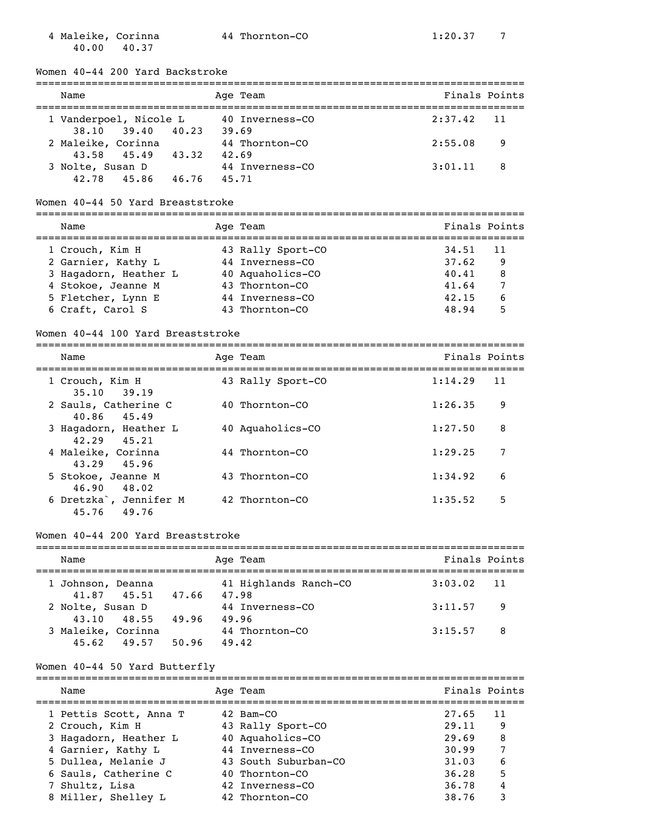4 Maleike, Corinna <br>
44 Thornton-CO 1:20.37 7 40.00 40.37

Women 40-44 200 Yard Backstroke

| Name                   |                   |       |       | Age Team        | Finals Points |     |
|------------------------|-------------------|-------|-------|-----------------|---------------|-----|
|                        |                   |       |       |                 |               |     |
| 1 Vanderpoel, Nicole L |                   |       |       | 40 Inverness-CO | $2:37.42$ 11  |     |
| 38,10 39,40            |                   | 40.23 |       | 39.69           |               |     |
| 2 Maleike, Corinna     |                   |       |       | 44 Thornton-CO  | 2:55.08       | -9  |
|                        | 43.58 45.49 43.32 |       | 42.69 |                 |               |     |
| 3 Nolte, Susan D       |                   |       |       | 44 Inverness-CO | 3:01.11       | - 8 |
| 42.78 45.86            |                   | 46.76 |       | 45.71           |               |     |

#### Women 40-44 50 Yard Breaststroke

=============================================================================== Name Age Team Age Team Finals Points =============================================================================== 1 Crouch, Kim H 43 Rally Sport-CO 34.51 11 2 Garnier, Kathy L 44 Inverness-CO 37.62 9 3 Hagadorn, Heather L 40 Aquaholics-CO 40.41 8 4 Stokoe, Jeanne M 43 Thornton-CO 41.64 7 4 Stokoe, Jeanne M 43 Thornton-CO 41.64 7<br>5 Fletcher, Lynn E 44 Inverness-CO 42.15 6 6 Craft, Carol S 43 Thornton-CO 48.94 5

#### Women 40-44 100 Yard Breaststroke

=============================================================================== Name Age Team Finals Points =============================================================================== 1 Crouch, Kim H 43 Rally Sport-CO 1:14.29 11 35.10 39.19 2 Sauls, Catherine C 40 Thornton-CO 1:26.35 9 40.86 45.49 3 Hagadorn, Heather L 40 Aquaholics-CO 1:27.50 8 42.29 45.21 4 Maleike, Corinna <br>
44 Thornton-CO 1:29.25 7 43.29 45.96<br>5 Stokoe, Jeanne M 43 Thornton-CO 1:34.92 6 46.90 48.02 6 Dretzka`, Jennifer M 42 Thornton-CO 1:35.52 5

#### Women 40-44 200 Yard Breaststroke

45.76 49.76

| Name               |       | Age Team              | Finals Points |                |  |
|--------------------|-------|-----------------------|---------------|----------------|--|
|                    |       |                       |               |                |  |
| 1 Johnson, Deanna  |       | 41 Highlands Ranch-CO | $3:03.02$ 11  |                |  |
| 41.87 45.51        | 47.66 | 47.98                 |               |                |  |
| 2 Nolte, Susan D   |       | 44 Inverness-CO       | 3:11.57       | $\overline{9}$ |  |
| 43.10 48.55        | 49.96 | 49.96                 |               |                |  |
| 3 Maleike, Corinna |       | 44 Thornton-CO        | 3:15.57       | - 8            |  |
| 45.62 49.57        | 50.96 | 49.42                 |               |                |  |

#### Women 40-44 50 Yard Butterfly

| Name                   | Age Team             | Finals Points |    |
|------------------------|----------------------|---------------|----|
| 1 Pettis Scott, Anna T | 42 Bam-CO            | 27.65         | 11 |
| 2 Crouch, Kim H        | 43 Rally Sport-CO    | 29.11         | 9  |
| 3 Hagadorn, Heather L  | 40 Aquaholics-CO     | 29.69         | 8  |
| 4 Garnier, Kathy L     | 44 Inverness-CO      | 30.99         | 7  |
| 5 Dullea, Melanie J    | 43 South Suburban-CO | 31.03         | 6  |
| 6 Sauls, Catherine C   | 40 Thornton-CO       | 36.28         | 5  |
| 7 Shultz, Lisa         | 42 Inverness-CO      | 36.78         | 4  |
| 8 Miller, Shelley L    | 42 Thornton-CO       | 38.76         | 3  |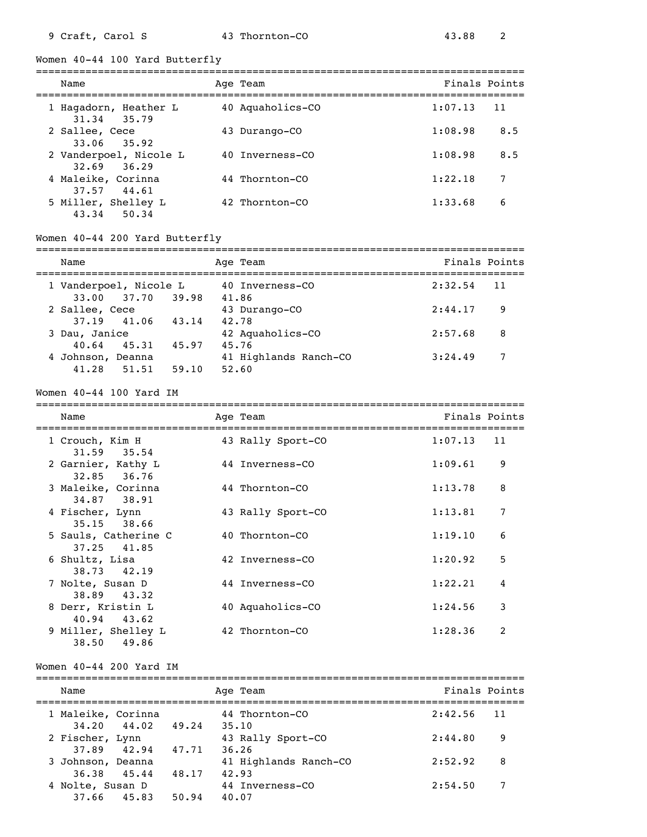Women 40-44 100 Yard Butterfly

| Name                                             | Age Team         | Finals Points |     |
|--------------------------------------------------|------------------|---------------|-----|
| 1 Hagadorn, Heather L                            | 40 Aquaholics-CO | 1:07.13       | -11 |
| 31.34 35.79<br>2 Sallee, Cece<br>$33.06$ $35.92$ | 43 Durango-CO    | 1:08.98       | 8.5 |
| 2 Vanderpoel, Nicole L<br>$32.69$ $36.29$        | 40 Inverness-CO  | 1:08.98       | 8.5 |
| 4 Maleike, Corinna<br>37.57 44.61                | 44 Thornton-CO   | 1:22.18       | 7   |
| 5 Miller, Shelley L<br>43.34<br>50.34            | 42 Thornton-CO   | 1:33.68       | 6   |

### Women 40-44 200 Yard Butterfly

| Name                                                |                | Age Team                                | Finals Points |    |
|-----------------------------------------------------|----------------|-----------------------------------------|---------------|----|
| 1 Vanderpoel, Nicole L                              |                | 40 Inverness-CO                         | 2:32.54       | 11 |
| 33.00 37.70 39.98<br>2 Sallee, Cece                 |                | 41.86<br>43 Durango-CO                  | 2:44.17       | -9 |
| 37.19 41.06<br>3 Dau, Janice                        | 43.14          | 42.78<br>42 Aquaholics-CO               | 2:57.68       | 8  |
| $40.64$ $45.31$<br>4 Johnson, Deanna<br>41.28 51.51 | 45.97<br>59.10 | 45.76<br>41 Highlands Ranch-CO<br>52.60 | 3:24.49       | 7  |

Women 40-44 100 Yard IM

=============================================================================== Name **Age Team** Age Team **Finals Points** 

| 1 Crouch, Kim H<br>$31.59$ $35.54$     | 43 Rally Sport-CO | 1:07.13 | 11            |
|----------------------------------------|-------------------|---------|---------------|
| 2 Garnier, Kathy L<br>$32.85$ $36.76$  | 44 Inverness-CO   | 1:09.61 | 9             |
| 3 Maleike, Corinna<br>34.87 38.91      | 44 Thornton-CO    | 1:13.78 | 8             |
| 4 Fischer, Lynn<br>35.15 38.66         | 43 Rally Sport-CO | 1:13.81 | 7             |
| 5 Sauls, Catherine C                   | 40 Thornton-CO    | 1:19.10 | 6             |
| 37.25 41.85<br>6 Shultz, Lisa          | 42 Inverness-CO   | 1:20.92 | 5             |
| 38.73 42.19<br>7 Nolte, Susan D        | 44 Inverness-CO   | 1:22.21 | 4             |
| 38.89 43.32<br>8 Derr, Kristin L       | 40 Aquaholics-CO  | 1:24.56 | 3             |
| $40.94$ $43.62$<br>9 Miller, Shelley L | 42 Thornton-CO    | 1:28.36 | $\mathcal{L}$ |
| 49.86<br>38.50                         |                   |         |               |

#### Women 40-44 200 Yard IM

| Name                               |       | Age Team                   | Finals Points  |  |
|------------------------------------|-------|----------------------------|----------------|--|
| 1 Maleike, Corinna                 |       | 44 Thornton-CO             | 2:42.56<br>-11 |  |
| $34.20$ $44.02$<br>2 Fischer, Lynn | 49.24 | 35.10                      | 2:44.80<br>9   |  |
| 37.89 42.94                        | 47.71 | 43 Rally Sport-CO<br>36.26 |                |  |
| 3 Johnson, Deanna                  |       | 41 Highlands Ranch-CO      | 2:52.92<br>8   |  |
| 36.38 45.44<br>4 Nolte, Susan D    | 48.17 | 42.93<br>44 Inverness-CO   | 2:54.50<br>7   |  |
| 37.66 45.83                        | 50.94 | 40.07                      |                |  |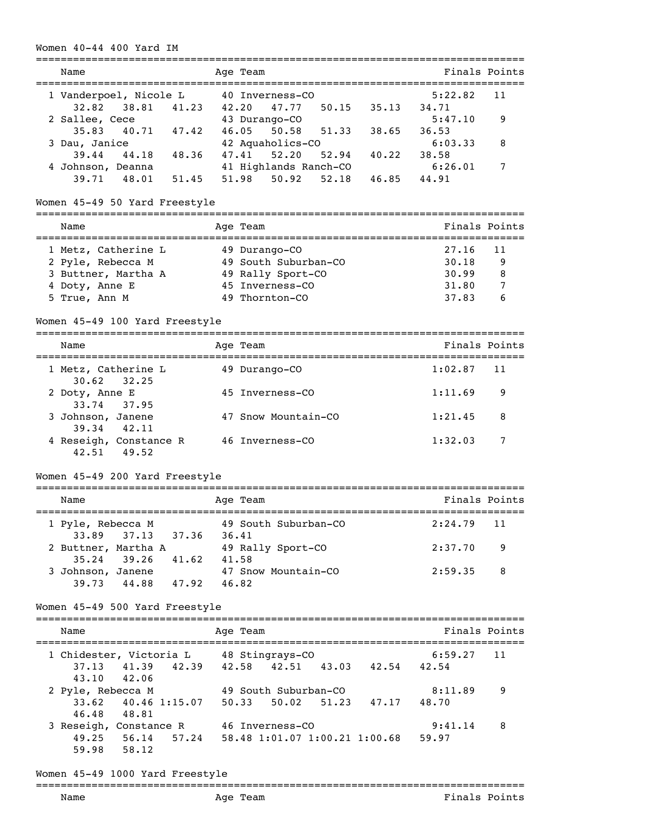### Women 40-44 400 Yard IM

|                                                                    | -----------                               | ================================ |
|--------------------------------------------------------------------|-------------------------------------------|----------------------------------|
| Name                                                               | Age Team                                  | Finals Points                    |
| 1 Vanderpoel, Nicole L                                             | 40 Inverness-CO                           | 5:22.82<br>11                    |
| 38.81 41.23 42.20<br>32.82                                         | 47.77 50.15 35.13 34.71                   |                                  |
| 2 Sallee, Cece<br>$40.71$ $47.42$ $46.05$                          | 43 Durango-CO                             | 5:47.10<br>9                     |
| 35.83<br>3 Dau, Janice                                             | 51.33<br>50.58<br>42 Aquaholics-CO        | 38.65<br>36.53<br>6:03.33<br>8   |
| $39.44$ $44.18$ $48.36$ $47.41$                                    | $52.94$ $40.22$<br>52.20                  | 38.58                            |
| 4 Johnson, Deanna                                                  | 41 Highlands Ranch-CO                     | 7<br>6:26.01                     |
|                                                                    | 39.71 48.01 51.45 51.98 50.92 52.18 46.85 | 44.91                            |
| Women 45-49 50 Yard Freestyle                                      |                                           |                                  |
| Name                                                               | Age Team                                  | Finals Points                    |
|                                                                    |                                           |                                  |
| 1 Metz, Catherine L                                                | 49 Durango-CO<br>49 South Suburban-CO     | 27.16<br>11<br>30.18<br>9        |
| 2 Pyle, Rebecca M<br>3 Buttner, Martha A                           | 49 Rally Sport-CO                         | 30.99<br>8                       |
| 4 Doty, Anne E                                                     | 45 Inverness-CO                           | 31.80<br>7                       |
| 5 True, Ann M                                                      | 49 Thornton-CO                            | 37.83<br>6                       |
|                                                                    |                                           |                                  |
| Women 45-49 100 Yard Freestyle                                     |                                           |                                  |
| Name                                                               | Age Team                                  | Finals Points                    |
| 1 Metz, Catherine L<br>30.62<br>32.25                              | 49 Durango-CO                             | 1:02.87<br>11                    |
| 2 Doty, Anne E<br>33.74<br>37.95                                   | 45 Inverness-CO                           | 1:11.69<br>9                     |
| 3 Johnson, Janene<br>39.34 42.11                                   | 47 Snow Mountain-CO                       | 1:21.45<br>8                     |
| 4 Reseigh, Constance R 46 Inverness-CO<br>42.51 49.52              |                                           | 7<br>1:32.03                     |
| Women 45-49 200 Yard Freestyle                                     |                                           |                                  |
| Name                                                               | Age Team                                  | Finals Points                    |
| 1 Pyle, Rebecca M                                                  | 49 South Suburban-CO                      | 2:24.79<br>11                    |
| 37.36<br>37.13<br>33.89<br>2 Buttner, Martha A                     | 36.41<br>49 Rally Sport-CO                | 2:37.70<br>9                     |
| 41.62 41.58<br>35.24<br>39.26                                      |                                           | 2:59.35                          |
| 3 Johnson, Janene<br>39.73 44.88 47.92 46.82                       | 47 Snow Mountain-CO                       | 8                                |
| Women 45-49 500 Yard Freestyle                                     |                                           |                                  |
| Name                                                               | Age Team                                  | Finals Points                    |
|                                                                    |                                           |                                  |
| 1 Chidester, Victoria L 48 Stingrays-CO<br>37.13<br>42.06<br>43.10 | 41.39 42.39 42.58 42.51 43.03 42.54 42.54 | 6:59.27<br>11                    |
| 2 Pyle, Rebecca M                                                  | 49 South Suburban-CO                      | 8:11.89<br>9                     |
| 33.62<br>46.48 48.81                                               | 40.46 1:15.07 50.33 50.02 51.23 47.17     | 48.70                            |
| 3 Reseigh, Constance R 46 Inverness-CO                             |                                           | 9:41.14<br>8                     |
| 49.25 56.14<br>59.98 58.12                                         | 57.24 58.48 1:01.07 1:00.21 1:00.68       | 59.97                            |
| Women 45-49 1000 Yard Freestyle                                    |                                           |                                  |
| Name                                                               | Age Team                                  | Finals Points                    |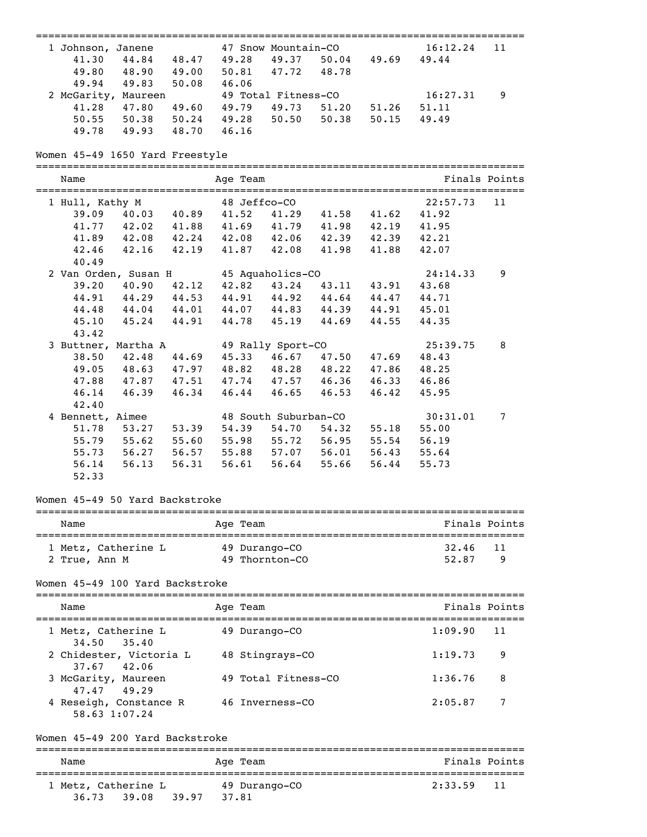| ===========================                              |               | ========       |                     | ==============       |                         |          |               |
|----------------------------------------------------------|---------------|----------------|---------------------|----------------------|-------------------------|----------|---------------|
| 1 Johnson, Janene                                        |               |                |                     | 47 Snow Mountain-CO  |                         | 16:12.24 | 11            |
| 44.84 48.47 49.28 49.37 50.04 49.69<br>41.30             |               |                |                     |                      |                         | 49.44    |               |
| 49.80 48.90 49.00                                        |               |                | 50.81 47.72 48.78   |                      |                         |          |               |
| 49.94 49.83 50.08                                        |               | 46.06          |                     |                      |                         |          |               |
| 2 McGarity, Maureen                                      |               |                | 49 Total Fitness-CO |                      |                         | 16:27.31 | 9             |
| 47.80  49.60  49.79  49.73  51.20  51.26<br>41.28        |               |                |                     |                      |                         | 51.11    |               |
| 50.55 50.38 50.24 49.28 50.50<br>49.78 49.93 48.70 46.16 |               |                |                     |                      | $50.38$ $50.15$         | 49.49    |               |
|                                                          |               |                |                     |                      |                         |          |               |
| Women 45-49 1650 Yard Freestyle                          |               |                |                     |                      |                         |          |               |
| Name                                                     |               | Age Team       |                     |                      |                         |          | Finals Points |
| 1 Hull, Kathy M                                          |               | 48 Jeffco-CO   |                     |                      |                         | 22:57.73 | 11            |
| 39.09 40.03 40.89                                        |               |                |                     |                      | 41.52 41.29 41.58 41.62 | 41.92    |               |
| 41.77 42.02 41.88 41.69 41.79 41.98 42.19 41.95          |               |                |                     |                      |                         |          |               |
| 41.89 42.08 42.24 42.08 42.06 42.39 42.39 42.21          |               |                |                     |                      |                         |          |               |
| 42.16 42.19<br>42.46                                     |               |                |                     |                      | 41.87 42.08 41.98 41.88 | 42.07    |               |
| 40.49                                                    |               |                |                     |                      |                         |          |               |
| 2 Van Orden, Susan H 45 Aquaholics-CO                    |               |                |                     |                      |                         | 24:14.33 | 9             |
| 39.20 40.90 42.12 42.82 43.24 43.11 43.91 43.68          |               |                |                     |                      |                         |          |               |
| 44.91 44.29 44.53 44.91 44.92 44.64 44.47 44.71          |               |                |                     |                      |                         |          |               |
| 44.04 44.01 44.07 44.83 44.39 44.91 45.01<br>44.48       |               |                |                     |                      |                         |          |               |
| $45.24$ $44.91$<br>45.10                                 |               |                |                     |                      | 44.78 45.19 44.69 44.55 | 44.35    |               |
| 43.42                                                    |               |                |                     |                      |                         |          |               |
| 3 Buttner, Martha A                                      |               |                | 49 Rally Sport-CO   |                      |                         | 25:39.75 | 8             |
| 42.48 44.69 45.33 46.67 47.50 47.69<br>38.50             |               |                |                     |                      |                         | 48.43    |               |
| 48.63 47.97 48.82 48.28 48.22 47.86<br>49.05             |               |                |                     |                      |                         | 48.25    |               |
| 47.87 47.51 47.74 47.57 46.36 46.33 46.86<br>47.88       |               |                |                     |                      |                         |          |               |
| 46.39 46.34<br>46.14                                     |               |                |                     |                      | 46.44 46.65 46.53 46.42 | 45.95    |               |
| 42.40                                                    |               |                |                     |                      |                         |          |               |
| 4 Bennett, Aimee                                         |               |                |                     | 48 South Suburban-CO |                         | 30:31.01 | 7             |
| 53.27 53.39<br>51.78                                     |               | 54.39          |                     |                      | 54.70 54.32 55.18       | 55.00    |               |
| $55.62$ $55.60$<br>55.79                                 |               |                |                     | 55.98 55.72 56.95    | 55.54                   | 56.19    |               |
| 56.27 56.57 55.88 57.07 56.01 56.43<br>55.73             |               |                |                     |                      |                         | 55.64    |               |
| 56.13<br>56.14                                           | 56.31         | 56.61          |                     | 56.64 55.66          | 56.44                   | 55.73    |               |
| 52.33                                                    |               |                |                     |                      |                         |          |               |
| Women 45-49 50 Yard Backstroke                           |               |                |                     |                      |                         |          |               |
| Name                                                     |               | -------------- |                     |                      |                         |          | Finals Points |
|                                                          |               | Age Team       |                     |                      |                         |          |               |
| 1 Metz, Catherine L                                      | 49 Durango-CO |                |                     |                      |                         | 32.46    | 11            |
| 2 True, Ann M                                            |               |                | 49 Thornton-CO      |                      |                         | 52.87    | 9             |
| Women 45-49 100 Yard Backstroke                          |               |                |                     |                      |                         |          |               |
| Name                                                     |               | Age Team       |                     |                      |                         |          | Finals Points |
| 1 Metz, Catherine L                                      |               |                | 49 Durango-CO       |                      |                         | 1:09.90  | 11            |
| 34.50<br>35.40<br>2 Chidester, Victoria L                |               |                | 48 Stingrays-CO     |                      |                         | 1:19.73  | 9             |
| 37.67<br>42.06                                           |               |                |                     |                      |                         |          |               |
| 3 McGarity, Maureen<br>49.29<br>47.47                    |               |                | 49 Total Fitness-CO |                      |                         | 1:36.76  | 8             |
| 4 Reseigh, Constance R<br>58.63 1:07.24                  |               |                | 46 Inverness-CO     |                      |                         | 2:05.87  | 7             |
| Women 45-49 200 Yard Backstroke                          |               |                |                     |                      |                         |          |               |
| Name                                                     |               | Age Team       |                     |                      |                         |          | Finals Points |
| 1 Metz, Catherine L                                      |               |                | 49 Durango-CO       |                      |                         | 2:33.59  | 11            |
| 36.73<br>39.08                                           | 39.97         | 37.81          |                     |                      |                         |          |               |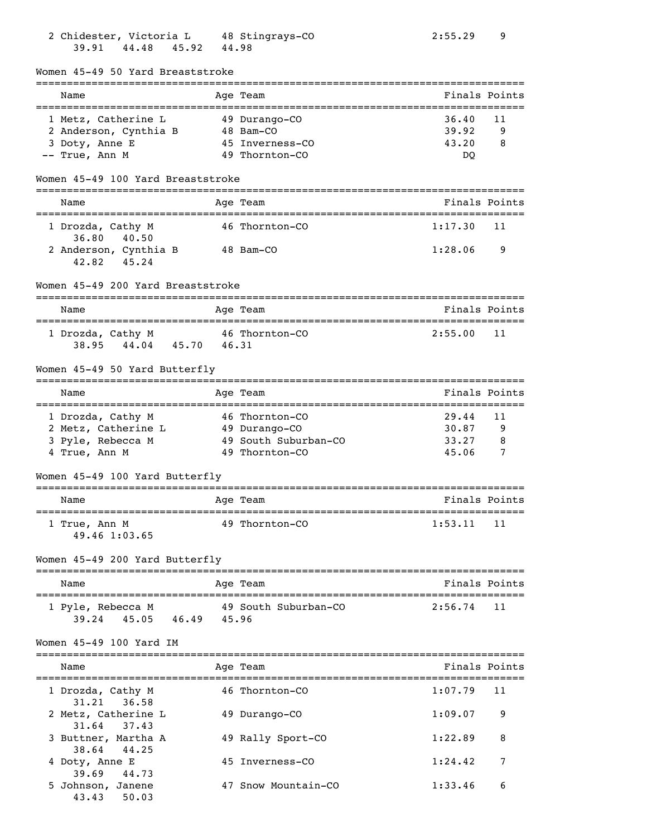| 39.91<br>44.48<br>45.92                      | 44.98                       |                                                        |
|----------------------------------------------|-----------------------------|--------------------------------------------------------|
| Women 45-49 50 Yard Breaststroke             |                             |                                                        |
| Name<br>________________________             | Age Team<br>--------------- | Finals Points<br>_____________________________________ |
| 1 Metz, Catherine L                          | 49 Durango-CO               | 36.40<br>11                                            |
| 2 Anderson, Cynthia B                        | 48 Bam-CO                   | 39.92<br>9                                             |
| 3 Doty, Anne E                               | 45 Inverness-CO             | 43.20<br>8                                             |
| -- True, Ann M                               | 49 Thornton-CO              | DQ                                                     |
| Women 45-49 100 Yard Breaststroke            |                             |                                                        |
| Name                                         | Age Team                    | Finals Points                                          |
| 1 Drozda, Cathy M<br>36.80 40.50             | 46 Thornton-CO              | 1:17.30<br>11                                          |
| 2 Anderson, Cynthia B                        | 48 Bam-CO                   | 1:28.06<br>9                                           |
| 45.24<br>42.82                               |                             |                                                        |
| Women 45-49 200 Yard Breaststroke            |                             |                                                        |
| Name                                         | Age Team                    | Finals Points                                          |
|                                              |                             |                                                        |
| 1 Drozda, Cathy M<br>38.95 44.04 45.70 46.31 | 46 Thornton-CO              | 2:55.00<br>11                                          |
|                                              |                             |                                                        |
| Women 45-49 50 Yard Butterfly                |                             |                                                        |
| Name                                         | Age Team                    | Finals Points                                          |
| 1 Drozda, Cathy M                            | 46 Thornton-CO              | 29.44<br>11                                            |
| 2 Metz, Catherine L                          | 49 Durango-CO               | 30.87<br>9                                             |
| 3 Pyle, Rebecca M                            | 49 South Suburban-CO        | 33.27<br>8                                             |
| 4 True, Ann M                                | 49 Thornton-CO              | 45.06<br>7                                             |
| Women 45-49 100 Yard Butterfly               |                             |                                                        |
| Name                                         | Age Team                    | Finals Points                                          |
| 1 True, Ann M                                | 49 Thornton-CO              | 1:53.11<br>11                                          |
| 49.46 1:03.65                                |                             |                                                        |
| Women 45-49 200 Yard Butterfly               |                             |                                                        |
| Name                                         | Age Team                    | Finals Points                                          |
| 1 Pyle, Rebecca M                            | 49 South Suburban-CO        | 2:56.74<br>11                                          |
| 39.24 45.05 46.49 45.96                      |                             |                                                        |
| Women 45-49 100 Yard IM                      |                             |                                                        |
| Name                                         | Age Team                    | Finals Points                                          |
| 1 Drozda, Cathy M                            | 46 Thornton-CO              | 1:07.79<br>11                                          |
| 31.21<br>36.58<br>2 Metz, Catherine L        | 49 Durango-CO               | 1:09.07<br>9                                           |
| 37.43<br>31.64                               |                             |                                                        |
| 3 Buttner, Martha A<br>44.25<br>38.64        | 49 Rally Sport-CO           | 1:22.89<br>8                                           |
| 4 Doty, Anne E                               | 45 Inverness-CO             | 1:24.42<br>7                                           |
| 39.69<br>44.73                               |                             |                                                        |
| 5 Johnson, Janene                            | 47 Snow Mountain-CO         | 1:33.46<br>6                                           |
| 43.43 50.03                                  |                             |                                                        |

2 Chidester, Victoria L 48 Stingrays-CO 2:55.29 9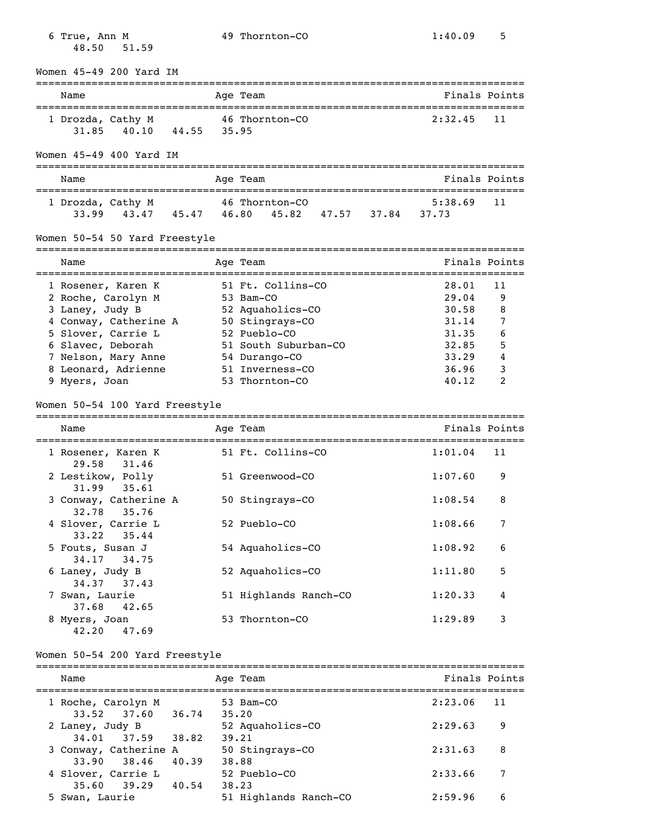| 48.50                            | 51.59                                                                                                                                                      |       |       |                                                                                                                                                                     |                                                                               |                                            |
|----------------------------------|------------------------------------------------------------------------------------------------------------------------------------------------------------|-------|-------|---------------------------------------------------------------------------------------------------------------------------------------------------------------------|-------------------------------------------------------------------------------|--------------------------------------------|
|                                  | Women 45-49 200 Yard IM                                                                                                                                    |       |       |                                                                                                                                                                     |                                                                               |                                            |
| Name                             |                                                                                                                                                            |       |       | Age Team                                                                                                                                                            |                                                                               | Finals Points                              |
| 31.85                            | 1 Drozda, Cathy M<br>40.10                                                                                                                                 | 44.55 | 35.95 | 46 Thornton-CO                                                                                                                                                      | 2:32.45                                                                       | 11                                         |
|                                  | Women 45-49 400 Yard IM                                                                                                                                    |       |       |                                                                                                                                                                     |                                                                               |                                            |
| Name                             |                                                                                                                                                            |       |       | Age Team                                                                                                                                                            |                                                                               | Finals Points                              |
|                                  | 1 Drozda, Cathy M<br>$33.99$ $43.47$ $45.47$ $46.80$                                                                                                       |       |       | 46 Thornton-CO<br>45.82 47.57 37.84                                                                                                                                 | 5:38.69<br>37.73                                                              | 11                                         |
|                                  | Women 50-54 50 Yard Freestyle                                                                                                                              |       |       |                                                                                                                                                                     |                                                                               |                                            |
| Name                             |                                                                                                                                                            |       |       | Age Team                                                                                                                                                            | -----------                                                                   | Finals Points                              |
| 3 Laney, Judy B<br>9 Myers, Joan | 1 Rosener, Karen K<br>2 Roche, Carolyn M<br>4 Conway, Catherine A<br>5 Slover, Carrie L<br>6 Slavec, Deborah<br>7 Nelson, Mary Anne<br>8 Leonard, Adrienne |       |       | 51 Ft. Collins-CO<br>53 Bam-CO<br>52 Aquaholics-CO<br>50 Stingrays-CO<br>52 Pueblo-CO<br>51 South Suburban-CO<br>54 Durango-CO<br>51 Inverness-CO<br>53 Thornton-CO | 28.01<br>29.04<br>30.58<br>31.14<br>31.35<br>32.85<br>33.29<br>36.96<br>40.12 | 11<br>9<br>8<br>7<br>6<br>5<br>4<br>3<br>2 |
|                                  | Women 50-54 100 Yard Freestyle                                                                                                                             |       |       |                                                                                                                                                                     |                                                                               |                                            |
| Name                             |                                                                                                                                                            |       |       | Age Team                                                                                                                                                            |                                                                               | Finals Points                              |
|                                  | 1 Rosener, Karen K                                                                                                                                         |       |       | 51 Ft. Collins-CO                                                                                                                                                   | 1:01.04                                                                       | 11                                         |
| 29.58                            | 31.46<br>2 Lestikow, Polly                                                                                                                                 |       |       | 51 Greenwood-CO                                                                                                                                                     | 1:07.60                                                                       | 9                                          |
| 31.99<br>32.78                   | 35.61<br>3 Conway, Catherine A<br>35.76                                                                                                                    |       |       | 50 Stingrays-CO                                                                                                                                                     | 1:08.54                                                                       | 8                                          |
| 33.22                            | 4 Slover, Carrie L<br>35.44                                                                                                                                |       |       | 52 Pueblo-CO                                                                                                                                                        | 1:08.66                                                                       | 7                                          |
|                                  | 5 Fouts, Susan J<br>34.17 34.75                                                                                                                            |       |       | 54 Aquaholics-CO                                                                                                                                                    | 1:08.92                                                                       | 6                                          |
| 6 Laney, Judy B<br>34.37         | 37.43                                                                                                                                                      |       |       | 52 Aquaholics-CO                                                                                                                                                    | 1:11.80                                                                       | 5                                          |
| 7 Swan, Laurie<br>37.68          | 42.65                                                                                                                                                      |       |       | 51 Highlands Ranch-CO                                                                                                                                               | 1:20.33                                                                       | 4                                          |
| 8 Myers, Joan                    | 42.20 47.69                                                                                                                                                |       |       | 53 Thornton-CO                                                                                                                                                      | 1:29.89                                                                       | 3                                          |
|                                  | Women 50-54 200 Yard Freestyle                                                                                                                             |       |       |                                                                                                                                                                     |                                                                               |                                            |
| Name                             |                                                                                                                                                            |       |       | Age Team                                                                                                                                                            |                                                                               | Finals Points                              |
|                                  | 1 Roche, Carolyn M                                                                                                                                         |       |       | 53 Bam-CO                                                                                                                                                           | 2:23.06                                                                       | 11                                         |
| 2 Laney, Judy B                  | $33.52$ $37.60$                                                                                                                                            | 36.74 | 35.20 | 52 Aquaholics-CO                                                                                                                                                    | 2:29.63                                                                       | 9                                          |
|                                  | 34.01 37.59 38.82<br>3 Conway, Catherine A                                                                                                                 | 40.39 |       | 39.21<br>50 Stingrays-CO                                                                                                                                            | 2:31.63                                                                       | 8                                          |
| 33.90                            | 38.46<br>4 Slover, Carrie L                                                                                                                                |       | 38.88 | 52 Pueblo-CO                                                                                                                                                        | 2:33.66                                                                       | 7                                          |
| 35.60<br>5 Swan, Laurie          | 39.29                                                                                                                                                      | 40.54 |       | 38.23<br>51 Highlands Ranch-CO                                                                                                                                      | 2:59.96                                                                       | 6                                          |

6 True, Ann M 49 Thornton-CO 1:40.09 5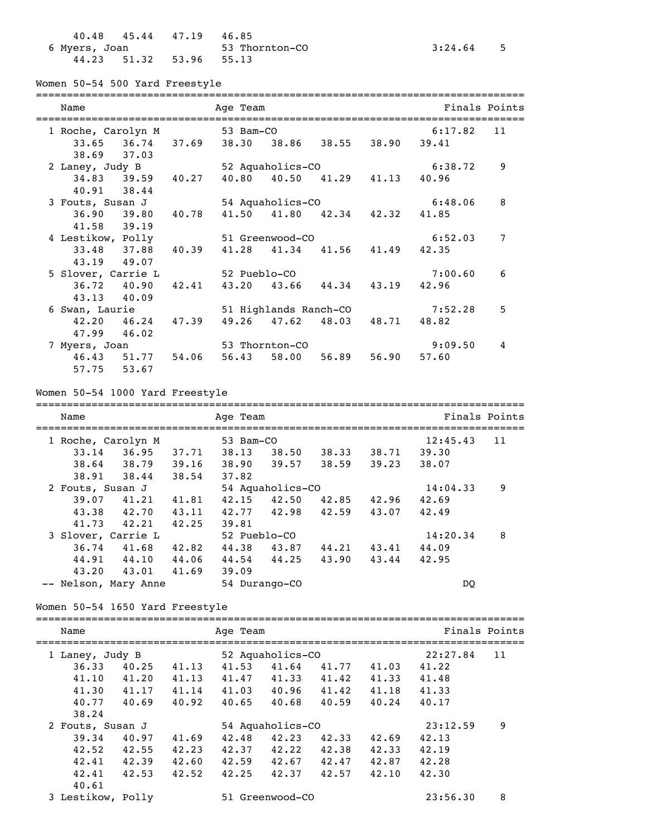|               | 40.48 45.44 47.19 46.85 |                |             |  |
|---------------|-------------------------|----------------|-------------|--|
| 6 Myers, Joan |                         | 53 Thornton-CO | $3:24.64$ 5 |  |
|               | 44.23 51.32 53.96 55.13 |                |             |  |

Women 50-54 500 Yard Freestyle

| Name               | Age Team                |              |                  |                         |             |         | Finals Points |
|--------------------|-------------------------|--------------|------------------|-------------------------|-------------|---------|---------------|
| 1 Roche, Carolyn M |                         | 53 Bam-CO    |                  |                         |             | 6:17.82 | 11            |
|                    | $33.65$ $36.74$ $37.69$ |              |                  | 38.30 38.86 38.55 38.90 |             | 39.41   |               |
| 38.69 37.03        |                         |              |                  |                         |             |         |               |
| 2 Laney, Judy B    |                         |              | 52 Aquaholics-CO |                         |             | 6:38.72 | 9             |
| $34.83$ $39.59$    | 40.27                   |              | 40.80 40.50      | 41.29 41.13             |             | 40.96   |               |
| 40.91 38.44        |                         |              |                  |                         |             |         |               |
| 3 Fouts, Susan J   |                         |              | 54 Aquaholics-CO |                         |             | 6:48.06 | 8             |
| $36.90$ $39.80$    | 40.78                   | 41.50        | 41.80            | 42.34                   | 42.32       | 41.85   |               |
| 41.58 39.19        |                         |              |                  |                         |             |         |               |
| 4 Lestikow, Polly  |                         |              | 51 Greenwood-CO  |                         |             | 6:52.03 | 7             |
| 33.48 37.88        | 40.39                   | 41.28        | 41.34            |                         | 41.56 41.49 | 42.35   |               |
| 43.19 49.07        |                         |              |                  |                         |             |         |               |
| 5 Slover, Carrie L |                         | 52 Pueblo-CO |                  |                         |             | 7:00.60 | 6             |
| $36.72$ 40.90      | 42.41                   |              | 43.20 43.66      | 44.34                   | 43.19       | 42.96   |               |
| 43.13 40.09        |                         |              |                  |                         |             |         |               |
| 6 Swan, Laurie     |                         |              |                  | 51 Highlands Ranch-CO   |             | 7:52.28 | 5             |
| $42.20 \t 46.24$   | 47.39                   | 49.26        | 47.62            | 48.03                   | 48.71       | 48.82   |               |
| 47.99 46.02        |                         |              |                  |                         |             |         |               |
| 7 Myers, Joan      |                         |              | 53 Thornton-CO   |                         |             | 9:09.50 | 4             |
| 46.43 51.77        | 54.06                   | 56.43        | 58.00            | 56.89                   | 56.90       | 57.60   |               |
| 57.75<br>53.67     |                         |              |                  |                         |             |         |               |

Women 50-54 1000 Yard Freestyle

| Name             |                      |       | Age Team      |                  |       |       |               | Finals Points |
|------------------|----------------------|-------|---------------|------------------|-------|-------|---------------|---------------|
|                  | 1 Roche, Carolyn M   |       |               | 53 Bam-CO        |       |       |               | 11            |
| 33.14            | 36.95                | 37.71 | 38.13         | 38.50            | 38.33 | 38.71 | 39.30         |               |
| 38.64            | 38.79                | 39.16 | 38.90         | 39.57            | 38.59 | 39.23 | 38.07         |               |
| 38.91            | 38.44                | 38.54 | 37.82         |                  |       |       |               |               |
| 2 Fouts, Susan J |                      |       |               | 54 Aquaholics-CO |       |       | 14:04.33      | 9             |
| 39.07            | 41.21                | 41.81 | 42.15         | 42.50            | 42.85 | 42.96 | 42.69         |               |
| 43.38            | 42.70                | 43.11 | 42.77         | 42.98            | 42.59 | 43.07 | 42.49         |               |
| 41.73            | 42.21                | 42.25 | 39.81         |                  |       |       |               |               |
|                  | 3 Slover, Carrie L   |       | 52 Pueblo-CO  |                  |       |       | 14:20.34      | 8             |
| 36.74            | 41.68                | 42.82 | 44.38         | 43.87            | 44.21 | 43.41 | 44.09         |               |
| 44.91            | 44.10                | 44.06 | 44.54         | 44.25            | 43.90 | 43.44 | 42.95         |               |
| 43.20            | 43.01                | 41.69 | 39.09         |                  |       |       |               |               |
|                  | -- Nelson, Mary Anne |       | 54 Durango-CO |                  |       |       | <sub>DO</sub> |               |

Women 50-54 1650 Yard Freestyle

| Name<br>Age Team                    |       |       |       |                  |       | Finals Points |          |    |
|-------------------------------------|-------|-------|-------|------------------|-------|---------------|----------|----|
| 52 Aquaholics-CO<br>1 Laney, Judy B |       |       |       |                  |       |               | 22:27.84 | 11 |
| 36.33                               | 40.25 | 41.13 | 41.53 | 41.64            | 41.77 | 41.03         | 41.22    |    |
| 41.10                               | 41.20 | 41.13 | 41.47 | 41.33            | 41.42 | 41.33         | 41.48    |    |
| 41.30                               | 41.17 | 41.14 | 41.03 | 40.96            | 41.42 | 41.18         | 41.33    |    |
| 40.77                               | 40.69 | 40.92 | 40.65 | 40.68            | 40.59 | 40.24         | 40.17    |    |
| 38.24                               |       |       |       |                  |       |               |          |    |
| 2 Fouts, Susan J                    |       |       |       | 54 Aquaholics-CO |       |               | 23:12.59 | 9  |
| 39.34                               | 40.97 | 41.69 | 42.48 | 42.23            | 42.33 | 42.69         | 42.13    |    |
| 42.52                               | 42.55 | 42.23 | 42.37 | 42.22            | 42.38 | 42.33         | 42.19    |    |
| 42.41                               | 42.39 | 42.60 | 42.59 | 42.67            | 42.47 | 42.87         | 42.28    |    |
| 42.41<br>40.61                      | 42.53 | 42.52 | 42.25 | 42.37            | 42.57 | 42.10         | 42.30    |    |
| 3 Lestikow, Polly                   |       |       |       | 51 Greenwood-CO  |       |               | 23:56.30 | 8  |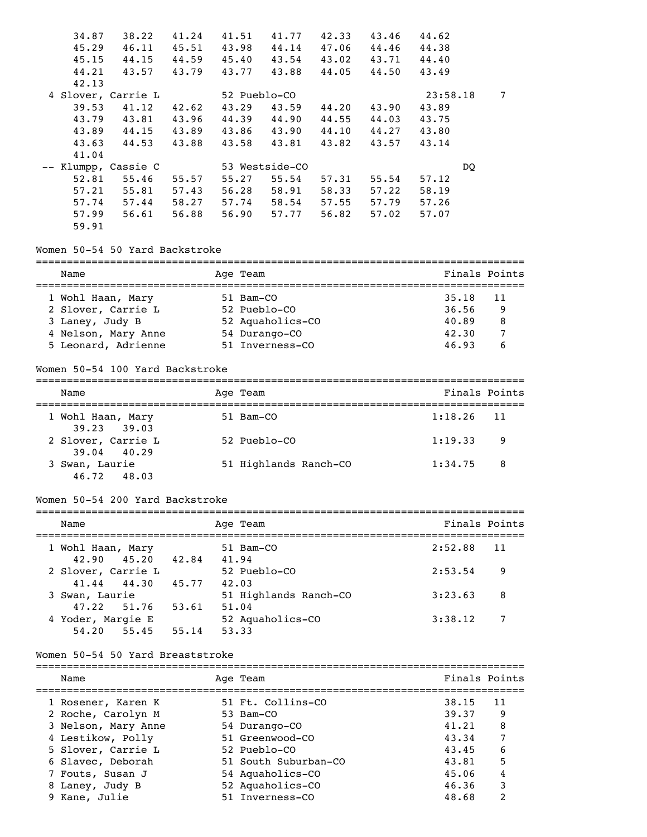| 34.87<br>45.29<br>45.15 | 38.22<br>46.11<br>44.15 | 41.24<br>45.51<br>44.59 | 41.51<br>43.98<br>45.40 | 41.77<br>44.14<br>43.54 | 42.33<br>47.06<br>43.02 | 43.46<br>44.46<br>43.71 | 44.62<br>44.38<br>44.40 |   |
|-------------------------|-------------------------|-------------------------|-------------------------|-------------------------|-------------------------|-------------------------|-------------------------|---|
| 44.21                   | 43.57                   | 43.79                   | 43.77                   | 43.88                   | 44.05                   | 44.50                   | 43.49                   |   |
| 42.13                   |                         |                         |                         |                         |                         |                         |                         |   |
|                         | 4 Slover, Carrie L      |                         | 52 Pueblo-CO            |                         |                         |                         | 23:58.18                | 7 |
| 39.53                   | 41.12                   | 42.62                   | 43.29                   | 43.59                   | 44.20                   | 43.90                   | 43.89                   |   |
| 43.79                   | 43.81                   | 43.96                   | 44.39                   | 44.90                   | 44.55                   | 44.03                   | 43.75                   |   |
| 43.89                   | 44.15                   | 43.89                   | 43.86                   | 43.90                   | 44.10                   | 44.27                   | 43.80                   |   |
| 43.63                   | 44.53                   | 43.88                   | 43.58                   | 43.81                   | 43.82                   | 43.57                   | 43.14                   |   |
| 41.04                   |                         |                         |                         |                         |                         |                         |                         |   |
|                         | Klumpp, Cassie C        |                         |                         | 53 Westside-CO          |                         |                         | DO                      |   |
| 52.81                   | 55.46                   | 55.57                   | 55.27                   | 55.54                   | 57.31                   | 55.54                   | 57.12                   |   |
| 57.21                   | 55.81                   | 57.43                   | 56.28                   | 58.91                   | 58.33                   | 57.22                   | 58.19                   |   |
| 57.74                   | 57.44                   | 58.27                   | 57.74                   | 58.54                   | 57.55                   | 57.79                   | 57.26                   |   |
| 57.99                   | 56.61                   | 56.88                   | 56.90                   | 57.77                   | 56.82                   | 57.02                   | 57.07                   |   |
| 59.91                   |                         |                         |                         |                         |                         |                         |                         |   |

### Women 50-54 50 Yard Backstroke

| Name                | Age Team         | Finals Points  |
|---------------------|------------------|----------------|
| 1 Wohl Haan, Mary   | 51 Bam-CO        | 35.18<br>$-11$ |
| 2 Slover, Carrie L  | 52 Pueblo-CO     | 36.56<br>-9    |
| 3 Laney, Judy B     | 52 Aquaholics-CO | 40.89<br>-8    |
| 4 Nelson, Mary Anne | 54 Durango-CO    | 42.30          |
| 5 Leonard, Adrienne | 51 Inverness-CO  | 46.93<br>6     |

### Women 50-54 100 Yard Backstroke

| Name                              | Age Team              | Finals Points  |
|-----------------------------------|-----------------------|----------------|
|                                   |                       |                |
| 1 Wohl Haan, Mary<br>39.23 39.03  | 51 Bam-CO             | $1:18.26$ 11   |
| 2 Slover, Carrie L<br>39.04 40.29 | 52 Pueblo-CO          | 1:19.33<br>- 9 |
| 3 Swan, Laurie<br>46.72 48.03     | 51 Highlands Ranch-CO | 1:34.75<br>- 8 |

### Women 50-54 200 Yard Backstroke

| Name                                              |                | Age Team                           | Finals Points |    |
|---------------------------------------------------|----------------|------------------------------------|---------------|----|
| 1 Wohl Haan, Mary<br>$42.90$ $45.20$              | 42.84          | 51 Bam-CO<br>41.94                 | 2:52.88       | 11 |
| 2 Slover, Carrie L<br>41.44 44.30                 | 45.77          | 52 Pueblo-CO<br>42.03              | 2:53.54       | 9  |
| 3 Swan, Laurie                                    |                | 51 Highlands Ranch-CO              | 3:23.63       | 8  |
| 47.22 51.76<br>4 Yoder, Margie E<br>54, 20 55, 45 | 53.61<br>55.14 | 51.04<br>52 Aquaholics-CO<br>53.33 | 3:38.12       | 7  |

#### Women 50-54 50 Yard Breaststroke

| Name                | Age Team             | Finals Points                    |
|---------------------|----------------------|----------------------------------|
| 1 Rosener, Karen K  | 51 Ft. Collins-CO    | 11<br>38.15                      |
| 2 Roche, Carolyn M  | 53 Bam-CO            | 39.37<br>9                       |
| 3 Nelson, Mary Anne | 54 Durango-CO        | 8<br>41.21                       |
| 4 Lestikow, Polly   | 51 Greenwood-CO      | 7<br>43.34                       |
| 5 Slover, Carrie L  | 52 Pueblo-CO         | 6<br>43.45                       |
| 6 Slavec, Deborah   | 51 South Suburban-CO | 5<br>43.81                       |
| 7 Fouts, Susan J    | 54 Aquaholics-CO     | 4<br>45.06                       |
| 8 Laney, Judy B     | 52 Aquaholics-CO     | 3<br>46.36                       |
| 9 Kane, Julie       | 51 Inverness-CO      | $\overline{\mathbf{c}}$<br>48.68 |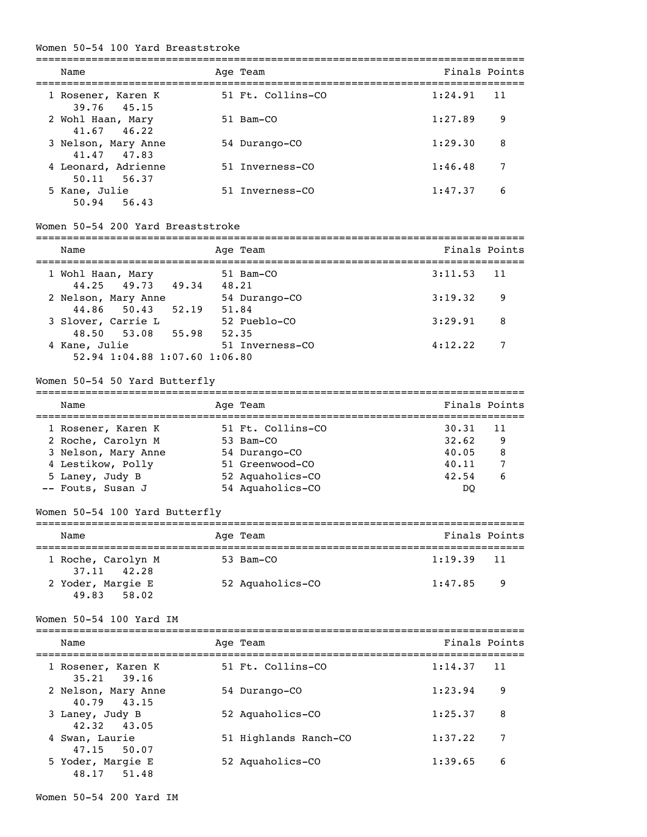#### Women 50-54 100 Yard Breaststroke

| Name                                 | Age Team          | Finals Points |     |
|--------------------------------------|-------------------|---------------|-----|
| 1 Rosener, Karen K<br>39.76 45.15    | 51 Ft. Collins-CO | 1:24.91       | -11 |
| 2 Wohl Haan, Mary<br>$41.67$ $46.22$ | 51 Bam-CO         | 1:27.89       | 9   |
| 3 Nelson, Mary Anne<br>41.47 47.83   | 54 Durango-CO     | 1:29.30       | 8   |
| 4 Leonard, Adrienne<br>50.11 56.37   | 51 Inverness-CO   | 1:46.48       | 7   |
| 5 Kane, Julie<br>50.94 56.43         | 51 Inverness-CO   | 1:47.37       | 6   |

### Women 50-54 200 Yard Breaststroke

| Name                                           | Age Team               | Finals Points   |  |
|------------------------------------------------|------------------------|-----------------|--|
| 1 Wohl Haan, Mary                              | 51 Bam-CO              | 3:11.53<br>- 11 |  |
| 44.25 49.73 49.34<br>2 Nelson, Mary Anne       | 48.21<br>54 Durango-CO | 3:19.32<br>9    |  |
| 44.86 50.43<br>52.19<br>3 Slover, Carrie L     | 51.84<br>52 Pueblo-CO  | 3:29.91<br>8    |  |
| 48.50 53.08 55.98                              | 52.35                  |                 |  |
| 4 Kane, Julie<br>52.94 1:04.88 1:07.60 1:06.80 | 51 Inverness-CO        | 4:12.22         |  |

===============================================================================

### Women 50-54 50 Yard Butterfly

| Name                                                           | Age Team                   | Finals Points    |
|----------------------------------------------------------------|----------------------------|------------------|
|                                                                |                            | - 11             |
| 1 Rosener, Karen K                                             | 51 Ft. Collins-CO          | 30.31            |
|                                                                |                            | 40.05            |
|                                                                | 51 Greenwood-CO            | 7<br>40.11       |
| 5 Laney, Judy B                                                | 52 Aquaholics-CO           | 42.54<br>6       |
| -- Fouts, Susan J                                              | 54 Aquaholics-CO           | DO               |
| 2 Roche, Carolyn M<br>3 Nelson, Mary Anne<br>4 Lestikow, Polly | 53 Bam-CO<br>54 Durango-CO | 32.62<br>-9<br>8 |

### Women 50-54 100 Yard Butterfly

| Name                              | Age Team         | Finals Points |  |  |  |  |
|-----------------------------------|------------------|---------------|--|--|--|--|
| 1 Roche, Carolyn M<br>37.11 42.28 | 53 Bam-CO        | $1:19.39$ 11  |  |  |  |  |
| 2 Yoder, Margie E<br>49.83 58.02  | 52 Aquaholics-CO | 1:47.85<br>-9 |  |  |  |  |

#### Women 50-54 100 Yard IM

| Name                                  | Age Team              | Finals Points |     |
|---------------------------------------|-----------------------|---------------|-----|
| 1 Rosener, Karen K<br>$35.21$ $39.16$ | 51 Ft. Collins-CO     | 1:14.37       | -11 |
| 2 Nelson, Mary Anne<br>40.79 43.15    | 54 Durango-CO         | 1:23.94       | 9   |
| 3 Laney, Judy B<br>42.32 43.05        | 52 Aquaholics-CO      | 1:25.37       | 8   |
| 4 Swan, Laurie<br>47.15 50.07         | 51 Highlands Ranch-CO | 1:37.22       | 7   |
| 5 Yoder, Margie E<br>48.17 51.48      | 52 Aquaholics-CO      | 1:39.65       | 6   |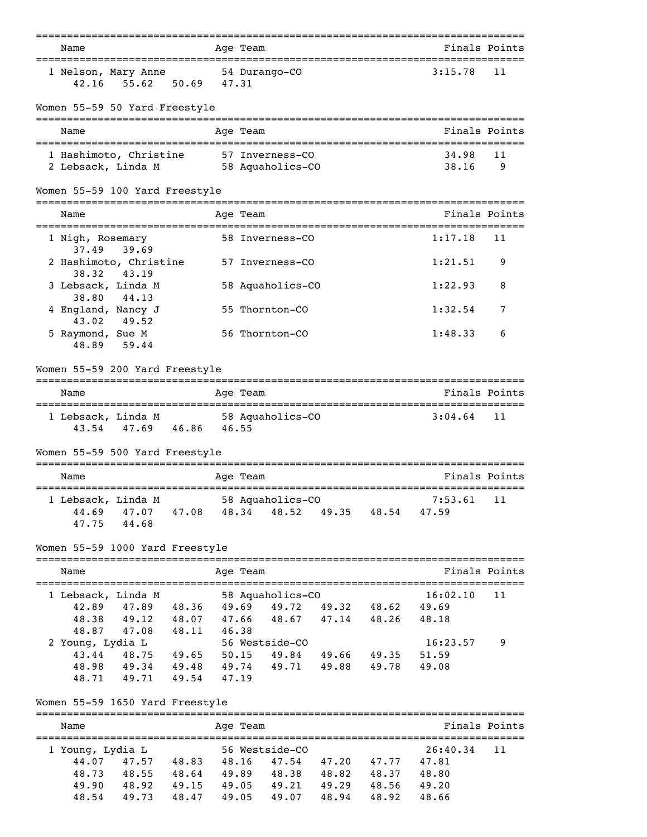| Name                                                           | Age Team                                                           | Finals Points                        |
|----------------------------------------------------------------|--------------------------------------------------------------------|--------------------------------------|
| 1 Nelson, Mary Anne 54 Durango-CO<br>42.16 55.62 50.69 47.31   |                                                                    | 3:15.78<br>11                        |
| Women 55-59 50 Yard Freestyle                                  |                                                                    |                                      |
| Name                                                           | Age Team                                                           | Finals Points                        |
| 1 Hashimoto, Christine                                         | 57 Inverness-CO                                                    | 34.98<br>11                          |
| 2 Lebsack, Linda M                                             | 58 Aquaholics-CO                                                   | 38.16<br>9                           |
| Women 55-59 100 Yard Freestyle                                 |                                                                    |                                      |
| Name                                                           | Age Team                                                           | Finals Points                        |
| 1 Nigh, Rosemary                                               | 58 Inverness-CO                                                    | 1:17.18<br>11                        |
| 37.49 39.69<br>2 Hashimoto, Christine                          | 57 Inverness-CO                                                    | 1:21.51<br>9                         |
| 38.32<br>43.19<br>3 Lebsack, Linda M                           | 58 Aquaholics-CO                                                   | 1:22.93<br>8                         |
| 44.13<br>38.80<br>4 England, Nancy J                           | 55 Thornton-CO                                                     | 1:32.54<br>7                         |
| 43.02<br>49.52<br>5 Raymond, Sue M<br>48.89<br>59.44           | 56 Thornton-CO                                                     | 1:48.33<br>6                         |
| Women 55-59 200 Yard Freestyle                                 |                                                                    |                                      |
| Name                                                           | Age Team                                                           | Finals Points                        |
| 1 Lebsack, Linda M 58 Aquaholics-CO<br>43.54 47.69 46.86 46.55 |                                                                    | :==================<br>3:04.64<br>11 |
| Women 55-59 500 Yard Freestyle                                 |                                                                    |                                      |
| Name                                                           | Age Team                                                           | Finals Points                        |
| 1 Lebsack, Linda M<br>47.75<br>44.68                           | ebsack, Linda M<br>44.69 47.07 47.08 48.34 48.52 49.35 48.54 47.59 | 7:53.61<br>11                        |
| Women 55-59 1000 Yard Freestyle                                |                                                                    |                                      |
| Name                                                           | Age Team                                                           | Finals Points                        |
| 1 Lebsack, Linda M                                             | 58 Aquaholics-CO                                                   | 16:02.10<br>11                       |
| 42.89<br>47.89 48.36                                           | 49.69 49.72 49.32 48.62 49.69                                      |                                      |
| 48.38<br>47.08 48.11 46.38                                     | 49.12 48.07 47.66 48.67 47.14 48.26 48.18                          |                                      |
| 48.87<br>2 Young, Lydia L                                      | 56 Westside-CO                                                     | 16:23.57<br>9                        |
|                                                                | 43.44 48.75 49.65 50.15 49.84 49.66 49.35                          | 51.59                                |
|                                                                | 48.98 49.34 49.48 49.74 49.71 49.88 49.78                          | 49.08                                |
| 48.71 49.71 49.54 47.19                                        |                                                                    |                                      |
| Women 55-59 1650 Yard Freestyle                                |                                                                    |                                      |
| Name                                                           | Age Team                                                           | Finals Points                        |
| 1 Young. Lydia L                                               | 56 Westside-CO                                                     | 26:40.34 11                          |

===============================================================================

| 1 Young, Lydia L |       |       |             | 56 Westside-CO |       |             | 26:40.34 | -11 |
|------------------|-------|-------|-------------|----------------|-------|-------------|----------|-----|
| 44.07            | 47.57 | 48.83 |             | 48.16 47.54    |       | 47.20 47.77 | 47.81    |     |
| 48.73            | 48.55 | 48.64 | 49.89       | 48.38          | 48.82 | 48.37       | 48.80    |     |
| 49.90            | 48.92 | 49.15 | 49.05       | 49.21 49.29    |       | 48.56       | 49.20    |     |
| 48.54            | 49.73 | 48.47 | 49.05 49.07 |                | 48.94 | 48.92       | 48.66    |     |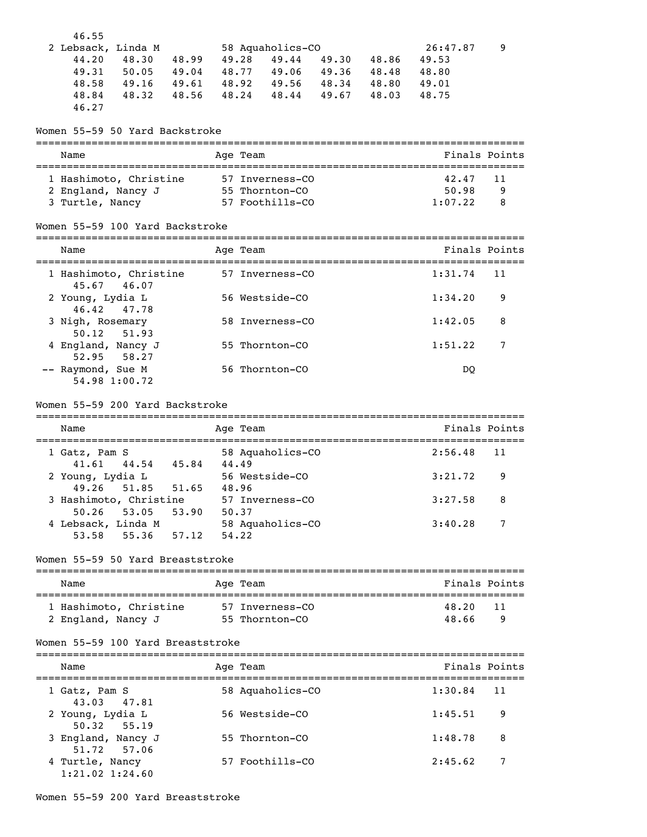| 46.55              |       |       |       |                  |       |       |          |   |
|--------------------|-------|-------|-------|------------------|-------|-------|----------|---|
| 2 Lebsack, Linda M |       |       |       | 58 Aquaholics-CO |       |       | 26:47.87 | 9 |
| 44.20              | 48.30 | 48.99 | 49.28 | 49.44            | 49.30 | 48.86 | 49.53    |   |
| 49.31              | 50.05 | 49.04 | 48.77 | 49.06            | 49.36 | 48.48 | 48.80    |   |
| 48.58              | 49.16 | 49.61 | 48.92 | 49.56            | 48.34 | 48.80 | 49.01    |   |
| 48.84              | 48.32 | 48.56 | 48.24 | 48.44            | 49.67 | 48.03 | 48.75    |   |
| 46.27              |       |       |       |                  |       |       |          |   |

Women 55-59 50 Yard Backstroke

| Name                                                            | Age Team                                             | Finals Points                              |
|-----------------------------------------------------------------|------------------------------------------------------|--------------------------------------------|
| 1 Hashimoto, Christine<br>2 England, Nancy J<br>3 Turtle, Nancy | 57 Inverness-CO<br>55 Thornton-CO<br>57 Foothills-CO | 42.47<br>-11<br>50.98<br>9<br>1:07.22<br>8 |

### Women 55-59 100 Yard Backstroke

| Name                                  | Age Team        | Finals Points |    |
|---------------------------------------|-----------------|---------------|----|
| 1 Hashimoto, Christine<br>45.67 46.07 | 57 Inverness-CO | 1:31.74       | 11 |
| 2 Young, Lydia L<br>46.42 47.78       | 56 Westside-CO  | 1:34.20       | 9  |
| 3 Nigh, Rosemary<br>50.12 51.93       | 58 Inverness-CO | 1:42.05       | 8  |
| 4 England, Nancy J<br>52.95 58.27     | 55 Thornton-CO  | 1:51.22       |    |
| -- Raymond, Sue M<br>54.98 1:00.72    | 56 Thornton-CO  | <sub>DO</sub> |    |

#### Women 55-59 200 Yard Backstroke

| Name                                    |       | Age Team                  | Finals Points |       |
|-----------------------------------------|-------|---------------------------|---------------|-------|
| 1 Gatz, Pam S<br>$41.61$ $44.54$        | 45.84 | 58 Aquaholics-CO<br>44.49 | 2:56.48       | $-11$ |
| 2 Young, Lydia L<br>49.26 51.85 51.65   |       | 56 Westside-CO<br>48.96   | 3:21.72       | 9     |
| 3 Hashimoto, Christine<br>$50.26$ 53.05 | 53.90 | 57 Inverness-CO<br>50.37  | 3:27.58       | 8     |
| 4 Lebsack, Linda M<br>53.58<br>55.36    | 57.12 | 58 Aquaholics-CO<br>54.22 | 3:40.28       | 7     |

#### Women 55-59 50 Yard Breaststroke

| Name                                         | Age Team                          | Finals Points              |
|----------------------------------------------|-----------------------------------|----------------------------|
| 1 Hashimoto, Christine<br>2 England, Nancy J | 57 Inverness-CO<br>55 Thornton-CO | 48.20<br>-11<br>48.66<br>q |

#### Women 55-59 100 Yard Breaststroke

| Name                                   | Age Team         | Finals Points |    |
|----------------------------------------|------------------|---------------|----|
| 1 Gatz, Pam S<br>43.03 47.81           | 58 Aquaholics-CO | 1:30.84       | 11 |
| 2 Young, Lydia L<br>$50.32$ $55.19$    | 56 Westside-CO   | 1:45.51       | 9  |
| 3 England, Nancy J<br>51.72 57.06      | 55 Thornton-CO   | 1:48.78       | 8  |
| 4 Turtle, Nancy<br>$1:21.02$ $1:24.60$ | 57 Foothills-CO  | 2:45.62       | 7  |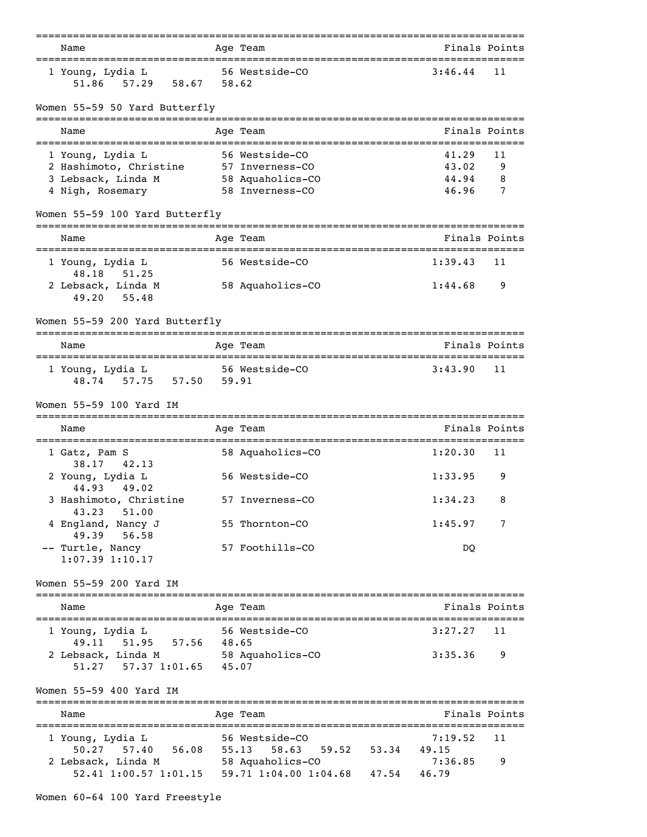|                                                |       | --------                       |       | _____________________________                 |               |
|------------------------------------------------|-------|--------------------------------|-------|-----------------------------------------------|---------------|
| Name                                           |       | Age Team                       |       | Finals Points                                 |               |
| 1 Young, Lydia L<br>51.86 57.29<br>58.67 58.62 |       | 56 Westside-CO                 |       | 3:46.44                                       | 11            |
| Women 55-59 50 Yard Butterfly                  |       |                                |       |                                               |               |
| Name                                           |       | Age Team                       |       |                                               | Finals Points |
| 1 Young, Lydia L                               |       | 56 Westside-CO                 |       | 41.29                                         | 11            |
| 2 Hashimoto, Christine 57 Inverness-CO         |       |                                |       | 43.02                                         | 9             |
| 3 Lebsack, Linda M                             |       | 58 Aquaholics-CO               |       | 44.94                                         | 8             |
| 4 Nigh, Rosemary                               |       | 58 Inverness-CO                |       | 46.96                                         | 7             |
| Women 55-59 100 Yard Butterfly                 |       |                                |       |                                               |               |
| Name                                           |       | ------------------<br>Age Team |       | Finals Points                                 |               |
| 1 Young, Lydia L                               |       | 56 Westside-CO                 |       | <br>1:39.43                                   | 11            |
| 48.18 51.25                                    |       |                                |       |                                               |               |
| 2 Lebsack, Linda M<br>49.20<br>55.48           |       | 58 Aquaholics-CO               |       | 1:44.68                                       | 9             |
| Women 55-59 200 Yard Butterfly                 |       |                                |       |                                               |               |
| Name                                           |       | Age Team                       |       | Finals Points                                 |               |
| 1 Young, Lydia L                               |       | 56 Westside-CO                 |       | 3:43.90                                       | 11            |
| 48.74 57.75 57.50 59.91                        |       |                                |       |                                               |               |
| Women 55-59 100 Yard IM                        |       |                                |       |                                               |               |
| Name                                           |       | Age Team                       |       | ============================<br>Finals Points |               |
| 1 Gatz, Pam S                                  |       | 58 Aquaholics-CO               |       | 1:20.30                                       | 11            |
| 38.17<br>42.13<br>2 Young, Lydia L             |       | 56 Westside-CO                 |       | 1:33.95                                       | 9             |
| 44.93 49.02                                    |       |                                |       | 1:34.23                                       | 8             |
| 3 Hashimoto, Christine<br>43.23<br>51.00       |       | 57 Inverness-CO                |       |                                               |               |
| 4 England, Nancy J<br>49.39<br>56.58           |       | 55 Thornton-CO                 |       | 1:45.97                                       | 7             |
| -- Turtle, Nancy                               |       | 57 Foothills-CO                |       | DQ                                            |               |
| $1:07.39$ $1:10.17$                            |       |                                |       |                                               |               |
| Women 55-59 200 Yard IM                        |       |                                |       |                                               |               |
| Name                                           |       | Age Team                       |       | Finals Points                                 |               |
| 1 Young, Lydia L                               |       | 56 Westside-CO                 |       | 3:27.27                                       | 11            |
| 49.11 51.95 57.56                              | 48.65 |                                |       |                                               |               |
| 2 Lebsack, Linda M<br>57.37 1:01.65<br>51.27   | 45.07 | 58 Aquaholics-CO               |       | 3:35.36                                       | 9             |
| Women 55-59 400 Yard IM                        |       |                                |       |                                               |               |
| Name                                           |       | ---------<br>Age Team          |       | Finals Points                                 |               |
| 1 Young, Lydia L                               |       | 56 Westside-CO                 |       | 7:19.52                                       | 11            |
| 56.08<br>50.27<br>57.40                        | 55.13 | 59.52<br>58.63                 | 53.34 | 49.15                                         |               |
| 2 Lebsack, Linda M                             |       | 58 Aquaholics-CO               |       | 7:36.85                                       | 9             |
| 52.41 1:00.57 1:01.15 59.71 1:04.00 1:04.68    |       |                                | 47.54 | 46.79                                         |               |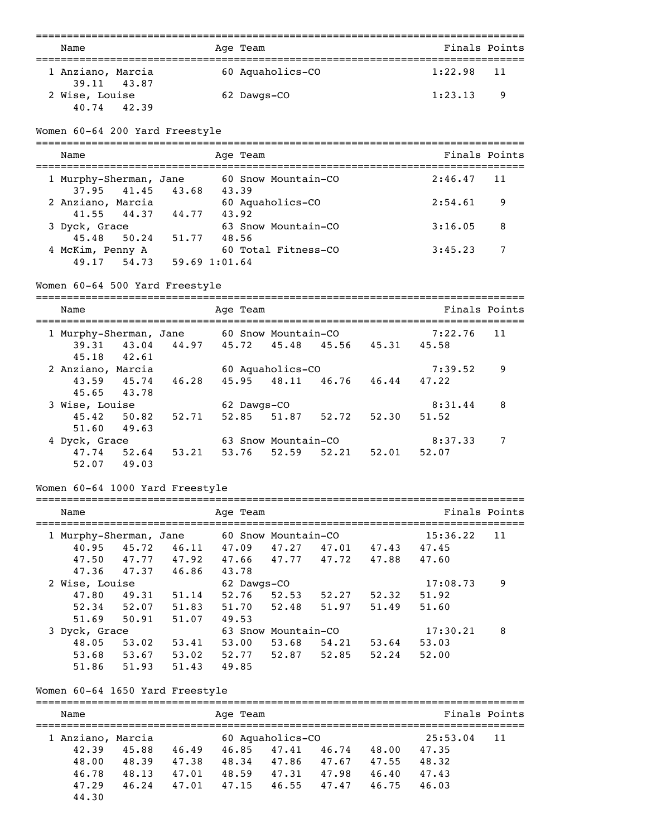| Name                             | Age Team         | Finals Points |  |  |  |  |  |  |
|----------------------------------|------------------|---------------|--|--|--|--|--|--|
| 1 Anziano, Marcia<br>39.11 43.87 | 60 Aquaholics-CO | $1:22.98$ 11  |  |  |  |  |  |  |
| 2 Wise, Louise<br>40.74 42.39    | 62 Dawgs-CO      | 1:23.13<br>-9 |  |  |  |  |  |  |

Women 60-64 200 Yard Freestyle

| Name                                        | Age Team                             | Finals Points |
|---------------------------------------------|--------------------------------------|---------------|
| 1 Murphy-Sherman, Jane<br>37.95 41.45 43.68 | 60 Snow Mountain-CO<br>43.39         | $2:46.47$ 11  |
| 2 Anziano, Marcia<br>41.55 44.37 44.77      | 60 Aquaholics-CO<br>43.92            | 2:54.61<br>9  |
| 3 Dyck, Grace<br>45.48 50.24                | 63 Snow Mountain-CO<br>51,77 48,56   | 3:16.05<br>-8 |
| 4 McKim, Penny A<br>49.17 54.73             | 60 Total Fitness-CO<br>59.69 1:01.64 | 7<br>3:45.23  |

### Women 60-64 500 Yard Freestyle

| Name                   |             |       | Age Team    |                     |       |       |         | Finals Points |  |  |
|------------------------|-------------|-------|-------------|---------------------|-------|-------|---------|---------------|--|--|
|                        |             |       |             |                     |       |       |         |               |  |  |
| 1 Murphy-Sherman, Jane |             |       |             | 60 Snow Mountain-CO |       |       | 7:22.76 | 11            |  |  |
|                        | 39.31 43.04 | 44.97 | 45.72       | 45.48 45.56         |       | 45.31 | 45.58   |               |  |  |
| 45.18                  | 42.61       |       |             |                     |       |       |         |               |  |  |
| 2 Anziano, Marcia      |             |       |             | 60 Aquaholics-CO    |       |       | 7:39.52 | 9             |  |  |
| 43.59                  | 45.74       | 46.28 | 45.95       | 48.11 46.76         |       | 46.44 | 47.22   |               |  |  |
|                        | 45.65 43.78 |       |             |                     |       |       |         |               |  |  |
| 3 Wise, Louise         |             |       | 62 Dawgs-CO |                     |       |       | 8:31.44 | 8             |  |  |
|                        | 45.42 50.82 | 52.71 | 52.85 51.87 |                     | 52.72 | 52.30 | 51.52   |               |  |  |
| 51.60                  | 49.63       |       |             |                     |       |       |         |               |  |  |
| 4 Dyck, Grace          |             |       |             | 63 Snow Mountain-CO |       |       | 8:37.33 | 7             |  |  |
| 47.74                  | 52.64       | 53.21 | 53.76       | 52.59               | 52.21 | 52.01 | 52.07   |               |  |  |
| 52.07                  | 49.03       |       |             |                     |       |       |         |               |  |  |

# Women 60-64 1000 Yard Freestyle

| Name  |       |                                                   |                        |       |                                  |                                                           |          | Finals Points |
|-------|-------|---------------------------------------------------|------------------------|-------|----------------------------------|-----------------------------------------------------------|----------|---------------|
|       |       |                                                   |                        |       |                                  |                                                           | 15:36.22 | 11            |
| 40.95 | 45.72 | 46.11                                             | 47.09                  | 47.27 | 47.01                            | 47.43                                                     | 47.45    |               |
| 47.50 |       | 47.92                                             | 47.66                  |       |                                  | 47.88                                                     | 47.60    |               |
| 47.36 |       | 46.86                                             | 43.78                  |       |                                  |                                                           |          |               |
|       |       |                                                   |                        |       |                                  |                                                           | 17:08.73 | 9             |
| 47.80 | 49.31 | 51.14                                             | 52.76                  | 52.53 | 52.27                            | 52.32                                                     | 51.92    |               |
| 52.34 | 52.07 | 51.83                                             | 51.70                  |       | 51.97                            | 51.49                                                     | 51.60    |               |
| 51.69 | 50.91 | 51.07                                             | 49.53                  |       |                                  |                                                           |          |               |
|       |       |                                                   |                        |       |                                  |                                                           | 17:30.21 | 8             |
| 48.05 | 53.02 | 53.41                                             | 53.00                  | 53.68 | 54.21                            | 53.64                                                     | 53.03    |               |
| 53.68 | 53.67 | 53.02                                             | 52.77                  | 52.87 | 52.85                            | 52.24                                                     | 52.00    |               |
| 51.86 | 51.93 | 51.43                                             | 49.85                  |       |                                  |                                                           |          |               |
|       |       | 47.77<br>47.37<br>2 Wise, Louise<br>3 Dyck, Grace | 1 Murphy-Sherman, Jane |       | Age Team<br>62 Dawgs-CO<br>52.48 | 60 Snow Mountain-CO<br>47.77 47.72<br>63 Snow Mountain-CO |          |               |

### Women 60-64 1650 Yard Freestyle

| Name              | Age Team       |       |                  |       |       |          |    |
|-------------------|----------------|-------|------------------|-------|-------|----------|----|
| 1 Anziano, Marcia |                |       | 60 Aquaholics-CO |       |       | 25:53.04 | 11 |
| 42.39             | 45.88<br>46.49 | 46.85 | 47.41            | 46.74 | 48.00 | 47.35    |    |
| 48.00             | 48.39<br>47.38 | 48.34 | 47.86            | 47.67 | 47.55 | 48.32    |    |
| 46.78             | 48.13<br>47.01 | 48.59 | 47.31            | 47.98 | 46.40 | 47.43    |    |
| 47.29             | 46.24<br>47.01 | 47.15 | 46.55            | 47.47 | 46.75 | 46.03    |    |
| 44.30             |                |       |                  |       |       |          |    |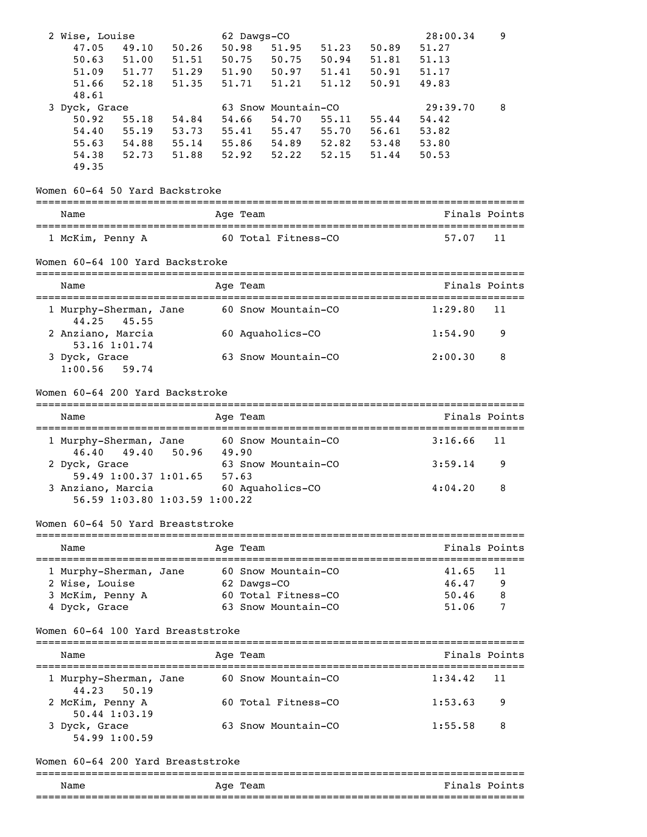| 2 Wise, Louise                            |                     |            | 62 Dawgs-CO          |                     |       |                         | 28:00.34 | 9             |
|-------------------------------------------|---------------------|------------|----------------------|---------------------|-------|-------------------------|----------|---------------|
| 47.05<br>49.10                            | 50.26               |            | 50.98                | 51.95               | 51.23 | 50.89                   | 51.27    |               |
| 50.63                                     | 51.00 51.51         |            |                      | 50.75 50.75         |       | 50.94 51.81             | 51.13    |               |
| 51.09 51.77 51.29                         |                     |            |                      | 51.90 50.97         | 51.41 | 50.91                   | 51.17    |               |
| 51.66<br>52.18                            | 51.35               |            | 51.71                | 51.21               | 51.12 | 50.91                   | 49.83    |               |
| 48.61                                     |                     |            |                      |                     |       |                         |          |               |
| 3 Dyck, Grace                             |                     |            |                      | 63 Snow Mountain-CO |       |                         | 29:39.70 | 8             |
| 50.92                                     | $55.18$ $54.84$     |            | 54.66                |                     |       | 54.70 55.11 55.44       | 54.42    |               |
| 54.40                                     | 55.19 53.73         |            |                      |                     |       | 55.41 55.47 55.70 56.61 | 53.82    |               |
| 55.63 54.88 55.14 55.86 54.89 52.82 53.48 |                     |            |                      |                     |       |                         | 53.80    |               |
| 54.38                                     | 52.73 51.88         |            |                      |                     |       | 52.92 52.22 52.15 51.44 | 50.53    |               |
| 49.35                                     |                     |            |                      |                     |       |                         |          |               |
|                                           |                     |            |                      |                     |       |                         |          |               |
| Women 60-64 50 Yard Backstroke            |                     |            |                      |                     |       |                         |          |               |
| Name                                      |                     |            | Age Team             |                     |       |                         |          | Finals Points |
| 1 McKim, Penny A                          | 60 Total Fitness-CO |            |                      |                     |       |                         | 57.07    | 11            |
| Women 60-64 100 Yard Backstroke           |                     |            |                      |                     |       |                         |          |               |
| Name                                      |                     |            | Age Team             |                     |       |                         |          | Finals Points |
| 1 Murphy-Sherman, Jane<br>44.25 45.55     |                     |            |                      | 60 Snow Mountain-CO |       |                         | 1:29.80  | 11            |
| 2 Anziano, Marcia<br>53.16 1:01.74        |                     |            |                      | 60 Aquaholics-CO    |       |                         | 1:54.90  | 9             |
| 3 Dyck, Grace                             |                     |            |                      | 63 Snow Mountain-CO |       |                         | 2:00.30  | 8             |
| $1:00.56$ 59.74                           |                     |            |                      |                     |       |                         |          |               |
| Women 60-64 200 Yard Backstroke           |                     |            |                      |                     |       |                         |          |               |
|                                           |                     |            |                      |                     |       |                         |          |               |
| Name                                      |                     |            | Age Team             |                     |       |                         |          | Finals Points |
| 1 Murphy-Sherman, Jane<br>49.40<br>46.40  | 50.96               | 49.90      |                      | 60 Snow Mountain-CO |       |                         | 3:16.66  | 11            |
| 2 Dyck, Grace<br>59.49 1:00.37 1:01.65    |                     | 57.63      |                      | 63 Snow Mountain-CO |       |                         | 3:59.14  | 9             |
| 3 Anziano, Marcia 60 Aquaholics-CO        |                     |            |                      |                     |       |                         | 4:04.20  | 8             |
| 56.59 1:03.80 1:03.59 1:00.22             |                     |            |                      |                     |       |                         |          |               |
| Women 60-64 50 Yard Breaststroke          |                     |            |                      |                     |       |                         |          |               |
| Name                                      |                     |            | --------<br>Age Team |                     |       |                         |          | Finals Points |
| -------------<br>1 Murphy-Sherman, Jane   |                     | ---------- |                      | 60 Snow Mountain-CO |       |                         | 41.65    | 11            |
| 2 Wise, Louise                            |                     |            | 62 Dawgs-CO          |                     |       |                         | 46.47    | 9             |
| 3 McKim, Penny A                          |                     |            |                      | 60 Total Fitness-CO |       |                         | 50.46    | 8             |
| 4 Dyck, Grace                             |                     |            |                      | 63 Snow Mountain-CO |       |                         | 51.06    | 7             |
| Women 60-64 100 Yard Breaststroke         |                     |            |                      |                     |       |                         |          |               |
| Name                                      |                     |            | Aqe Team             |                     |       |                         |          | Finals Points |
| 1 Murphy-Sherman, Jane                    |                     |            |                      | 60 Snow Mountain-CO |       |                         | 1:34.42  | 11            |
| 44.23<br>50.19<br>2 McKim, Penny A        |                     |            |                      | 60 Total Fitness-CO |       |                         | 1:53.63  | 9             |
| $50.44$ 1:03.19                           |                     |            |                      |                     |       |                         |          |               |
| 3 Dyck, Grace<br>54.99 1:00.59            |                     |            |                      | 63 Snow Mountain-CO |       |                         | 1:55.58  | 8             |
| Women 60-64 200 Yard Breaststroke         |                     |            |                      |                     |       |                         |          |               |
|                                           |                     |            |                      |                     |       |                         |          |               |

| Name<br>.                 | Aqe<br>--<br>ream<br>__ | n a<br>P.<br>m<br>- - |
|---------------------------|-------------------------|-----------------------|
| _______<br>______________ |                         |                       |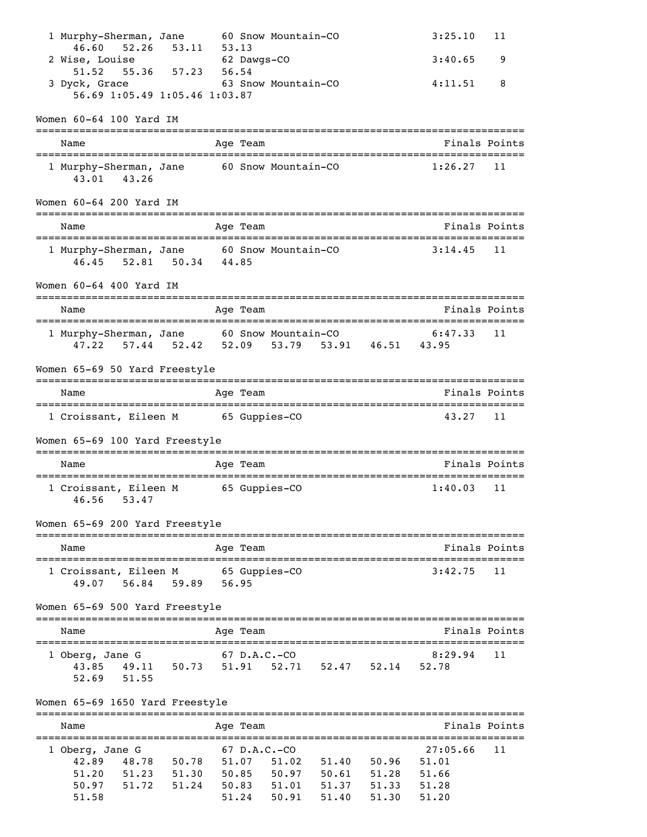| 1 Murphy-Sherman, Jane 60 Snow Mountain-CO                |       |                                                         |       |                       |                 |       |                                           | 3:25.10                                                                                               | 11            |
|-----------------------------------------------------------|-------|---------------------------------------------------------|-------|-----------------------|-----------------|-------|-------------------------------------------|-------------------------------------------------------------------------------------------------------|---------------|
| 2 Wise, Louise                                            |       | 46.60 52.26 53.11<br>$62$ Dawgs-CO<br>55.36 57.23 56.54 | 53.13 |                       |                 |       |                                           | 3:40.65                                                                                               | 9             |
| 51.52<br>3 Dyck, Grace 63 Snow Mountain-CO                |       |                                                         |       |                       |                 |       |                                           | 4:11.51                                                                                               | 8             |
|                                                           |       | 56.69 1:05.49 1:05.46 1:03.87                           |       |                       |                 |       |                                           |                                                                                                       |               |
| Women 60-64 100 Yard IM                                   |       |                                                         |       |                       |                 |       |                                           |                                                                                                       |               |
| Name                                                      |       |                                                         |       | Age Team              |                 |       |                                           |                                                                                                       | Finals Points |
| 1 Murphy-Sherman, Jane 60 Snow Mountain-CO<br>43.01 43.26 |       |                                                         |       |                       |                 |       |                                           | 1:26.27                                                                                               | 11            |
| Women 60-64 200 Yard IM                                   |       |                                                         |       |                       |                 |       |                                           |                                                                                                       |               |
| Name                                                      |       |                                                         |       | Age Team              |                 |       |                                           | Finals Points                                                                                         |               |
|                                                           |       | 46.45 52.81 50.34 44.85                                 |       |                       |                 |       |                                           | 1 Murphy-Sherman, Jane 60 Snow Mountain-CO 3:14.45 11                                                 |               |
| Women 60-64 400 Yard IM                                   |       |                                                         |       |                       |                 |       |                                           |                                                                                                       |               |
| Name                                                      |       |                                                         |       | Age Team              |                 |       |                                           |                                                                                                       | Finals Points |
|                                                           |       |                                                         |       |                       |                 |       |                                           | 1 Murphy-Sherman, Jane 60 Snow Mountain-CO 6:47.33<br>47.22 57.44 52.42 52.09 53.79 53.91 46.51 43.95 | 11            |
| Women 65-69 50 Yard Freestyle                             |       |                                                         |       |                       |                 |       |                                           |                                                                                                       |               |
| Name                                                      |       |                                                         |       | Age Team              |                 |       |                                           |                                                                                                       | Finals Points |
| 1 Croissant, Eileen M 65 Guppies-CO                       |       |                                                         |       |                       |                 |       |                                           | 43.27                                                                                                 | 11            |
| Women 65-69 100 Yard Freestyle                            |       |                                                         |       |                       |                 |       |                                           |                                                                                                       |               |
| Name                                                      |       |                                                         |       | Age Team              |                 |       |                                           |                                                                                                       | Finals Points |
| 1 Croissant, Eileen M 65 Guppies-CO<br>46.56              | 53.47 |                                                         |       |                       |                 |       |                                           | 1:40.03                                                                                               | 11            |
| Women 65-69 200 Yard Freestyle                            |       |                                                         |       | :=======              |                 |       |                                           |                                                                                                       |               |
| Name<br>==============                                    |       |                                                         |       | Age Team              |                 |       |                                           |                                                                                                       | Finals Points |
| 1 Croissant, Eileen M<br>49.07                            | 56.84 | 59.89                                                   |       | 56.95                 | 65 Guppies-CO   |       |                                           | 3:42.75                                                                                               | 11            |
| Women 65-69 500 Yard Freestyle                            |       |                                                         |       |                       |                 |       |                                           | ______________________________                                                                        |               |
| Name                                                      |       |                                                         |       | Age Team              |                 |       |                                           |                                                                                                       | Finals Points |
| 1 Oberg, Jane G                                           |       |                                                         |       | $67$ D.A.C.-CO        |                 |       |                                           | 8:29.94                                                                                               | 11            |
| 52.69                                                     | 51.55 |                                                         |       |                       |                 |       | 43.85 49.11 50.73 51.91 52.71 52.47 52.14 | 52.78                                                                                                 |               |
| Women 65-69 1650 Yard Freestyle                           |       |                                                         |       |                       |                 |       |                                           |                                                                                                       |               |
| ================================<br>Name                  |       |                                                         |       | =========<br>Age Team |                 |       |                                           |                                                                                                       | Finals Points |
| =================================<br>1 Oberg, Jane G      |       |                                                         |       | $67$ D.A.C.-CO        |                 |       |                                           | 27:05.66                                                                                              | 11            |
| 42.89                                                     | 48.78 | 50.78 51.07                                             |       |                       | 51.02           |       | 51.40 50.96 51.01                         |                                                                                                       |               |
| 51.20                                                     |       | 51.23 51.30                                             | 50.85 |                       | $50.97$ $50.61$ |       | 51.28                                     | 51.66                                                                                                 |               |
| 50.97                                                     | 51.72 | 51.24                                                   |       |                       | 50.83 51.01     | 51.37 | 51.33                                     | 51.28                                                                                                 |               |

51.58 51.24 50.91 51.40 51.30 51.20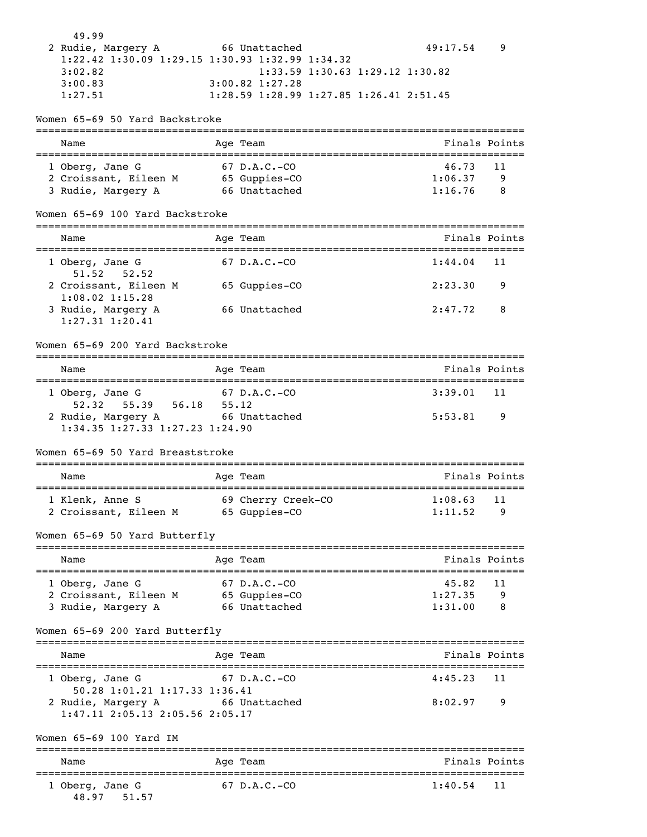| 49.99              |                                                             |          |  |
|--------------------|-------------------------------------------------------------|----------|--|
| 2 Rudie, Margery A | 66 Unattached                                               | 49:17.54 |  |
|                    | $1:22.42$ $1:30.09$ $1:29.15$ $1:30.93$ $1:32.99$ $1:34.32$ |          |  |
| 3:02.82            | $1:33.59$ $1:30.63$ $1:29.12$ $1:30.82$                     |          |  |
| 3:00.83            | $3:00.82$ 1:27.28                                           |          |  |
| 1:27.51            | $1:28.59$ $1:28.99$ $1:27.85$ $1:26.41$ $2:51.45$           |          |  |

#### Women 65-69 50 Yard Backstroke

| Name                  | Age Team       | Finals Points |
|-----------------------|----------------|---------------|
| 1 Oberg, Jane G       | $67$ D.A.C.-CO | 46.73 11      |
| 2 Croissant, Eileen M | 65 Guppies-CO  | 1:06.37<br>q  |
| 3 Rudie, Margery A    | 66 Unattached  | 1:16.76<br>8  |

#### Women 65-69 100 Yard Backstroke

| Name                                         | Age Team       | Finals Points              |
|----------------------------------------------|----------------|----------------------------|
| 1 Oberg, Jane G<br>$51.52$ $52.52$           | $67$ D.A.C.-CO | 1:44.04<br>$\overline{11}$ |
| 2 Croissant, Eileen M<br>$1:08.02$ $1:15.28$ | 65 Guppies-CO  | 2:23.30<br>9               |
| 3 Rudie, Margery A<br>$1:27.31$ $1:20.41$    | 66 Unattached  | 2:47.72<br>- 8             |

#### Women 65-69 200 Yard Backstroke

| Name                                    | Age Team       | Finals Points  |
|-----------------------------------------|----------------|----------------|
| 1 Oberg, Jane G                         | $67$ D.A.C.-CO | $3:39.01$ 11   |
| $52.32$ $55.39$                         | 56.18<br>55.12 |                |
| 2 Rudie, Margery A                      | 66 Unattached  | 5:53.81<br>- 9 |
| $1:34.35$ $1:27.33$ $1:27.23$ $1:24.90$ |                |                |

#### Women 65-69 50 Yard Breaststroke

| Name                                     | Age Team                            | Finals Points                  |
|------------------------------------------|-------------------------------------|--------------------------------|
| 1 Klenk, Anne S<br>2 Croissant, Eileen M | 69 Cherry Creek-CO<br>65 Guppies-CO | 1:08.63<br>-11<br>1:11.52<br>q |

Women 65-69 50 Yard Butterfly

| Name                  | Age Team       | Finals Points |
|-----------------------|----------------|---------------|
| 1 Oberg, Jane G       | $67$ D.A.C.-CO | 45.82<br>11   |
| 2 Croissant, Eileen M | 65 Guppies-CO  | 1:27.35<br>q  |
| 3 Rudie, Margery A    | 66 Unattached  | 1:31.00<br>8  |

#### Women 65-69 200 Yard Butterfly

| Name                                                          | Age Team       | Finals Points             |
|---------------------------------------------------------------|----------------|---------------------------|
| 1 Oberg, Jane G<br>50.28 1:01.21 1:17.33 1:36.41              | $67$ D.A.C.-CO | $4:45.23$ 11              |
| 2 Rudie, Margery A<br>$1:47.11$ $2:05.13$ $2:05.56$ $2:05.17$ | 66 Unattached  | 8:02.97<br>$\overline{9}$ |

Women 65-69 100 Yard IM

| Name            | Aqe Team       | Finals Points |
|-----------------|----------------|---------------|
| 1 Oberg, Jane G | $67$ D.A.C.-CO | $1:40.54$ 11  |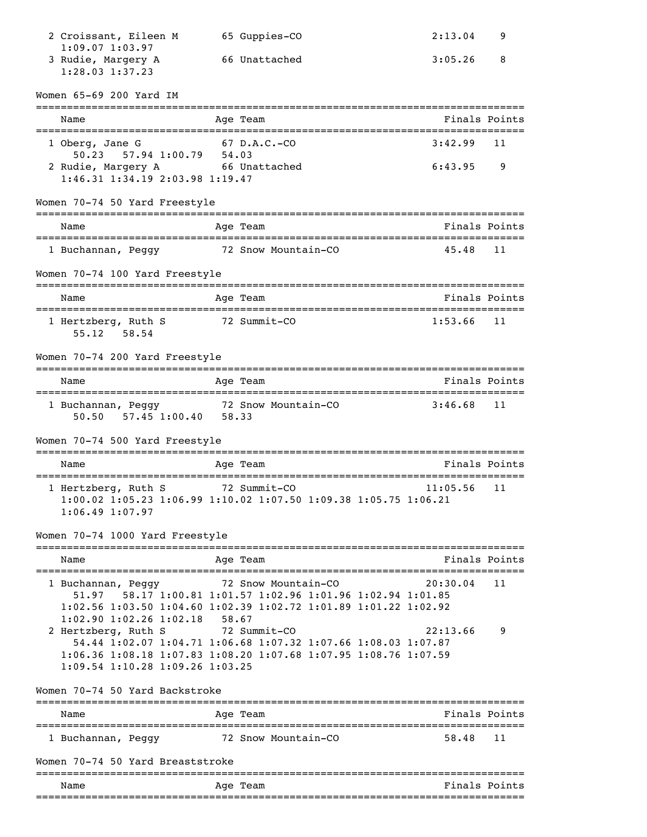| 2 Croissant, Eileen M                                                                 |       | 65 Guppies-CO                                                                                                                                    | 2:13.04       | 9             |
|---------------------------------------------------------------------------------------|-------|--------------------------------------------------------------------------------------------------------------------------------------------------|---------------|---------------|
| $1:09.07$ $1:03.97$<br>3 Rudie, Margery A<br>1:28.03 1:37.23                          |       | 66 Unattached                                                                                                                                    | 3:05.26       | 8             |
| Women 65-69 200 Yard IM                                                               |       |                                                                                                                                                  |               |               |
| Name                                                                                  |       | Age Team                                                                                                                                         | Finals Points |               |
| 1 Oberg, Jane G                                                                       |       | 67 D.A.C.-CO                                                                                                                                     | 3:42.99       | 11            |
| 57.94 1:00.79 54.03<br>50.23<br>2 Rudie, Margery A<br>1:46.31 1:34.19 2:03.98 1:19.47 |       | 66 Unattached                                                                                                                                    | 6:43.95       | 9             |
| Women 70-74 50 Yard Freestyle                                                         |       |                                                                                                                                                  |               |               |
| Name                                                                                  |       | Age Team                                                                                                                                         |               | Finals Points |
| 1 Buchannan, Peggy 32 Snow Mountain-CO                                                |       |                                                                                                                                                  | 45.48         | 11            |
| Women 70-74 100 Yard Freestyle                                                        |       |                                                                                                                                                  |               |               |
| Name                                                                                  |       | Age Team                                                                                                                                         | Finals Points |               |
| 1 Hertzberg, Ruth S<br>58.54<br>55.12                                                 |       | 72 Summit-CO                                                                                                                                     | 1:53.66       | 11            |
| Women 70-74 200 Yard Freestyle                                                        |       |                                                                                                                                                  |               |               |
| Name                                                                                  |       | Age Team                                                                                                                                         |               | Finals Points |
| 1 Buchannan, Peggy 32 Snow Mountain-CO<br>57.45 1:00.40 58.33<br>50.50                |       |                                                                                                                                                  | 3:46.68       | 11            |
| Women 70-74 500 Yard Freestyle                                                        |       |                                                                                                                                                  |               |               |
| Name                                                                                  |       | Age Team                                                                                                                                         |               | Finals Points |
| 1 Hertzberg, Ruth S<br>$1:06.49$ $1:07.97$                                            |       | 72 Summit-CO<br>1:00.02 1:05.23 1:06.99 1:10.02 1:07.50 1:09.38 1:05.75 1:06.21                                                                  | 11:05.56      | 11            |
| Women 70-74 1000 Yard Freestyle                                                       |       |                                                                                                                                                  |               |               |
| Name                                                                                  |       | Age Team                                                                                                                                         |               | Finals Points |
| 1 Buchannan, Peggy 72 Snow Mountain-CO<br>51.97<br>$1:02.90$ $1:02.26$ $1:02.18$      | 58.67 | 58.17 1:00.81 1:01.57 1:02.96 1:01.96 1:02.94 1:01.85<br>$1:02.56$ $1:03.50$ $1:04.60$ $1:02.39$ $1:02.72$ $1:01.89$ $1:01.22$ $1:02.92$         | 20:30.04      | 11            |
| 2 Hertzberg, Ruth S<br>$1:09.54$ 1:10.28 1:09.26 1:03.25                              |       | 72 Summit-CO<br>54.44 1:02.07 1:04.71 1:06.68 1:07.32 1:07.66 1:08.03 1:07.87<br>1:06.36 1:08.18 1:07.83 1:08.20 1:07.68 1:07.95 1:08.76 1:07.59 | 22:13.66      | 9             |
| Women 70-74 50 Yard Backstroke                                                        |       |                                                                                                                                                  |               |               |
| Name                                                                                  |       | Age Team                                                                                                                                         |               | Finals Points |
| 1 Buchannan, Peggy 72 Snow Mountain-CO                                                |       |                                                                                                                                                  | 58.48         | 11            |
| Women 70-74 50 Yard Breaststroke                                                      |       |                                                                                                                                                  |               |               |
| Name                                                                                  |       | Age Team                                                                                                                                         |               | Finals Points |
|                                                                                       |       |                                                                                                                                                  |               |               |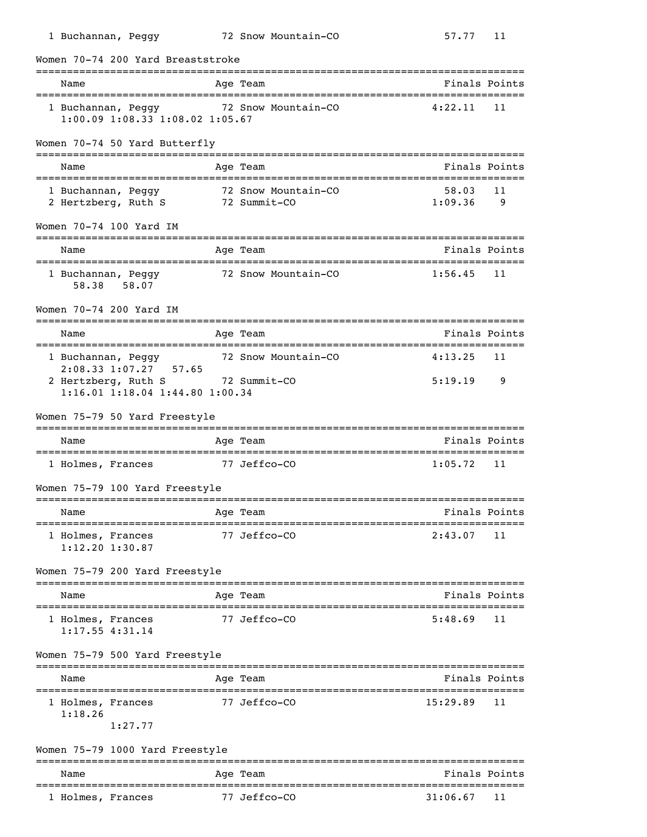| Name                                                                                         |              | Age Team                            | Finals Points                                           |
|----------------------------------------------------------------------------------------------|--------------|-------------------------------------|---------------------------------------------------------|
| 1 Buchannan, Peggy<br>1:00.09 1:08.33 1:08.02 1:05.67                                        |              | 72 Snow Mountain-CO                 | 4:22.11<br>11                                           |
| Women 70-74 50 Yard Butterfly                                                                |              |                                     |                                                         |
| Name                                                                                         |              | Age Team                            | Finals Points                                           |
| 1 Buchannan, Peggy<br>2 Hertzberg, Ruth S                                                    |              | 72 Snow Mountain-CO<br>72 Summit-CO | 58.03<br>11<br>1:09.36<br>9                             |
| Women 70-74 100 Yard IM                                                                      |              |                                     |                                                         |
| Name                                                                                         |              | Age Team                            | Finals Points                                           |
| 1 Buchannan, Peggy<br>58.38<br>58.07                                                         |              | 72 Snow Mountain-CO                 | 1:56.45<br>11                                           |
| Women 70-74 200 Yard IM                                                                      |              |                                     |                                                         |
| Name                                                                                         |              | Age Team                            | Finals Points                                           |
| 1 Buchannan, Peggy                                                                           |              | 72 Snow Mountain-CO                 | 4:13.25<br>11                                           |
| 2:08.33 1:07.27 57.65<br>2 Hertzberg, Ruth S 72 Summit-CO<br>1:16.01 1:18.04 1:44.80 1:00.34 |              |                                     | 5:19.19<br>9                                            |
| Women 75-79 50 Yard Freestyle                                                                |              |                                     |                                                         |
| Name                                                                                         |              | Age Team                            | Finals Points                                           |
| 1 Holmes, Frances 77 Jeffco-CO                                                               |              |                                     | 1:05.72<br>11                                           |
| Women 75-79 100 Yard Freestyle                                                               |              |                                     |                                                         |
| Name                                                                                         |              | Age Team                            | Finals Points                                           |
| ------------------                                                                           |              | 77 Jeffco-CO                        | 2:43.07<br>11                                           |
| 1 Holmes, Frances<br>$1:12.20$ $1:30.87$                                                     |              |                                     |                                                         |
| Women 75-79 200 Yard Freestyle                                                               |              |                                     |                                                         |
| Name                                                                                         |              | Age Team                            | ============                                            |
| 1 Holmes, Frances<br>$1:17.55$ $4:31.14$                                                     |              | 77 Jeffco-CO                        | Finals Points<br>5:48.69<br>11                          |
| Women 75-79 500 Yard Freestyle                                                               |              |                                     |                                                         |
| Name                                                                                         |              | Age Team                            |                                                         |
| :===================<br>1 Holmes, Frances                                                    | . ---------- | 77 Jeffco-CO                        | ;====================================<br>15:29.89<br>11 |
| 1:18.26<br>1:27.77                                                                           |              |                                     | ==============================<br>Finals Points         |

| Name              | Age Team     | Finals Points  |  |  |  |  |
|-------------------|--------------|----------------|--|--|--|--|
| 1 Holmes, Frances | 77 Jeffco–CO | 11<br>31:06.67 |  |  |  |  |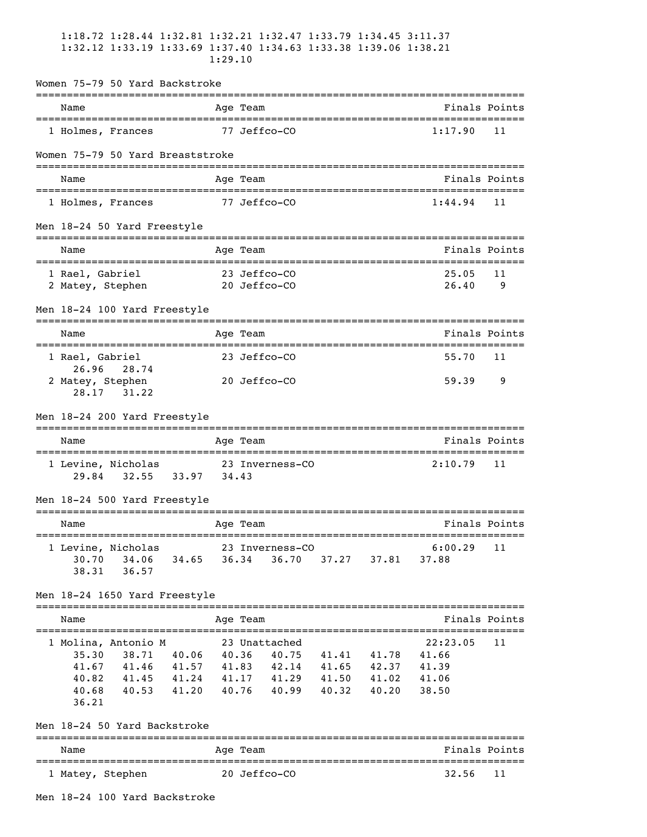|                                                              | 1:18.72 1:28.44 1:32.81 1:32.21 1:32.47 1:33.79 1:34.45 3:11.37<br>1:32.12 1:33.19 1:33.69 1:37.40 1:34.63 1:33.38 1:39.06 1:38.21<br>1:29.10 |                         |
|--------------------------------------------------------------|-----------------------------------------------------------------------------------------------------------------------------------------------|-------------------------|
| Women 75-79 50 Yard Backstroke                               |                                                                                                                                               |                         |
| ---------------------------<br>Name                          | -----------------------<br>Age Team                                                                                                           | Finals Points           |
| 1 Holmes, Frances                                            | 77 Jeffco-CO                                                                                                                                  | 1:17.90<br>11           |
| Women 75-79 50 Yard Breaststroke                             |                                                                                                                                               |                         |
| Name                                                         | Age Team                                                                                                                                      | Finals Points           |
| 1 Holmes, Frances                                            | 77 Jeffco-CO                                                                                                                                  | 1:44.94<br>11           |
| Men 18-24 50 Yard Freestyle                                  |                                                                                                                                               |                         |
| Name                                                         | Age Team<br>==================================                                                                                                | Finals Points           |
| 1 Rael, Gabriel                                              | 23 Jeffco-CO                                                                                                                                  | 25.05<br>11             |
| 2 Matey, Stephen                                             | 20 Jeffco-CO                                                                                                                                  | 26.40<br>9              |
| Men 18-24 100 Yard Freestyle                                 |                                                                                                                                               |                         |
| Name                                                         | Age Team                                                                                                                                      | Finals Points           |
| 1 Rael, Gabriel<br>26.96<br>28.74                            | 23 Jeffco-CO                                                                                                                                  | 55.70<br>11             |
| 2 Matey, Stephen<br>28.17<br>31.22                           | 20 Jeffco-CO                                                                                                                                  | 59.39<br>9              |
| Men 18-24 200 Yard Freestyle                                 |                                                                                                                                               |                         |
| Name<br>==================================                   | Age Team<br>___________________________________                                                                                               | Finals Points           |
| 1 Levine, Nicholas<br>$32.55$ $33.97$<br>29.84               | 23 Inverness-CO<br>34.43                                                                                                                      | 2:10.79<br>11           |
| Men 18-24 500 Yard Freestyle                                 | =============================                                                                                                                 |                         |
| Name                                                         | Age Team<br>----------------------                                                                                                            | Finals Points           |
| 1 Levine, Nicholas<br>34.06 34.65<br>30.70<br>38.31<br>36.57 | 23 Inverness-CO<br>36.34<br>36.70<br>37.27 37.81                                                                                              | 6:00.29<br>11<br>37.88  |
| Men 18-24 1650 Yard Freestyle                                |                                                                                                                                               |                         |
| Name                                                         | Age Team                                                                                                                                      | Finals Points           |
| 1 Molina, Antonio M<br>35.30<br>38.71<br>40.06               | 23 Unattached<br>41.41 41.78<br>40.36<br>40.75                                                                                                | 22:23.05<br>11<br>41.66 |
| 41.67<br>41.46                                               | 41.57 41.83 42.14 41.65 42.37                                                                                                                 | 41.39                   |
| 41.45 41.24<br>40.82                                         | 41.17<br>41.29 41.50 41.02                                                                                                                    | 41.06                   |
| 40.68<br>41.20<br>40.53<br>36.21                             | 40.76<br>40.99<br>40.32<br>40.20                                                                                                              | 38.50                   |
| Men 18-24 50 Yard Backstroke                                 |                                                                                                                                               |                         |
| Name                                                         | --------<br>Age Team                                                                                                                          | Finals Points           |
| 1 Matey, Stephen                                             | 20 Jeffco-CO                                                                                                                                  | 32.56<br>11             |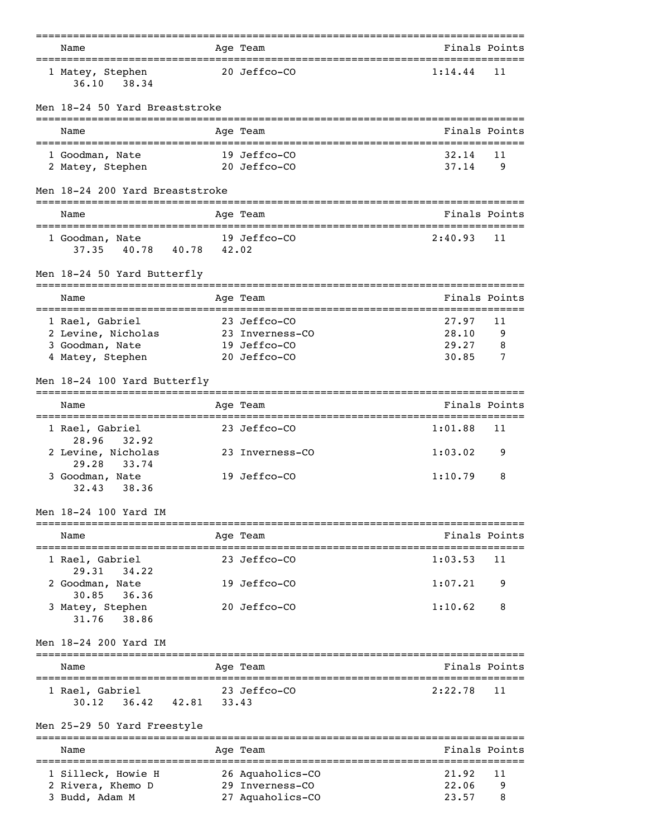| Name                                                 |       | Age Team                                       |                               | Finals Points |
|------------------------------------------------------|-------|------------------------------------------------|-------------------------------|---------------|
| 1 Matey, Stephen<br>38.34<br>36.10                   |       | 20 Jeffco-CO                                   | 1:14.44                       | 11            |
| Men 18-24 50 Yard Breaststroke                       |       |                                                |                               |               |
| Name                                                 |       | Age Team                                       |                               | Finals Points |
| 1 Goodman, Nate                                      |       | 19 Jeffco-CO                                   | 32.14                         | 11            |
| 2 Matey, Stephen                                     |       | 20 Jeffco-CO                                   | 37.14                         | 9             |
| Men 18-24 200 Yard Breaststroke                      |       |                                                |                               |               |
| Name<br>=====================================        |       | Age Team<br>---------------------------------- | Finals Points                 |               |
| 1 Goodman, Nate<br>37.35<br>40.78<br>40.78 42.02     |       | 19 Jeffco-CO                                   | 2:40.93                       | 11            |
| Men 18-24 50 Yard Butterfly                          |       | ______________                                 |                               |               |
| -------------------------------<br>Name              |       | Age Team                                       |                               | Finals Points |
| 1 Rael, Gabriel                                      |       | 23 Jeffco-CO                                   | 27.97                         | 11            |
| 2 Levine, Nicholas                                   |       | 23 Inverness-CO                                | 28.10                         | 9             |
| 3 Goodman, Nate                                      |       | 19 Jeffco-CO                                   | 29.27                         | 8             |
| 4 Matey, Stephen                                     |       | 20 Jeffco-CO                                   | 30.85                         | 7             |
| Men 18-24 100 Yard Butterfly                         |       |                                                |                               |               |
| Name                                                 |       | Age Team                                       | Finals Points                 |               |
| 1 Rael, Gabriel<br>28.96<br>32.92                    |       | 23 Jeffco-CO                                   | 1:01.88                       | 11            |
| 2 Levine, Nicholas<br>29.28<br>33.74                 |       | 23 Inverness-CO                                | 1:03.02                       | 9             |
| 3 Goodman, Nate<br>38.36<br>32.43                    |       | 19 Jeffco-CO                                   | 1:10.79                       | 8             |
| Men 18-24 100 Yard IM                                |       |                                                |                               |               |
| Name                                                 |       | Age Team                                       |                               | Finals Points |
| 1 Rael, Gabriel                                      |       | 23 Jeffco-CO                                   | 1:03.53                       | 11            |
| 29.31<br>34, 22<br>2 Goodman, Nate                   |       | 19 Jeffco-CO                                   | 1:07.21                       | 9             |
| 30.85<br>36.36<br>3 Matey, Stephen<br>38.86<br>31.76 |       | 20 Jeffco-CO                                   | 1:10.62                       | 8             |
| Men 18-24 200 Yard IM                                |       |                                                |                               |               |
| ===========================<br>Name                  |       | Age Team                                       |                               | Finals Points |
| 1 Rael, Gabriel<br>36.42<br>42.81<br>30.12           | 33.43 | 23 Jeffco-CO                                   | 2:22.78                       | 11            |
| Men 25-29 50 Yard Freestyle                          |       |                                                |                               |               |
| ----------------------------<br>Name                 |       | ------------------<br>Age Team                 | ============================= | Finals Points |
| 1 Silleck, Howie H                                   |       | ------------<br>26 Aquaholics-CO               | 21.92                         | 11            |
| 2 Rivera, Khemo D                                    |       | 29 Inverness-CO                                | 22.06                         | 9             |
| 3 Budd, Adam M                                       |       | 27 Aquaholics-CO                               | 23.57                         | 8             |
|                                                      |       |                                                |                               |               |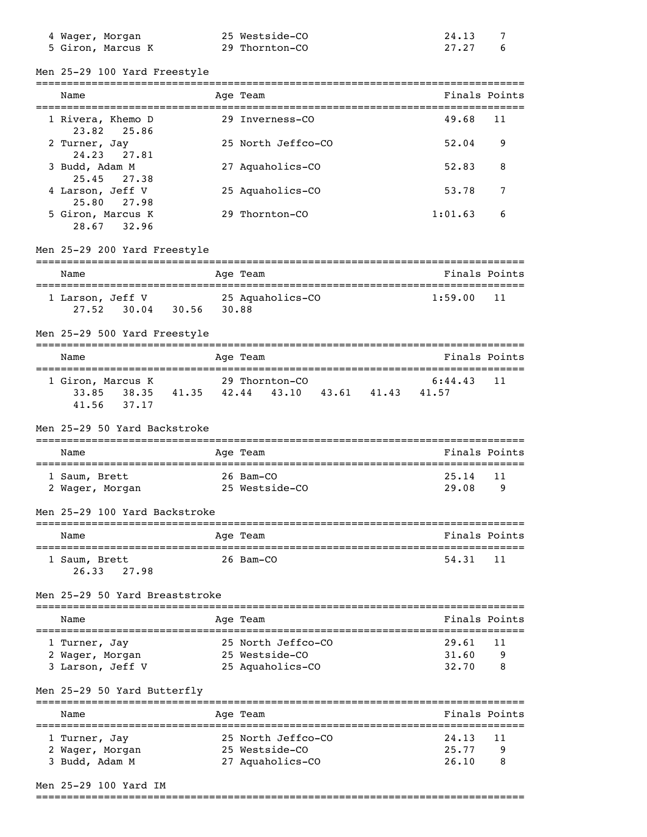| 4 Wager, Morgan   | 25 Westside-CO | 24.13 |
|-------------------|----------------|-------|
| 5 Giron, Marcus K | 29 Thornton-CO | 27.27 |

Men 25-29 100 Yard Freestyle

| Name                                                         | Age Team                                        | Finals Points  |         |
|--------------------------------------------------------------|-------------------------------------------------|----------------|---------|
|                                                              |                                                 |                |         |
| 1 Rivera, Khemo D<br>23.82<br>25.86                          | 29 Inverness-CO                                 | 49.68          | 11      |
| 2 Turner, Jay<br>24.23<br>27.81                              | 25 North Jeffco-CO                              | 52.04          | 9       |
| 3 Budd, Adam M<br>25.45 27.38                                | 27 Aquaholics-CO                                | 52.83          | 8       |
| 4 Larson, Jeff V<br>25.80 27.98                              | 25 Aquaholics-CO                                | 53.78          | 7       |
| 5 Giron, Marcus K<br>28.67 32.96                             | 29 Thornton-CO                                  | 1:01.63        | 6       |
| Men 25-29 200 Yard Freestyle                                 |                                                 |                |         |
| Name                                                         | Age Team                                        | Finals Points  |         |
| 1 Larson, Jeff V 25 Aquaholics-CO<br>27.52 30.04 30.56 30.88 |                                                 | 1:59.00        | 11      |
| Men 25-29 500 Yard Freestyle                                 | ================================                |                |         |
| Name                                                         | Age Team                                        | Finals Points  |         |
| 1 Giron, Marcus K 29 Thornton-CO<br>41.56 37.17              | 33.85 38.35 41.35 42.44 43.10 43.61 41.43 41.57 | 6:44.43        | 11      |
| Men 25-29 50 Yard Backstroke                                 |                                                 |                |         |
| Name                                                         | Age Team                                        | Finals Points  |         |
| 1 Saum, Brett<br>2 Wager, Morgan                             | 26 Bam-CO<br>25 Westside-CO                     | 25.14<br>29.08 | 11<br>9 |
| Men 25-29 100 Yard Backstroke                                |                                                 |                |         |
| Name                                                         | Age Team                                        | Finals Points  |         |
| 1 Saum, Brett<br>26.33<br>27.98                              | 26 Bam-CO                                       | 54.31          | 11      |
| Men 25–29 50 Yard Breaststroke                               |                                                 |                |         |
| Name                                                         | --------<br>Age Team                            | Finals Points  |         |
| 1 Turner, Jay                                                | 25 North Jeffco-CO                              | 29.61          | 11      |
| 2 Wager, Morgan<br>3 Larson, Jeff V                          | 25 Westside-CO<br>25 Aquaholics-CO              | 31.60<br>32.70 | 9<br>8  |
| Men 25-29 50 Yard Butterfly                                  |                                                 |                |         |
| Name                                                         | Age Team                                        | Finals Points  |         |
| 1 Turner, Jay                                                | 25 North Jeffco-CO                              | 24.13          | 11      |
| 2 Wager, Morgan<br>3 Budd, Adam M                            | 25 Westside-CO<br>27 Aquaholics-CO              | 25.77<br>26.10 | 9<br>8  |

Men 25-29 100 Yard IM

===============================================================================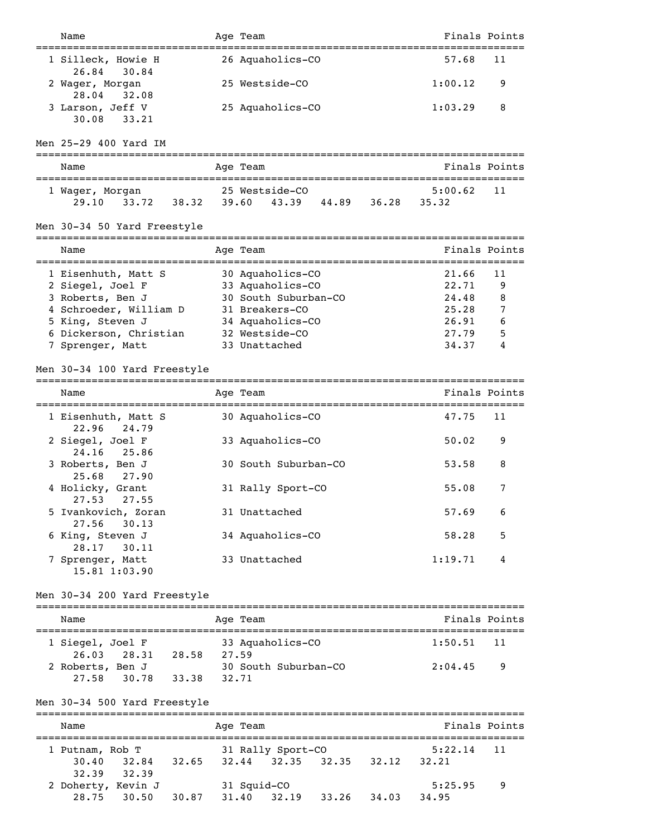| Name                                                      | Age Team                                             | Finals Points    |               |
|-----------------------------------------------------------|------------------------------------------------------|------------------|---------------|
| 1 Silleck, Howie H<br>30.84<br>26.84                      | 26 Aquaholics-CO                                     | 57.68            | 11            |
| 2 Wager, Morgan<br>28.04<br>32.08                         | 25 Westside-CO                                       | 1:00.12          | 9             |
| 3 Larson, Jeff V<br>33.21<br>30.08                        | 25 Aquaholics-CO                                     | 1:03.29          | 8             |
| Men 25-29 400 Yard IM                                     |                                                      |                  |               |
| Name                                                      | Age Team                                             | Finals Points    |               |
| 1 Wager, Morgan<br>29.10 33.72<br>38.32                   | 25 Westside-CO<br>39.60 43.39 44.89 36.28            | 5:00.62<br>35.32 | 11            |
| Men 30-34 50 Yard Freestyle                               |                                                      |                  |               |
| Name                                                      | Age Team                                             | Finals Points    |               |
| 1 Eisenhuth, Matt S                                       | 30 Aquaholics-CO                                     | 21.66            | 11            |
| 2 Siegel, Joel F                                          | 33 Aquaholics-CO                                     | 22.71            | 9             |
| 3 Roberts, Ben J                                          | 30 South Suburban-CO                                 | 24.48            | 8             |
| 4 Schroeder, William D                                    | 31 Breakers-CO                                       | 25.28            | 7             |
| 5 King, Steven J<br>6 Dickerson, Christian                | 34 Aquaholics-CO<br>32 Westside-CO                   | 26.91<br>27.79   | 6             |
|                                                           | 33 Unattached                                        | 34.37            | 5<br>4        |
| 7 Sprenger, Matt                                          |                                                      |                  |               |
| Men 30-34 100 Yard Freestyle                              |                                                      |                  |               |
| Name                                                      | Age Team                                             | Finals Points    |               |
| 1 Eisenhuth, Matt S<br>22.96<br>24.79                     | 30 Aquaholics-CO                                     | 47.75            | 11            |
| 2 Siegel, Joel F<br>24.16<br>25.86                        | 33 Aquaholics-CO                                     | 50.02            | 9             |
| 3 Roberts, Ben J<br>25.68 27.90                           | 30 South Suburban-CO                                 | 53.58            | 8             |
| 4 Holicky, Grant<br>27.53 27.55                           | 31 Rally Sport-CO                                    | 55.08            | 7             |
| 5 Ivankovich, Zoran<br>30.13<br>27.56                     | 31 Unattached                                        | 57.69            | 6             |
| 6 King, Steven J<br>28.17<br>30.11                        | 34 Aquaholics-CO                                     | 58.28            | 5             |
| 7 Sprenger, Matt<br>15.81 1:03.90                         | 33 Unattached                                        | 1:19.71          | 4             |
| Men 30-34 200 Yard Freestyle                              |                                                      |                  |               |
| Name                                                      | Age Team                                             | Finals Points    |               |
| 1 Siegel, Joel F<br>28.31 28.58 27.59<br>26.03            | 33 Aquaholics-CO                                     | 1:50.51          | 11            |
| 2 Roberts, Ben J<br>27.58<br>30.78<br>33.38 32.71         | 30 South Suburban-CO                                 | 2:04.45          | 9             |
| Men 30-34 500 Yard Freestyle                              |                                                      |                  |               |
| Name                                                      | Age Team                                             |                  | Finals Points |
| 1 Putnam, Rob T<br>32.84 32.65<br>30.40<br>32.39<br>32.39 | 31 Rally Sport-CO<br>$32.44$ $32.35$ $32.35$ $32.12$ | 5:22.14<br>32.21 | 11            |
| 2 Doherty, Kevin J<br>30.50<br>30.87<br>28.75             | 31 Squid-CO<br>31.40<br>32.19<br>33.26<br>34.03      | 5:25.95<br>34.95 | 9             |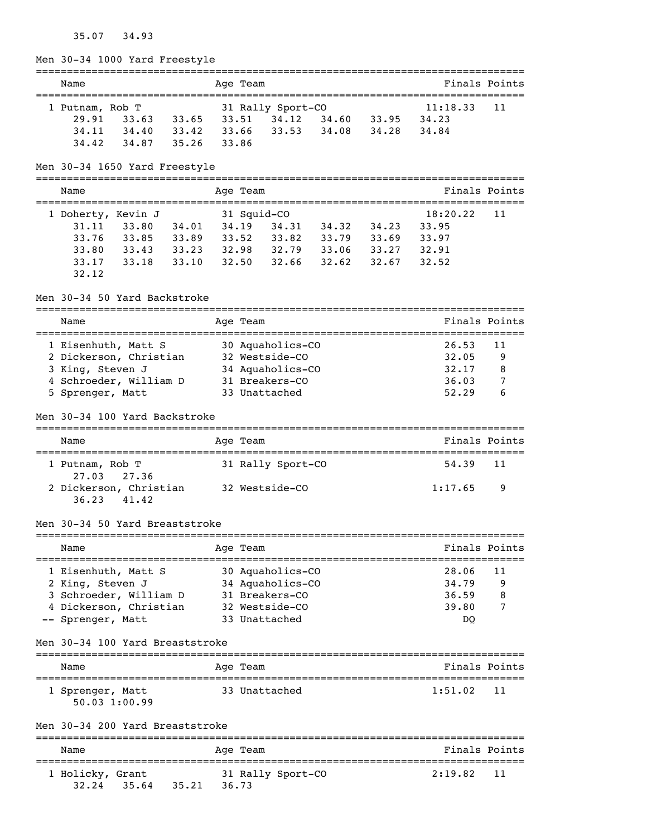# 35.07 34.93

Men 30-34 1000 Yard Freestyle

| Name            |       |       | Age Team        |                   |       |       | Finals Points |    |
|-----------------|-------|-------|-----------------|-------------------|-------|-------|---------------|----|
| 1 Putnam, Rob T |       |       |                 | 31 Rally Sport-CO |       |       | 11:18.33      | 11 |
| 29.91           | 33.63 |       | $33.65$ $33.51$ | 34.12             | 34.60 | 33.95 | 34.23         |    |
| 34, 11          | 34.40 | 33.42 | 33.66           | 33.53             | 34.08 | 34.28 | 34.84         |    |
| 34.42           | 34.87 | 35.26 | 33.86           |                   |       |       |               |    |

Men 30-34 1650 Yard Freestyle

===============================================================================

| Name  |                    |       | Age Team    |       |       |       |          | Finals Points |
|-------|--------------------|-------|-------------|-------|-------|-------|----------|---------------|
|       | 1 Doherty, Kevin J |       | 31 Squid-CO |       |       |       | 18:20.22 | -11           |
| 31.11 | 33.80              | 34.01 | 34.19       | 34.31 | 34.32 | 34.23 | 33.95    |               |
| 33.76 | 33.85              | 33.89 | 33.52       | 33.82 | 33.79 | 33.69 | 33.97    |               |
| 33.80 | 33.43              | 33.23 | 32.98       | 32.79 | 33.06 | 33.27 | 32.91    |               |
| 33.17 | 33.18              | 33.10 | 32.50       | 32.66 | 32.62 | 32.67 | 32.52    |               |
| 32.12 |                    |       |             |       |       |       |          |               |

===============================================================================

#### Men 30-34 50 Yard Backstroke

| Name                                         | Age Team                     |         | Finals Points |
|----------------------------------------------|------------------------------|---------|---------------|
| 1 Eisenhuth, Matt S                          | 30 Aquaholics-CO             | 26.53   | 11            |
| 2 Dickerson, Christian                       | 32 Westside-CO               | 32.05   | 9             |
| 3 King, Steven J                             | 34 Aquaholics-CO             | 32.17   | 8             |
| 4 Schroeder, William D                       | 31 Breakers-CO               | 36.03   | 7             |
| 5 Sprenger, Matt                             | 33 Unattached                | 52.29   | 6             |
| Men 30-34 100 Yard Backstroke                |                              |         |               |
| Name                                         | Age Team                     |         | Finals Points |
| 1 Putnam, Rob T<br>27.03<br>27.36            | 31 Rally Sport-CO            | 54.39   | 11            |
| 2 Dickerson, Christian<br>41.42<br>36.23     | 32 Westside-CO               | 1:17.65 | 9             |
| Men 30-34 50 Yard Breaststroke               |                              |         |               |
| Name                                         | Age Team                     |         | Finals Points |
| 1 Eisenhuth, Matt S                          | 30 Aquaholics-CO             | 28.06   | 11            |
| 2 King, Steven J                             | 34 Aquaholics-CO             | 34.79   | 9             |
| 3 Schroeder, William D                       | 31 Breakers-CO               | 36.59   | 8             |
| 4 Dickerson, Christian                       | 32 Westside-CO               | 39.80   | 7             |
| -- Sprenger, Matt                            | 33 Unattached                | DQ      |               |
| Men 30-34 100 Yard Breaststroke              | ---------------------------- |         |               |
| Name                                         | Aqe Team<br>=======          |         | Finals Points |
| 1 Sprenger, Matt<br>50.03 1:00.99            | 33 Unattached                | 1:51.02 | 11            |
| Men 30-34 200 Yard Breaststroke              |                              |         |               |
| Name                                         | Age Team                     |         | Finals Points |
| 1 Holicky, Grant<br>$32.24$ $35.64$<br>35.21 | 31 Rally Sport-CO<br>36.73   | 2:19.82 | 11            |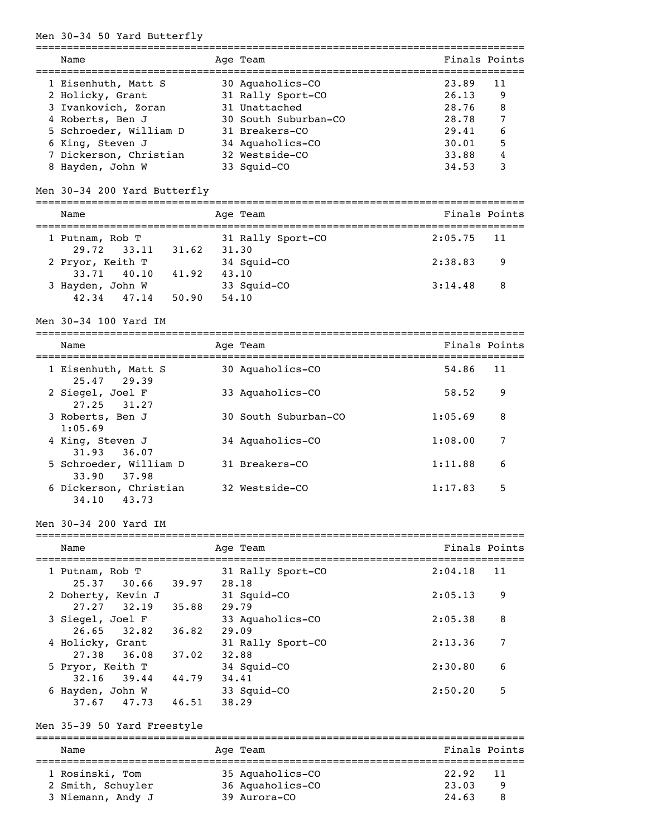#### Men 30-34 50 Yard Butterfly

| Name                   | Age Team             | Finals Points |    |
|------------------------|----------------------|---------------|----|
| 1 Eisenhuth, Matt S    | 30 Aquaholics-CO     | 23.89         | 11 |
| 2 Holicky, Grant       | 31 Rally Sport-CO    | 26.13         | 9  |
| 3 Ivankovich, Zoran    | 31 Unattached        | 28.76         | 8  |
| 4 Roberts, Ben J       | 30 South Suburban-CO | 28.78         | 7  |
| 5 Schroeder, William D | 31 Breakers-CO       | 29.41         | 6  |
| 6 King, Steven J       | 34 Aquaholics-CO     | 30.01         | 5  |
| 7 Dickerson, Christian | 32 Westside-CO       | 33.88         | 4  |
| 8 Hayden, John W       | 33 Sauid-CO          | 34.53         |    |

#### Men 30-34 200 Yard Butterfly

=============================================================================== Name Age Team Age Team Finals Points =============================================================================== 1 Putnam, Rob T 31 Rally Sport-CO 2:05.75 11 29.72 33.11 31.62 31.30 2 Pryor, Keith T 34 Squid-CO 2:38.83 9 33.71 40.10 41.92 43.10 3 Hayden, John W 33 Squid-CO 3:14.48 8 42.34 47.14 50.90 54.10

Men 30-34 100 Yard IM

| Name                                     | Age Team             | Finals Points |    |
|------------------------------------------|----------------------|---------------|----|
| 1 Eisenhuth, Matt S<br>25.47 29.39       | 30 Aquaholics-CO     | 54.86         | 11 |
| 2 Siegel, Joel F<br>$27.25$ $31.27$      | 33 Aquaholics-CO     | 58.52         | 9  |
| 3 Roberts, Ben J<br>1:05.69              | 30 South Suburban-CO | 1:05.69       | 8  |
| 4 King, Steven J<br>$31.93$ $36.07$      | 34 Aquaholics-CO     | 1:08.00       | 7  |
| 5 Schroeder, William D<br>33.90 37.98    | 31 Breakers-CO       | 1:11.88       | 6  |
| 6 Dickerson, Christian<br>34.10<br>43.73 | 32 Westside-CO       | 1:17.83       | 5  |

#### Men 30-34 200 Yard IM

| Name                                |       | Age Team                   | Finals Points |
|-------------------------------------|-------|----------------------------|---------------|
| 1 Putnam, Rob T<br>25.37<br>30.66   | 39.97 | 31 Rally Sport-CO<br>28.18 | 2:04.18<br>11 |
| 2 Doherty, Kevin J                  |       | 31 Squid-CO                | 2:05.13<br>9  |
| 27.27<br>32.19<br>3 Siegel, Joel F  | 35.88 | 29.79<br>33 Aquaholics-CO  | 8<br>2:05.38  |
| $26.65$ $32.82$<br>4 Holicky, Grant | 36.82 | 29.09<br>31 Rally Sport-CO | 7<br>2:13.36  |
| 27.38<br>36.08                      | 37.02 | 32.88                      |               |
| 5 Pryor, Keith T<br>32.16<br>39.44  | 44.79 | 34 Squid-CO<br>34.41       | 6<br>2:30.80  |
| 6 Hayden, John W<br>47.73<br>37.67  | 46.51 | 33 Squid-CO<br>38.29       | 5<br>2:50.20  |

#### Men 35-39 50 Yard Freestyle

=============================================================================== Name **Age Team** Age Team **Finals Points** =============================================================================== 1 Rosinski, Tom 35 Aquaholics-CO 22.92 11 2 Smith, Schuyler 36 Aquaholics-CO 23.03 9 3 Niemann, Andy J 39 Aurora-CO 24.63 8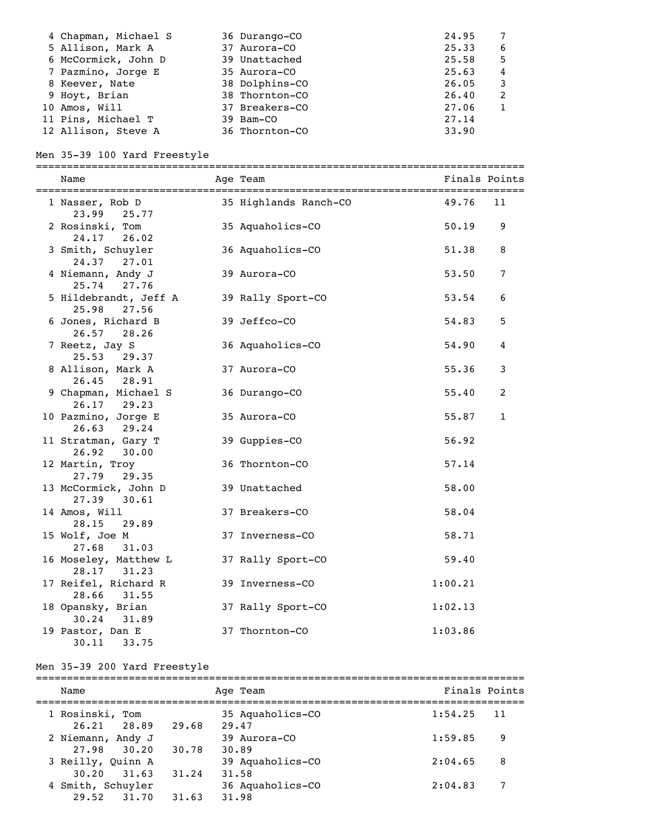| 4 Chapman, Michael S | 36 Durango-CO  | 24.95 |   |
|----------------------|----------------|-------|---|
| 5 Allison, Mark A    | 37 Aurora-CO   | 25.33 | 6 |
| 6 McCormick, John D  | 39 Unattached  | 25.58 | 5 |
| 7 Pazmino, Jorge E   | 35 Aurora-CO   | 25.63 | 4 |
| 8 Keever, Nate       | 38 Dolphins-CO | 26.05 | 3 |
| 9 Hoyt, Brian        | 38 Thornton-CO | 26.40 | 2 |
| 10 Amos, Will        | 37 Breakers-CO | 27.06 |   |
| 11 Pins, Michael T   | 39 Bam-CO      | 27.14 |   |
| 12 Allison, Steve A  | 36 Thornton-CO | 33.90 |   |

# Men 35-39 100 Yard Freestyle

| Name                                    | Age Team              |         | Finals Points  |
|-----------------------------------------|-----------------------|---------|----------------|
| 1 Nasser, Rob D<br>23.99<br>25.77       | 35 Highlands Ranch-CO | 49.76   | 11             |
| 2 Rosinski, Tom<br>24.17 26.02          | 35 Aquaholics-CO      | 50.19   | 9              |
| 3 Smith, Schuyler<br>24.37 27.01        | 36 Aquaholics-CO      | 51.38   | 8              |
| 4 Niemann, Andy J<br>25.74 27.76        | 39 Aurora-CO          | 53.50   | $\overline{7}$ |
| 5 Hildebrandt, Jeff A<br>25.98<br>27.56 | 39 Rally Sport-CO     | 53.54   | 6              |
| 6 Jones, Richard B<br>26.57<br>28.26    | 39 Jeffco-CO          | 54.83   | 5              |
| 7 Reetz, Jay S<br>25.53 29.37           | 36 Aquaholics-CO      | 54.90   | 4              |
| 8 Allison, Mark A<br>26.45<br>28.91     | 37 Aurora-CO          | 55.36   | 3              |
| 9 Chapman, Michael S<br>$26.17$ 29.23   | 36 Durango-CO         | 55.40   | $\overline{c}$ |
| 10 Pazmino, Jorge E<br>26.63<br>29.24   | 35 Aurora-CO          | 55.87   | $1\,$          |
| 11 Stratman, Gary T<br>30.00<br>26.92   | 39 Guppies-CO         | 56.92   |                |
| 12 Martin, Troy<br>27.79 29.35          | 36 Thornton-CO        | 57.14   |                |
| 13 McCormick, John D<br>27.39<br>30.61  | 39 Unattached         | 58.00   |                |
| 14 Amos, Will<br>28.15<br>29.89         | 37 Breakers-CO        | 58.04   |                |
| 15 Wolf, Joe M<br>27.68<br>31.03        | 37 Inverness-CO       | 58.71   |                |
| 16 Moseley, Matthew L<br>28.17 31.23    | 37 Rally Sport-CO     | 59.40   |                |
| 17 Reifel, Richard R<br>28.66<br>31.55  | 39 Inverness-CO       | 1:00.21 |                |
| 18 Opansky, Brian<br>30.24<br>31.89     | 37 Rally Sport-CO     | 1:02.13 |                |
| 19 Pastor, Dan E<br>30.11<br>33.75      | 37 Thornton-CO        | 1:03.86 |                |

# Men 35-39 200 Yard Freestyle

| Name              |       | Age Team         | Finals Points |
|-------------------|-------|------------------|---------------|
| 1 Rosinski, Tom   |       | 35 Aquaholics-CO | 1:54.25<br>11 |
| 26.21 28.89       | 29.68 | 29.47            |               |
| 2 Niemann, Andy J |       | 39 Aurora-CO     | 1:59.85<br>9  |
| 27.98 30.20       | 30.78 | 30.89            |               |
| 3 Reilly, Quinn A |       | 39 Aquaholics-CO | 8<br>2:04.65  |
| $30.20$ $31.63$   | 31.24 | 31.58            |               |
| 4 Smith, Schuyler |       | 36 Aquaholics-CO | 2:04.83<br>7  |
| 29.52 31.70       | 31.63 | 31.98            |               |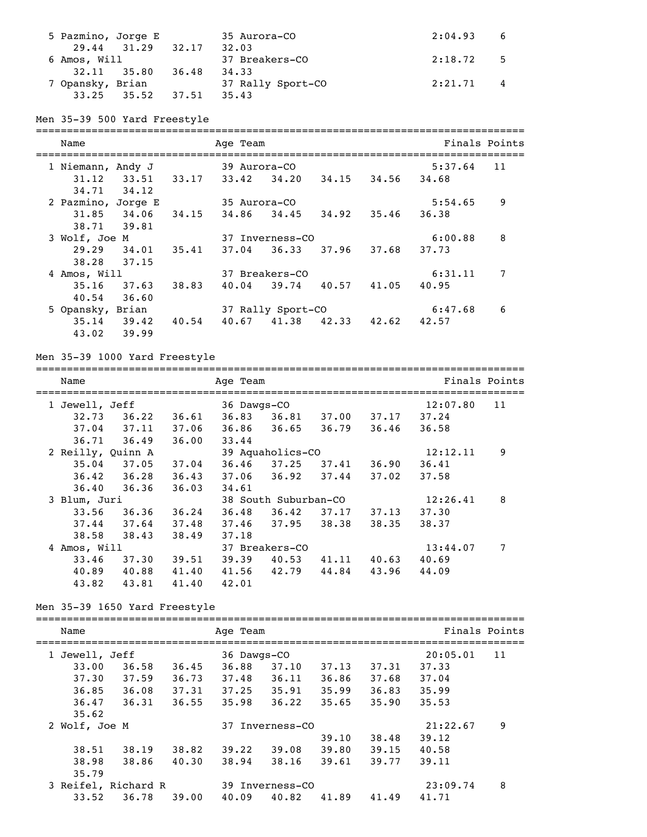| 5 Pazmino, Jorge E      |       | 35 Aurora-CO      | 2:04.93<br>6 |  |
|-------------------------|-------|-------------------|--------------|--|
| 29.44 31.29             | 32.17 | 32.03             |              |  |
| 6 Amos, Will            |       | 37 Breakers-CO    | 2:18.72 5    |  |
| $32.11$ $35.80$         | 36.48 | 34.33             |              |  |
| 7 Opansky, Brian        |       | 37 Rally Sport-CO | 2:21.71 4    |  |
| $33.25$ $35.52$ $37.51$ |       | 35.43             |              |  |

#### Men 35-39 500 Yard Freestyle

=============================================================================== Name **Age Team** Age Team **Finals Points** =============================================================================== 1 Niemann, Andy J 39 Aurora-CO 31.12 33.51 33.17 33.42 34.20 34.15 34.56 34.68 34.71 34.12 2 Pazmino, Jorge E 35 Aurora-CO 5:54.65 9 31.85 34.06 34.15 34.86 34.45 34.92 35.46 36.38 38.71 39.81 3 Wolf, Joe M 37 Inverness-CO 6:00.88 8 29.29 34.01 35.41 37.04 36.33 37.96 37.68 37.73 38.28 37.15 4 Amos, Will 37 Breakers-CO 6:31.11 7 35.16 37.63 38.83 40.04 39.74 40.57 41.05 40.95 40.54 36.60 5 Opansky, Brian 37 Rally Sport-CO 6:47.68 6 35.14 39.42 40.54 40.67 41.38 42.33 42.62 42.57 43.02 39.99

#### Men 35-39 1000 Yard Freestyle

| Name              |                 |       | Age Team                               |                         |       |       |          | Finals Points |
|-------------------|-----------------|-------|----------------------------------------|-------------------------|-------|-------|----------|---------------|
| 1 Jewell, Jeff    |                 |       | =======================<br>36 Dawgs-CO |                         |       |       | 12:07.80 | 11            |
| 32.73             | 36.22           | 36.61 | 36.83                                  | 36.81 37.00             |       | 37.17 | 37.24    |               |
|                   | $37.04$ $37.11$ | 37.06 |                                        | $36.86$ $36.65$         | 36.79 | 36.46 | 36.58    |               |
|                   | $36.71$ $36.49$ | 36.00 | 33.44                                  |                         |       |       |          |               |
| 2 Reilly, Quinn A |                 |       |                                        | 39 Aquaholics-CO        |       |       | 12:12.11 | 9             |
|                   | $35.04$ $37.05$ | 37.04 |                                        | 36.46 37.25             | 37.41 | 36.90 | 36.41    |               |
|                   | $36.42$ $36.28$ | 36.43 |                                        | $37.06$ $36.92$ $37.44$ |       | 37.02 | 37.58    |               |
|                   | $36.40$ $36.36$ | 36.03 | 34.61                                  |                         |       |       |          |               |
| 3 Blum, Juri      |                 |       |                                        | 38 South Suburban-CO    |       |       | 12:26.41 | 8             |
|                   | $33.56$ $36.36$ | 36.24 |                                        | $36.48$ $36.42$ $37.17$ |       | 37.13 | 37.30    |               |
|                   | $37.44$ $37.64$ | 37.48 |                                        | 37.46 37.95 38.38       |       | 38.35 | 38.37    |               |
| 38.58             | 38.43           | 38.49 | 37.18                                  |                         |       |       |          |               |
| 4 Amos, Will      |                 |       |                                        | 37 Breakers-CO          |       |       | 13:44.07 | 7             |
| 33.46             | 37.30           | 39.51 | 39.39                                  | 40.53                   | 41.11 | 40.63 | 40.69    |               |
|                   | 40.89 40.88     | 41.40 | 41.56                                  | 42.79                   | 44.84 | 43.96 | 44.09    |               |
| 43.82             | 43.81           | 41.40 | 42.01                                  |                         |       |       |          |               |

#### Men 35-39 1650 Yard Freestyle

| Name                |       |       | Age Team    |                 |       |       |          | Finals Points |
|---------------------|-------|-------|-------------|-----------------|-------|-------|----------|---------------|
|                     |       |       |             |                 |       |       |          |               |
| 1 Jewell, Jeff      |       |       | 36 Dawgs-CO |                 |       |       | 20:05.01 | 11            |
| 33.00               | 36.58 | 36.45 | 36.88       | 37.10           | 37.13 | 37.31 | 37.33    |               |
| 37.30               | 37.59 | 36.73 | 37.48       | 36.11           | 36.86 | 37.68 | 37.04    |               |
| 36.85               | 36.08 | 37.31 | 37.25       | 35.91           | 35.99 | 36.83 | 35.99    |               |
| 36.47               | 36.31 | 36.55 | 35.98       | 36.22           | 35.65 | 35.90 | 35.53    |               |
| 35.62               |       |       |             |                 |       |       |          |               |
| 2 Wolf, Joe M       |       |       |             | 37 Inverness-CO |       |       | 21:22.67 | 9             |
|                     |       |       |             |                 | 39.10 | 38.48 | 39.12    |               |
| 38.51               | 38.19 | 38.82 | 39.22       | 39.08           | 39.80 | 39.15 | 40.58    |               |
| 38.98               | 38.86 | 40.30 | 38.94       | 38.16           | 39.61 | 39.77 | 39.11    |               |
| 35.79               |       |       |             |                 |       |       |          |               |
| 3 Reifel, Richard R |       |       |             | 39 Inverness-CO |       |       | 23:09.74 | 8             |
| 33.52               | 36.78 | 39.00 | 40.09       | 40.82           | 41.89 | 41.49 | 41.71    |               |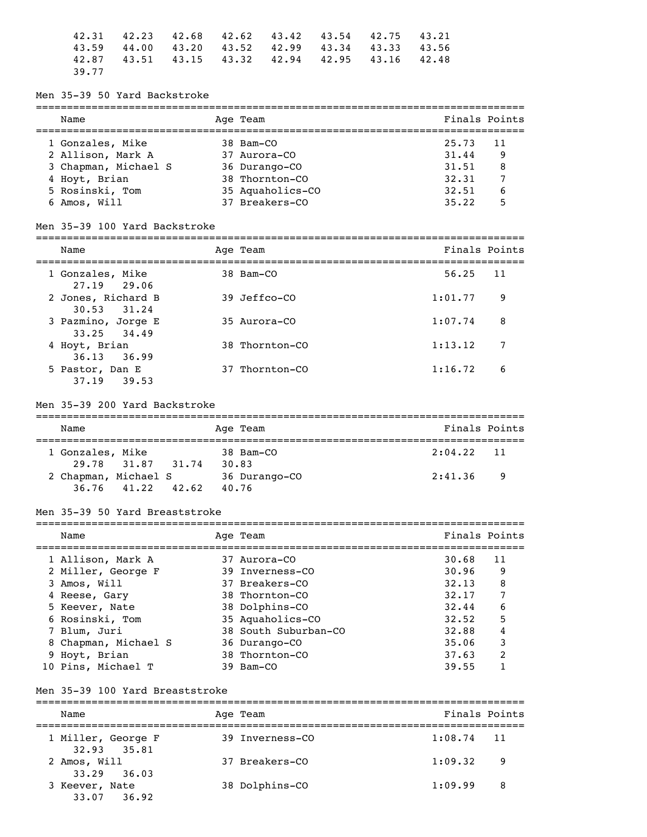|       | $42.31$ $42.23$ $42.68$ $42.62$ $43.42$ $43.54$ $42.75$ $43.21$ |  |  |  |
|-------|-----------------------------------------------------------------|--|--|--|
|       | 43.59 44.00 43.20 43.52 42.99 43.34 43.33 43.56                 |  |  |  |
|       | 42.87 43.51 43.15 43.32 42.94 42.95 43.16 42.48                 |  |  |  |
| 39.77 |                                                                 |  |  |  |

#### Men 35-39 50 Yard Backstroke

| Name                 | Age Team         | Finals Points |
|----------------------|------------------|---------------|
| 1 Gonzales, Mike     | 38 Bam-CO        | 25.73<br>11   |
| 2 Allison, Mark A    | 37 Aurora-CO     | 31.44<br>9    |
| 3 Chapman, Michael S | 36 Durango-CO    | 31.51<br>8    |
| 4 Hoyt, Brian        | 38 Thornton-CO   | 32.31         |
| 5 Rosinski, Tom      | 35 Aquaholics-CO | 32.51<br>6    |
| Amos, Will<br>6.     | 37 Breakers-CO   | 5<br>35.22    |

 $=$ 

#### Men 35-39 100 Yard Backstroke

| Name                                  | Age Team       | Finals Points |       |
|---------------------------------------|----------------|---------------|-------|
| 1 Gonzales, Mike<br>27.19 29.06       | 38 Bam-CO      | 56.25         | $-11$ |
| 2 Jones, Richard B<br>$30.53$ $31.24$ | 39 Jeffco-CO   | 1:01.77       | 9     |
| 3 Pazmino, Jorge E<br>33.25 34.49     | $35$ Aurora-CO | 1:07.74       | 8     |
| 4 Hoyt, Brian<br>$36.13$ $36.99$      | 38 Thornton-CO | 1:13.12       | 7     |
| 5 Pastor, Dan E<br>37.19 39.53        | 37 Thornton-CO | 1:16.72       | 6     |

#### Men 35-39 200 Yard Backstroke

| Name                 |  |       |  | Age Team      | Finals Points |    |  |  |
|----------------------|--|-------|--|---------------|---------------|----|--|--|
| 1 Gonzales, Mike     |  |       |  | 38 Bam-CO     | $2:04.22$ 11  |    |  |  |
| 29.78 31.87          |  | 31.74 |  | 30.83         |               |    |  |  |
| 2 Chapman, Michael S |  |       |  | 36 Durango-CO | 2:41.36       | -9 |  |  |
| $36.76$ 41.22        |  | 42.62 |  | 40.76         |               |    |  |  |

## Men 35-39 50 Yard Breaststroke

| Name                 | Age Team             | Finals Points |                         |
|----------------------|----------------------|---------------|-------------------------|
|                      |                      |               |                         |
| 1 Allison, Mark A    | 37 Aurora-CO         | 30.68         | 11                      |
| 2 Miller, George F   | 39 Inverness-CO      | 30.96         | 9                       |
| 3 Amos, Will         | 37 Breakers-CO       | 32.13         | 8                       |
| 4 Reese, Gary        | 38 Thornton-CO       | 32,17         | 7                       |
| 5 Keever, Nate       | 38 Dolphins-CO       | 32.44         | 6                       |
| 6 Rosinski, Tom      | 35 Aquaholics-CO     | 32.52         | 5                       |
| 7 Blum, Juri         | 38 South Suburban-CO | 32.88         | 4                       |
| 8 Chapman, Michael S | 36 Durango-CO        | 35.06         | 3                       |
| 9 Hoyt, Brian        | 38 Thornton-CO       | 37.63         | $\overline{\mathbf{c}}$ |
| 10 Pins, Michael T   | 39 Bam-CO            | 39.55         |                         |

#### Men 35-39 100 Yard Breaststroke

=============================================================================== Name Age Team Age Team Finals Points =============================================================================== 1 Miller, George F 32.93 35.81 2 Amos, Will 37 Breakers-CO 1:09.32 9 33.29 36.03<br>3 Keever, Nate 38 Dolphins-CO 1:09.99 8 33.07 36.92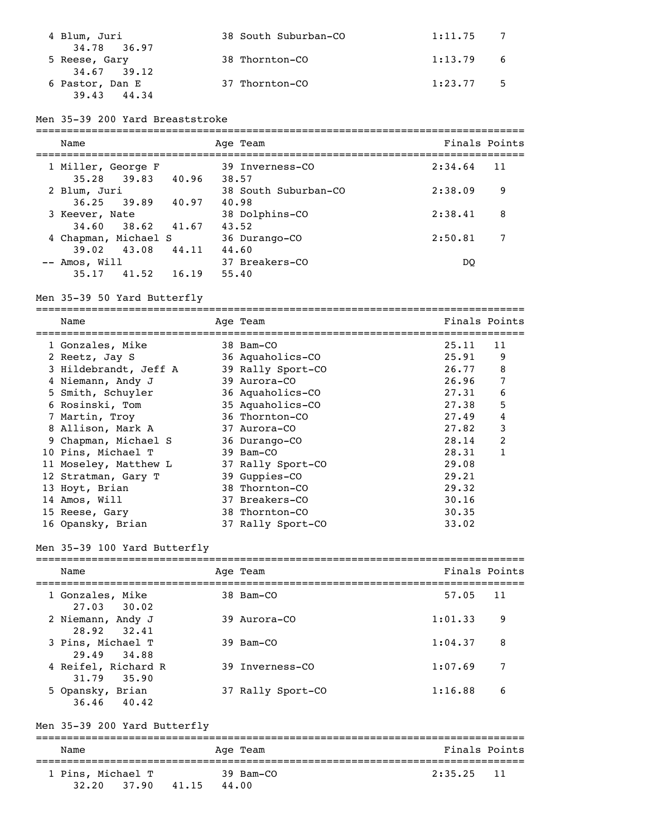| 4 Blum, Juri<br>34.78 36.97       | 38 South Suburban-CO | $1:11.75$ 7 |      |
|-----------------------------------|----------------------|-------------|------|
| 5 Reese, Gary<br>$34.67$ $39.12$  | 38 Thornton-CO       | $1:13.79$ 6 |      |
| 6 Pastor, Dan E<br>39.43<br>44.34 | 37 Thornton-CO       | 1:23.77     | $-5$ |

## Men 35-39 200 Yard Breaststroke

| Name                                    |       | Age Team                 | Finals Points |    |
|-----------------------------------------|-------|--------------------------|---------------|----|
| 1 Miller, George F<br>35.28 39.83 40.96 |       | 39 Inverness-CO<br>38.57 | 2:34.64       | 11 |
| 2 Blum, Juri                            |       | 38 South Suburban-CO     | 2:38.09       | 9  |
| $36.25$ $39.89$                         | 40.97 | 40.98                    |               |    |
| 3 Keever, Nate                          |       | 38 Dolphins-CO           | 2:38.41       | 8  |
| 34.60 38.62                             | 41.67 | 43.52                    |               |    |
| 4 Chapman, Michael S                    |       | 36 Durango-CO            | 2:50.81       | 7  |
| 39.02 43.08                             | 44.11 | 44.60                    |               |    |
| -- Amos, Will                           |       | 37 Breakers-CO           | DO            |    |
| 35.17<br>41.52                          | 16.19 | 55.40                    |               |    |

# Men 35-39 50 Yard Butterfly

===============================================================================

| Name                  | Age Team          | Finals Points |              |
|-----------------------|-------------------|---------------|--------------|
| 1 Gonzales, Mike      | 38 Bam-CO         | 25.11         | 11           |
| 2 Reetz, Jay S        | 36 Aquaholics-CO  | 25.91         | 9            |
| 3 Hildebrandt, Jeff A | 39 Rally Sport-CO | 26.77         | 8            |
| 4 Niemann, Andy J     | 39 Aurora-CO      | 26.96         | 7            |
| 5 Smith, Schuyler     | 36 Aquaholics-CO  | 27.31         | 6            |
| 6 Rosinski, Tom       | 35 Aquaholics-CO  | 27.38         | 5            |
| 7 Martin, Troy        | 36 Thornton-CO    | 27.49         | 4            |
| 8 Allison, Mark A     | 37 Aurora-CO      | 27.82         | 3            |
| 9 Chapman, Michael S  | 36 Durango-CO     | 28.14         | 2            |
| 10 Pins, Michael T    | 39 Bam-CO         | 28.31         | $\mathbf{1}$ |
| 11 Moseley, Matthew L | 37 Rally Sport-CO | 29.08         |              |
| 12 Stratman, Gary T   | 39 Guppies-CO     | 29.21         |              |
| 13 Hoyt, Brian        | 38 Thornton-CO    | 29.32         |              |
| 14 Amos, Will         | 37 Breakers-CO    | 30.16         |              |
| 15 Reese, Gary        | 38 Thornton-CO    | 30.35         |              |
| 16 Opansky, Brian     | 37 Rally Sport-CO | 33.02         |              |

# Men 35-39 100 Yard Butterfly

| Name                                | Age Team          | Finals Points |     |
|-------------------------------------|-------------------|---------------|-----|
| 1 Gonzales, Mike<br>$27.03$ $30.02$ | 38 Bam-CO         | 57.05         | -11 |
| 2 Niemann, Andy J<br>28.92 32.41    | 39 Aurora-CO      | 1:01.33       | 9   |
| 3 Pins, Michael T<br>29.49 34.88    | 39 Bam-CO         | 1:04.37       | 8   |
| 4 Reifel, Richard R<br>31.79 35.90  | 39 Inverness-CO   | 1:07.69       | 7   |
| 5 Opansky, Brian<br>$36.46$ $40.42$ | 37 Rally Sport-CO | 1:16.88       | 6   |

# Men 35-39 200 Yard Butterfly

| Name                       |       |       | Age Team           | Finals Points |  |
|----------------------------|-------|-------|--------------------|---------------|--|
| 1 Pins, Michael T<br>32.20 | 37.90 | 41.15 | 39 Bam-CO<br>44.00 | $2:35.25$ 11  |  |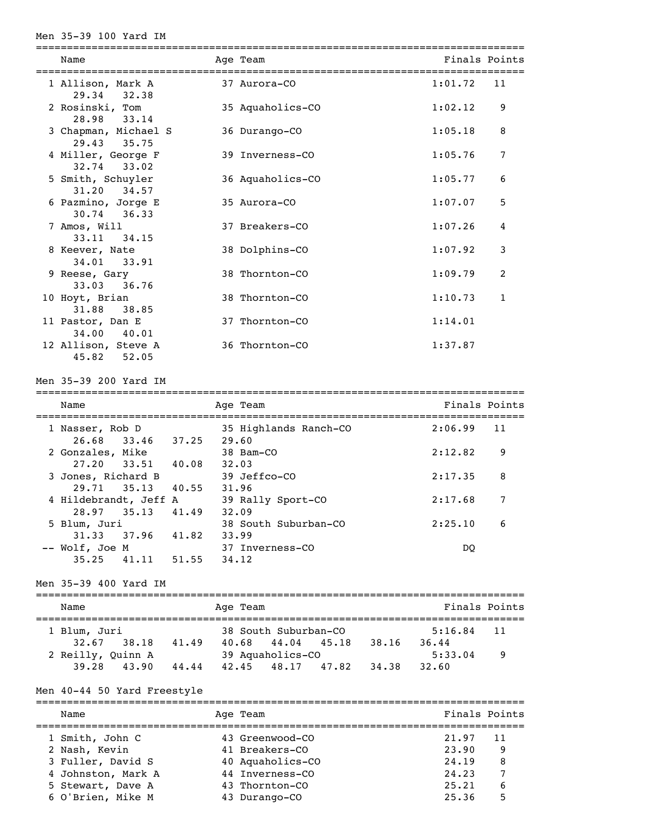#### Men 35-39 100 Yard IM

| Name                                  | Age Team         | Finals Points |              |
|---------------------------------------|------------------|---------------|--------------|
| 1 Allison, Mark A<br>29.34<br>32.38   | 37 Aurora-CO     | 1:01.72       | 11           |
| 2 Rosinski, Tom<br>28.98 33.14        | 35 Aquaholics-CO | 1:02.12       | 9            |
| 3 Chapman, Michael S<br>29.43 35.75   | 36 Durango-CO    | 1:05.18       | 8            |
| 4 Miller, George F<br>32.74 33.02     | 39 Inverness-CO  | 1:05.76       | 7            |
| 5 Smith, Schuyler<br>31.20 34.57      | 36 Aquaholics-CO | 1:05.77       | 6            |
| 6 Pazmino, Jorge E<br>$30.74$ 36.33   | 35 Aurora-CO     | 1:07.07       | 5            |
| 7 Amos, Will<br>33.11 34.15           | 37 Breakers-CO   | 1:07.26       | 4            |
| 8 Keever, Nate<br>34.01 33.91         | 38 Dolphins-CO   | 1:07.92       | 3            |
| 9 Reese, Gary<br>33.03 36.76          | 38 Thornton-CO   | 1:09.79       | 2            |
| 10 Hoyt, Brian<br>31.88 38.85         | 38 Thornton-CO   | 1:10.73       | $\mathbf{1}$ |
| 11 Pastor, Dan E<br>34.00 40.01       | 37 Thornton-CO   | 1:14.01       |              |
| 12 Allison, Steve A<br>45.82<br>52.05 | 36 Thornton-CO   | 1:37.87       |              |

===============================================================================

Men 35-39 200 Yard IM

| Name                  |       |       | Age Team              | Finals Points |    |
|-----------------------|-------|-------|-----------------------|---------------|----|
| 1 Nasser, Rob D       |       |       | 35 Highlands Ranch-CO | 2:06.99       | 11 |
| 26.68 33.46           |       | 37.25 | 29.60                 |               |    |
| 2 Gonzales, Mike      |       |       | 38 Bam-CO             | 2:12.82       | 9  |
| 27.20 33.51 40.08     |       |       | 32.03                 |               |    |
| 3 Jones, Richard B    |       |       | 39 Jeffco-CO          | 2:17.35       | 8  |
| 29.71 35.13           |       | 40.55 | 31.96                 |               |    |
| 4 Hildebrandt, Jeff A |       |       | 39 Rally Sport-CO     | 2:17.68       | 7  |
| 28.97 35.13           |       | 41.49 | 32.09                 |               |    |
| 5 Blum, Juri          |       |       | 38 South Suburban-CO  | 2:25.10       | 6  |
| 31.33                 | 37.96 | 41.82 | 33.99                 |               |    |
| -- Wolf, Joe M        |       |       | 37 Inverness-CO       | DO            |    |
| 35.25                 | 41.11 | 51.55 | 34.12                 |               |    |

Men 35-39 400 Yard IM

| Name              |              |                  | Age Team |                      |         |       | Finals Points |    |  |  |  |
|-------------------|--------------|------------------|----------|----------------------|---------|-------|---------------|----|--|--|--|
|                   | 1 Blum, Juri |                  |          | 38 South Suburban-CO | 5:16.84 | 11    |               |    |  |  |  |
|                   | 32.67 38.18  | 41.49            | 40.68    | 44.04 45.18          |         | 38.16 | 36.44         |    |  |  |  |
| 2 Reilly, Quinn A |              | 39 Aquaholics-CO |          |                      |         |       | 5:33.04       | -9 |  |  |  |
|                   | 39.28 43.90  | 44.44            | 42.45    | 48.17 47.82          |         | 34.38 | 32.60         |    |  |  |  |

#### Men 40-44 50 Yard Freestyle

=============================================================================== Name Age Team Age Team Finals Points =============================================================================== 1 Smith, John C 43 Greenwood-CO 21.97 11 2 Nash, Kevin 41 Breakers-CO 23.90 9 3 Fuller, David S 40 Aquaholics-CO 24.19 8 4 Johnston, Mark A 44 Inverness-CO 24.23 7 5 Stewart, Dave A 43 Thornton-CO 25.21 6 6 O'Brien, Mike M 43 Durango-CO 25.36 5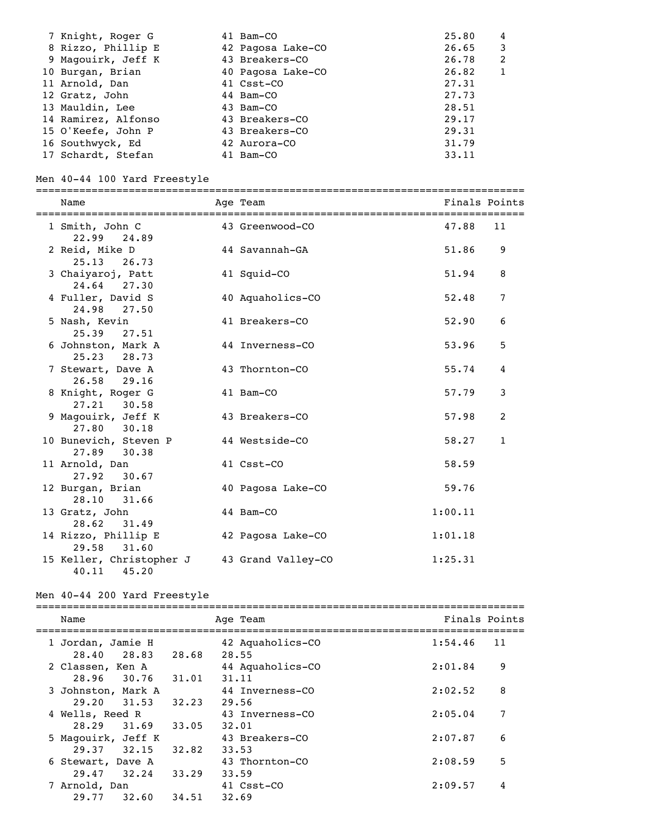| 7 Knight, Roger G   | 41 Bam-CO         | 25.80<br>4 |
|---------------------|-------------------|------------|
| 8 Rizzo, Phillip E  | 42 Pagosa Lake-CO | 26.65<br>3 |
| 9 Magouirk, Jeff K  | 43 Breakers-CO    | 26.78<br>2 |
| 10 Burgan, Brian    | 40 Pagosa Lake-CO | 26.82      |
| 11 Arnold, Dan      | 41 Csst-CO        | 27.31      |
| 12 Gratz, John      | 44 Bam-CO         | 27.73      |
| 13 Mauldin, Lee     | 43 Bam-CO         | 28.51      |
| 14 Ramirez, Alfonso | 43 Breakers-CO    | 29.17      |
| 15 O'Keefe, John P  | 43 Breakers-CO    | 29.31      |
| 16 Southwyck, Ed    | 42 Aurora-CO      | 31.79      |
| 17 Schardt, Stefan  | 41 Bam-CO         | 33.11      |

# Men 40-44 100 Yard Freestyle

| Name                                       | Age Team           |         | Finals Points |
|--------------------------------------------|--------------------|---------|---------------|
| 1 Smith, John C<br>22.99 24.89             | 43 Greenwood-CO    | 47.88   | 11            |
| 2 Reid, Mike D<br>25.13<br>26.73           | 44 Savannah-GA     | 51.86   | 9             |
| 3 Chaiyaroj, Patt<br>24.64 27.30           | 41 Squid-CO        | 51.94   | 8             |
| 4 Fuller, David S<br>24.98 27.50           | 40 Aquaholics-CO   | 52.48   | 7             |
| 5 Nash, Kevin<br>25.39<br>27.51            | 41 Breakers-CO     | 52.90   | 6             |
| 6 Johnston, Mark A<br>25.23 28.73          | 44 Inverness-CO    | 53.96   | 5             |
| 7 Stewart, Dave A<br>26.58 29.16           | 43 Thornton-CO     | 55.74   | 4             |
| 8 Knight, Roger G<br>27.21 30.58           | 41 Bam-CO          | 57.79   | 3             |
| 9 Magouirk, Jeff K<br>27.80 30.18          | 43 Breakers-CO     | 57.98   | 2             |
| 10 Bunevich, Steven P<br>27.89 30.38       | 44 Westside-CO     | 58.27   | $\mathbf{1}$  |
| 11 Arnold, Dan<br>27.92<br>30.67           | 41 Csst-CO         | 58.59   |               |
| 12 Burgan, Brian<br>28.10<br>31.66         | 40 Pagosa Lake-CO  | 59.76   |               |
| 13 Gratz, John<br>28.62 31.49              | 44 Bam-CO          | 1:00.11 |               |
| 14 Rizzo, Phillip E<br>31.60<br>29.58      | 42 Pagosa Lake-CO  | 1:01.18 |               |
| 15 Keller, Christopher J<br>40.11<br>45.20 | 43 Grand Valley-CO | 1:25.31 |               |

# Men 40-44 200 Yard Freestyle<br>==============================

| Name                                      |       | Age Team                  | Finals Points |
|-------------------------------------------|-------|---------------------------|---------------|
| 1 Jordan, Jamie H<br>28.40 28.83          | 28.68 | 42 Aquaholics-CO<br>28.55 | 1:54.46<br>11 |
| 2 Classen, Ken A<br>28.96 30.76 31.01     |       | 44 Aquaholics-CO<br>31.11 | 9<br>2:01.84  |
| 3 Johnston, Mark A<br>$29.20 \quad 31.53$ | 32.23 | 44 Inverness-CO<br>29.56  | 8<br>2:02.52  |
| 4 Wells, Reed R<br>28.29<br>31.69         | 33.05 | 43 Inverness-CO<br>32.01  | 7<br>2:05.04  |
| 5 Magouirk, Jeff K<br>$29.37$ $32.15$     | 32.82 | 43 Breakers-CO<br>33.53   | 6<br>2:07.87  |
| 6 Stewart, Dave A<br>29.47 32.24          | 33.29 | 43 Thornton-CO<br>33.59   | 5<br>2:08.59  |
| 7 Arnold, Dan<br>32.60<br>29.77           | 34.51 | 41 Csst-CO<br>32.69       | 2:09.57<br>4  |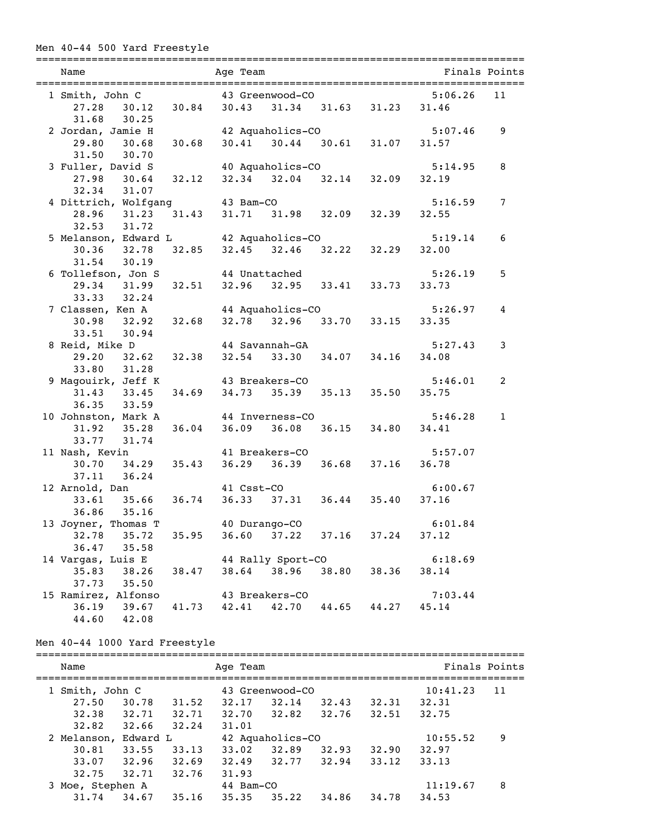# Men 40-44 500 Yard Freestyle

| Name                                                                                       | ============================                                                            | Age Team                      |                   |                                         |       | =============================== | Finals Points |
|--------------------------------------------------------------------------------------------|-----------------------------------------------------------------------------------------|-------------------------------|-------------------|-----------------------------------------|-------|---------------------------------|---------------|
| 1 Smith, John C 43 Greenwood-CO                                                            |                                                                                         |                               |                   |                                         |       | 5:06.26                         | 11            |
|                                                                                            | 27.28 30.12 30.84 30.43 31.34 31.63 31.23 31.46                                         |                               |                   |                                         |       |                                 |               |
| 31.68 30.25                                                                                |                                                                                         |                               |                   |                                         |       |                                 |               |
|                                                                                            |                                                                                         |                               |                   |                                         |       | 5:07.46                         | 9             |
| 2 Jordan, Jamie H 42 Aquaholics-CO 5:07<br>29.80 30.68 30.68 30.41 30.44 30.61 31.07 31.57 |                                                                                         |                               |                   |                                         |       |                                 |               |
| 31.50 30.70                                                                                |                                                                                         |                               |                   |                                         |       |                                 |               |
| 3 Fuller, David S 40 Aquaholics-CO                                                         |                                                                                         |                               |                   |                                         |       | 5:14.95                         | 8             |
|                                                                                            | iller, David S 40 Aquaholics-CO 5:1.<br>27.98 30.64 32.12 32.34 32.04 32.14 32.09 32.19 |                               |                   |                                         |       |                                 |               |
| 32.34 31.07                                                                                |                                                                                         |                               |                   |                                         |       |                                 |               |
| 4 Dittrich, Wolfgang 43 Bam-CO                                                             |                                                                                         |                               |                   |                                         |       | 5:16.59                         | 7             |
| 28.96 31.23                                                                                |                                                                                         | 31.43 31.71 31.98 32.09 32.39 |                   |                                         |       | 32.55                           |               |
| 32.53 31.72                                                                                |                                                                                         |                               |                   |                                         |       |                                 |               |
| 5 Melanson, Edward L 42 Aquaholics-CO                                                      |                                                                                         |                               |                   |                                         |       | 5:19.14                         | 6             |
|                                                                                            | 30.36 32.78 32.85                                                                       |                               |                   | $32.45$ $32.46$ $32.22$ $32.29$ $32.00$ |       |                                 |               |
| 31.54 30.19                                                                                |                                                                                         |                               |                   |                                         |       |                                 |               |
| 6 Tollefson, Jon S 44 Unattached                                                           |                                                                                         |                               |                   |                                         |       | 5:26.19                         | 5             |
|                                                                                            | 29.34 31.99 32.51                                                                       |                               |                   | 32.96 32.95 33.41 33.73                 |       | 33.73                           |               |
| 33.33 32.24                                                                                |                                                                                         |                               |                   |                                         |       |                                 |               |
|                                                                                            |                                                                                         |                               |                   |                                         |       | 5:26.97                         | 4             |
| 7 Classen, Ken A<br>30.98 32.92 32.68 32.78 32.96 33.70 33.15 33.35                        |                                                                                         |                               |                   |                                         |       |                                 |               |
| 33.51 30.94                                                                                |                                                                                         |                               |                   |                                         |       |                                 |               |
| 8 Reid, Mike D                                                                             | id, Mike D 44 Savannah-GA 5:2<br>29.20 32.62 32.38 32.54 33.30 34.07 34.16 34.08        |                               |                   |                                         |       | 5:27.43                         | 3             |
|                                                                                            |                                                                                         |                               |                   |                                         |       |                                 |               |
| 33.80 31.28                                                                                |                                                                                         |                               |                   |                                         |       |                                 |               |
| 9 Magouirk, Jeff K 43 Breakers-CO                                                          |                                                                                         |                               |                   |                                         |       | 5:46.01                         | 2             |
|                                                                                            | 31.43 33.45 34.69 34.73 35.39 35.13 35.50 35.75                                         |                               |                   |                                         |       |                                 |               |
| 36.35 33.59                                                                                |                                                                                         |                               |                   |                                         |       |                                 |               |
| 10 Johnston, Mark A                                                                        |                                                                                         |                               | 44 Inverness-CO   |                                         |       | 5:46.28                         | $\mathbf{1}$  |
|                                                                                            | 31.92 35.28 36.04                                                                       |                               |                   | 36.09 36.08 36.15 34.80                 |       | 34.41                           |               |
| 33.77 31.74                                                                                |                                                                                         |                               |                   |                                         |       |                                 |               |
| 11 Nash, Kevin                                                                             |                                                                                         |                               | 41 Breakers-CO    |                                         |       | 5:57.07                         |               |
|                                                                                            | $30.70$ $34.29$ $35.43$                                                                 |                               |                   | 36.29 36.39 36.68 37.16                 |       | 36.78                           |               |
| $37.11$ $36.24$                                                                            |                                                                                         |                               |                   |                                         |       |                                 |               |
| 12 Arnold, Dan                                                                             |                                                                                         | 41 Csst-CO                    |                   |                                         |       | 6:00.67                         |               |
|                                                                                            | 33.61 35.66 36.74                                                                       |                               |                   | 36.33 37.31 36.44 35.40                 |       | 37.16                           |               |
| 36.86 35.16                                                                                |                                                                                         |                               |                   |                                         |       |                                 |               |
| 13 Joyner, Thomas T                                                                        |                                                                                         | 40 Durango-CO                 |                   |                                         |       | 6:01.84                         |               |
| 32.78                                                                                      | 35.72<br>35.95                                                                          | 36.60                         | 37.22             | 37.16                                   | 37.24 | 37.12                           |               |
| 36.47                                                                                      | 35.58                                                                                   |                               |                   |                                         |       |                                 |               |
| 14 Vargas, Luis E                                                                          |                                                                                         |                               | 44 Rally Sport-CO |                                         |       | 6:18.69                         |               |
| 35.83                                                                                      | 38.26<br>38.47                                                                          |                               | 38.64 38.96       | 38.80                                   | 38.36 | 38.14                           |               |
| 37.73                                                                                      | 35.50                                                                                   |                               |                   |                                         |       |                                 |               |
| 15 Ramirez, Alfonso                                                                        |                                                                                         |                               | 43 Breakers-CO    |                                         |       | 7:03.44                         |               |
| 36.19                                                                                      | 41.73<br>39.67                                                                          | 42.41                         | 42.70             | 44.65                                   | 44.27 | 45.14                           |               |
| 44.60                                                                                      | 42.08                                                                                   |                               |                   |                                         |       |                                 |               |

# Men 40-44 1000 Yard Freestyle

| Name             |          |       |                  | Age Team        |       |       |          | Finals Points |  |  |
|------------------|----------|-------|------------------|-----------------|-------|-------|----------|---------------|--|--|
| Smith, John C    |          |       |                  | 43 Greenwood-CO |       |       |          | 11            |  |  |
| 27.50            | 30.78    | 31.52 | 32.17            | 32.14           | 32.43 | 32.31 | 32.31    |               |  |  |
| 32.38            | 32.71    | 32.71 | 32.70            | 32.82           | 32.76 | 32.51 | 32.75    |               |  |  |
| 32.82            | 32.66    | 32.24 | 31.01            |                 |       |       |          |               |  |  |
| 2 Melanson,      | Edward L |       | 42 Aquaholics-CO |                 |       |       | 10:55.52 | 9             |  |  |
| 30.81            | 33.55    | 33.13 | 33.02            | 32.89           | 32.93 | 32.90 | 32.97    |               |  |  |
| 33.07            | 32.96    | 32.69 | 32.49            | 32.77           | 32.94 | 33.12 | 33.13    |               |  |  |
| 32.75            | 32.71    | 32.76 | 31.93            |                 |       |       |          |               |  |  |
| 3 Moe, Stephen A |          |       | 44 Bam-CO        |                 |       |       | 11:19.67 | 8             |  |  |
| 31.74            | 34.67    | 35.16 | 35.35            | 35.22           | 34.86 | 34.78 | 34.53    |               |  |  |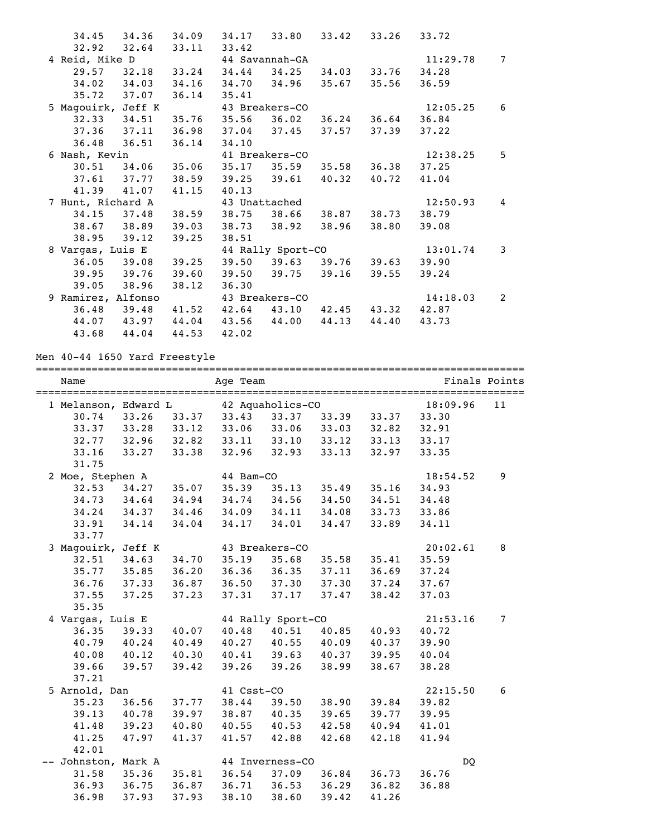|                    | 34.45 34.36 34.09 34.17 33.80 33.42 33.26 |       |                         |                         |       |                   | 33.72    |                |
|--------------------|-------------------------------------------|-------|-------------------------|-------------------------|-------|-------------------|----------|----------------|
|                    | $32.92$ $32.64$                           | 33.11 | 33.42                   |                         |       |                   |          |                |
| 4 Reid, Mike D     |                                           |       | 44 Savannah-GA          |                         |       |                   | 11:29.78 | $\overline{7}$ |
|                    | 29.57 32.18 33.24 34.44                   |       |                         | 34.25                   |       | 34.03 33.76       | 34.28    |                |
|                    | 34.02 34.03 34.16 34.70 34.96 35.67 35.56 |       |                         |                         |       |                   | 36.59    |                |
|                    | 35.72 37.07                               | 36.14 | 35.41                   |                         |       |                   |          |                |
| 5 Magouirk, Jeff K |                                           |       | 43 Breakers-CO          |                         |       |                   | 12:05.25 | 6              |
|                    | $32.33$ $34.51$                           |       | $35.76$ $35.56$ $36.02$ |                         |       | $36.24$ $36.64$   | 36.84    |                |
|                    | $37.36$ $37.11$                           | 36.98 | 37.04 37.45 37.57       |                         |       | 37.39             | 37.22    |                |
| 36.48              | 36.51                                     | 36.14 | 34.10                   |                         |       |                   |          |                |
| 6 Nash, Kevin      |                                           |       |                         | 41 Breakers-CO          |       |                   | 12:38.25 | 5              |
|                    | 30.51 34.06 35.06                         |       | $35.17$ $35.59$         |                         | 35.58 | 36.38             | 37.25    |                |
|                    | $37.61$ $37.77$                           | 38.59 | 39.25 39.61             |                         | 40.32 | 40.72             | 41.04    |                |
|                    | 41.39 41.07                               | 41.15 | 40.13                   |                         |       |                   |          |                |
| 7 Hunt, Richard A  |                                           |       |                         | 43 Unattached           |       |                   | 12:50.93 | 4              |
|                    | 34.15 37.48                               |       | 38.59 38.75 38.66       |                         |       | 38.87 38.73       | 38.79    |                |
|                    | 38.67 38.89                               | 39.03 | 38.73 38.92             |                         | 38.96 | 38.80             | 39.08    |                |
| 38.95              | 39.12                                     | 39.25 | 38.51                   |                         |       |                   |          |                |
| 8 Vargas, Luis E   |                                           |       |                         | 44 Rally Sport-CO       |       |                   | 13:01.74 | 3              |
|                    | $36.05$ $39.08$                           | 39.25 |                         | $39.50$ $39.63$ $39.76$ |       | 39.63             | 39.90    |                |
|                    | 39.95 39.76                               | 39.60 |                         | 39.50 39.75 39.16       |       | 39.55             | 39.24    |                |
| 39.05              | 38.96                                     | 38.12 | 36.30                   |                         |       |                   |          |                |
| 9 Ramirez, Alfonso |                                           |       |                         | 43 Breakers-CO          |       |                   | 14:18.03 | 2              |
|                    | $36.48$ $39.48$                           |       | $41.52$ $42.64$ $43.10$ |                         |       | 42.45 43.32 42.87 |          |                |
|                    | 44.07 43.97 44.04                         |       | 43.56                   | 44.00                   | 44.13 | 44.40             | 43.73    |                |
| 43.68              | 44.04                                     | 44.53 | 42.02                   |                         |       |                   |          |                |

# Men 40-44 1650 Yard Freestyle

| Name<br>===================================== |                 |             | ================================== | Finals Points     |                         |             |          |    |
|-----------------------------------------------|-----------------|-------------|------------------------------------|-------------------|-------------------------|-------------|----------|----|
| 1 Melanson, Edward L                          |                 |             |                                    | 42 Aquaholics-CO  |                         |             | 18:09.96 | 11 |
| 30.74                                         | 33.26           | 33.37       | 33.43 33.37                        |                   |                         | 33.39 33.37 | 33.30    |    |
| 33.37                                         | 33.28 33.12     |             | 33.06                              |                   | 33.06 33.03             | 32.82       | 32.91    |    |
| 32.77                                         | 32.96 32.82     |             | 33.11                              | $33.10$ $33.12$   |                         | 33.13       | 33.17    |    |
| 33.16                                         | 33.27           | 33.38       | 32.96                              | 32.93             | 33.13                   | 32.97       | 33.35    |    |
| 31.75                                         |                 |             |                                    |                   |                         |             |          |    |
| 2 Moe, Stephen A                              |                 |             | 44 Bam-CO                          |                   |                         |             | 18:54.52 | 9  |
| 32.53                                         | 34.27 35.07     |             | 35.39                              | 35.13             | 35.49                   | 35.16       | 34.93    |    |
| 34.73                                         | 34.64           | 34.94       |                                    | 34.74 34.56 34.50 |                         | 34.51       | 34.48    |    |
| 34.24                                         | 34.37 34.46     |             |                                    |                   | 34.09 34.11 34.08       | 33.73       | 33.86    |    |
| 33.91                                         | 34.14           | 34.04       | 34.17                              | 34.01             | 34.47                   | 33.89       | 34.11    |    |
| 33.77                                         |                 |             |                                    |                   |                         |             |          |    |
| 3 Magouirk, Jeff K                            |                 |             |                                    | 43 Breakers-CO    |                         |             | 20:02.61 | 8  |
| 32.51                                         | 34.63           | 34.70       | 35.19                              | 35.68             | 35.58                   | 35.41       | 35.59    |    |
| 35.77                                         | 35.85 36.20     |             |                                    |                   | $36.36$ $36.35$ $37.11$ | 36.69       | 37.24    |    |
| 36.76                                         | 37.33 36.87     |             | 36.50                              |                   | 37.30 37.30             | 37.24       | 37.67    |    |
| 37.55                                         | 37.25           | 37.23       | 37.31                              | 37.17             | 37.47                   | 38.42       | 37.03    |    |
| 35.35                                         |                 |             |                                    |                   |                         |             |          |    |
| 4 Vargas, Luis E                              |                 |             |                                    | 44 Rally Sport-CO |                         |             | 21:53.16 | 7  |
| 36.35                                         | 39.33 40.07     |             |                                    |                   | 40.48 40.51 40.85       | 40.93       | 40.72    |    |
| 40.79                                         | 40.24 40.49     |             |                                    |                   | 40.27 40.55 40.09       | 40.37       | 39.90    |    |
| 40.08                                         | 40.12 40.30     |             |                                    |                   | 40.41 39.63 40.37       | 39.95       | 40.04    |    |
| 39.66                                         | 39.57           | 39.42       | 39.26                              | 39.26 38.99       |                         | 38.67       | 38.28    |    |
| 37.21                                         |                 |             |                                    |                   |                         |             |          |    |
| 5 Arnold, Dan                                 |                 |             | 41 Csst-CO                         |                   |                         |             | 22:15.50 | 6  |
| 35.23                                         |                 | 36.56 37.77 | 38.44                              |                   | 39.50 38.90             | 39.84       | 39.82    |    |
| 39.13                                         | 40.78 39.97     |             |                                    |                   | 38.87 40.35 39.65       | 39.77       | 39.95    |    |
| 41.48                                         | 39.23 40.80     |             |                                    |                   | 40.55 40.53 42.58       | 40.94       | 41.01    |    |
| 41.25                                         | 47.97           | 41.37       | 41.57                              | 42.88             | 42.68                   | 42.18       | 41.94    |    |
| 42.01                                         |                 |             |                                    |                   |                         |             |          |    |
| -- Johnston, Mark A                           |                 |             |                                    | 44 Inverness-CO   |                         |             | DQ       |    |
| 31.58                                         | $35.36$ $35.81$ |             | 36.54                              | 37.09             | 36.84                   | 36.73       | 36.76    |    |
| 36.93                                         | 36.75 36.87     |             | 36.71                              |                   | 36.53 36.29 36.82       |             | 36.88    |    |
| 36.98                                         | 37.93           | 37.93       | 38.10                              | 38.60             | 39.42                   | 41.26       |          |    |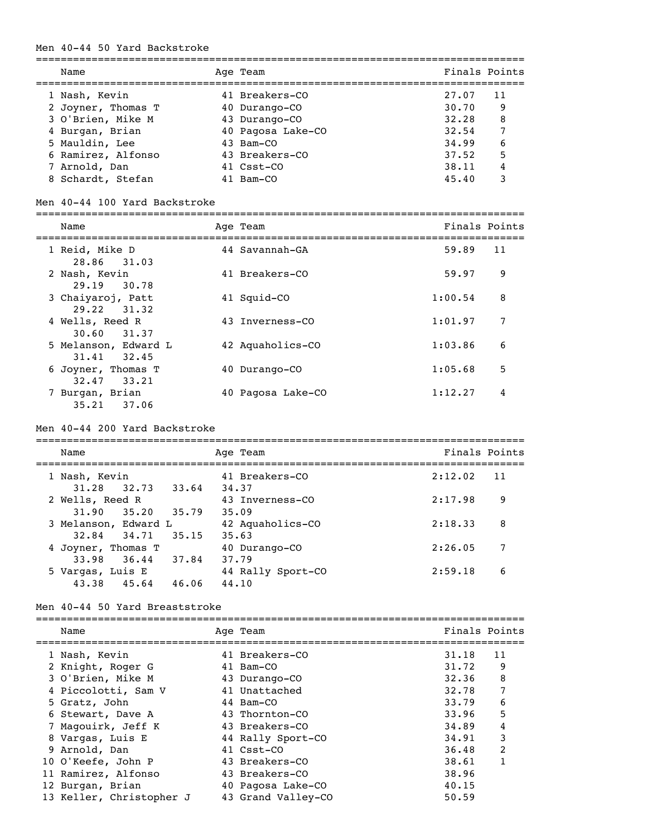### Men 40-44 50 Yard Backstroke

| Name               | Age Team          | Finals Points |  |
|--------------------|-------------------|---------------|--|
| 1 Nash, Kevin      | 41 Breakers-CO    | 27.07<br>11   |  |
| 2 Joyner, Thomas T | 40 Durango-CO     | 30.70<br>9    |  |
| 3 O'Brien, Mike M  | 43 Durango-CO     | 8<br>32.28    |  |
| 4 Burgan, Brian    | 40 Pagosa Lake-CO | 7<br>32.54    |  |
| 5 Mauldin, Lee     | 43 Bam-CO         | 6<br>34.99    |  |
| 6 Ramirez, Alfonso | 43 Breakers-CO    | 5<br>37.52    |  |
| 7 Arnold, Dan      | 41 Csst-CO        | 4<br>38.11    |  |
| 8 Schardt, Stefan  | 41 Bam-CO         | 45.40<br>3    |  |

#### Men 40-44 100 Yard Backstroke

| Name                                | Age Team          |         | Finals Points |
|-------------------------------------|-------------------|---------|---------------|
| 1 Reid, Mike D<br>28.86 31.03       | 44 Savannah-GA    | 59.89   | 11            |
| 2 Nash, Kevin<br>29.19 30.78        | 41 Breakers-CO    | 59.97   | 9             |
| 3 Chaiyaroj, Patt<br>29.22 31.32    | 41 Squid-CO       | 1:00.54 | 8             |
| 4 Wells, Reed R<br>30.60 31.37      | 43 Inverness-CO   | 1:01.97 | 7             |
| 5 Melanson, Edward L<br>31.41 32.45 | 42 Aquaholics-CO  | 1:03.86 | 6             |
| 6 Joyner, Thomas T<br>32.47 33.21   | 40 Durango-CO     | 1:05.68 | 5             |
| Burgan, Brian<br>37.06<br>35.21     | 40 Pagosa Lake-CO | 1:12.27 | 4             |

#### Men 40-44 200 Yard Backstroke

| Name                 |             |       | Age Team          | Finals Points |  |
|----------------------|-------------|-------|-------------------|---------------|--|
| 1 Nash, Kevin        |             |       | 41 Breakers-CO    | 2:12.02<br>11 |  |
| 31.28                | 32.73 33.64 |       | 34.37             |               |  |
| 2 Wells, Reed R      |             |       | 43 Inverness-CO   | 2:17.98<br>9  |  |
| 31.90                | 35.20       | 35.79 | 35.09             |               |  |
| 3 Melanson, Edward L |             |       | 42 Aquaholics-CO  | 2:18.33<br>8  |  |
| 32.84                | 34.71       | 35.15 | 35.63             |               |  |
| 4 Joyner, Thomas T   |             |       | 40 Durango-CO     | 7<br>2:26.05  |  |
| 33.98                | 36.44       | 37.84 | 37.79             |               |  |
| 5 Vargas, Luis E     |             |       | 44 Rally Sport-CO | 2:59.18<br>6  |  |
| 43.38                | 45.64       | 46.06 | 44.10             |               |  |

# Men 40-44 50 Yard Breaststroke

| Name                     |  |                                                                                                                                                                                                                                              |                |
|--------------------------|--|----------------------------------------------------------------------------------------------------------------------------------------------------------------------------------------------------------------------------------------------|----------------|
| 1 Nash, Kevin            |  | 31.18                                                                                                                                                                                                                                        | 11             |
| 2 Knight, Roger G        |  | 31.72                                                                                                                                                                                                                                        | 9              |
| 3 O'Brien, Mike M        |  | 32.36                                                                                                                                                                                                                                        | 8              |
| 4 Piccolotti, Sam V      |  | 32.78                                                                                                                                                                                                                                        |                |
| 5 Gratz, John            |  | 33.79                                                                                                                                                                                                                                        | 6              |
| 6 Stewart, Dave A        |  | 33.96                                                                                                                                                                                                                                        | 5              |
| 7 Magouirk, Jeff K       |  | 34.89                                                                                                                                                                                                                                        | 4              |
| 8 Vargas, Luis E         |  | 34.91                                                                                                                                                                                                                                        | 3              |
| 9 Arnold, Dan            |  | 36.48                                                                                                                                                                                                                                        | $\overline{2}$ |
| 10 O'Keefe, John P       |  | 38.61                                                                                                                                                                                                                                        |                |
| 11 Ramirez, Alfonso      |  | 38.96                                                                                                                                                                                                                                        |                |
| 12 Burgan, Brian         |  | 40.15                                                                                                                                                                                                                                        |                |
| 13 Keller, Christopher J |  | 50.59                                                                                                                                                                                                                                        |                |
|                          |  | Age Team<br>41 Breakers-CO<br>41 Bam-CO<br>43 Durango-CO<br>41 Unattached<br>44 Bam-CO<br>43 Thornton-CO<br>43 Breakers-CO<br>44 Rally Sport-CO<br>41 Csst-CO<br>43 Breakers-CO<br>43 Breakers-CO<br>40 Pagosa Lake-CO<br>43 Grand Valley-CO | Finals Points  |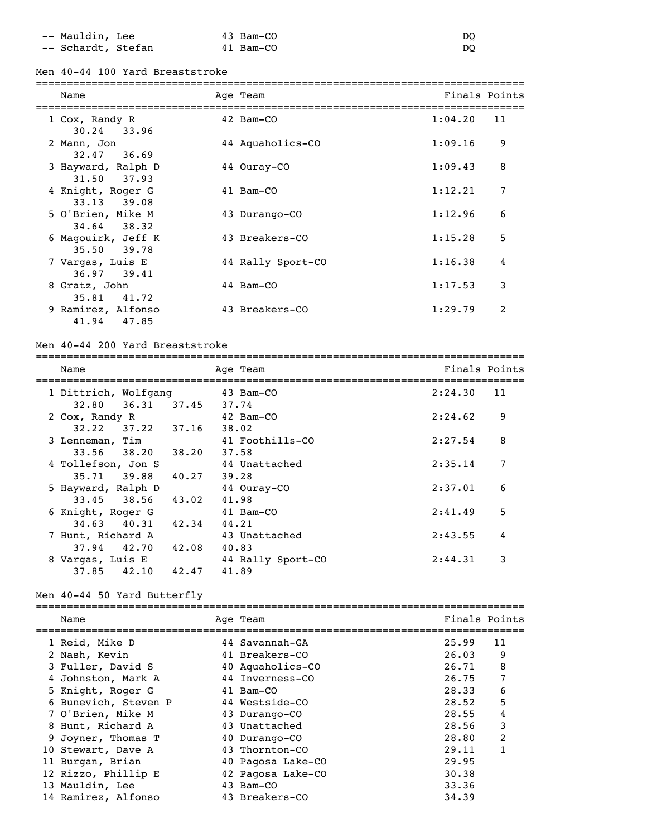-- Mauldin, Lee 43 Bam-CO DQ -- Schardt, Stefan 41 Bam-CO DQ

Men 40-44 100 Yard Breaststroke

| Name                                 | Age Team          | Finals Points |                |
|--------------------------------------|-------------------|---------------|----------------|
| 1 Cox, Randy R<br>$30.24$ 33.96      | 42 Bam-CO         | 1:04.20       | 11             |
| 2 Mann, Jon<br>$32.47$ $36.69$       | 44 Aquaholics-CO  | 1:09.16       | 9              |
| 3 Hayward, Ralph D<br>31.50 37.93    | 44 Ouray-CO       | 1:09.43       | 8              |
| 4 Knight, Roger G<br>$33.13$ $39.08$ | 41 Bam-CO         | 1:12.21       | 7              |
| 5 O'Brien, Mike M<br>$34.64$ $38.32$ | 43 Durango-CO     | 1:12.96       | 6              |
| 6 Magouirk, Jeff K<br>35.50 39.78    | 43 Breakers-CO    | 1:15.28       | 5              |
| 7 Vargas, Luis E<br>36.97 39.41      | 44 Rally Sport-CO | 1:16.38       | 4              |
| 8 Gratz, John<br>35.81 41.72         | 44 Bam-CO         | 1:17.53       | 3              |
| 9 Ramirez, Alfonso<br>47.85<br>41.94 | 43 Breakers-CO    | 1:29.79       | $\overline{2}$ |

#### Men 40-44 200 Yard Breaststroke

=============================================================================== Name Age Team Age Team Finals Points =============================================================================== 1 Dittrich, Wolfgang 43 Bam-CO 2:24.30 11 32.80 36.31 37.45 37.74 2 Cox, Randy R 42 Bam-CO 2:24.62 9 32.22 37.22 37.16 38.02 3 Lenneman, Tim 41 Foothills-CO 2:27.54 8 33.56 38.20 38.20 37.58 4 Tollefson, Jon S 44 Unattached 2:35.14 7 35.71 39.88 40.27 39.28 5 Hayward, Ralph D 44 Ouray-CO 2:37.01 6 33.45 38.56 43.02 41.98 6 Knight, Roger G 41 Bam-CO 2:41.49 5 34.63 40.31 42.34 44.21 7 Hunt, Richard A 43 Unattached 2:43.55 4 37.94 42.70 42.08 40.83 8 Vargas, Luis E 44 Rally Sport-CO 2:44.31 3 37.85 42.10 42.47 41.89

# Men 40-44 50 Yard Butterfly

| Name                 | Age Team          | Finals Points |                |
|----------------------|-------------------|---------------|----------------|
| 1 Reid, Mike D       | 44 Savannah-GA    | 25.99         | 11             |
| 2 Nash, Kevin        | 41 Breakers-CO    | 26.03         | 9              |
| 3 Fuller, David S    | 40 Aquaholics-CO  | 26.71         | 8              |
| 4 Johnston, Mark A   | 44 Inverness-CO   | 26.75         | 7              |
| 5 Knight, Roger G    | 41 Bam-CO         | 28.33         | 6              |
| 6 Bunevich, Steven P | 44 Westside-CO    | 28.52         | 5              |
| 7 O'Brien, Mike M    | 43 Durango-CO     | 28.55         | 4              |
| 8 Hunt, Richard A    | 43 Unattached     | 28.56         | 3              |
| 9 Joyner, Thomas T   | 40 Durango-CO     | 28.80         | $\overline{2}$ |
| 10 Stewart, Dave A   | 43 Thornton-CO    | 29.11         |                |
| 11 Burgan, Brian     | 40 Pagosa Lake-CO | 29.95         |                |
| 12 Rizzo, Phillip E  | 42 Pagosa Lake-CO | 30.38         |                |
| 13 Mauldin, Lee      | 43 Bam-CO         | 33.36         |                |
| 14 Ramirez, Alfonso  | 43 Breakers-CO    | 34.39         |                |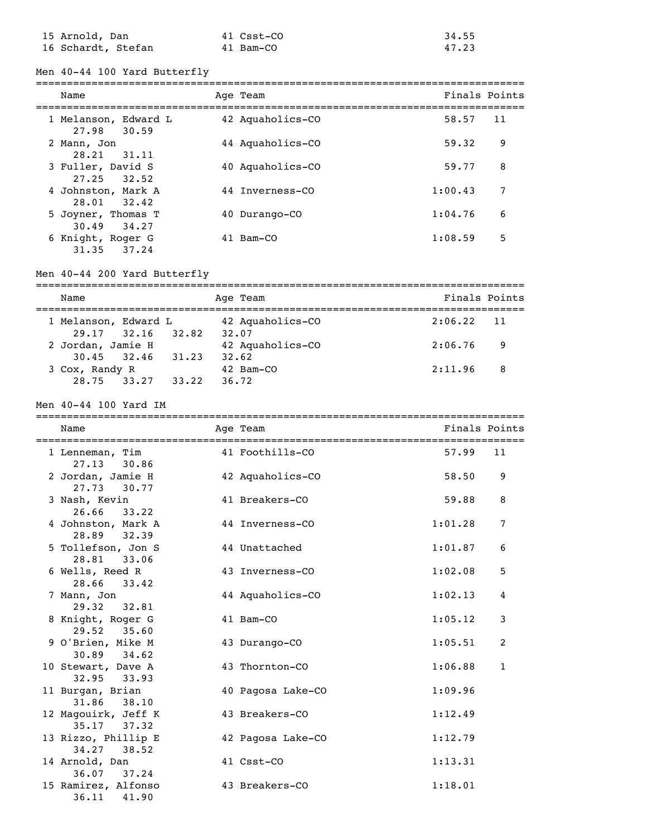| 15 Arnold, Dan     | 41 Csst-CO | 34.55 |
|--------------------|------------|-------|
| 16 Schardt, Stefan | 41 Bam-CO  | 47.23 |

Men 40-44 100 Yard Butterfly

| Name                                 | Age Team         | Finals Points |    |
|--------------------------------------|------------------|---------------|----|
| 1 Melanson, Edward L<br>27.98 30.59  | 42 Aquaholics-CO | 58.57         | 11 |
| 2 Mann, Jon<br>28.21<br>31.11        | 44 Aquaholics-CO | 59.32         | 9  |
| 3 Fuller, David S<br>$27.25$ $32.52$ | 40 Aquaholics-CO | 59.77         | 8  |
| 4 Johnston, Mark A<br>28.01 32.42    | 44 Inverness-CO  | 1:00.43       | 7  |
| 5 Joyner, Thomas T<br>30.49 34.27    | 40 Durango-CO    | 1:04.76       | 6  |
| 6 Knight, Roger G<br>31.35 37.24     | 41 Bam-CO        | 1:08.59       | 5  |

# Men 40-44 200 Yard Butterfly

| Name                     | Age Team         | Finals Points  |
|--------------------------|------------------|----------------|
|                          |                  |                |
| 1 Melanson, Edward L     | 42 Aquaholics-CO | $2:06.22$ 11   |
| $29.17$ $32.16$<br>32.82 | 32.07            |                |
| 2 Jordan, Jamie H        | 42 Aquaholics-CO | 2:06.76<br>- 9 |
| 31.23<br>$30.45$ $32.46$ | 32.62            |                |
| 3 Cox, Randy R           | 42 Bam-CO        | 2:11.96<br>-8  |
| 33.27<br>28.75<br>33.22  | 36.72            |                |

### Men 40-44 100 Yard IM

| Name                                   | Age Team          | Finals Points |                |
|----------------------------------------|-------------------|---------------|----------------|
| 1 Lenneman, Tim<br>$27.13$ 30.86       | 41 Foothills-CO   | 57.99         | 11             |
| 2 Jordan, Jamie H<br>$27.73$ $30.77$   | 42 Aquaholics-CO  | 58.50         | 9              |
| 3 Nash, Kevin<br>26.66<br>33.22        | 41 Breakers-CO    | 59.88         | 8              |
| 4 Johnston, Mark A<br>28.89 32.39      | 44 Inverness-CO   | 1:01.28       | $\overline{7}$ |
| 5 Tollefson, Jon S<br>28.81 33.06      | 44 Unattached     | 1:01.87       | 6              |
| 6 Wells, Reed R<br>$28.66$ $33.42$     | 43 Inverness-CO   | 1:02.08       | 5              |
| 7 Mann, Jon<br>29.32 32.81             | 44 Aquaholics-CO  | 1:02.13       | $\overline{4}$ |
| 8 Knight, Roger G<br>$29.52$ $35.60$   | 41 Bam-CO         | 1:05.12       | 3              |
| 9 O'Brien, Mike M<br>$30.89$ $34.62$   | 43 Durango-CO     | 1:05.51       | 2              |
| 10 Stewart, Dave A<br>32.95 33.93      | 43 Thornton-CO    | 1:06.88       | $\mathbf{1}$   |
| 11 Burgan, Brian<br>31.86 38.10        | 40 Pagosa Lake-CO | 1:09.96       |                |
| 12 Magouirk, Jeff K<br>$35.17$ $37.32$ | 43 Breakers-CO    | 1:12.49       |                |
| 13 Rizzo, Phillip E<br>34.27 38.52     | 42 Pagosa Lake-CO | 1:12.79       |                |
| 14 Arnold, Dan<br>$36.07$ $37.24$      | 41 Csst-CO        | 1:13.31       |                |
| 15 Ramirez, Alfonso<br>36.11<br>41.90  | 43 Breakers-CO    | 1:18.01       |                |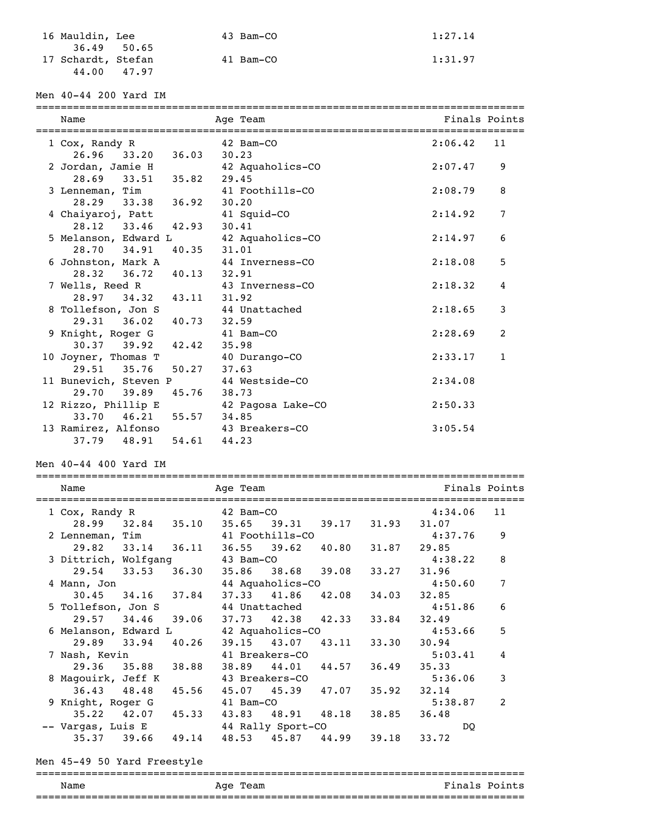| 16 Mauldin, Lee    |             | 43 Bam-CO | 1:27.14 |
|--------------------|-------------|-----------|---------|
|                    | 36.49 50.65 |           |         |
| 17 Schardt, Stefan |             | 41 Bam-CO | 1:31.97 |
|                    | 44.00 47.97 |           |         |

Men 40-44 200 Yard IM

| Name                                    | Age Team                          | Finals Points                      |
|-----------------------------------------|-----------------------------------|------------------------------------|
| 1 Cox, Randy R                          | 42 Bam-CO                         | 2:06.42<br>11                      |
| 33.20<br>26.96<br>36.03                 | 30.23                             |                                    |
| 2 Jordan, Jamie H                       | 42 Aquaholics-CO                  | 2:07.47<br>9                       |
| 28.69<br>33.51<br>35.82                 | 29.45                             |                                    |
| 3 Lenneman, Tim<br>36.92<br>28.29 33.38 | 41 Foothills-CO                   | 2:08.79<br>8                       |
| 4 Chaiyaroj, Patt                       | 30.20<br>41 Squid-CO              | 7<br>2:14.92                       |
| 28.12<br>33.46<br>42.93                 | 30.41                             |                                    |
| 5 Melanson, Edward L                    | 42 Aquaholics-CO                  | 2:14.97<br>6                       |
| 28.70<br>34.91<br>40.35                 | 31.01                             |                                    |
| 6 Johnston, Mark A                      | 44 Inverness-CO                   | 2:18.08<br>5                       |
| 40.13<br>28.32<br>36.72                 | 32.91                             |                                    |
| 7 Wells, Reed R                         | 43 Inverness-CO                   | 2:18.32<br>4                       |
| 43.11<br>28.97<br>34.32                 | 31.92                             |                                    |
| 8 Tollefson, Jon S                      | 44 Unattached                     | 2:18.65<br>3                       |
| 40.73<br>29.31<br>36.02                 | 32.59                             |                                    |
| 9 Knight, Roger G                       | 41 Bam-CO                         | 2:28.69<br>2                       |
| 39.92<br>42.42<br>30.37                 | 35.98                             |                                    |
| 10 Joyner, Thomas T                     | 40 Durango-CO                     | 2:33.17<br>$\mathbf{1}$            |
| 50.27<br>29.51<br>35.76                 | 37.63                             |                                    |
| 11 Bunevich, Steven P                   | 44 Westside-CO                    | 2:34.08                            |
| 39.89 45.76<br>29.70                    | 38.73                             |                                    |
| 12 Rizzo, Phillip E                     | 42 Pagosa Lake-CO                 | 2:50.33                            |
| 46.21 55.57<br>33.70                    | 34.85                             |                                    |
| 13 Ramirez, Alfonso                     | 43 Breakers-CO                    | 3:05.54                            |
| 37.79 48.91 54.61                       | 44.23                             |                                    |
| Men 40-44 400 Yard IM                   |                                   |                                    |
| Name                                    | Age Team                          | Finals Points                      |
|                                         |                                   |                                    |
| 1 Cox, Randy R                          | 42 Bam-CO                         | 11<br>4:34.06                      |
| 32.84<br>28.99<br>35.10                 | 35.65<br>39.31 39.17 31.93        | 31.07                              |
| 2 Lenneman, Tim                         | 41 Foothills-CO                   | 4:37.76<br>9                       |
| 36.11<br>29.82<br>33.14                 | 36.55<br>$39.62$ $40.80$<br>31.87 | 29.85                              |
| 3 Dittrich, Wolfgang                    | 43 Bam-CO                         | 4:38.22<br>8                       |
| 29.54<br>33.53<br>36.30                 | 35.86<br>38.68<br>39.08<br>33.27  | 31.96                              |
| 4 Mann, Jon                             | 44 Aquaholics-CO                  | 4:50.60<br>7                       |
| 30.45<br>34.16<br>37.84                 | 37.33<br>41.86<br>42.08<br>34.03  | 32.85                              |
| 5 Tollefson, Jon S                      | 44 Unattached                     | 4:51.86<br>6                       |
| 29.57<br>34.46<br>39.06                 | 37.73<br>42.38<br>42.33<br>33.84  | 32.49                              |
| 6 Melanson, Edward L                    | 42 Aquaholics-CO                  | 5<br>4:53.66                       |
| 29.89<br>33.94<br>40.26                 | 39.15<br>43.07<br>43.11<br>33.30  | 30.94                              |
| 7 Nash, Kevin                           | 41 Breakers-CO                    | 5:03.41<br>4                       |
| 29.36<br>35.88<br>38.88                 | 38.89<br>44.01<br>44.57<br>36.49  | 35.33                              |
| 8 Magouirk, Jeff K                      | 43 Breakers-CO                    | 5:36.06<br>3                       |
| 36.43<br>48.48<br>45.56                 | 45.07<br>45.39<br>47.07<br>35.92  | 32.14                              |
| 9 Knight, Roger G                       | 41 Bam-CO                         | $\overline{\mathbf{c}}$<br>5:38.87 |

Men 45-49 50 Yard Freestyle =============================================================================== Name Age Team Age Team Finals Points ===============================================================================

 35.22 42.07 45.33 43.83 48.91 48.18 38.85 36.48 -- Vargas, Luis E 44 Rally Sport-CO DQ 35.37 39.66 49.14 48.53 45.87 44.99 39.18 33.72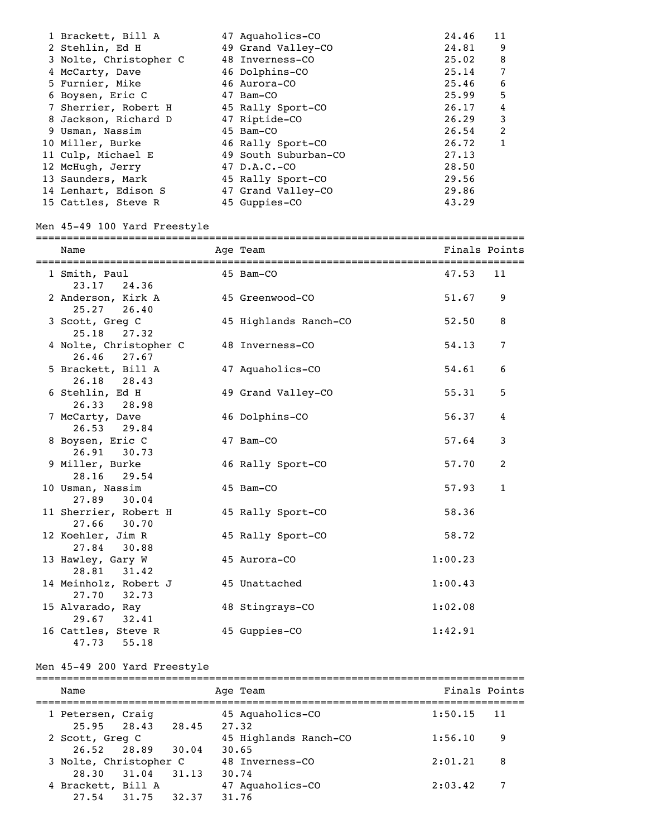| 1 Brackett, Bill A     | 47 Aquaholics-CO     | 24.46 | 11 |
|------------------------|----------------------|-------|----|
| 2 Stehlin, Ed H        | 49 Grand Valley-CO   | 24.81 | 9  |
| 3 Nolte, Christopher C | 48 Inverness-CO      | 25.02 | 8  |
| 4 McCarty, Dave        | 46 Dolphins-CO       | 25.14 | 7  |
| 5 Furnier, Mike        | 46 Aurora-CO         | 25.46 | 6  |
| 6 Boysen, Eric C       | 47 Bam-CO            | 25.99 | 5  |
| 7 Sherrier, Robert H   | 45 Rally Sport-CO    | 26.17 | 4  |
| 8 Jackson, Richard D   | 47 Riptide-CO        | 26.29 | 3  |
| 9 Usman, Nassim        | 45 Bam-CO            | 26.54 | 2  |
| 10 Miller, Burke       | 46 Rally Sport-CO    | 26.72 |    |
| 11 Culp, Michael E     | 49 South Suburban-CO | 27.13 |    |
| 12 McHugh, Jerry       | 47 $D.A.C.-CO$       | 28.50 |    |
| 13 Saunders, Mark      | 45 Rally Sport-CO    | 29.56 |    |
| 14 Lenhart, Edison S   | 47 Grand Valley-CO   | 29.86 |    |
| 15 Cattles, Steve R    | 45 Guppies-CO        | 43.29 |    |

# Men 45-49 100 Yard Freestyle

# ===============================================================================

| Name<br>================================ | Age Team              |         | Finals Points  |
|------------------------------------------|-----------------------|---------|----------------|
| 1 Smith, Paul<br>23.17 24.36             | 45 Bam-CO             | 47.53   | 11             |
| 2 Anderson, Kirk A<br>25.27 26.40        | 45 Greenwood-CO       | 51.67   | 9              |
| 3 Scott, Greg C<br>25.18<br>27.32        | 45 Highlands Ranch-CO | 52.50   | 8              |
| 4 Nolte, Christopher C<br>26.46 27.67    | 48 Inverness-CO       | 54.13   | $\overline{7}$ |
| 5 Brackett, Bill A<br>26.18 28.43        | 47 Aquaholics-CO      | 54.61   | 6              |
| 6 Stehlin, Ed H<br>26.33 28.98           | 49 Grand Valley-CO    | 55.31   | 5              |
| 7 McCarty, Dave<br>26.53 29.84           | 46 Dolphins-CO        | 56.37   | 4              |
| 8 Boysen, Eric C<br>26.91<br>30.73       | 47 Bam-CO             | 57.64   | 3              |
| 9 Miller, Burke<br>28.16 29.54           | 46 Rally Sport-CO     | 57.70   | 2              |
| 10 Usman, Nassim<br>27.89<br>30.04       | 45 Bam-CO             | 57.93   | $\mathbf{1}$   |
| 11 Sherrier, Robert H<br>27.66 30.70     | 45 Rally Sport-CO     | 58.36   |                |
| 12 Koehler, Jim R<br>27.84<br>30.88      | 45 Rally Sport-CO     | 58.72   |                |
| 13 Hawley, Gary W<br>28.81<br>31.42      | 45 Aurora-CO          | 1:00.23 |                |
| 14 Meinholz, Robert J<br>27.70 32.73     | 45 Unattached         | 1:00.43 |                |
| 15 Alvarado, Ray<br>$29.67$ $32.41$      | 48 Stingrays-CO       | 1:02.08 |                |
| 16 Cattles, Steve R<br>47.73<br>55.18    | 45 Guppies-CO         | 1:42.91 |                |

# Men 45-49 200 Yard Freestyle

| Name                                  |       |       | Age Team                       | Finals Points |    |
|---------------------------------------|-------|-------|--------------------------------|---------------|----|
| 1 Petersen, Craig<br>$25.95$ $28.43$  |       | 28.45 | 45 Aquaholics-CO<br>27.32      | 1:50.15       | 11 |
| 2 Scott, Greg C<br>26.52 28.89        |       | 30.04 | 45 Highlands Ranch-CO<br>30.65 | 1:56.10       | 9  |
| 3 Nolte, Christopher C<br>28.30 31.04 |       | 31.13 | 48 Inverness-CO<br>30.74       | 2:01.21       | 8  |
| 4 Brackett, Bill A<br>27.54           | 31.75 | 32.37 | 47 Aquaholics-CO<br>31,76      | 2:03.42       | 7  |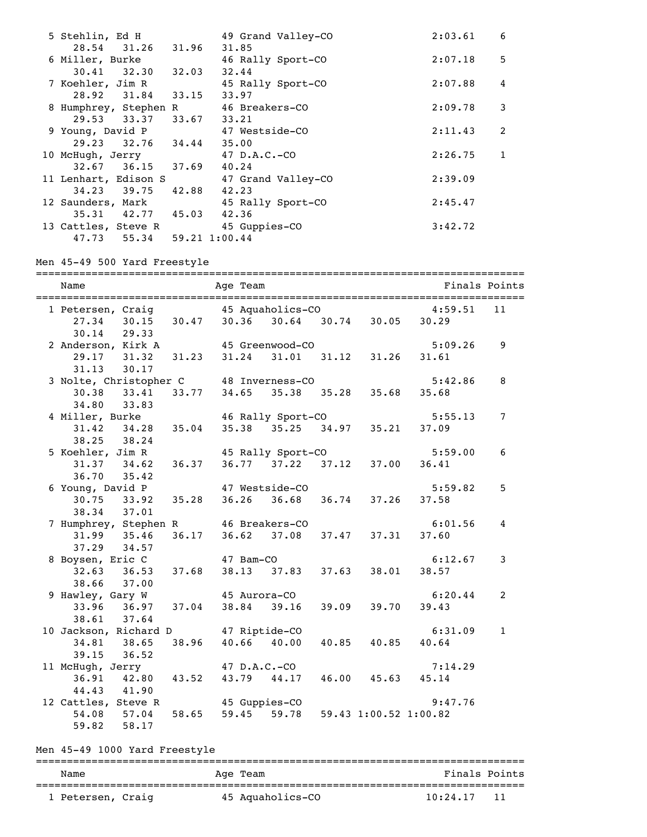| 5 Stehlin, Ed H                   |       | 49 Grand Valley-CO | 2:03.61 | 6            |
|-----------------------------------|-------|--------------------|---------|--------------|
| 28.54 31.26 31.96 31.85           |       |                    |         |              |
| 6 Miller, Burke                   |       | 46 Rally Sport-CO  | 2:07.18 | 5            |
| $30.41$ $32.30$ $32.03$           |       | 32.44              |         |              |
| 7 Koehler, Jim R                  |       | 45 Rally Sport-CO  | 2:07.88 | 4            |
| 28.92 31.84 33.15 33.97           |       |                    |         |              |
| 8 Humphrey, Stephen R             |       | 46 Breakers-CO     | 2:09.78 | 3            |
| 29.53 33.37 33.67 33.21           |       |                    |         |              |
| 9 Young, David P                  |       | 47 Westside-CO     | 2:11.43 | 2            |
| 29.23 32.76 34.44 35.00           |       |                    |         |              |
| 10 McHugh, Jerry                  |       | $47$ D.A.C.-CO     | 2:26.75 | $\mathbf{1}$ |
| $32.67$ $36.15$ $37.69$ $40.24$   |       |                    |         |              |
| 11 Lenhart, Edison S              |       | 47 Grand Valley-CO | 2:39.09 |              |
| $34.23$ $39.75$                   | 42.88 | 42.23              |         |              |
| 12 Saunders, Mark                 |       | 45 Rally Sport-CO  | 2:45.47 |              |
| 35.31 42.77 45.03 42.36           |       |                    |         |              |
| 13 Cattles, Steve R 45 Guppies-CO |       |                    | 3:42.72 |              |
| 47.73 55.34 59.21 1:00.44         |       |                    |         |              |

Men 45-49 500 Yard Freestyle

=============================================================================== Name **Age Team** Age Team Finals Points =============================================================================== 1 Petersen, Craig 45 Aquaholics-CO 4:59.51 11 27.34 30.15 30.47 30.36 30.64 30.74 30.05 30.29 30.14 29.33 2 Anderson, Kirk A 45 Greenwood-CO 5:09.26 9 29.17 31.32 31.23 31.24 31.01 31.12 31.26 31.61 31.13 30.17 3 Nolte, Christopher C 48 Inverness-CO 5:42.86 8 30.38 33.41 33.77 34.65 35.38 35.28 35.68 35.68 34.80 33.83 4 Miller, Burke 46 Rally Sport-CO 5:55.13 7 31.42 34.28 35.04 35.38 35.25 34.97 35.21 37.09 38.25 38.24 5 Koehler, Jim R  $31.37$  34.62 36.37 36.77 37.22 37.12 37.00 36.41 31.37 34.62 36.37 36.77 37.22 37.12 37.00 36.41 36.70 35.42 6 Young, David P 47 Westside-CO 5:59.82 5 30.75 33.92 35.28 36.26 36.68 36.74 37.26 37.58 38.34 37.01 7 Humphrey, Stephen R 46 Breakers-CO 6:01.56 4<br>31.99 35.46 36.17 36.62 37.08 37.47 37.31 37.60 31.99 35.46 36.17 36.62 37.08 37.47 37.31 37.60 37.29 34.57 8 Boysen, Eric C 47 Bam-CO 6:12.67 3 32.63 36.53 37.68 38.13 37.83 37.63 38.01 38.57 38.66 37.00 9 Hawley, Gary W 45 Aurora-CO 6:20.44 2<br>33.96 36.97 37.04 38.84 39.16 39.09 39.70 39.43 33.96 36.97 37.04 38.84 39.16 39.09 39.70 39.43 38.61 37.64 10 Jackson, Richard D 47 Riptide-CO 6:31.09 1 34.81 38.65 38.96 40.66 40.00 40.85 40.85 40.64 39.15 36.52 11 McHugh, Jerry 47 D.A.C.-CO 7:14.29 36.91 42.80 43.52 43.79 44.17 46.00 45.63 45.14 44.43 41.90 12 Cattles, Steve R 45 Guppies-CO 9:47.76 54.08 57.04 58.65 59.45 59.78 59.43 1:00.52 1:00.82 59.82

Men 45-49 1000 Yard Freestyle

| Name              | Age Team         | Finals Points    |  |  |  |  |
|-------------------|------------------|------------------|--|--|--|--|
| 1 Petersen, Craig | 45 Aguaholics-CO | 10:24.17<br>- 11 |  |  |  |  |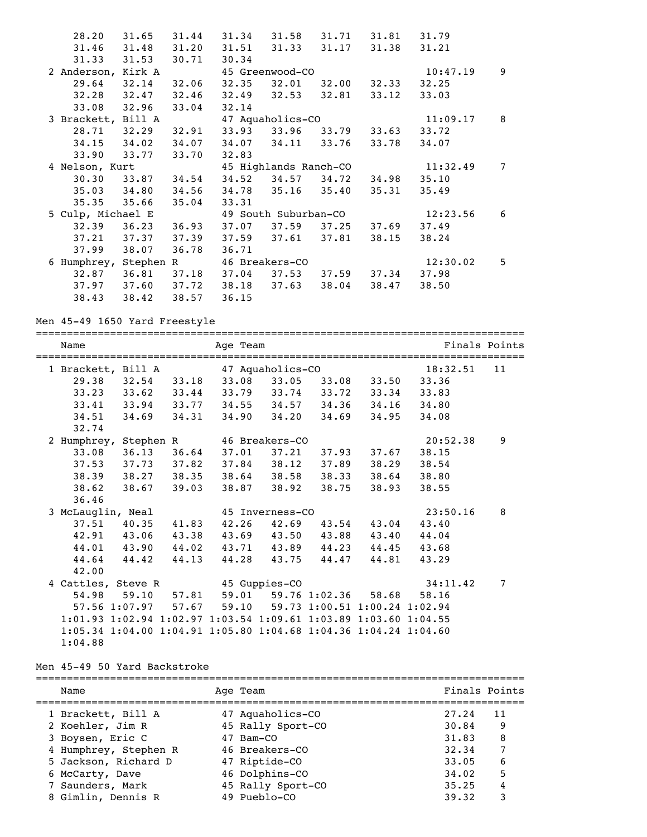| 28.20              | 31.65                         | 31.44 |                | 31.34 31.58 31.71 31.81 |             |             | 31.79    |                |
|--------------------|-------------------------------|-------|----------------|-------------------------|-------------|-------------|----------|----------------|
| 31.46              | 31.48                         |       |                | 31.20 31.51 31.33 31.17 |             | 31.38       | 31.21    |                |
| 31.33              | 31.53                         | 30.71 | 30.34          |                         |             |             |          |                |
| 2 Anderson, Kirk A |                               |       |                | 45 Greenwood-CO         |             |             | 10:47.19 | 9              |
| 29.64              | 32.14                         | 32.06 | 32.35          | 32.01                   |             | 32.00 32.33 | 32.25    |                |
| $32.28$ $32.47$    |                               | 32.46 |                | 32.49 32.53 32.81       |             | 33.12       | 33.03    |                |
| 33.08 32.96        |                               | 33.04 | 32.14          |                         |             |             |          |                |
| 3 Brackett, Bill A |                               |       |                | 47 Aquaholics-CO        |             |             | 11:09.17 | 8              |
| 28.71 32.29        |                               | 32.91 | 33.93 33.96    |                         |             | 33.79 33.63 | 33.72    |                |
| $34.15$ $34.02$    |                               |       |                | 34.07 34.07 34.11 33.76 |             | 33.78       | 34.07    |                |
| 33.90 33.77        |                               | 33.70 | 32.83          |                         |             |             |          |                |
| 4 Nelson, Kurt     |                               |       |                | 45 Highlands Ranch-CO   |             |             | 11:32.49 | $\overline{7}$ |
| 30.30              | 33.87 34.54                   |       | 34.52          |                         | 34.57 34.72 | 34.98       | 35.10    |                |
| $35.03$ $34.80$    |                               | 34.56 |                | 34.78 35.16 35.40       |             | 35.31       | 35.49    |                |
| 35.35              | 35.66                         | 35.04 | 33.31          |                         |             |             |          |                |
| 5 Culp, Michael E  |                               |       |                | 49 South Suburban-CO    |             |             | 12:23.56 | 6              |
| $32.39$ $36.23$    |                               | 36.93 |                | 37.07 37.59 37.25       |             | 37.69       | 37.49    |                |
| $37.21$ $37.37$    |                               | 37.39 |                | 37.59 37.61 37.81       |             | 38.15       | 38.24    |                |
| 37.99              | 38.07                         | 36.78 | 36.71          |                         |             |             |          |                |
| 6 Humphrey,        | Stephen R                     |       | 46 Breakers-CO |                         |             |             | 12:30.02 | 5              |
| 32.87              | $36.81$ $37.18$               |       | 37.04          | 37.53                   | 37.59       | 37.34       | 37.98    |                |
|                    | 37.97 37.60 37.72 38.18 37.63 |       |                |                         | 38.04       | 38.47       | 38.50    |                |
| 38.43              | 38.42                         | 38.57 | 36.15          |                         |             |             |          |                |

Men 45-49 1650 Yard Freestyle

| Name                                                            |                         | Age Team                                                        |                         |       |       |             | Finals Points  |
|-----------------------------------------------------------------|-------------------------|-----------------------------------------------------------------|-------------------------|-------|-------|-------------|----------------|
| 1 Brackett, Bill A                                              |                         |                                                                 | 47 Aquaholics-CO        |       |       | 18:32.51    | 11             |
| 29.38                                                           |                         | $32.54$ $33.18$ $33.08$ $33.05$ $33.08$ $33.50$                 |                         |       |       | 33.36       |                |
|                                                                 | $33.23$ $33.62$ $33.44$ |                                                                 | $33.79$ $33.74$ $33.72$ |       | 33.34 | 33.83       |                |
|                                                                 |                         | $33.41$ $33.94$ $33.77$ $34.55$ $34.57$ $34.36$                 |                         |       |       | 34.16 34.80 |                |
| 34.51                                                           | 34.69 34.31             |                                                                 | 34.90 34.20             | 34.69 | 34.95 | 34.08       |                |
| 32.74                                                           |                         |                                                                 |                         |       |       |             |                |
| 2 Humphrey, Stephen R                                           |                         | 46 Breakers-CO                                                  |                         |       |       | 20:52.38    | 9              |
|                                                                 | 33.08 36.13 36.64       |                                                                 | 37.01 37.21             | 37.93 | 37.67 | 38.15       |                |
|                                                                 |                         | 37.53 37.73 37.82 37.84 38.12 37.89                             |                         |       | 38.29 | 38.54       |                |
|                                                                 | 38.39 38.27 38.35       |                                                                 | 38.64 38.58 38.33       |       | 38.64 | 38.80       |                |
|                                                                 | 38.62 38.67 39.03       |                                                                 | 38.87 38.92             | 38.75 | 38.93 | 38.55       |                |
| 36.46                                                           |                         |                                                                 |                         |       |       |             |                |
| 3 McLauglin, Neal                                               |                         |                                                                 | 45 Inverness-CO         |       |       | 23:50.16    | 8              |
|                                                                 | 37.51 40.35 41.83       |                                                                 | $42.26$ $42.69$         | 43.54 |       | 43.04 43.40 |                |
|                                                                 | 42.91 43.06             | 43.38 43.69 43.50 43.88 43.40 44.04                             |                         |       |       |             |                |
|                                                                 |                         | 44.01 43.90 44.02 43.71 43.89 44.23 44.45 43.68                 |                         |       |       |             |                |
|                                                                 | $44.64$ $44.42$ $44.13$ |                                                                 | 44.28 43.75             | 44.47 | 44.81 | 43.29       |                |
| 42.00                                                           |                         |                                                                 |                         |       |       |             |                |
| 4 Cattles, Steve R                                              |                         | 45 Guppies-CO                                                   |                         |       |       | 34:11.42    | $\overline{7}$ |
|                                                                 |                         | 54.98 59.10 57.81 59.01 59.76 1:02.36 58.68                     |                         |       |       | 58.16       |                |
|                                                                 |                         | $57.56$ 1:07.97 $57.67$ $59.10$ $59.73$ 1:00.51 1:00.24 1:02.94 |                         |       |       |             |                |
| 1:01.93 1:02.94 1:02.97 1:03.54 1:09.61 1:03.89 1:03.60 1:04.55 |                         |                                                                 |                         |       |       |             |                |
| 1:05.34 1:04.00 1:04.91 1:05.80 1:04.68 1:04.36 1:04.24 1:04.60 |                         |                                                                 |                         |       |       |             |                |
| 1:04.88                                                         |                         |                                                                 |                         |       |       |             |                |

Men 45-49 50 Yard Backstroke

| Name                  | Age Team          | Finals Points |    |
|-----------------------|-------------------|---------------|----|
| 1 Brackett, Bill A    | 47 Aquaholics-CO  | 27.24         | 11 |
| 2 Koehler, Jim R      | 45 Rally Sport-CO | 30.84         | 9  |
| 3 Boysen, Eric C      | 47 Bam-CO         | 31.83         | 8  |
| 4 Humphrey, Stephen R | 46 Breakers-CO    | 32.34         | 7  |
| 5 Jackson, Richard D  | 47 Riptide-CO     | 33.05         | 6  |
| 6 McCarty, Dave       | 46 Dolphins-CO    | 34.02         | 5  |
| 7 Saunders, Mark      | 45 Rally Sport-CO | 35.25         | 4  |
| 8 Gimlin, Dennis R    | 49 Pueblo-CO      | 39.32         | 3  |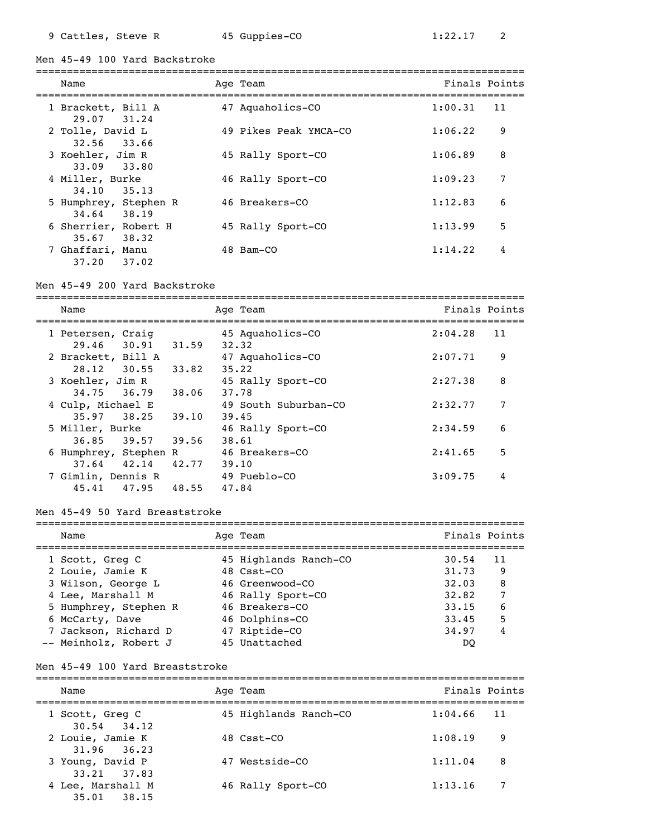Men 45-49 100 Yard Backstroke

| Name                                   | Age Team              | Finals Points |    |
|----------------------------------------|-----------------------|---------------|----|
| 1 Brackett, Bill A<br>29.07 31.24      | 47 Aquaholics-CO      | 1:00.31       | 11 |
| 2 Tolle, David L<br>33.66<br>32.56     | 49 Pikes Peak YMCA-CO | 1:06.22       | 9  |
| 3 Koehler, Jim R<br>33.09 33.80        | 45 Rally Sport-CO     | 1:06.89       | 8  |
| 4 Miller, Burke<br>34,10<br>35.13      | 46 Rally Sport-CO     | 1:09.23       | 7  |
| 5 Humphrey, Stephen R<br>34.64 38.19   | 46 Breakers-CO        | 1:12.83       | 6  |
| 6 Sherrier, Robert H<br>35.67<br>38.32 | 45 Rally Sport-CO     | 1:13.99       | 5  |
| 7 Ghaffari, Manu<br>37.02<br>37.20     | 48 Bam-CO             | 1:14.22       | 4  |

#### Men 45-49 200 Yard Backstroke

=============================================================================== Name Age Team Finals Points =============================================================================== 1 Petersen, Craig 45 Aquaholics-CO 2:04.28 11 29.46 30.91 31.59 32.32 2 Brackett, Bill A 47 Aquaholics-CO 2:07.71 9 28.12 30.55 33.82 35.22 3 Koehler, Jim R 45 Rally Sport-CO 2:27.38 8 34.75 36.79 38.06 37.78 4 Culp, Michael E 49 South Suburban-CO 2:32.77 7 35.97 38.25 39.10 39.45 5 Miller, Burke 46 Rally Sport-CO 2:34.59 6 36.85 39.57 39.56 38.61 6 Humphrey, Stephen R 46 Breakers-CO 2:41.65 5 37.64 42.14 42.77 39.10 7 Gimlin, Dennis R 49 Pueblo-CO 3:09.75 4 45.41 47.95 48.55 47.84

### Men 45-49 50 Yard Breaststroke

| Name                  | Age Team              | Finals Points |    |
|-----------------------|-----------------------|---------------|----|
| 1 Scott, Greg C       | 45 Highlands Ranch-CO | 30.54         | 11 |
| 2 Louie, Jamie K      | 48 Csst-CO            | 31.73         | -9 |
| 3 Wilson, George L    | 46 Greenwood-CO       | 32.03         | 8  |
| 4 Lee, Marshall M     | 46 Rally Sport-CO     | 32.82         | 7  |
| 5 Humphrey, Stephen R | 46 Breakers-CO        | 33.15         | 6  |
| 6 McCarty, Dave       | 46 Dolphins-CO        | 33.45         | 5  |
| 7 Jackson, Richard D  | 47 Riptide-CO         | 34.97         | 4  |
| -- Meinholz, Robert J | 45 Unattached         | DO            |    |

#### Men 45-49 100 Yard Breaststroke

| Name                                 | Age Team              | Finals Points |    |
|--------------------------------------|-----------------------|---------------|----|
| 1 Scott, Greg C<br>$30.54$ $34.12$   | 45 Highlands Ranch-CO | 1:04.66       | 11 |
| 2 Louie, Jamie K<br>$31.96$ $36.23$  | $48 \text{ C}$ sst-CO | 1:08.19       | 9  |
| 3 Young, David P<br>$33.21$ $37.83$  | 47 Westside-CO        | 1:11.04       | 8  |
| 4 Lee, Marshall M<br>$35.01$ $38.15$ | 46 Rally Sport-CO     | 1:13.16       | 7  |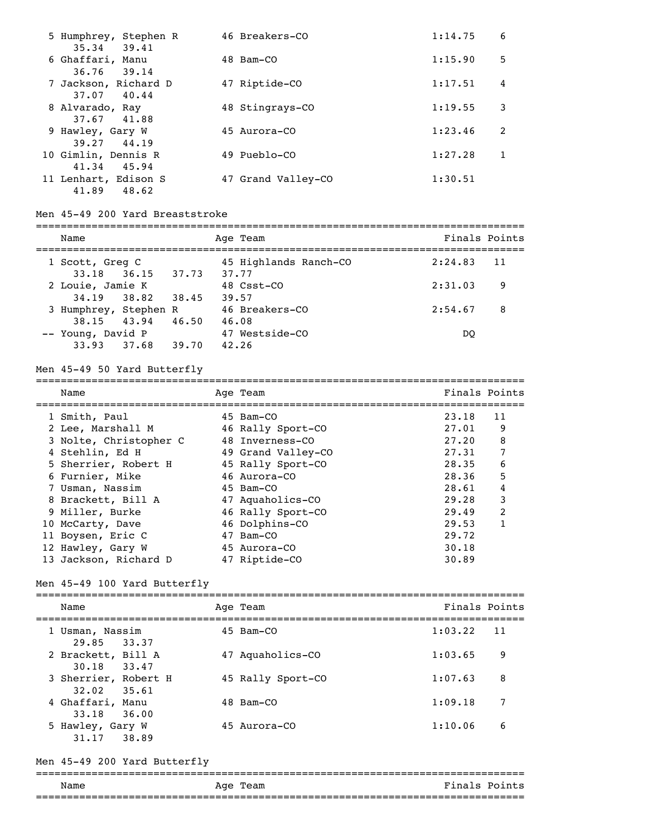| 5 Humphrey, Stephen R<br>35.34 39.41 | 46 Breakers-CO     | 1:14.75 | 6 |
|--------------------------------------|--------------------|---------|---|
| 6 Ghaffari, Manu                     | 48 Bam-CO          | 1:15.90 | 5 |
| 36.76<br>39.14                       |                    |         |   |
| 7 Jackson, Richard D                 | 47 Riptide-CO      | 1:17.51 | 4 |
| 37.07<br>40.44                       |                    |         |   |
| 8 Alvarado, Ray                      | 48 Stingrays-CO    | 1:19.55 | 3 |
| 37.67<br>41.88                       |                    |         |   |
| 9 Hawley, Gary W                     | 45 Aurora-CO       | 1:23.46 | 2 |
| 39.27<br>44.19                       |                    |         |   |
| 10 Gimlin, Dennis R                  | 49 Pueblo-CO       | 1:27.28 |   |
| 45.94<br>41.34                       |                    |         |   |
| 11 Lenhart, Edison S                 | 47 Grand Valley-CO | 1:30.51 |   |
| 41.89<br>48.62                       |                    |         |   |

#### Men 45-49 200 Yard Breaststroke

| Name                                 |       |       | Age Team                       | Finals Points |    |
|--------------------------------------|-------|-------|--------------------------------|---------------|----|
| 1 Scott, Greg C<br>33.18 36.15 37.73 |       |       | 45 Highlands Ranch-CO<br>37.77 | 2:24.83       | 11 |
| 2 Louie, Jamie K<br>34.19 38.82      |       | 38.45 | 48 Csst-CO<br>39.57            | 2:31.03       | 9  |
| 3 Humphrey, Stephen R<br>38.15 43.94 |       | 46.50 | 46 Breakers-CO<br>46.08        | 2:54.67       | -8 |
| -- Young, David P<br>33.93           | 37.68 | 39.70 | 47 Westside-CO<br>42.26        | <sub>DO</sub> |    |

===============================================================================

### Men 45-49 50 Yard Butterfly

| Name                   |  | Age Team           | Finals Points |                |
|------------------------|--|--------------------|---------------|----------------|
| 1 Smith, Paul          |  | 45 Bam-CO          | 23.18         | 11             |
| 2 Lee, Marshall M      |  | 46 Rally Sport-CO  | 27.01         | 9              |
| 3 Nolte, Christopher C |  | 48 Inverness-CO    | 27.20         | 8              |
| 4 Stehlin, Ed H        |  | 49 Grand Valley-CO | 27.31         | 7              |
| 5 Sherrier, Robert H   |  | 45 Rally Sport-CO  | 28.35         | 6              |
| 6 Furnier, Mike        |  | 46 Aurora-CO       | 28.36         | 5              |
| 7 Usman, Nassim        |  | 45 Bam-CO          | 28.61         | 4              |
| 8 Brackett, Bill A     |  | 47 Aquaholics-CO   | 29.28         | 3              |
| 9 Miller, Burke        |  | 46 Rally Sport-CO  | 29.49         | $\overline{2}$ |
| 10 McCarty, Dave       |  | 46 Dolphins-CO     | 29.53         | 1              |
| 11 Boysen, Eric C      |  | 47 Bam-CO          | 29.72         |                |
| 12 Hawley, Gary W      |  | 45 Aurora-CO       | 30.18         |                |
| 13 Jackson, Richard D  |  | 47 Riptide-CO      | 30.89         |                |

# Men 45-49 100 Yard Butterfly

| Name                                                 | Age Team          | Finals Points |    |
|------------------------------------------------------|-------------------|---------------|----|
| 1 Usman, Nassim<br>29.85 33.37                       | 45 Bam-CO         | 1:03.22       | 11 |
| 2 Brackett, Bill A<br>30.18 33.47                    | 47 Aquaholics-CO  | 1:03.65       | 9  |
| 3 Sherrier, Robert H                                 | 45 Rally Sport-CO | 1:07.63       | 8  |
| $32.02$ $35.61$<br>4 Ghaffari, Manu                  | 48 Bam-CO         | 1:09.18       | 7  |
| 33.18<br>36.00<br>5 Hawley, Gary W<br>31.17<br>38.89 | 45 Aurora-CO      | 1:10.06       | 6  |

#### Men 45-49 200 Yard Butterfly

### =============================================================================== Name Research Age Team and the Second Points Research Points ===============================================================================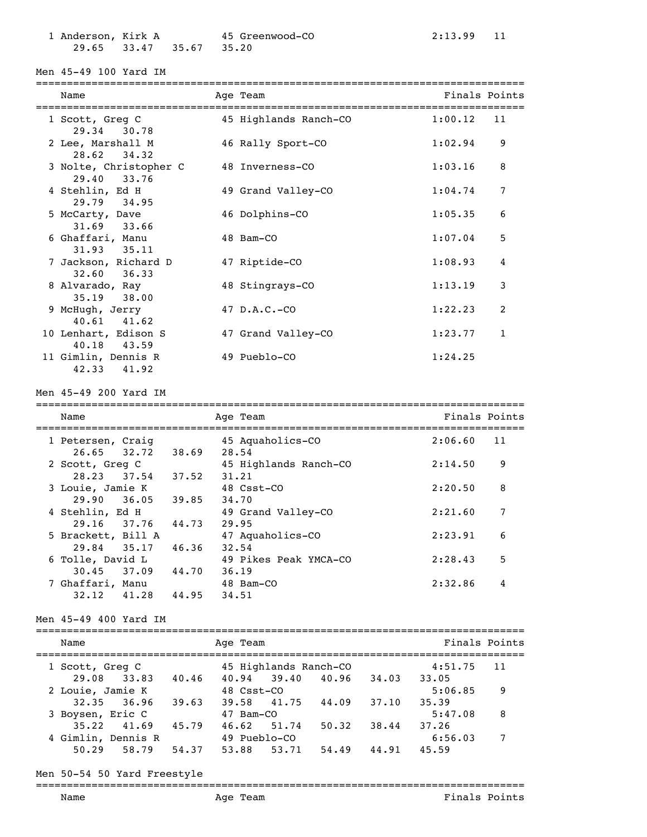1 Anderson, Kirk A 45 Greenwood-CO 2:13.99 11 29.65 33.47 35.67 35.20

Men 45-49 100 Yard IM

# ===============================================================================

| Name<br>===========================   | Age Team<br>==================================== | Finals Points |              |
|---------------------------------------|--------------------------------------------------|---------------|--------------|
| 1 Scott, Greg C<br>29.34 30.78        | 45 Highlands Ranch-CO                            | 1:00.12       | 11           |
| 2 Lee, Marshall M<br>$28.62$ $34.32$  | 46 Rally Sport-CO                                | 1:02.94       | 9            |
| 3 Nolte, Christopher C<br>29.40 33.76 | 48 Inverness-CO                                  | 1:03.16       | 8            |
| 4 Stehlin, Ed H<br>29.79 34.95        | 49 Grand Valley-CO                               | 1:04.74       | 7            |
| 5 McCarty, Dave<br>31.69 33.66        | 46 Dolphins-CO                                   | 1:05.35       | 6            |
| 6 Ghaffari, Manu<br>$31.93$ $35.11$   | 48 Bam-CO                                        | 1:07.04       | 5            |
| 7 Jackson, Richard D<br>32.60 36.33   | 47 Riptide-CO                                    | 1:08.93       | 4            |
| 8 Alvarado, Ray<br>$35.19$ $38.00$    | 48 Stingrays-CO                                  | 1:13.19       | 3            |
| 9 McHugh, Jerry<br>$40.61$ $41.62$    | $47$ D.A.C.-CO                                   | 1:22.23       | 2            |
| 10 Lenhart, Edison S<br>40.18 43.59   | 47 Grand Valley-CO                               | 1:23.77       | $\mathbf{1}$ |
| 11 Gimlin, Dennis R<br>42.33<br>41.92 | 49 Pueblo-CO                                     | 1:24.25       |              |

Men 45-49 200 Yard IM

| Name               |       | Age Team              | Finals Points |
|--------------------|-------|-----------------------|---------------|
| 1 Petersen, Craig  |       | 45 Aquaholics-CO      | 2:06.60<br>11 |
| $26.65$ $32.72$    | 38.69 | 28.54                 |               |
| 2 Scott, Greg C    |       | 45 Highlands Ranch-CO | 9<br>2:14.50  |
| 28.23 37.54        | 37.52 | 31.21                 |               |
| 3 Louie, Jamie K   |       | 48 Csst-CO            | 8<br>2:20.50  |
| 29.90 36.05 39.85  |       | 34.70                 |               |
| 4 Stehlin, Ed H    |       | 49 Grand Valley-CO    | 7<br>2:21.60  |
| 29.16 37.76        | 44.73 | 29.95                 |               |
| 5 Brackett, Bill A |       | 47 Aquaholics-CO      | 6<br>2:23.91  |
| 29.84 35.17        | 46.36 | 32.54                 |               |
| 6 Tolle, David L   |       | 49 Pikes Peak YMCA-CO | 5<br>2:28.43  |
| $30.45$ $37.09$    | 44.70 | 36.19                 |               |
| 7 Ghaffari, Manu   |       | 48 Bam-CO             | 4<br>2:32.86  |
| 32.12<br>41.28     | 44.95 | 34.51                 |               |

Men 45-49 400 Yard IM

=============================================================================== Name Team Age Team and Team Finals Points =============================================================================== 1 Scott, Greg C 45 Highlands Ranch-CO 4:51.75 11 29.08 33.83 40.46 40.94 39.40 40.96 34.03 33.05 2 Louie, Jamie K 48 Csst-CO 5:06.85 9 32.35 36.96 39.63 39.58 41.75 44.09 37.10 35.39 3 Boysen, Eric C 47 Bam-CO 5:47.08 8 35.22 41.69 45.79 46.62 51.74 50.32 38.44 37.26<br>mlin, Dennis R 49 Pueblo-CO 6:56 4 Gimlin, Dennis R 49 Pueblo-CO 6:56.03 7 50.29 58.79 54.37 53.88 53.71 54.49 44.91 45.59

===============================================================================

Men 50-54 50 Yard Freestyle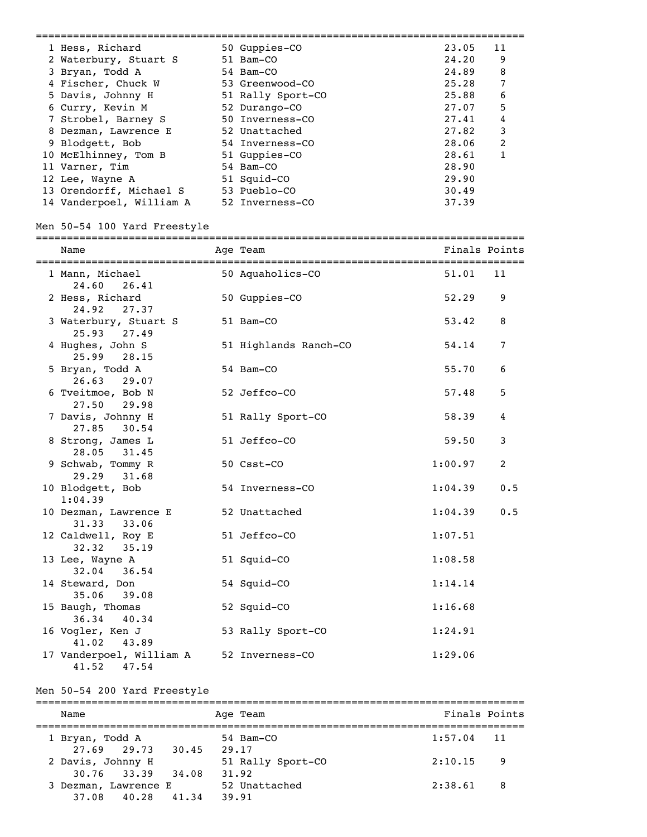| 1 Hess, Richard          | 50 Guppies-CO     | 23.05 | 11             |
|--------------------------|-------------------|-------|----------------|
| 2 Waterbury, Stuart S    | 51 Bam-CO         | 24.20 | 9              |
| 3 Bryan, Todd A          | 54 Bam-CO         | 24.89 | 8              |
| 4 Fischer, Chuck W       | 53 Greenwood-CO   | 25.28 | 7              |
| 5 Davis, Johnny H        | 51 Rally Sport-CO | 25.88 | 6              |
| 6 Curry, Kevin M         | 52 Durango-CO     | 27.07 | 5              |
| 7 Strobel, Barney S      | 50 Inverness-CO   | 27.41 | 4              |
| 8 Dezman, Lawrence E     | 52 Unattached     | 27.82 | 3              |
| 9 Blodgett, Bob          | 54 Inverness-CO   | 28.06 | $\mathfrak{D}$ |
| 10 McElhinney, Tom B     | 51 Guppies-CO     | 28.61 |                |
| 11 Varner, Tim           | 54 Bam-CO         | 28.90 |                |
| 12 Lee, Wayne A          | 51 Squid-CO       | 29.90 |                |
| 13 Orendorff, Michael S  | 53 Pueblo-CO      | 30.49 |                |
| 14 Vanderpoel, William A | 52 Inverness-CO   | 37.39 |                |

# Men 50-54 100 Yard Freestyle

# ===============================================================================

| Name<br>===============================    | Age Team              | Finals Points |                  |
|--------------------------------------------|-----------------------|---------------|------------------|
| 1 Mann, Michael<br>24.60 26.41             | 50 Aquaholics-CO      | 51.01         | 11               |
| 2 Hess, Richard<br>24.92<br>27.37          | 50 Guppies-CO         | 52.29         | 9                |
| 3 Waterbury, Stuart S<br>25.93 27.49       | 51 Bam-CO             | 53.42         | 8                |
| 4 Hughes, John S<br>25.99 28.15            | 51 Highlands Ranch-CO | 54.14         | $\overline{7}$   |
| 5 Bryan, Todd A<br>26.63 29.07             | 54 Bam-CO             | 55.70         | 6                |
| 6 Tveitmoe, Bob N<br>27.50 29.98           | 52 Jeffco-CO          | 57.48         | 5                |
| 7 Davis, Johnny H<br>27.85<br>30.54        | 51 Rally Sport-CO     | 58.39         | $\boldsymbol{4}$ |
| 8 Strong, James L<br>28.05<br>31.45        | 51 Jeffco-CO          | 59.50         | 3                |
| 9 Schwab, Tommy R<br>29.29<br>31.68        | 50 Csst-CO            | 1:00.97       | 2                |
| 10 Blodgett, Bob<br>1:04.39                | 54 Inverness-CO       | 1:04.39       | 0.5              |
| 10 Dezman, Lawrence E<br>31.33<br>33.06    | 52 Unattached         | 1:04.39       | 0.5              |
| 12 Caldwell, Roy E<br>32.32<br>35.19       | 51 Jeffco-CO          | 1:07.51       |                  |
| 13 Lee, Wayne A<br>32.04<br>36.54          | 51 Squid-CO           | 1:08.58       |                  |
| 14 Steward, Don<br>35.06<br>39.08          | 54 Squid-CO           | 1:14.14       |                  |
| 15 Baugh, Thomas<br>36.34 40.34            | 52 Squid-CO           | 1:16.68       |                  |
| 16 Vogler, Ken J<br>41.02<br>43.89         | 53 Rally Sport-CO     | 1:24.91       |                  |
| 17 Vanderpoel, William A<br>41.52<br>47.54 | 52 Inverness-CO       | 1:29.06       |                  |

# Men 50-54 200 Yard Freestyle

| Name                               |       | Age Team           | Finals Points |
|------------------------------------|-------|--------------------|---------------|
| 1 Bryan, Todd A<br>$27.69$ $29.73$ | 30.45 | 54 Bam-CO<br>29.17 | $1:57.04$ 11  |
| 2 Davis, Johnny H                  | 34.08 | 51 Rally Sport-CO  | 2:10.15       |
| 30.76 33.39                        |       | 31.92              | - 9           |
| 3 Dezman, Lawrence E               | 41.34 | 52 Unattached      | 2:38.61       |
| 37.08 40.28                        |       | 39.91              | - 8           |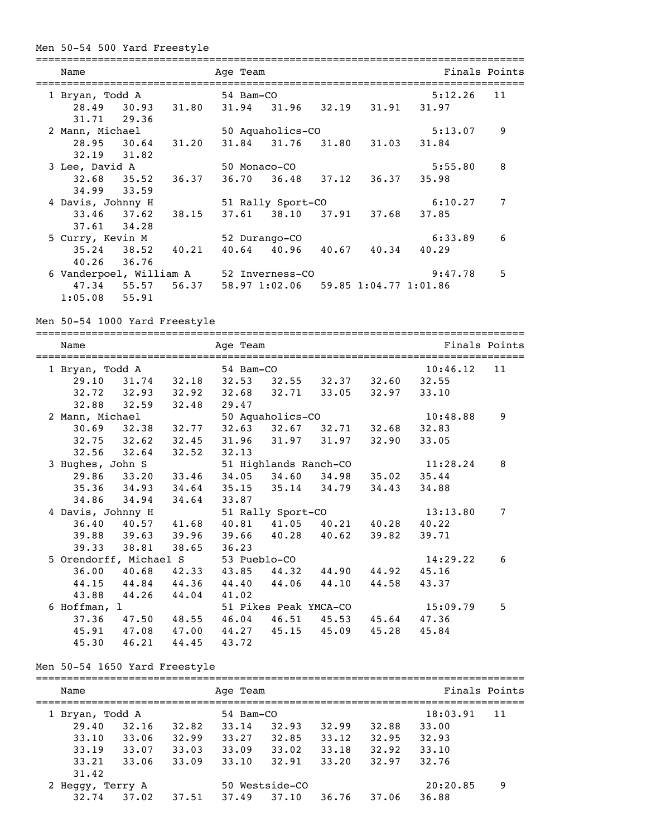# Men 50-54 500 Yard Freestyle

| Name                           |             |                         | Age Team          |                                     |         |   | Finals Points |   |  |
|--------------------------------|-------------|-------------------------|-------------------|-------------------------------------|---------|---|---------------|---|--|
| 1 Bryan, Todd A                |             |                         | 54 Bam-CO         |                                     |         |   | 11<br>5:12.26 |   |  |
| 31.71 29.36                    |             | 28.49 30.93 31.80       |                   | 31.94 31.96 32.19 31.91             |         |   | 31.97         |   |  |
| 2 Mann, Michael                |             |                         |                   | 50 Aquaholics-CO                    |         |   | 5:13.07       | 9 |  |
| $32.19$ $31.82$                |             | 28.95 30.64 31.20       |                   | 31.84 31.76 31.80 31.03             |         |   | 31.84         |   |  |
| 3 Lee, David A                 |             |                         | 50 Monaco-CO      |                                     |         |   | 5:55.80       | 8 |  |
| $34.99$ $33.59$                |             | $32.68$ $35.52$ $36.37$ |                   | 36.70 36.48 37.12 36.37             |         |   | 35.98         |   |  |
| 4 Davis, Johnny H              |             |                         | 51 Rally Sport-CO |                                     |         |   | 6:10.27       | 7 |  |
| $37.61$ $34.28$                |             | $33.46$ $37.62$ $38.15$ |                   | 37.61 38.10 37.91 37.68             |         |   | 37.85         |   |  |
| 5 Curry, Kevin M               |             |                         |                   | 52 Durango-CO                       | 6:33.89 | 6 |               |   |  |
| $35.24$ $38.52$<br>40.26 36.76 |             | 40.21                   |                   | $40.64$ $40.96$ $40.67$ $40.34$     |         |   | 40.29         |   |  |
| 6 Vanderpoel, William A        |             |                         |                   | 52 Inverness-CO                     |         |   |               | 5 |  |
| $1:05.08$ 55.91                | 47.34 55.57 | 56.37                   |                   | 58.97 1:02.06 59.85 1:04.77 1:01.86 |         |   |               |   |  |

Men 50-54 1000 Yard Freestyle

| Name                                |                         |                         |                                                 | Finals Points         |                               |             |          |    |
|-------------------------------------|-------------------------|-------------------------|-------------------------------------------------|-----------------------|-------------------------------|-------------|----------|----|
|                                     |                         | ---------------         |                                                 |                       |                               |             |          |    |
| 1 Bryan, Todd A                     |                         |                         | 54 Bam-CO                                       |                       |                               |             | 10:46.12 | 11 |
|                                     |                         |                         | 29.10 31.74 32.18 32.53 32.55 32.37 32.60 32.55 |                       |                               |             |          |    |
|                                     |                         |                         | 32.72 32.93 32.92 32.68 32.71 33.05 32.97 33.10 |                       |                               |             |          |    |
|                                     |                         | $32.88$ $32.59$ $32.48$ | 29.47                                           |                       |                               |             |          |    |
| 2 Mann, Michael                     |                         |                         |                                                 | 50 Aquaholics-CO      |                               |             | 10:48.88 | 9  |
|                                     |                         | $30.69$ $32.38$ $32.77$ |                                                 |                       | 32.63 32.67 32.71 32.68 32.83 |             |          |    |
| $32.75$ $32.62$                     |                         | 32.45                   |                                                 |                       | 31.96 31.97 31.97             | 32,90       | 33.05    |    |
|                                     | $32.56$ $32.64$ $32.52$ |                         | 32.13                                           |                       |                               |             |          |    |
| 3 Hughes, John S                    |                         |                         |                                                 | 51 Highlands Ranch-CO |                               |             |          | 8  |
|                                     |                         | 29.86 33.20 33.46       |                                                 |                       | 34.05 34.60 34.98 35.02 35.44 |             |          |    |
|                                     |                         |                         | 35.36 34.93 34.64 35.15 35.14 34.79 34.43       |                       |                               |             | 34.88    |    |
| 34.86 34.94                         |                         | 34.64                   | 33.87                                           |                       |                               |             |          |    |
| 4 Davis, Johnny H                   |                         |                         |                                                 | 51 Rally Sport-CO     |                               |             | 13:13.80 | 7  |
|                                     |                         |                         | 36.40 40.57 41.68 40.81 41.05 40.21 40.28 40.22 |                       |                               |             |          |    |
|                                     | 39.88 39.63 39.96       |                         |                                                 |                       | 39.66 40.28 40.62             | 39.82       | 39.71    |    |
| 39.33 38.81                         |                         | 38.65                   | 36.23                                           |                       |                               |             |          |    |
| 5 Orendorff, Michael S 53 Pueblo-CO |                         |                         |                                                 |                       |                               |             | 14:29.22 | 6  |
|                                     |                         |                         | 36.00 40.68 42.33 43.85 44.32 44.90             |                       |                               | 44.92 45.16 |          |    |
|                                     |                         |                         | 44.15 44.84 44.36 44.40 44.06 44.10             |                       |                               | 44.58 43.37 |          |    |
|                                     | 43.88 44.26 44.04       |                         | 41.02                                           |                       |                               |             |          |    |
| 6 Hoffman, l                        |                         |                         |                                                 |                       | 51 Pikes Peak YMCA-CO         |             | 15:09.79 | 5  |
|                                     |                         |                         | 37.36 47.50 48.55 46.04 46.51 45.53 45.64       |                       |                               |             | 47.36    |    |
|                                     |                         |                         | 45.91 47.08 47.00 44.27 45.15 45.09             |                       |                               | 45.28       | 45.84    |    |
| 45.30                               | 46.21                   | 44.45                   | 43.72                                           |                       |                               |             |          |    |

# Men 50-54 1650 Yard Freestyle

| Name            |         |       |           | Finals Points  |       |       |          |    |  |  |  |  |
|-----------------|---------|-------|-----------|----------------|-------|-------|----------|----|--|--|--|--|
| 1 Bryan, Todd A |         |       | 54 Bam-CO |                |       |       | 18:03.91 | 11 |  |  |  |  |
| 29.40           | 32.16   | 32.82 | 33.14     | 32.93          | 32.99 | 32.88 | 33.00    |    |  |  |  |  |
| 33.10           | 33.06   | 32.99 | 33.27     | 32.85          | 33.12 | 32.95 | 32.93    |    |  |  |  |  |
| 33.19           | 33.07   | 33.03 | 33.09     | 33.02          | 33.18 | 32.92 | 33.10    |    |  |  |  |  |
| 33.21           | 33.06   | 33.09 | 33.10     | 32.91          | 33.20 | 32.97 | 32.76    |    |  |  |  |  |
| 31.42           |         |       |           |                |       |       |          |    |  |  |  |  |
| 2 Heggy,        | Terry A |       |           | 50 Westside-CO |       |       |          | 9  |  |  |  |  |
| 32.74           | 37.02   | 37.51 | 37.49     | 37.10          | 36.76 | 37.06 | 36.88    |    |  |  |  |  |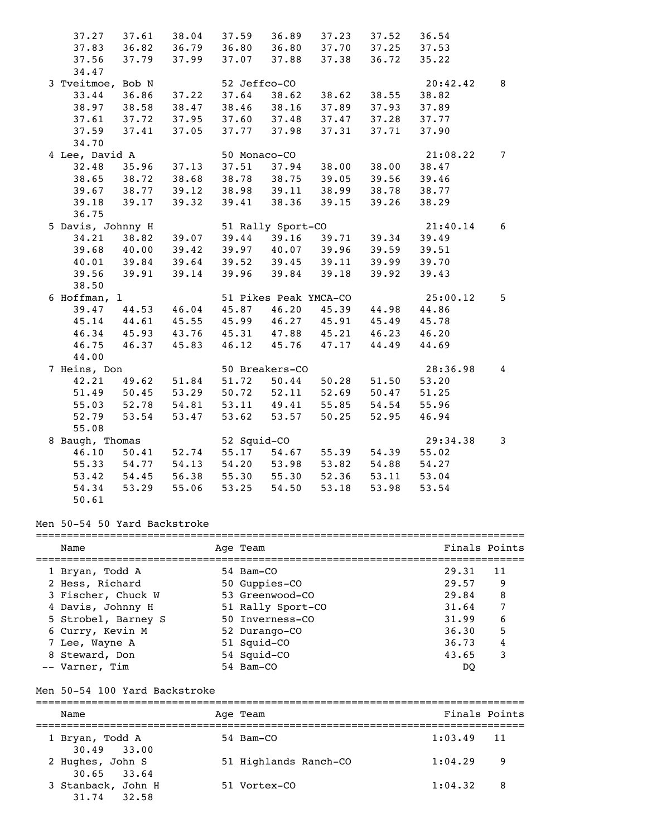| 37.27             | 37.61                                                                      |             | 38.04 37.59 36.89       |                       | 37.23 | 37.52       | 36.54    |                |
|-------------------|----------------------------------------------------------------------------|-------------|-------------------------|-----------------------|-------|-------------|----------|----------------|
| 37.83             | 36.82 36.79 36.80 36.80                                                    |             |                         |                       | 37.70 | 37.25       | 37.53    |                |
| 37.56             | 37.79                                                                      | 37.99       | 37.07 37.88             |                       | 37.38 | 36.72       | 35.22    |                |
| 34.47             |                                                                            |             |                         |                       |       |             |          |                |
| 3 Tveitmoe, Bob N |                                                                            |             | 52 Jeffco-CO            |                       |       |             | 20:42.42 | 8              |
| 33.44             | 36.86                                                                      |             | 37.22 37.64             | 38.62                 | 38.62 | 38.55       | 38.82    |                |
| 38.97             | 38.58                                                                      | 38.47       | 38.46 38.16             |                       | 37.89 | 37.93       | 37.89    |                |
| 37.61             | 37.72                                                                      | 37.95       | 37.60 37.48             |                       | 37.47 | 37.28       | 37.77    |                |
| 37.59             | 37.41                                                                      | 37.05       |                         | 37.77 37.98           | 37.31 | 37.71       | 37.90    |                |
| 34.70             |                                                                            |             |                         |                       |       |             |          |                |
| 4 Lee, David A    |                                                                            |             |                         | 50 Monaco-CO          |       |             | 21:08.22 | $7^{\circ}$    |
| 32.48             |                                                                            |             | 35.96 37.13 37.51 37.94 |                       |       | 38.00 38.00 | 38.47    |                |
|                   | 38.65 38.72 38.68 38.78 38.75                                              |             |                         |                       | 39.05 | 39.56       | 39.46    |                |
| 39.67             | 38.77 39.12 38.98 39.11 38.99                                              |             |                         |                       |       | 38.78       | 38.77    |                |
| 39.18             | 39.17                                                                      | 39.32       |                         | 39.41 38.36           | 39.15 | 39.26       | 38.29    |                |
| 36.75             |                                                                            |             |                         |                       |       |             |          |                |
| 5 Davis, Johnny H |                                                                            |             |                         | 51 Rally Sport-CO     |       |             | 21:40.14 | 6              |
| 34.21             | 38.82                                                                      | 39.07       |                         | $39.44$ $39.16$       |       | 39.71 39.34 | 39.49    |                |
| 39.68             | 40.00                                                                      | 39.42       |                         | 39.97 40.07 39.96     |       | 39.59       | 39.51    |                |
| 40.01             | 39.84                                                                      |             | 39.64 39.52 39.45 39.11 |                       |       | 39.99       | 39.70    |                |
| 39.56             | 39.91                                                                      | 39.14       |                         | 39.96 39.84           | 39.18 | 39.92       | 39.43    |                |
| 38.50             |                                                                            |             |                         |                       |       |             |          |                |
| 6 Hoffman, l      |                                                                            |             |                         | 51 Pikes Peak YMCA-CO |       |             | 25:00.12 | 5              |
| 39.47             | 44.53                                                                      | 46.04       |                         | 45.87 46.20 45.39     |       | 44.98       | 44.86    |                |
|                   | 45.14 44.61 45.55 45.99 46.27 45.91<br>46.34 45.93 43.76 45.31 47.88 45.21 |             |                         |                       |       | 45.49       | 45.78    |                |
|                   |                                                                            |             |                         |                       |       | 46.23       | 46.20    |                |
| 46.75             | 46.37                                                                      | 45.83       |                         | 46.12 45.76           | 47.17 | 44.49       | 44.69    |                |
| 44.00             |                                                                            |             |                         |                       |       |             |          |                |
| 7 Heins, Don      |                                                                            |             |                         | 50 Breakers-CO        |       |             | 28:36.98 | $\overline{4}$ |
| 42.21             | 49.62 51.84 51.72 50.44                                                    |             |                         |                       |       | 50.28 51.50 | 53.20    |                |
|                   | 51.49 50.45 53.29 50.72 52.11                                              |             |                         |                       | 52.69 | 50.47       | 51.25    |                |
| 55.03             | 52.78                                                                      | 54.81       | 53.11 49.41             |                       | 55.85 | 54.54       | 55.96    |                |
| 52.79             | 53.54                                                                      | 53.47       | 53.62                   | 53.57                 | 50.25 | 52.95       | 46.94    |                |
| 55.08             |                                                                            |             |                         |                       |       |             |          |                |
| 8 Baugh, Thomas   |                                                                            |             | 52 Squid-CO             |                       |       |             | 29:34.38 | 3              |
| 46.10             | 50.41                                                                      | 52.74       |                         | 55.17 54.67           | 55.39 | 54.39       | 55.02    |                |
| 55.33             | 54.77 54.13                                                                |             | 54.20 53.98             |                       | 53.82 | 54.88       | 54.27    |                |
| 53.42             | 54.45                                                                      |             | 56.38 55.30 55.30       |                       | 52.36 | 53.11       | 53.04    |                |
| 54.34             |                                                                            | 53.29 55.06 | 53.25                   | 54.50                 | 53.18 | 53.98       | 53.54    |                |
| 50.61             |                                                                            |             |                         |                       |       |             |          |                |

# Men 50-54 50 Yard Backstroke

| Name                | Age Team          | Finals Points |    |
|---------------------|-------------------|---------------|----|
|                     |                   |               |    |
| 1 Bryan, Todd A     | 54 Bam-CO         | 29.31         | 11 |
| 2 Hess, Richard     | 50 Guppies-CO     | 29.57         | 9  |
| 3 Fischer, Chuck W  | 53 Greenwood-CO   | 29.84         | 8  |
| 4 Davis, Johnny H   | 51 Rally Sport-CO | 31.64         | 7  |
| 5 Strobel, Barney S | 50 Inverness-CO   | 31.99         | 6  |
| 6 Curry, Kevin M    | 52 Durango-CO     | 36.30         | 5  |
| 7 Lee, Wayne A      | 51 Squid-CO       | 36.73         | 4  |
| 8 Steward, Don      | 54 Squid-CO       | 43.65         | 3  |
| -- Varner, Tim      | 54 Bam-CO         | DO            |    |

#### Men 50-54 100 Yard Backstroke

=============================================================================== Name Age Team Age Team Finals Points =============================================================================== 1 Bryan, Todd A 30.49 33.00<br>2 Hughes, John S 51 Highlands Ranch-CO 1:04.29 9 30.65 33.64<br>3 Stanback, John H 51 Vortex-CO 1:04.32 8 31.74 32.58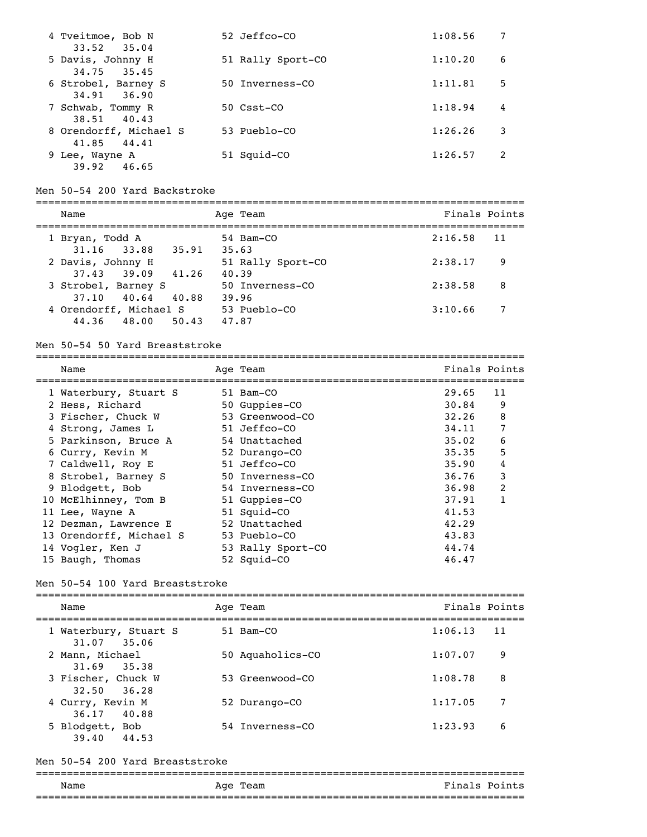| 4 Tveitmoe, Bob N<br>$33.52$ $35.04$  | 52 Jeffco-CO          | 1:08.56 |   |
|---------------------------------------|-----------------------|---------|---|
| 5 Davis, Johnny H<br>$34.75$ $35.45$  | 51 Rally Sport-CO     | 1:10.20 | 6 |
| 6 Strobel, Barney S<br>34.91 36.90    | 50 Inverness-CO       | 1:11.81 | 5 |
| 7 Schwab, Tommy R<br>38.51 40.43      | $50 \text{ C}$ sst-CO | 1:18.94 | 4 |
| 8 Orendorff, Michael S<br>41.85 44.41 | 53 Pueblo-CO          | 1:26.26 | 3 |
| 9 Lee, Wayne A<br>39.92<br>46.65      | 51 Squid-CO           | 1:26.57 |   |

#### Men 50-54 200 Yard Backstroke

=============================================================================== Name Age Team Age Team Finals Points =============================================================================== 1 Bryan, Todd A 54 Bam-CO 2:16.58 11 31.16 33.88 35.91 35.63 2 Davis, Johnny H 51 Rally Sport-CO 2:38.17 9 37.43 39.09 41.26 40.39 3 Strobel, Barney S 50 Inverness-CO 2:38.58 8 37.10 40.64 40.88 39.96 4 Orendorff, Michael S 53 Pueblo-CO 3:10.66 7 44.36 48.00 50.43 47.87

#### Men 50-54 50 Yard Breaststroke

| Name                    | Age Team          | Finals Points |    |
|-------------------------|-------------------|---------------|----|
| 1 Waterbury, Stuart S   | 51 Bam-CO         | 29.65         | 11 |
| 2 Hess, Richard         | 50 Guppies-CO     | 30.84         | 9  |
| 3 Fischer, Chuck W      | 53 Greenwood-CO   | 32.26         | 8  |
| 4 Strong, James L       | 51 Jeffco-CO      | 34.11         | 7  |
| 5 Parkinson, Bruce A    | 54 Unattached     | 35.02         | 6  |
| 6 Curry, Kevin M        | 52 Durango-CO     | 35.35         | 5  |
| 7 Caldwell, Roy E       | 51 Jeffco-CO      | 35.90         | 4  |
| 8 Strobel, Barney S     | 50 Inverness-CO   | 36.76         | 3  |
| 9 Blodgett, Bob         | 54 Inverness-CO   | 36.98         | 2  |
| 10 McElhinney, Tom B    | 51 Guppies-CO     | 37.91         | 1  |
| 11 Lee, Wayne A         | 51 Squid-CO       | 41.53         |    |
| 12 Dezman, Lawrence E   | 52 Unattached     | 42.29         |    |
| 13 Orendorff, Michael S | 53 Pueblo-CO      | 43.83         |    |
| 14 Vogler, Ken J        | 53 Rally Sport-CO | 44.74         |    |
| 15 Baugh, Thomas        | 52 Squid-CO       | 46.47         |    |

#### Men 50-54 100 Yard Breaststroke

=============================================================================== Name Age Team Age Team Finals Points =============================================================================== 1 Waterbury, Stuart S 51 Bam-CO 1:06.13 11 31.07 35.06<br>2 Mann, Michael 50 Aquaholics-CO 1:07.07 9 31.69 35.38 3 Fischer, Chuck W 53 Greenwood-CO 1:08.78 8 32.50 36.28 4 Curry, Kevin M 52 Durango-CO 1:17.05 7 36.17 40.88 5 Blodgett, Bob 54 Inverness-CO 1:23.93 6 39.40 44.53

### Men 50-54 200 Yard Breaststroke

#### =============================================================================== Finals Points ===============================================================================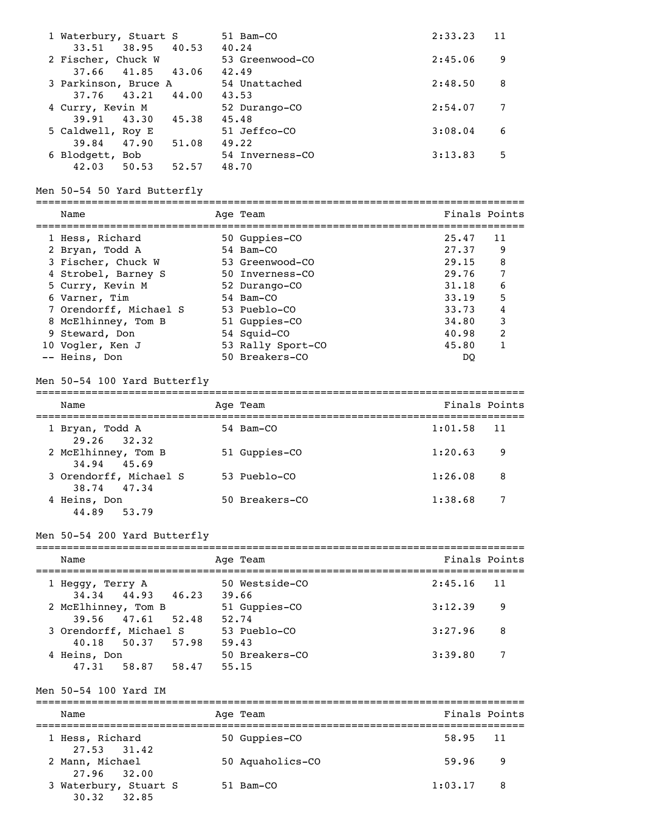| 1 Waterbury, Stuart S<br>38.95 40.53<br>33.51 |       | 51 Bam-CO<br>40.24       | 2:33.23 | 11 |
|-----------------------------------------------|-------|--------------------------|---------|----|
| 2 Fischer, Chuck W                            |       | 53 Greenwood-CO          | 2:45.06 | 9  |
| 41.85<br>37.66<br>3 Parkinson, Bruce A        | 43.06 | 42.49<br>54 Unattached   | 2:48.50 | 8  |
| 43.21<br>37.76<br>4 Curry, Kevin M            | 44.00 | 43.53<br>52 Durango-CO   | 2:54.07 |    |
| 43.30<br>39.91                                | 45.38 | 45.48                    |         |    |
| 5 Caldwell, Roy E<br>47.90<br>39.84           | 51.08 | 51 Jeffco-CO<br>49.22    | 3:08.04 | 6  |
| 6 Blodgett, Bob<br>42.03<br>50.53             | 52.57 | 54 Inverness-CO<br>48.70 | 3:13.83 | 5  |

# Men 50-54 50 Yard Butterfly

| Name                   | Age Team          | Finals Points |    |
|------------------------|-------------------|---------------|----|
|                        |                   | 25.47         |    |
| 1 Hess, Richard        | 50 Guppies-CO     |               | 11 |
| 2 Bryan, Todd A        | 54 Bam-CO         | 27.37         | 9  |
| 3 Fischer, Chuck W     | 53 Greenwood-CO   | 29.15         | 8  |
| 4 Strobel, Barney S    | 50 Inverness-CO   | 29.76         | 7  |
| 5 Curry, Kevin M       | 52 Durango-CO     | 31.18         | 6  |
| 6 Varner, Tim          | 54 Bam-CO         | 33.19         | 5  |
| 7 Orendorff, Michael S | 53 Pueblo-CO      | 33.73         | 4  |
| 8 McElhinney, Tom B    | 51 Guppies-CO     | 34.80         | 3  |
| 9 Steward, Don         | 54 Squid-CO       | 40.98         | 2  |
| 10 Vogler, Ken J       | 53 Rally Sport-CO | 45.80         | 1  |
| -- Heins, Don          | 50 Breakers-CO    | DO            |    |

# Men 50-54 100 Yard Butterfly

| Name                                  | Age Team       | Finals Points |    |
|---------------------------------------|----------------|---------------|----|
| 1 Bryan, Todd A<br>$29.26$ $32.32$    | 54 Bam-CO      | 1:01.58       | 11 |
| 2 McElhinney, Tom B<br>34.94 45.69    | 51 Guppies-CO  | 1:20.63       | 9  |
| 3 Orendorff, Michael S<br>38.74 47.34 | 53 Pueblo-CO   | 1:26.08       | 8  |
| 4 Heins, Don<br>44.89 53.79           | 50 Breakers-CO | 1:38.68       | 7  |

# Men 50-54 200 Yard Butterfly

| Name                                        | Age Team                | Finals Points |
|---------------------------------------------|-------------------------|---------------|
| 1 Heggy, Terry A<br>34.34 44.93 46.23       | 50 Westside-CO<br>39.66 | $2:45.16$ 11  |
| 2 McElhinney, Tom B<br>39.56 47.61 52.48    | 51 Guppies-CO<br>52.74  | 3:12.39<br>9  |
| 3 Orendorff, Michael S<br>40.18 50.37 57.98 | 53 Pueblo-CO<br>59.43   | 3:27.96<br>8  |
| 4 Heins, Don<br>47.31 58.87<br>58.47        | 50 Breakers-CO<br>55.15 | 7<br>3:39.80  |

# Men 50-54 100 Yard IM

| Name                                                    | Age Team         | Finals Points  |
|---------------------------------------------------------|------------------|----------------|
| 1 Hess, Richard                                         | 50 Guppies-CO    | 58.95 11       |
| $27.53$ $31.42$<br>2 Mann, Michael                      | 50 Aquaholics-CO | 59.96<br>- 9   |
| 27.96 32.00<br>3 Waterbury, Stuart S<br>$30.32$ $32.85$ | $51$ Bam $-CO$   | 1:03.17<br>- 8 |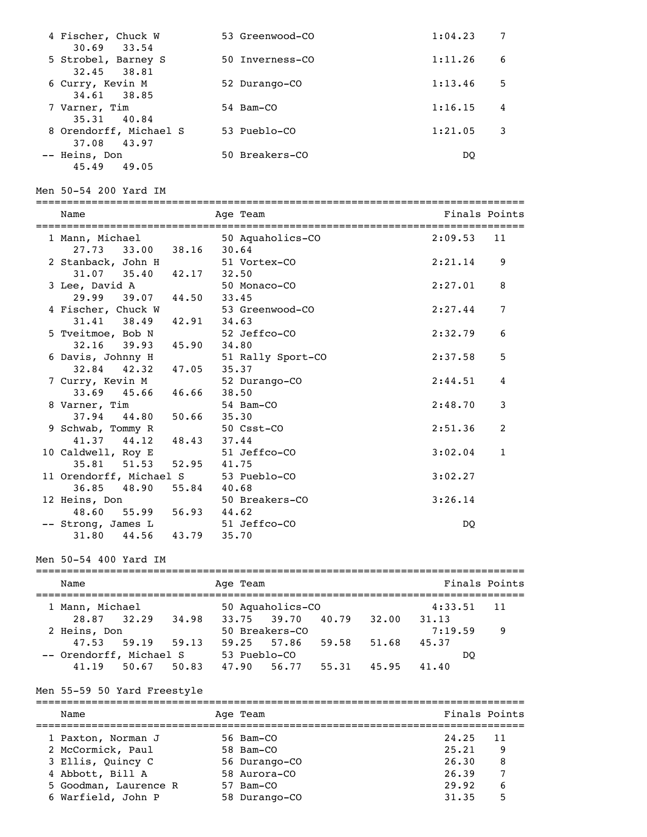| 4 Fischer, Chuck W<br>$30.69$ $33.54$    | 53 Greenwood-CO | 1:04.23      |
|------------------------------------------|-----------------|--------------|
| 5 Strobel, Barney S<br>32.45 38.81       | 50 Inverness-CO | 1:11.26<br>6 |
| 6 Curry, Kevin M<br>34.61 38.85          | 52 Durango-CO   | 1:13.46<br>5 |
| 7 Varner, Tim<br>35.31 40.84             | 54 Bam-CO       | 1:16.15<br>4 |
| 8 Orendorff, Michael S<br>43.97          | 53 Pueblo-CO    | 1:21.05<br>3 |
| 37.08<br>-- Heins, Don<br>45.49<br>49.05 | 50 Breakers-CO  | DO           |

#### Men 50-54 200 Yard IM

| Name                                                  |               | Age Team               | Finals Points |              |
|-------------------------------------------------------|---------------|------------------------|---------------|--------------|
| 1 Mann, Michael<br>27.73 33.00 38.16 30.64            |               | 50 Aquaholics-CO       | $2:09.53$ 11  |              |
| 2 Stanback, John H<br>$31.07$ $35.40$ $42.17$ $32.50$ |               | 51 Vortex-CO           | 2:21.14       | 9            |
| 3 Lee, David A<br>29.99 39.07 44.50 33.45             |               | 50 Monaco-CO           | 2:27.01       | 8            |
| 4 Fischer, Chuck W                                    |               | 53 Greenwood-CO        | 2:27.44       | 7            |
| $31.41$ $38.49$ $42.91$ $34.63$<br>5 Tveitmoe, Bob N  |               | 52 Jeffco-CO           | 2:32.79       | 6            |
| 32.16 39.93 45.90 34.80<br>6 Davis, Johnny H          |               | 51 Rally Sport-CO      | 2:37.58       | 5            |
| 32.84 42.32 47.05<br>7 Curry, Kevin M                 |               | 35.37<br>52 Durango-CO | 2:44.51       | 4            |
| $33.69$ $45.66$ $46.66$<br>8 Varner, Tim              |               | 38.50<br>54 Bam-CO     | 2:48.70       | 3            |
| 37.94 44.80<br>9 Schwab, Tommy R                      | $50.66$ 35.30 | 50 Csst-CO             | 2:51.36       | 2            |
| $41.37$ $44.12$ $48.43$<br>10 Caldwell, Roy E         |               | 37.44<br>51 Jeffco-CO  | 3:02.04       | $\mathbf{1}$ |
| 35.81 51.53 52.95 41.75<br>11 Orendorff, Michael S    |               | 53 Pueblo-CO           | 3:02.27       |              |
| 36.85 48.90 55.84 40.68<br>12 Heins, Don              |               | 50 Breakers-CO         | 3:26.14       |              |
| 48.60 55.99 56.93 44.62<br>-- Strong, James L         |               | 51 Jeffco-CO           | DO.           |              |
| 31.80 44.56 43.79 35.70                               |               |                        |               |              |

Men 50-54 400 Yard IM

| Name                    |             |       |              | Age Team          |       |       |         | Finals Points |  |
|-------------------------|-------------|-------|--------------|-------------------|-------|-------|---------|---------------|--|
| 1 Mann, Michael         |             |       |              | 50 Aquaholics-CO  |       |       | 4:33.51 | - 11          |  |
| 28.87 32.29             |             | 34.98 |              | 33.75 39.70 40.79 |       | 32.00 | 31.13   |               |  |
| 2 Heins, Don            |             |       |              | 50 Breakers-CO    |       |       | 7:19.59 | - 9           |  |
|                         | 47.53 59.19 | 59.13 |              | 59.25 57.86       | 59.58 | 51.68 | 45.37   |               |  |
| -- Orendorff, Michael S |             |       | 53 Pueblo-CO |                   |       |       | DO      |               |  |
| 41.19                   | 50.67       | 50.83 | 47.90        | 56.77             | 55.31 | 45.95 | 41.40   |               |  |

#### Men 55-59 50 Yard Freestyle

=============================================================================== Name Age Team Age Team Finals Points =============================================================================== 1 Paxton, Norman J 56 Bam-CO 24.25 11 2 McCormick, Paul 58 Bam-CO 25.21 9 3 Ellis, Quincy C 56 Durango-CO 26.30 8 4 Abbott, Bill A 58 Aurora-CO 26.39 7 5 Goodman, Laurence R 57 Bam-CO 29.92 6 6 Warfield, John P 58 Durango-CO 31.35 5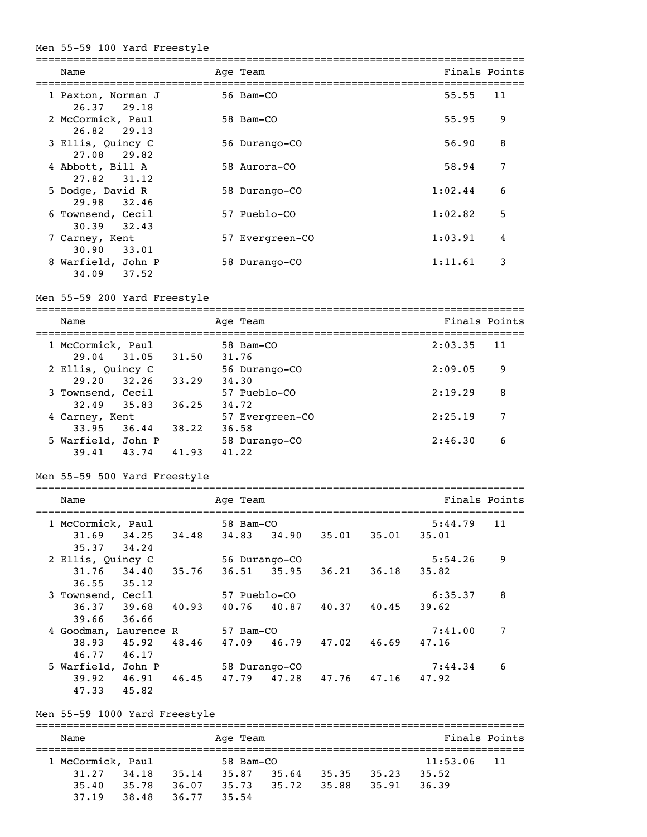#### Men 55-59 100 Yard Freestyle

| Name                                 | Age Team        |         | Finals Points |
|--------------------------------------|-----------------|---------|---------------|
| 1 Paxton, Norman J<br>26.37 29.18    | 56 Bam-CO       | 55.55   | 11            |
| 2 McCormick, Paul<br>26.82<br>29.13  | 58 Bam-CO       | 55.95   | 9             |
| 3 Ellis, Quincy C<br>29.82<br>27.08  | 56 Durango-CO   | 56.90   | 8             |
| 4 Abbott, Bill A<br>27.82<br>31.12   | 58 Aurora-CO    | 58.94   | 7             |
| 5 Dodge, David R<br>32.46<br>29.98   | 58 Durango-CO   | 1:02.44 | 6             |
| 6 Townsend, Cecil<br>32.43<br>30.39  | 57 Pueblo-CO    | 1:02.82 | 5             |
| 7 Carney, Kent<br>30.90<br>33.01     | 57 Evergreen-CO | 1:03.91 | 4             |
| 8 Warfield, John P<br>34.09<br>37.52 | 58 Durango-CO   | 1:11.61 | 3             |

#### Men 55-59 200 Yard Freestyle

===============================================================================

| Name                                 | Age Team       |                 | Finals Points |    |
|--------------------------------------|----------------|-----------------|---------------|----|
| 1 McCormick, Paul<br>31.05<br>29.04  | 31.50<br>31.76 | 58 Bam-CO       | 2:03.35       | 11 |
| 2 Ellis, Quincy C                    |                | 56 Durango-CO   | 2:09.05       | 9  |
| 29.20<br>32.26<br>3 Townsend, Cecil  | 33.29<br>34.30 | 57 Pueblo-CO    | 2:19.29       | 8  |
| 32.49<br>35.83                       | 36.25<br>34.72 |                 |               |    |
| 4 Carney, Kent<br>33.95<br>36.44     | 38.22<br>36.58 | 57 Evergreen-CO | 2:25.19       | 7  |
| 5 Warfield, John P<br>43.74<br>39.41 | 41.22<br>41.93 | 58 Durango-CO   | 2:46.30       | 6  |
|                                      |                |                 |               |    |

#### Men 55-59 500 Yard Freestyle

| Name                  |       |       | Age Team     |               |       |       |         | Finals Points |
|-----------------------|-------|-------|--------------|---------------|-------|-------|---------|---------------|
| 1 McCormick, Paul     |       |       | 58 Bam-CO    |               |       |       | 5:44.79 | 11            |
| 31.69                 | 34.25 | 34.48 | 34.83        | 34.90         | 35.01 | 35.01 | 35.01   |               |
| 35.37                 | 34.24 |       |              |               |       |       |         |               |
| 2 Ellis, Ouincy C     |       |       |              | 56 Durango-CO |       |       | 5:54.26 | 9             |
| $31.76$ $34.40$       |       | 35.76 | 36.51        | 35.95         | 36.21 | 36.18 | 35.82   |               |
| 36.55                 | 35.12 |       |              |               |       |       |         |               |
| 3 Townsend, Cecil     |       |       | 57 Pueblo-CO |               |       |       | 6:35.37 | 8             |
| 36.37 39.68           |       | 40.93 | 40.76        | 40.87         | 40.37 | 40.45 | 39.62   |               |
| 39.66                 | 36.66 |       |              |               |       |       |         |               |
| 4 Goodman, Laurence R |       |       | 57 Bam-CO    |               |       |       | 7:41.00 | 7             |
| 38.93                 | 45.92 | 48.46 | 47.09        | 46.79         | 47.02 | 46.69 | 47.16   |               |
| 46.77                 | 46.17 |       |              |               |       |       |         |               |
| 5 Warfield, John P    |       |       |              | 58 Durango-CO |       |       | 7:44.34 | 6             |
| 39.92                 | 46.91 | 46.45 | 47.79        | 47.28         | 47.76 | 47.16 | 47.92   |               |
| 47.33                 | 45.82 |       |              |               |       |       |         |               |

#### Men 55-59 1000 Yard Freestyle

=============================================================================== Age Team  $\qquad \qquad$  Finals Points =============================================================================== 1 McCormick, Paul 58 Bam-CO 11:53.06 11 31.27 34.18 35.14 35.87 35.64 35.35 35.23 35.52 35.40 35.78 36.07 35.73 35.72 35.88 35.91 36.39 37.19 38.48 36.77 35.54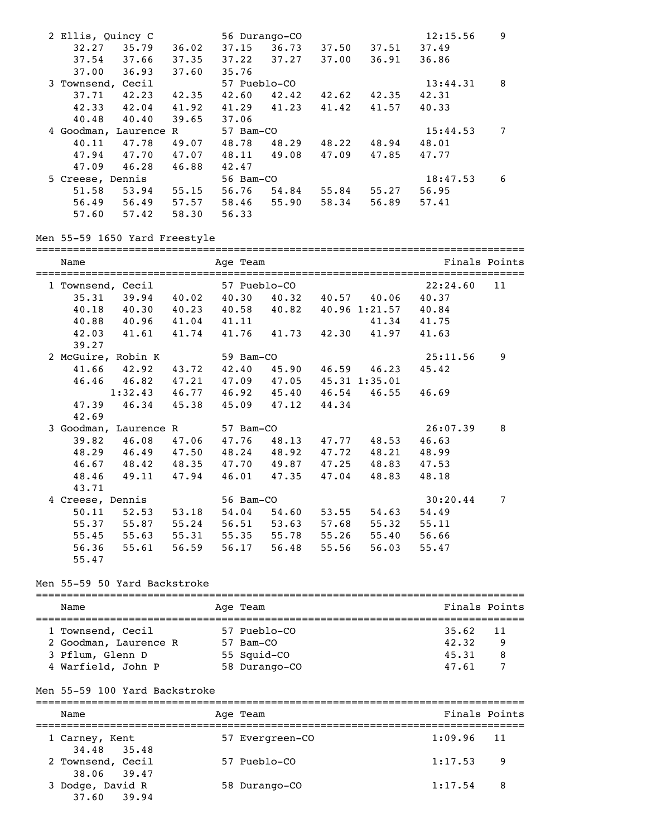| 2 Ellis, Quincy C     |       |       |              | 56 Durango-CO |       |       | 12:15.56 | 9 |
|-----------------------|-------|-------|--------------|---------------|-------|-------|----------|---|
| 32.27                 | 35.79 | 36.02 | 37.15        | 36.73         | 37.50 | 37.51 | 37.49    |   |
| 37.54                 | 37.66 | 37.35 | 37.22        | 37.27         | 37.00 | 36.91 | 36.86    |   |
| 37.00                 | 36.93 | 37.60 | 35.76        |               |       |       |          |   |
| 3 Townsend, Cecil     |       |       | 57 Pueblo-CO |               |       |       | 13:44.31 | 8 |
| 37.71                 | 42.23 | 42.35 | 42.60        | 42.42         | 42.62 | 42.35 | 42.31    |   |
| 42.33                 | 42.04 | 41.92 | 41.29        | 41.23         | 41.42 | 41.57 | 40.33    |   |
| 40.48                 | 40.40 | 39.65 | 37.06        |               |       |       |          |   |
|                       |       |       |              |               |       |       |          |   |
| 4 Goodman, Laurence R |       |       | 57 Bam-CO    |               |       |       | 15:44.53 | 7 |
| 40.11                 | 47.78 | 49.07 | 48.78        | 48.29         | 48.22 | 48.94 | 48.01    |   |
| 47.94                 | 47.70 | 47.07 | 48.11        | 49.08         | 47.09 | 47.85 | 47.77    |   |
| 47.09                 | 46.28 | 46.88 | 42.47        |               |       |       |          |   |
| 5 Creese, Dennis      |       |       | 56 Bam-CO    |               |       |       | 18:47.53 | 6 |
| 51.58                 | 53.94 | 55.15 | 56.76        | 54.84         | 55.84 | 55.27 | 56.95    |   |
| 56.49                 | 56.49 | 57.57 | 58.46        | 55.90         | 58.34 | 56.89 | 57.41    |   |

#### Men 55-59 1650 Yard Freestyle

=============================================================================== Name **Age Team** Age Team Finals Points =============================================================================== 1 Townsend, Cecil 57 Pueblo-CO 22:24.60 11 35.31 39.94 40.02 40.30 40.32 40.57 40.06 40.37 40.18 40.30 40.23 40.58 40.82 40.96 1:21.57 40.84 40.88 40.96 41.04 41.11 41.34 41.75 42.03 41.61 41.74 41.76 41.73 42.30 41.97 41.63 39.27 2 McGuire, Robin K 59 Bam-CO 25:11.56 9 41.66 42.92 43.72 42.40 45.90 46.59 46.23 45.42 46.46 46.82 47.21 47.09 47.05 45.31 1:35.01 1:32.43 46.77 46.92 45.40 46.54 46.55 46.69 47.39 46.34 45.38 45.09 47.12 44.34 42.69 3 Goodman, Laurence R 57 Bam-CO 26:07.39 8 39.82 46.08 47.06 47.76 48.13 47.77 48.53 46.63 48.29 46.49 47.50 48.24 48.92 47.72 48.21 48.99 46.67 48.42 48.35 47.70 49.87 47.25 48.83 47.53 48.46 49.11 47.94 46.01 47.35 47.04 48.83 48.18 43.71 4 Creese, Dennis 56 Bam-CO 30:20.44 7 50.11 52.53 53.18 54.04 54.60 53.55 54.63 54.49 55.37 55.87 55.24 56.51 53.63 57.68 55.32 55.11 55.45 55.63 55.31 55.35 55.78 55.26 55.40 56.66 56.36 55.61 56.59 56.17 56.48 55.56 56.03 55.47 55.47

#### Men 55-59 50 Yard Backstroke

=============================================================================== Name Age Team Age Age Team Finals Points =============================================================================== 1 Townsend, Cecil 57 Pueblo-CO<br>2 Goodman, Laurence R 57 Bam-CO 2 Goodman, Laurence R 57 Bam-CO 42.32 9 3 Pflum, Glenn D 55 Squid-CO 45.31 8 4 Warfield, John P 58 Durango-CO 47.61 7

#### Men 55-59 100 Yard Backstroke

=============================================================================== Name Age Team Age Team Finals Points =============================================================================== 1 Carney, Kent 57 Evergreen-CO 34.48 35.48 2 Townsend, Cecil 57 Pueblo-CO 1:17.53 9 38.06 39.47 3 Dodge, David R 58 Durango-CO 1:17.54 8 37.60 39.94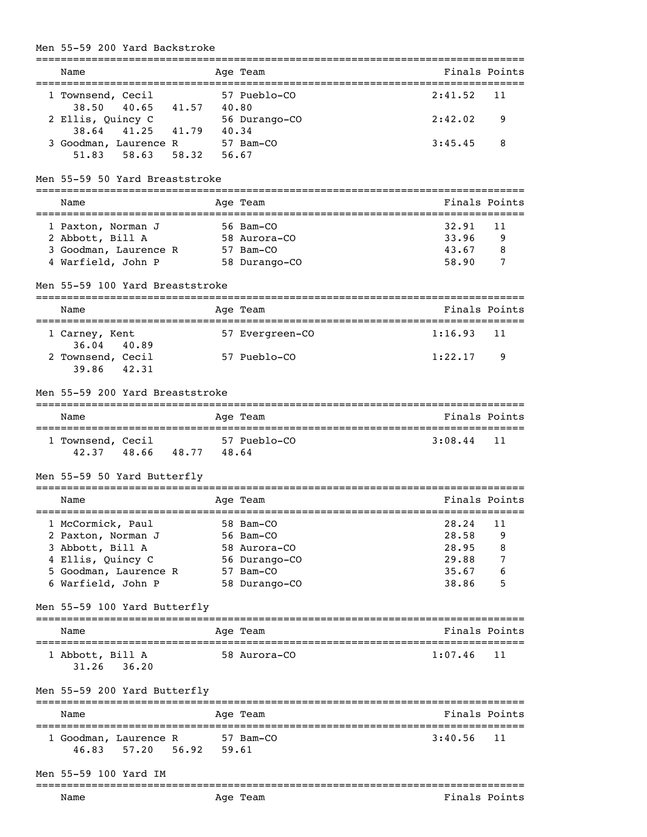# Men 55-59 200 Yard Backstroke

|                                                  |       | _____________________________________<br>--------------- |               |               |
|--------------------------------------------------|-------|----------------------------------------------------------|---------------|---------------|
| Name<br>=================================        |       | Age Team                                                 | Finals Points |               |
| 1 Townsend, Cecil                                |       | =============================<br>57 Pueblo-CO            | 2:41.52       | 11            |
| 40.65 41.57 40.80<br>38.50                       |       |                                                          |               |               |
| 2 Ellis, Quincy C                                |       | 56 Durango-CO                                            | 2:42.02       | 9             |
| 38.64<br>41.25<br>41.79<br>3 Goodman, Laurence R | 40.34 | 57 Bam-CO                                                | 3:45.45       | 8             |
| 58.63<br>58.32<br>51.83                          | 56.67 |                                                          |               |               |
| Men 55-59 50 Yard Breaststroke                   |       |                                                          |               |               |
|                                                  |       |                                                          | Finals Points |               |
| Name                                             |       | Age Team                                                 |               |               |
| 1 Paxton, Norman J                               |       | 56 Bam-CO                                                | 32.91         | 11            |
| 2 Abbott, Bill A                                 |       | 58 Aurora-CO                                             | 33.96         | 9             |
| 3 Goodman, Laurence R                            |       | 57 Bam-CO                                                | 43.67         | 8             |
| 4 Warfield, John P                               |       | 58 Durango-CO                                            | 58.90         | 7             |
| Men 55-59 100 Yard Breaststroke                  |       |                                                          |               |               |
| Name                                             |       | Age Team<br>------------                                 | Finals Points |               |
| 1 Carney, Kent<br>$36.04$ 40.89                  |       | 57 Evergreen-CO                                          | 1:16.93       | 11            |
| 2 Townsend, Cecil                                |       | 57 Pueblo-CO                                             | 1:22.17       | 9             |
| 39.86 42.31                                      |       |                                                          |               |               |
| Men 55-59 200 Yard Breaststroke                  |       |                                                          |               |               |
| Name                                             |       | Age Team                                                 | Finals Points |               |
| 1 Townsend, Cecil                                |       | 57 Pueblo-CO                                             | 3:08.44       | 11            |
| 42.37 48.66 48.77                                | 48.64 |                                                          |               |               |
| Men 55-59 50 Yard Butterfly                      |       |                                                          |               |               |
| Name                                             |       | Age Team                                                 |               | Finals Points |
| 1 McCormick, Paul                                |       | 58 Bam-CO                                                | 28.24         | 11            |
| 2 Paxton, Norman J                               |       | 56 Bam-CO                                                | 28.58         | 9             |
| 3 Abbott, Bill A                                 |       | 58 Aurora-CO                                             | 28.95         | 8             |
| 4 Ellis, Quincy C                                |       | 56 Durango-CO                                            | 29.88         | 7             |
| 5 Goodman, Laurence R                            |       | 57 Bam-CO                                                | 35.67         | 6             |
| 6 Warfield, John P                               |       | 58 Durango-CO                                            | 38.86         | 5             |
| Men 55-59 100 Yard Butterfly                     |       |                                                          |               |               |
| Name                                             |       | Age Team                                                 | Finals Points |               |
| 1 Abbott, Bill A                                 |       | 58 Aurora-CO                                             | 1:07.46       | 11            |
| $31.26$ $36.20$                                  |       |                                                          |               |               |
| Men 55-59 200 Yard Butterfly                     |       |                                                          |               |               |
| Name                                             |       | Age Team                                                 | Finals Points |               |
| 1 Goodman, Laurence R                            |       | 57 Bam-CO                                                | 3:40.56       | 11            |
| 56.92<br>57.20<br>46.83                          | 59.61 |                                                          |               |               |
|                                                  |       |                                                          |               |               |
| Men 55-59 100 Yard IM<br>======================= |       |                                                          |               |               |
| Name                                             |       | Age Team                                                 | Finals Points |               |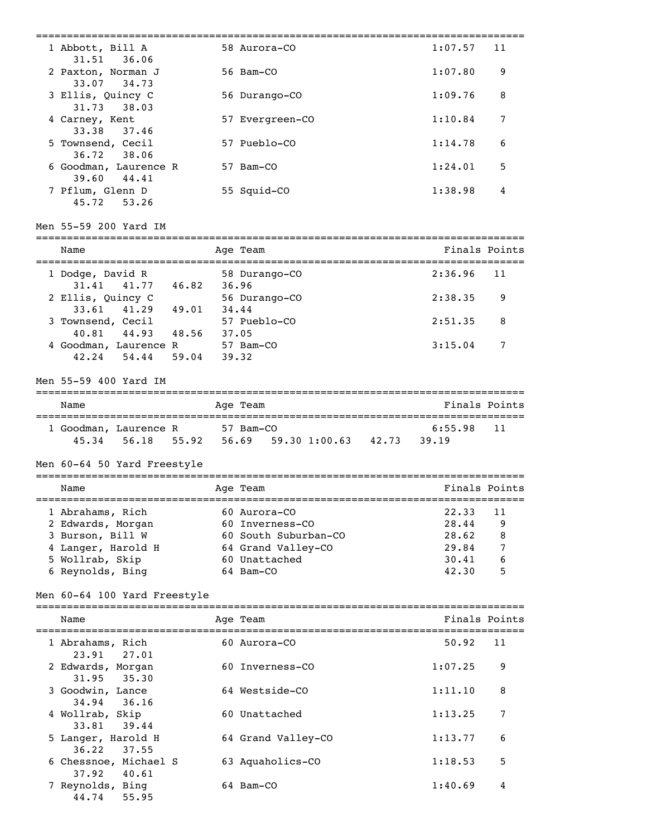| 1 Abbott, Bill A                                            |       | 58 Aurora-CO                                   | 1:07.57            | 11            |
|-------------------------------------------------------------|-------|------------------------------------------------|--------------------|---------------|
| 31.51<br>36.06<br>2 Paxton, Norman J                        |       | 56 Bam-CO                                      | 1:07.80            | 9             |
| 33.07<br>34.73<br>3 Ellis, Quincy C                         |       | 56 Durango-CO                                  | 1:09.76            | 8             |
| 31.73<br>38.03<br>4 Carney, Kent                            |       | 57 Evergreen-CO                                | 1:10.84            | 7             |
| 33.38<br>37.46<br>5 Townsend, Cecil                         |       | 57 Pueblo-CO                                   | 1:14.78            | 6             |
| 36.72<br>38.06<br>6 Goodman, Laurence R<br>39.60<br>44.41   |       | 57 Bam-CO                                      | 1:24.01            | 5             |
| 7 Pflum, Glenn D<br>45.72<br>53.26                          |       | 55 Squid-CO                                    | 1:38.98            | 4             |
| Men 55-59 200 Yard IM                                       |       |                                                |                    |               |
| Name                                                        |       | Age Team                                       |                    | Finals Points |
| 1 Dodge, David R<br>46.82<br>31.41<br>41.77                 | 36.96 | 58 Durango-CO                                  | 2:36.96            | 11            |
| 2 Ellis, Quincy C<br>33.61<br>41.29 49.01                   | 34.44 | 56 Durango-CO                                  | 2:38.35            | 9             |
| 3 Townsend, Cecil<br>48.56 37.05<br>40.81<br>44.93          |       | 57 Pueblo-CO                                   | 2:51.35            | 8             |
| 4 Goodman, Laurence R<br>42.24<br>54.44<br>59.04            | 39.32 | 57 Bam-CO                                      | 3:15.04            | 7             |
| Men 55-59 400 Yard IM                                       |       |                                                |                    |               |
| Name                                                        |       | Age Team                                       |                    | Finals Points |
| 1 Goodman, Laurence R<br>45.34<br>56.18<br>55.92            |       | 57 Bam-CO<br>$56.69$ $59.30$ $1:00.63$ $42.73$ | 6:55.98<br>39.19   | 11            |
| Men 60-64 50 Yard Freestyle                                 |       |                                                |                    |               |
| Name                                                        |       | Age Team                                       | Finals Points      |               |
|                                                             |       |                                                |                    |               |
|                                                             |       |                                                |                    |               |
| 1 Abrahams, Rich                                            |       | 60 Aurora-CO                                   | 22.33              | 11            |
| 2 Edwards, Morgan                                           |       | 60 Inverness-CO                                | 28.44              | 9             |
| 3 Burson, Bill W                                            |       | 60 South Suburban-CO                           | 28.62              | 8             |
| 4 Langer, Harold H                                          |       | 64 Grand Valley-CO                             | 29.84              | 7             |
| 5 Wollrab, Skip                                             |       | 60 Unattached                                  | 30.41              | 6             |
| 6 Reynolds, Bing                                            |       | 64 Bam-CO                                      | 42.30              | 5             |
| Men 60-64 100 Yard Freestyle                                |       |                                                |                    |               |
| Name                                                        |       | Age Team                                       |                    | Finals Points |
| 1 Abrahams, Rich<br>23.91<br>27.01                          |       | 60 Aurora-CO                                   | 50.92              | 11            |
| 2 Edwards, Morgan<br>31.95<br>35.30                         |       | 60 Inverness-CO                                | 1:07.25            | 9             |
| 3 Goodwin, Lance<br>34.94<br>36.16                          |       | 64 Westside-CO                                 | 1:11.10            | 8             |
| 4 Wollrab, Skip<br>33.81<br>39.44                           |       | 60 Unattached                                  | 1:13.25            | 7             |
| 5 Langer, Harold H<br>36.22<br>37.55                        |       | 64 Grand Valley-CO                             | 1:13.77            | 6             |
| 6 Chessnoe, Michael S<br>37.92<br>40.61<br>7 Reynolds, Bing |       | 63 Aquaholics-CO                               | 1:18.53<br>1:40.69 | 5             |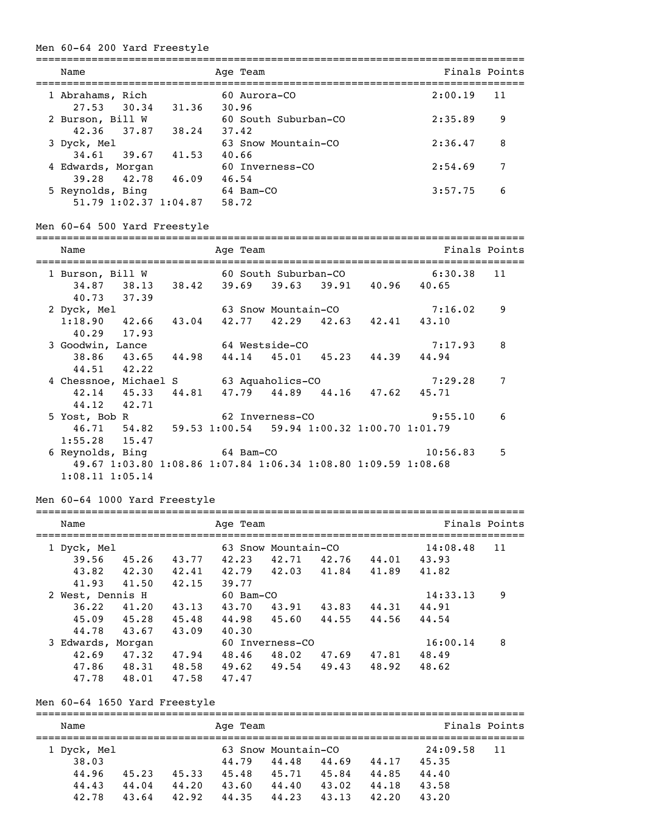#### Men 60-64 200 Yard Freestyle

| Name                                      | Age Team                      | Finals Points |
|-------------------------------------------|-------------------------------|---------------|
| 1 Abrahams, Rich<br>27.53 30.34<br>31.36  | $60$ Aurora-CO<br>30.96       | 2:00.19<br>11 |
| 2 Burson, Bill W<br>42.36 37.87<br>38.24  | 60 South Suburban-CO<br>37.42 | 2:35.89<br>9  |
| 3 Dyck, Mel<br>34.61 39.67<br>41.53       | 63 Snow Mountain-CO<br>40.66  | 8<br>2:36.47  |
| 4 Edwards, Morgan<br>39.28 42.78<br>46.09 | 60 Inverness-CO<br>46.54      | 7<br>2:54.69  |
| 5 Reynolds, Bing<br>51.79 1:02.37 1:04.87 | 64 Bam-CO<br>58.72            | 3:57.75<br>6  |

Men 60-64 500 Yard Freestyle

| Name                                                    |       | Age Team |                 |                                                               |             | Finals Points |
|---------------------------------------------------------|-------|----------|-----------------|---------------------------------------------------------------|-------------|---------------|
| 1 Burson, Bill W                                        |       |          |                 | 60 South Suburban-CO                                          | 6:30.38     | 11            |
| 34.87 38.13 38.42<br>40.73 37.39                        |       | 39.69    |                 | 39.63 39.91 40.96 40.65                                       |             |               |
| 2 Dyck, Mel                                             |       |          |                 | 63 Snow Mountain-CO                                           | 7:16.02     | 9             |
| $1:18.90$ $42.66$                                       | 43.04 |          |                 | 42.77 42.29 42.63 42.41 43.10                                 |             |               |
| 40.29 17.93                                             |       |          |                 |                                                               |             |               |
| 3 Goodwin, Lance                                        |       |          | 64 Westside-CO  |                                                               | 7:17.93     | 8             |
| 38.86 43.65                                             | 44.98 |          |                 | 44.14 45.01 45.23                                             | 44.39 44.94 |               |
| 44.51 42.22                                             |       |          |                 |                                                               |             |               |
| 4 Chessnoe, Michael S 63 Aquaholics-CO                  |       |          |                 |                                                               | 7:29.28     | 7             |
| $42.14$ $45.33$ $44.81$                                 |       |          |                 | 47.79 44.89 44.16 47.62 45.71                                 |             |               |
| 44.12 42.71                                             |       |          |                 |                                                               |             |               |
| 5 Yost, Bob R                                           |       |          | 62 Inverness-CO |                                                               | 9:55.10     | 6             |
| 46.71 54.82 59.53 1:00.54 59.94 1:00.32 1:00.70 1:01.79 |       |          |                 |                                                               |             |               |
| $1:55.28$ 15.47                                         |       |          |                 |                                                               |             |               |
| 6 Reynolds, Bing 64 Bam-CO                              |       |          |                 |                                                               | 10:56.83    | 5             |
|                                                         |       |          |                 | 49.67 1:03.80 1:08.86 1:07.84 1:06.34 1:08.80 1:09.59 1:08.68 |             |               |
| $1:08.11$ $1:05.14$                                     |       |          |                 |                                                               |             |               |

Men 60-64 1000 Yard Freestyle

| Name              |       |       | Age Team       |                     |       |       |          | Finals Points |
|-------------------|-------|-------|----------------|---------------------|-------|-------|----------|---------------|
| 1 Dyck, Mel       |       |       |                | 63 Snow Mountain-CO |       |       | 14:08.48 | 11            |
| 39.56             | 45.26 | 43.77 | 42.23          | 42.71               | 42.76 | 44.01 | 43.93    |               |
| 43.82             | 42.30 | 42.41 | 42.79          | 42.03               | 41.84 | 41.89 | 41.82    |               |
| 41.93             | 41.50 | 42.15 | 39.77          |                     |       |       |          |               |
| 2 West, Dennis H  |       |       | $60$ Bam $-CO$ |                     |       |       | 14:33.13 | 9             |
| 36.22             | 41.20 | 43.13 | 43.70          | 43.91               | 43.83 | 44.31 | 44.91    |               |
| 45.09             | 45.28 | 45.48 | 44.98          | 45.60               | 44.55 | 44.56 | 44.54    |               |
| 44.78             | 43.67 | 43.09 | 40.30          |                     |       |       |          |               |
| 3 Edwards, Morgan |       |       |                | 60 Inverness-CO     |       |       | 16:00.14 | 8             |
| 42.69             | 47.32 | 47.94 | 48.46          | 48.02               | 47.69 | 47.81 | 48.49    |               |
| 47.86             | 48.31 | 48.58 | 49.62          | 49.54               | 49.43 | 48.92 | 48.62    |               |
| 47.78             | 48.01 | 47.58 | 47.47          |                     |       |       |          |               |

Men 60-64 1650 Yard Freestyle

=============================================================================== Name Age Team Age Team Finals Points =============================================================================== 1 Dyck, Mel 63 Snow Mountain-CO 24:09.58 11 38.03 44.79 44.48 44.69 44.17 45.35 44.96 45.23 45.33 45.48 45.71 45.84 44.85 44.40 44.43 44.04 44.20 43.60 44.40 43.02 44.18 43.58 42.78 43.64 42.92 44.35 44.23 43.13 42.20 43.20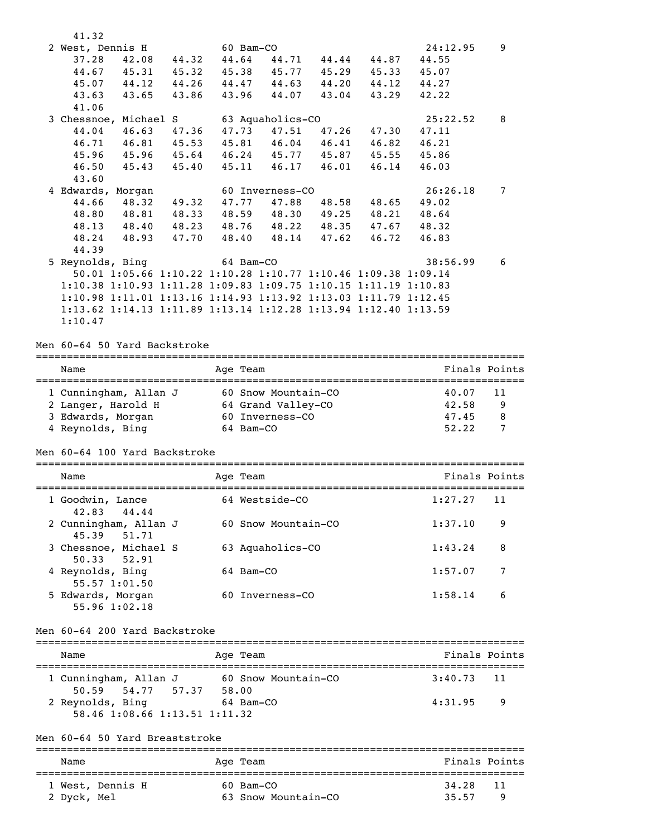| 41.32                                                           |          |                     |                     |                   |       |          |                 |
|-----------------------------------------------------------------|----------|---------------------|---------------------|-------------------|-------|----------|-----------------|
| 2 West, Dennis H                                                |          |                     | 60 Bam-CO           |                   |       | 24:12.95 | 9               |
| 42.08<br>44.32<br>37.28                                         |          | 44.64               | 44.71               | 44.44             | 44.87 | 44.55    |                 |
| 44.67<br>45.31<br>45.32                                         |          |                     |                     | 45.38 45.77 45.29 | 45.33 | 45.07    |                 |
| 44.12<br>45.07<br>44.26                                         |          |                     |                     | 44.47 44.63 44.20 | 44.12 | 44.27    |                 |
| 43.65<br>43.63<br>43.86                                         |          | 43.96               | 44.07               | 43.04             | 43.29 | 42.22    |                 |
| 41.06                                                           |          |                     |                     |                   |       |          |                 |
| 3 Chessnoe, Michael S                                           |          |                     | 63 Aquaholics-CO    |                   |       | 25:22.52 | 8               |
| 44.04<br>46.63<br>47.36                                         |          | 47.73               | 47.51               | 47.26             | 47.30 | 47.11    |                 |
| 46.81 45.53<br>46.71                                            |          | 45.81               | 46.04               | 46.41             | 46.82 | 46.21    |                 |
| 45.96<br>45.96<br>45.64                                         |          |                     |                     | 46.24 45.77 45.87 | 45.55 | 45.86    |                 |
| 46.50<br>45.43<br>45.40                                         |          | 45.11               |                     | $46.17$ $46.01$   | 46.14 | 46.03    |                 |
| 43.60                                                           |          |                     |                     |                   |       |          |                 |
| 4 Edwards, Morgan                                               |          |                     | 60 Inverness-CO     |                   |       | 26:26.18 | 7               |
| 44.66<br>48.32<br>49.32                                         |          | 47.77               | 47.88               | 48.58             | 48.65 | 49.02    |                 |
| 48.81 48.33<br>48.80                                            |          | 48.59               |                     | 48.30 49.25       | 48.21 | 48.64    |                 |
| 48.13<br>48.40 48.23                                            |          | 48.76               |                     | 48.22 48.35       | 47.67 | 48.32    |                 |
| 48.24<br>48.93<br>47.70                                         |          | 48.40               |                     | 48.14 47.62       | 46.72 | 46.83    |                 |
| 44.39                                                           |          |                     |                     |                   |       |          |                 |
| 5 Reynolds, Bing                                                |          |                     | 64 Bam-CO           |                   |       | 38:56.99 | 6               |
| 50.01 1:05.66 1:10.22 1:10.28 1:10.77 1:10.46 1:09.38 1:09.14   |          |                     |                     |                   |       |          |                 |
| 1:10.38 1:10.93 1:11.28 1:09.83 1:09.75 1:10.15 1:11.19 1:10.83 |          |                     |                     |                   |       |          |                 |
| 1:10.98 1:11.01 1:13.16 1:14.93 1:13.92 1:13.03 1:11.79 1:12.45 |          |                     |                     |                   |       |          |                 |
| 1:13.62 1:14.13 1:11.89 1:13.14 1:12.28 1:13.94 1:12.40 1:13.59 |          |                     |                     |                   |       |          |                 |
| 1:10.47                                                         |          |                     |                     |                   |       |          |                 |
|                                                                 |          |                     |                     |                   |       |          |                 |
| Men 60-64 50 Yard Backstroke                                    |          |                     |                     |                   |       |          |                 |
| Name                                                            | Age Team |                     |                     |                   |       |          | Finals Points   |
|                                                                 |          |                     |                     |                   |       |          |                 |
| 1 Cunningham, Allan J                                           |          |                     | 60 Snow Mountain-CO |                   |       | 40.07    | 11              |
| 2 Langer, Harold H                                              |          |                     | 64 Grand Valley-CO  |                   |       | 42.58    | 9               |
| 3 Edwards, Morgan                                               |          |                     | 60 Inverness-CO     |                   |       | 47.45    | 8               |
| 4 Reynolds, Bing                                                |          |                     | 64 Bam-CO           |                   |       | 52.22    | $7\overline{ }$ |
| Men 60-64 100 Yard Backstroke                                   |          |                     |                     |                   |       |          |                 |
| Name                                                            |          |                     |                     |                   |       |          | Finals Points   |
|                                                                 | Age Team |                     |                     |                   |       |          |                 |
| 1 Goodwin, Lance                                                |          |                     | 64 Westside-CO      |                   |       | 1:27.27  | - 11            |
| 42.83<br>44.44                                                  |          |                     |                     |                   |       |          |                 |
| 2 Cunningham, Allan J<br>45.39<br>51.71                         |          | 60 Snow Mountain-CO |                     |                   |       | 1:37.10  | 9               |
| 3 Chessnoe, Michael S                                           |          |                     | 63 Aquaholics-CO    |                   |       | 1:43.24  | 8               |
| 52.91<br>50.33                                                  |          |                     |                     |                   |       |          |                 |
| 4 Reynolds, Bing                                                |          |                     | 64 Bam-CO           |                   |       | 1:57.07  | 7               |
| 55.57 1:01.50                                                   |          |                     |                     |                   |       |          |                 |
| 5 Edwards, Morgan                                               |          |                     | 60 Inverness-CO     |                   |       | 1:58.14  | 6               |
| 55.96 1:02.18                                                   |          |                     |                     |                   |       |          |                 |
|                                                                 |          |                     |                     |                   |       |          |                 |
| Men 60-64 200 Yard Backstroke                                   |          |                     |                     |                   |       |          |                 |
| Name                                                            | Age Team |                     |                     |                   |       |          | Finals Points   |
| 1 Cunningham, Allan J                                           |          |                     | 60 Snow Mountain-CO |                   |       | 3:40.73  | 11              |
| 54.77 57.37 58.00<br>50.59                                      |          |                     |                     |                   |       |          |                 |
| 2 Reynolds, Bing                                                |          |                     | 64 Bam-CO           |                   |       | 4:31.95  | 9               |
| 58.46 1:08.66 1:13.51 1:11.32                                   |          |                     |                     |                   |       |          |                 |
|                                                                 |          |                     |                     |                   |       |          |                 |
| Men 60-64 50 Yard Breaststroke                                  |          |                     |                     |                   |       |          |                 |
| Name                                                            | Age Team |                     |                     |                   |       |          | Finals Points   |
|                                                                 |          |                     |                     |                   |       |          |                 |
| 1 West, Dennis H                                                |          |                     | 60 Bam-CO           |                   |       | 34.28    | 11              |
| 2 Dyck, Mel                                                     |          |                     | 63 Snow Mountain-CO |                   |       | 35.57    | 9               |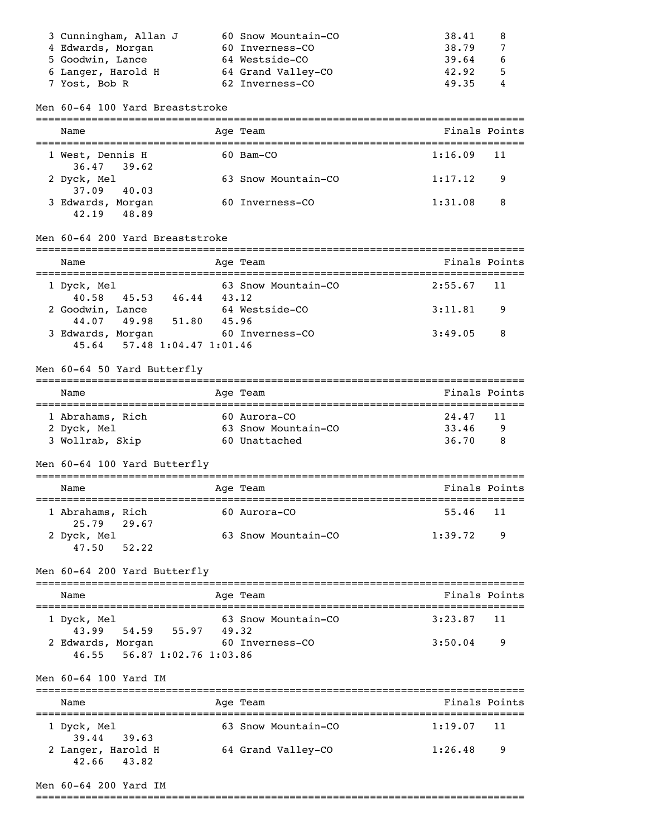| 3 Cunningham, Allan J | 60 Snow Mountain-CO | 38.41 | -8 |
|-----------------------|---------------------|-------|----|
| 4 Edwards, Morgan     | 60 Inverness-CO     | 38.79 | 7  |
| 5 Goodwin, Lance      | 64 Westside-CO      | 39.64 | 6  |
| 6 Langer, Harold H    | 64 Grand Valley-CO  | 42.92 | -5 |
| 7 Yost, Bob R         | 62 Inverness-CO     | 49.35 | 4  |

Men 60-64 100 Yard Breaststroke

| Name                                | Age Team            | Finals Points |     |
|-------------------------------------|---------------------|---------------|-----|
| 1 West, Dennis H<br>$36.47$ 39.62   | $60$ Bam $-CO$      | $1:16.09$ 11  |     |
| 2 Dyck, Mel<br>37.09 40.03          | 63 Snow Mountain-CO | 1:17.12       | - 9 |
| 3 Edwards, Morgan<br>48.89<br>42.19 | 60 Inverness-CO     | 1:31.08       | 8   |

# Men 60-64 200 Yard Breaststroke

| Name              |             |                             | Age Team            | Finals Points  |
|-------------------|-------------|-----------------------------|---------------------|----------------|
|                   |             |                             |                     |                |
| 1 Dyck, Mel       |             |                             | 63 Snow Mountain-CO | $2:55.67$ 11   |
|                   | 40.58 45.53 | 46.44                       | 43.12               |                |
| 2 Goodwin, Lance  |             |                             | 64 Westside-CO      | 3:11.81<br>- 9 |
|                   | 44.07 49.98 | 51.80                       | 45.96               |                |
| 3 Edwards, Morgan |             |                             | 60 Inverness-CO     | 3:49.05<br>- 8 |
|                   |             | 45.64 57.48 1:04.47 1:01.46 |                     |                |

#### Men 60-64 50 Yard Butterfly

| Name             |  | Age Team            | Finals Points |   |  |
|------------------|--|---------------------|---------------|---|--|
|                  |  |                     |               |   |  |
| 1 Abrahams, Rich |  | 60 Aurora-CO        | 24.47 11      |   |  |
| 2 Dyck, Mel      |  | 63 Snow Mountain-CO | 33.46         | 9 |  |
| 3 Wollrab, Skip  |  | 60 Unattached       | 36.70         | 8 |  |

# Men 60-64 100 Yard Butterfly

|  | Name                            |  |  | Age Team            | Finals Points |     |
|--|---------------------------------|--|--|---------------------|---------------|-----|
|  | 1 Abrahams, Rich<br>25.79 29.67 |  |  | $60$ Aurora-CO      | 55,46 11      |     |
|  | 2 Dyck, Mel<br>$47.50$ $52.22$  |  |  | 63 Snow Mountain-CO | 1:39.72       | - 9 |

Men 60-64 200 Yard Butterfly

|  | Name                       |  |                             |       | Age Team            | Finals Points |    |
|--|----------------------------|--|-----------------------------|-------|---------------------|---------------|----|
|  | 1 Dyck, Mel<br>43.99 54.59 |  | 55.97                       | 49.32 | 63 Snow Mountain-CO | $3:23.87$ 11  |    |
|  | 2 Edwards, Morgan          |  | 46.55 56.87 1:02.76 1:03.86 |       | 60 Inverness-CO     | 3:50.04       | -9 |

#### Men 60-64 100 Yard IM

| Name                              | Age Team            | Finals Points |  |  |  |
|-----------------------------------|---------------------|---------------|--|--|--|
| 1 Dyck, Mel<br>39.44 39.63        | 63 Snow Mountain-CO | $1:19.07$ 11  |  |  |  |
| 2 Langer, Harold H<br>42.66 43.82 | 64 Grand Valley-CO  | 1:26.48<br>-9 |  |  |  |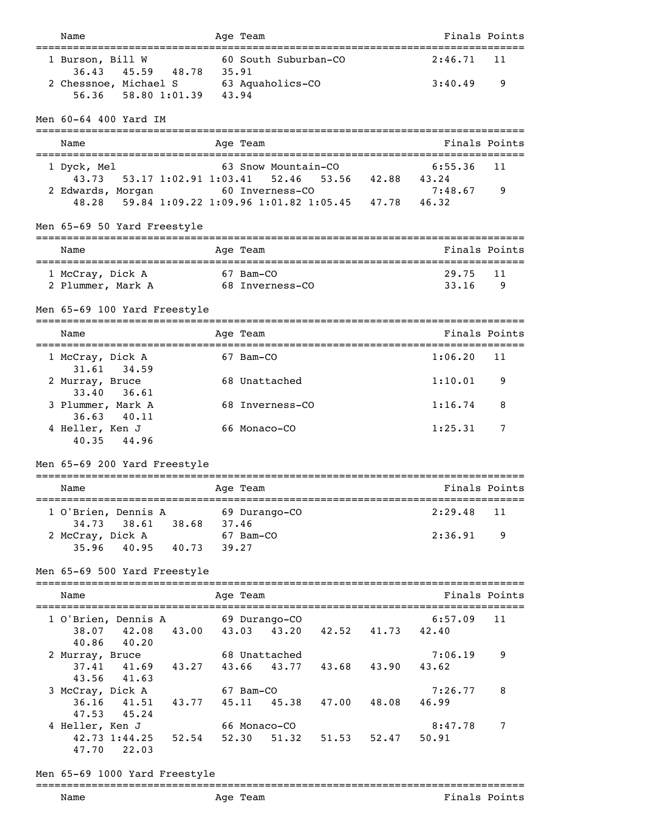| Name                                                                                     |             | Age Team                         |                   |                                           | Finals Points |
|------------------------------------------------------------------------------------------|-------------|----------------------------------|-------------------|-------------------------------------------|---------------|
| 1 Burson, Bill W<br>36.43<br>45.59 48.78 35.91                                           |             | 60 South Suburban-CO             |                   | 2:46.71                                   | 11            |
| 2 Chessnoe, Michael S 63 Aquaholics-CO<br>56.36<br>58.80 1:01.39                         | 43.94       |                                  |                   | 3:40.49                                   | 9             |
| Men 60-64 400 Yard IM                                                                    |             |                                  |                   |                                           |               |
| Name                                                                                     |             | Age Team                         |                   |                                           | Finals Points |
| 1 Dyck, Mel<br>53.17 1:02.91 1:03.41                                                     |             | 63 Snow Mountain-CO<br>52.46     |                   | 6:55.36                                   | 11            |
| 43.73<br>2 Edwards, Morgan<br>59.84 1:09.22 1:09.96 1:01.82 1:05.45 47.78<br>48.28       |             | 60 Inverness-CO                  | 53.56 42.88 43.24 | 7:48.67<br>46.32                          | 9             |
| Men 65-69 50 Yard Freestyle                                                              |             |                                  |                   |                                           |               |
| Name                                                                                     |             | ---------<br>Age Team            |                   |                                           | Finals Points |
| 1 McCray, Dick A                                                                         |             | ===================<br>67 Bam-CO |                   | ================================<br>29.75 | 11            |
| 2 Plummer, Mark A                                                                        |             | 68 Inverness-CO                  |                   | 33.16                                     | 9             |
| Men 65-69 100 Yard Freestyle                                                             |             |                                  |                   |                                           |               |
| Name                                                                                     |             | Age Team                         |                   |                                           | Finals Points |
| 1 McCray, Dick A<br>31.61<br>34.59                                                       |             | 67 Bam-CO                        |                   | 1:06.20                                   | 11            |
| 2 Murray, Bruce<br>33.40<br>36.61                                                        |             | 68 Unattached                    |                   | 1:10.01                                   | 9             |
| 3 Plummer, Mark A                                                                        |             | 68 Inverness-CO                  |                   | 1:16.74                                   | 8             |
| 36.63 40.11<br>4 Heller, Ken J<br>40.35<br>44.96                                         |             | 66 Monaco-CO                     |                   | 1:25.31                                   | 7             |
| Men 65-69 200 Yard Freestyle                                                             |             |                                  |                   |                                           |               |
| Name                                                                                     |             | ========<br>Age Team             |                   |                                           | Finals Points |
| 1 O'Brien, Dennis A                                                                      |             | 69 Durango-CO                    |                   | 2:29.48                                   | 11            |
| 34.73<br>38.61<br>2 McCray, Dick A<br>35.96 40.95 40.73 39.27                            | 38.68 37.46 | 67 Bam-CO                        |                   | 2:36.91                                   | 9             |
| Men 65-69 500 Yard Freestyle                                                             |             |                                  |                   |                                           |               |
|                                                                                          |             |                                  |                   |                                           |               |
| Name                                                                                     |             | Age Team                         |                   |                                           | Finals Points |
| 1 O'Brien, Dennis A<br>38.07 42.08 43.00 43.03 43.20 42.52 41.73 42.40<br>40.86<br>40.20 |             | 69 Durango-CO                    |                   | 6:57.09                                   | 11            |
| 2 Murray, Bruce<br>37.41 41.69 43.27 43.66 43.77                                         |             | 68 Unattached                    | 43.68 43.90       | 7:06.19<br>43.62                          | 9             |
| 43.56 41.63<br>3 McCray, Dick A<br>36.16 41.51 43.77 45.11 45.38 47.00 48.08             |             | 67 Bam-CO                        |                   | 7:26.77<br>46.99                          | 8             |
| 47.53 45.24<br>4 Heller, Ken J<br>42.73 1:44.25 52.54 52.30                              |             | 66 Monaco-CO                     | 51.32 51.53 52.47 | 8:47.78<br>50.91                          | 7             |
| 47.70<br>22.03                                                                           |             |                                  |                   |                                           |               |

Men 65-69 1000 Yard Freestyle

## ===============================================================================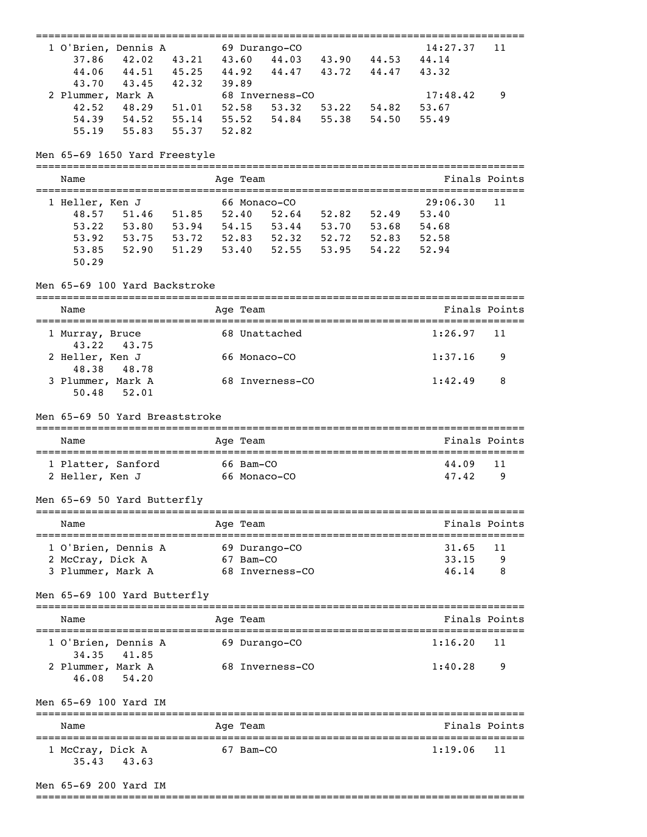| 1 O'Brien, Dennis A 69 Durango-CO       |                         |                                           |  | 14:27.37                   | 11            |
|-----------------------------------------|-------------------------|-------------------------------------------|--|----------------------------|---------------|
| 37.86<br>42.02                          | 43.21 43.60             | 44.03 43.90 44.53                         |  | 44.14                      |               |
| 44.06<br>44.51 45.25 44.92              |                         | 44.47 43.72 44.47                         |  | 43.32                      |               |
| 43.70<br>43.45                          | 42.32<br>39.89          |                                           |  |                            |               |
| 2 Plummer, Mark A                       |                         | 68 Inverness-CO                           |  | 17:48.42                   | 9             |
| 48.29 51.01<br>42.52                    |                         | 52.58 53.32 53.22 54.82                   |  | 53.67                      |               |
| 54.39 54.52 55.14<br>55.83<br>55.19     | 55.52<br>55.37<br>52.82 | 54.84 55.38 54.50                         |  | 55.49                      |               |
|                                         |                         |                                           |  |                            |               |
| Men 65-69 1650 Yard Freestyle           |                         |                                           |  |                            |               |
| Name                                    |                         | Age Team                                  |  |                            | Finals Points |
| 1 Heller, Ken J                         |                         | 66 Monaco-CO                              |  | 29:06.30                   | 11            |
| 51.46 51.85<br>48.57                    |                         | 52.40 52.64 52.82 52.49                   |  | 53.40                      |               |
| 53.80 53.94<br>53.22                    |                         | 54.15 53.44 53.70 53.68                   |  | 54.68                      |               |
| 53.92                                   |                         | 53.75 53.72 52.83 52.32 52.72 52.83       |  | 52.58                      |               |
| 53.85                                   |                         | 52.90 51.29 53.40 52.55 53.95 54.22       |  | 52.94                      |               |
| 50.29                                   |                         |                                           |  |                            |               |
| Men 65-69 100 Yard Backstroke           |                         |                                           |  |                            |               |
| Name                                    |                         | Age Team                                  |  |                            | Finals Points |
|                                         |                         | 68 Unattached                             |  | 1:26.97                    | 11            |
| 1 Murray, Bruce<br>43.22<br>43.75       |                         |                                           |  |                            |               |
| 2 Heller, Ken J                         |                         | 66 Monaco-CO                              |  | 1:37.16                    | 9             |
| 48.38<br>48.78                          |                         |                                           |  |                            |               |
| 3 Plummer, Mark A                       |                         | 68 Inverness-CO                           |  | 1:42.49                    | 8             |
| 50.48<br>52.01                          |                         |                                           |  |                            |               |
| Men 65-69 50 Yard Breaststroke          |                         | ==========                                |  |                            |               |
| Name                                    |                         | Age Team                                  |  | ========================== | Finals Points |
| 1 Platter, Sanford                      |                         | 66 Bam-CO                                 |  | 44.09                      | 11            |
| 2 Heller, Ken J                         |                         | 66 Monaco-CO                              |  | 47.42                      | 9             |
|                                         |                         |                                           |  |                            |               |
| Men 65-69 50 Yard Butterfly             |                         |                                           |  |                            |               |
|                                         |                         |                                           |  |                            |               |
| Name                                    |                         | Aqe Team<br>============================= |  |                            | Finals Points |
| 1 O'Brien, Dennis A                     |                         | 69 Durango-CO                             |  | 31.65                      | 11            |
| 2 McCray, Dick A                        |                         | 67 Bam-CO                                 |  | 33.15                      | 9             |
| 3 Plummer, Mark A                       |                         | 68 Inverness-CO                           |  | 46.14                      | 8             |
| Men 65-69 100 Yard Butterfly            |                         |                                           |  |                            |               |
| Name                                    |                         | Aqe Team                                  |  |                            | Finals Points |
|                                         |                         |                                           |  |                            |               |
| 1 O'Brien, Dennis A                     |                         | 69 Durango-CO                             |  | 1:16.20                    | 11            |
| 34.35<br>41.85                          |                         |                                           |  |                            |               |
| 2 Plummer, Mark A                       |                         | 68 Inverness-CO                           |  | 1:40.28                    | 9             |
| 46.08<br>54.20<br>Men 65-69 100 Yard IM |                         |                                           |  |                            |               |
|                                         |                         |                                           |  |                            |               |
| Name                                    |                         | Aqe Team                                  |  |                            | Finals Points |

## Men 65-69 200 Yard IM

===============================================================================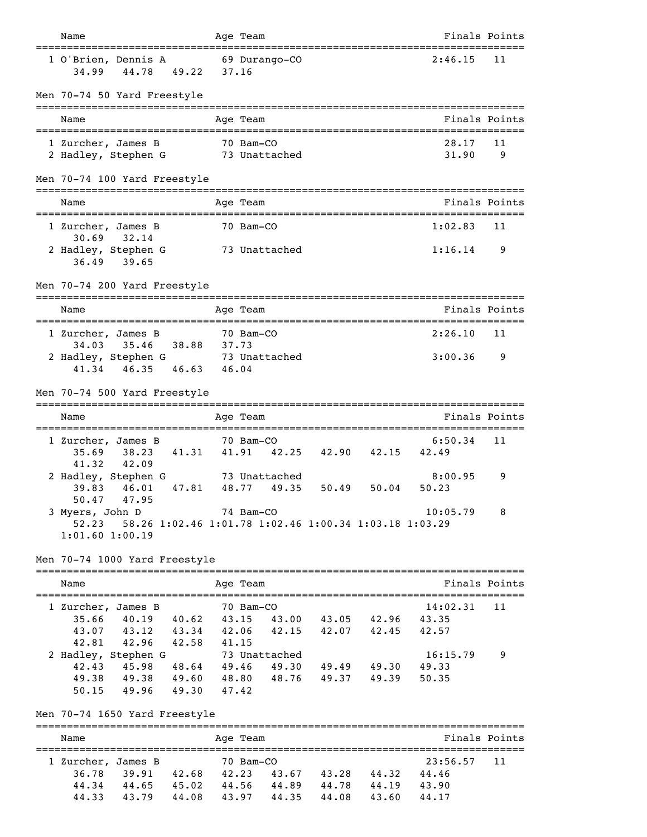| Name                                                                                                     |       | Age Team                             |       |                            |                   | Finals Points |
|----------------------------------------------------------------------------------------------------------|-------|--------------------------------------|-------|----------------------------|-------------------|---------------|
| 1 O'Brien, Dennis A<br>44.78<br>49.22<br>34.99                                                           |       | 69 Durango-CO<br>37.16               |       |                            | 2:46.15           | 11            |
| Men 70-74 50 Yard Freestyle                                                                              |       |                                      |       |                            |                   |               |
| Name                                                                                                     |       | Age Team                             |       |                            |                   | Finals Points |
| 1 Zurcher, James B                                                                                       |       | 70 Bam-CO<br>73 Unattached           |       |                            | 28.17<br>31.90    | 11<br>9       |
| 2 Hadley, Stephen G                                                                                      |       |                                      |       |                            |                   |               |
| Men 70-74 100 Yard Freestyle                                                                             |       |                                      |       |                            |                   |               |
| Name                                                                                                     |       | Age Team                             |       |                            | Finals Points     |               |
| 1 Zurcher, James B<br>30.69<br>32.14                                                                     |       | 70 Bam-CO                            |       |                            | 1:02.83           | 11            |
| 2 Hadley, Stephen G<br>36.49<br>39.65                                                                    |       | 73 Unattached                        |       |                            | 1:16.14           | 9             |
| Men 70-74 200 Yard Freestyle                                                                             |       |                                      |       |                            |                   |               |
| Name                                                                                                     |       | Age Team                             |       |                            | Finals Points     |               |
| 1 Zurcher, James B<br>35.46<br>38.88 37.73<br>34.03                                                      |       | 70 Bam-CO                            |       |                            | 2:26.10           | 11            |
| 2 Hadley, Stephen G 3 Unattached<br>41.34<br>46.35 46.63 46.04                                           |       |                                      |       |                            | 3:00.36           | 9             |
| Men 70-74 500 Yard Freestyle                                                                             |       |                                      |       |                            |                   |               |
| Name                                                                                                     |       | Age Team                             |       |                            | Finals Points     |               |
| 1 Zurcher, James B<br>41.31<br>35.69<br>38.23<br>41.32<br>42.09                                          |       | 70 Bam-CO<br>41.91 42.25 42.90 42.15 |       |                            | 6:50.34<br>42.49  | 11            |
| 2 Hadley, Stephen G 73 Unattached<br>46.01<br>47.81<br>39.83<br>47.95<br>50.47                           | 48.77 | 49.35                                | 50.49 | 50.04                      | 8:00.95<br>50.23  | 9             |
| 3 Myers, John D<br>58.26 1:02.46 1:01.78 1:02.46 1:00.34 1:03.18 1:03.29<br>52.23<br>$1:01.60$ $1:00.19$ |       | 74 Bam-CO                            |       |                            | 10:05.79          | 8             |
| Men 70-74 1000 Yard Freestyle                                                                            |       |                                      |       |                            |                   |               |
| Name                                                                                                     |       | Age Team                             |       |                            |                   | Finals Points |
| 1 Zurcher, James B<br>35.66 40.19 40.62 43.15 43.00 43.05 42.96                                          |       | 70 Bam-CO                            |       |                            | 14:02.31<br>43.35 | 11            |
| 43.07 43.12 43.34 42.06 42.15 42.07 42.45                                                                |       |                                      |       |                            | 42.57             |               |
| 42.81<br>42.96 42.58 41.15                                                                               |       |                                      |       |                            |                   |               |
| 2 Hadley, Stephen G                                                                                      |       | 73 Unattached                        |       |                            | 16:15.79          | 9             |
| 42.43<br>45.98<br>48.64<br>49.38                                                                         | 49.46 | 49.30                                |       | 49.49 49.30<br>49.37 49.39 | 49.33<br>50.35    |               |
| 49.38 49.60 48.80 48.76<br>50.15<br>49.96 49.30                                                          | 47.42 |                                      |       |                            |                   |               |
| Men 70-74 1650 Yard Freestyle                                                                            |       |                                      |       |                            |                   |               |
| Name                                                                                                     |       | Age Team                             |       |                            |                   | Finals Points |
| 1 Zurcher, James B                                                                                       |       | 70 Bam-CO                            |       |                            | 23:56.57          | 11            |
| 36.78 39.91 42.68 42.23 43.67 43.28 44.32                                                                |       |                                      |       |                            | 44.46             |               |
| 44.34<br>44.65<br>45.02                                                                                  |       | 44.56 44.89                          | 44.78 | 44.19                      | 43.90             |               |

44.33 43.79 44.08 43.97 44.35 44.08 43.60 44.17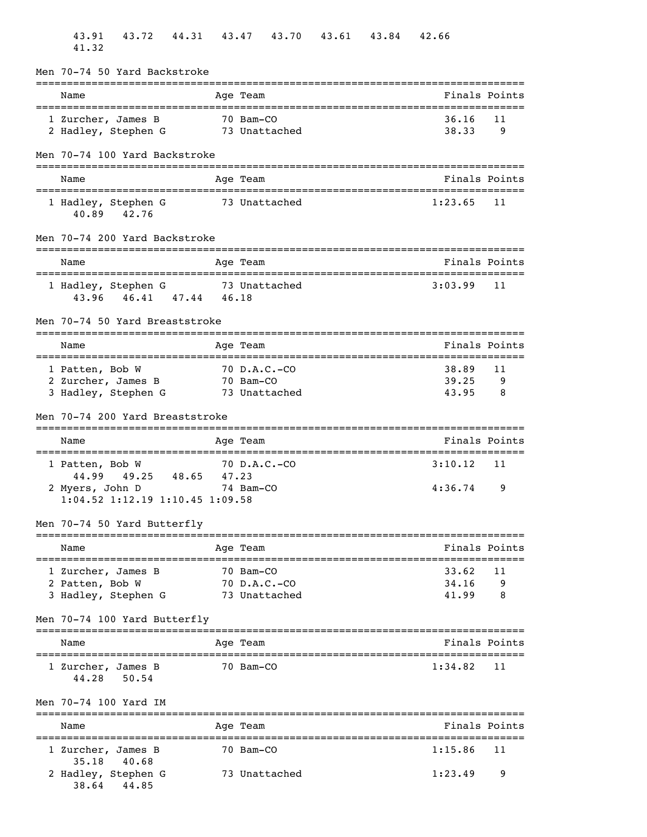| 43.72<br>44.31<br>43.91<br>41.32                                                                           |       | 43.47                       | 43.70         | 43.61 | 43.84 | 42.66                   |               |
|------------------------------------------------------------------------------------------------------------|-------|-----------------------------|---------------|-------|-------|-------------------------|---------------|
| Men 70-74 50 Yard Backstroke                                                                               |       |                             |               |       |       |                         |               |
| Name                                                                                                       |       | Age Team                    |               |       |       |                         | Finals Points |
| 1 Zurcher, James B<br>2 Hadley, Stephen G                                                                  |       | 70 Bam-CO                   | 73 Unattached |       |       | 36.16<br>38.33          | 11<br>9       |
| Men 70-74 100 Yard Backstroke                                                                              |       |                             |               |       |       |                         |               |
| Name                                                                                                       |       | Age Team                    |               |       |       |                         | Finals Points |
| 1 Hadley, Stephen G<br>40.89 42.76                                                                         |       |                             | 73 Unattached |       |       | 1:23.65                 | 11            |
| Men 70-74 200 Yard Backstroke                                                                              |       | :========                   |               |       |       |                         |               |
| Name                                                                                                       |       | Age Team                    |               |       |       |                         | Finals Points |
| 1 Hadley, Stephen G 73 Unattached<br>43.96 46.41 47.44 46.18                                               |       |                             |               |       |       | 3:03.99                 | 11            |
| Men 70-74 50 Yard Breaststroke                                                                             |       |                             |               |       |       |                         |               |
| Name                                                                                                       |       | Age Team                    |               |       |       |                         | Finals Points |
| 1 Patten, Bob W<br>2 Zurcher, James B<br>3 Hadley, Stephen G                                               |       | 70 D.A.C.-CO<br>70 Bam-CO   | 73 Unattached |       |       | 38.89<br>39.25<br>43.95 | 11<br>9<br>8  |
| Men 70-74 200 Yard Breaststroke                                                                            |       |                             |               |       |       |                         |               |
| Name                                                                                                       |       | Age Team                    |               |       |       |                         | Finals Points |
| 1 Patten, Bob W<br>49.25 48.65<br>44.99<br>2 Myers, John D<br>74 Bam-CO<br>1:04.52 1:12.19 1:10.45 1:09.58 | 47.23 | $70$ D.A.C.-CO              |               |       |       | 3:10.12<br>4:36.74      | 11<br>9       |
| Men 70-74 50 Yard Butterfly                                                                                |       | ===========                 |               |       |       |                         |               |
| Name                                                                                                       |       | Age Team                    |               |       |       |                         | Finals Points |
| 1 Zurcher, James B<br>2 Patten, Bob W<br>3 Hadley, Stephen G                                               |       | 70 Bam-CO<br>$70$ D.A.C.-CO | 73 Unattached |       |       | 33.62<br>34.16<br>41.99 | 11<br>9<br>8  |
| Men 70-74 100 Yard Butterfly                                                                               |       |                             |               |       |       |                         |               |
| Name                                                                                                       |       | Age Team                    |               |       |       |                         | Finals Points |
| 1 Zurcher, James B<br>50.54<br>44.28                                                                       |       | 70 Bam-CO                   |               |       |       | 1:34.82                 | 11            |
| Men 70-74 100 Yard IM                                                                                      |       |                             |               |       |       |                         |               |
| Name                                                                                                       |       | Age Team                    |               |       |       |                         | Finals Points |
| 1 Zurcher, James B<br>35.18<br>40.68                                                                       |       | 70 Bam-CO                   |               |       |       | 1:15.86                 | 11            |
| 2 Hadley, Stephen G<br>38.64 44.85                                                                         |       |                             | 73 Unattached |       |       | 1:23.49                 | 9             |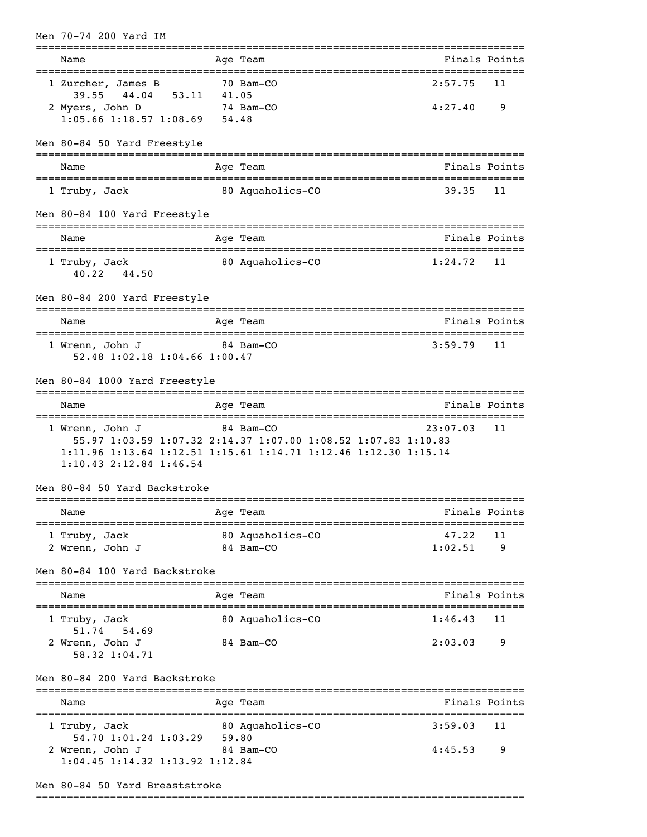| Men 70-74 200 Yard IM                                                                         |       |                                                                                                                                               |                              |               |
|-----------------------------------------------------------------------------------------------|-------|-----------------------------------------------------------------------------------------------------------------------------------------------|------------------------------|---------------|
| Name                                                                                          |       | Age Team                                                                                                                                      |                              | Finals Points |
| 1 Zurcher, James B<br>39.55 44.04 53.11<br>2 Myers, John D<br>$1:05.66$ 1:18.57 1:08.69 54.48 | 41.05 | 70 Bam-CO<br>74 Bam-CO                                                                                                                        | 2:57.75<br>4:27.40           | 11<br>9       |
| Men 80-84 50 Yard Freestyle                                                                   |       |                                                                                                                                               |                              |               |
| Name                                                                                          |       | Age Team                                                                                                                                      |                              | Finals Points |
| =======================<br>1 Truby, Jack                                                      |       | 80 Aquaholics-CO                                                                                                                              | 39.35                        | 11            |
| Men 80-84 100 Yard Freestyle                                                                  |       |                                                                                                                                               |                              |               |
| Name                                                                                          |       | Age Team                                                                                                                                      |                              | Finals Points |
| 1 Truby, Jack<br>40.22 44.50                                                                  |       | 80 Aquaholics-CO                                                                                                                              | 1:24.72                      | 11            |
| Men 80-84 200 Yard Freestyle                                                                  |       |                                                                                                                                               | ============================ |               |
| Name                                                                                          |       | Age Team                                                                                                                                      |                              | Finals Points |
| 1 Wrenn, John J<br>84 Bam-CO<br>52.48 1:02.18 1:04.66 1:00.47                                 |       |                                                                                                                                               | 3:59.79                      | 11            |
| Men 80-84 1000 Yard Freestyle                                                                 |       |                                                                                                                                               |                              |               |
| Name                                                                                          |       | Age Team                                                                                                                                      |                              | Finals Points |
| 1 Wrenn, John J<br>$1:10.43$ $2:12.84$ $1:46.54$                                              |       | 84 Bam-CO<br>55.97 1:03.59 1:07.32 2:14.37 1:07.00 1:08.52 1:07.83 1:10.83<br>1:11.96 1:13.64 1:12.51 1:15.61 1:14.71 1:12.46 1:12.30 1:15.14 | 23:07.03                     | 11            |
| Men 80-84 50 Yard Backstroke                                                                  |       |                                                                                                                                               |                              |               |
| Name                                                                                          |       | Age Team                                                                                                                                      |                              | Finals Points |
| 1 Truby, Jack<br>2 Wrenn, John J                                                              |       | 80 Aquaholics-CO<br>84 Bam-CO                                                                                                                 | 47.22<br>1:02.51             | 11<br>9       |
| Men 80-84 100 Yard Backstroke                                                                 |       |                                                                                                                                               |                              |               |
| Name                                                                                          |       | Age Team                                                                                                                                      |                              | Finals Points |
| -=============================<br>1 Truby, Jack                                               |       | --------------------------------<br>80 Aquaholics-CO                                                                                          | 1:46.43                      | 11            |
| 54.69<br>51.74<br>2 Wrenn, John J<br>58.32 1:04.71                                            |       | 84 Bam-CO                                                                                                                                     | 2:03.03                      | 9             |
| Men 80-84 200 Yard Backstroke                                                                 |       |                                                                                                                                               |                              |               |
| Name                                                                                          |       | Age Team                                                                                                                                      |                              | Finals Points |
| 1 Truby, Jack<br>54.70 1:01.24 1:03.29                                                        | 59.80 | 80 Aquaholics-CO                                                                                                                              | 3:59.03                      | 11            |
| 2 Wrenn, John J<br>1:04.45 1:14.32 1:13.92 1:12.84                                            |       | 84 Bam-CO                                                                                                                                     | 4:45.53                      | 9             |

## Men 80-84 50 Yard Breaststroke

===============================================================================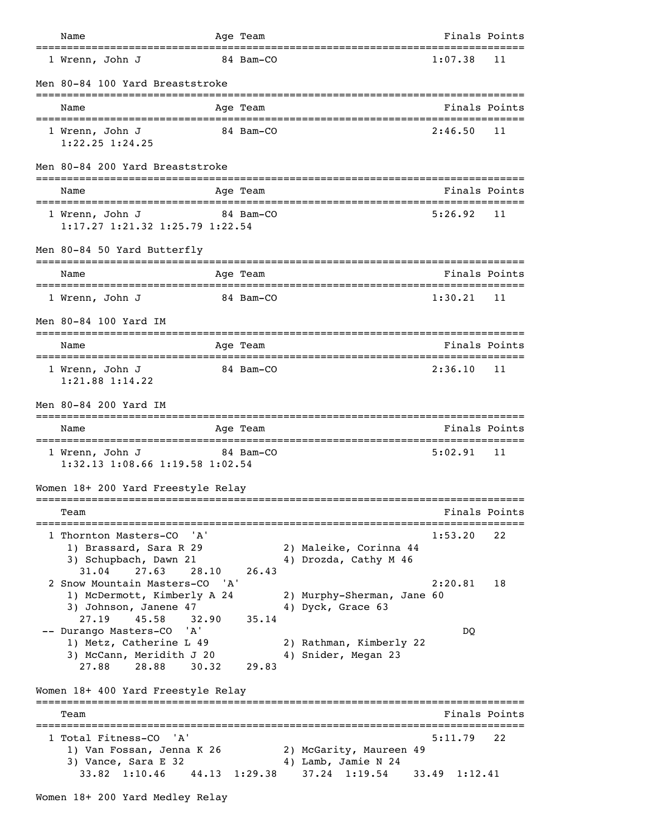| Name                                                                                                                       |                         | Age Team       |                                                                   | Finals Points            |               |
|----------------------------------------------------------------------------------------------------------------------------|-------------------------|----------------|-------------------------------------------------------------------|--------------------------|---------------|
| ======================================<br>1 Wrenn, John J                                                                  |                         | 84 Bam-CO      |                                                                   | 1:07.38                  | 11            |
| Men 80-84 100 Yard Breaststroke                                                                                            |                         |                |                                                                   |                          |               |
| Name                                                                                                                       |                         | Age Team       |                                                                   | Finals Points            |               |
| 1 Wrenn, John J<br>$1:22.25$ $1:24.25$                                                                                     |                         | 84 Bam-CO      |                                                                   | 2:46.50                  | 11            |
| Men 80-84 200 Yard Breaststroke                                                                                            |                         | ------------   |                                                                   |                          |               |
| Name<br>___________________________                                                                                        | . _ _ _ _ _ _ _ _ _ _ _ | Age Team       | =====================================                             |                          | Finals Points |
| 1 Wrenn, John J<br>1:17.27 1:21.32 1:25.79 1:22.54                                                                         |                         | 84 Bam-CO      |                                                                   | 5:26.92                  | 11            |
| Men 80-84 50 Yard Butterfly                                                                                                |                         |                |                                                                   |                          |               |
| Name                                                                                                                       |                         | Age Team       |                                                                   |                          | Finals Points |
| 1 Wrenn, John J                                                                                                            |                         | 84 Bam-CO      |                                                                   | 1:30.21                  | 11            |
| Men 80-84 100 Yard IM                                                                                                      |                         |                | ===============================                                   |                          |               |
| Name                                                                                                                       |                         | Age Team       |                                                                   | Finals Points            |               |
| 1 Wrenn, John J<br>$1:21.88$ $1:14.22$                                                                                     |                         | 84 Bam-CO      |                                                                   | 2:36.10                  | 11            |
| Men 80-84 200 Yard IM                                                                                                      |                         |                |                                                                   |                          |               |
| Name                                                                                                                       |                         | Age Team       |                                                                   | Finals Points            |               |
| 1 Wrenn, John J<br>84 Bam-CO<br>1:32.13 1:08.66 1:19.58 1:02.54                                                            |                         |                |                                                                   | 5:02.91                  | 11            |
| Women 18+ 200 Yard Freestyle Relay                                                                                         |                         |                |                                                                   |                          |               |
| Team                                                                                                                       |                         |                |                                                                   |                          | Finals Points |
| 'A'<br>1 Thornton Masters-CO<br>1) Brassard, Sara R 29<br>3) Schupbach, Dawn 21                                            |                         |                | 2) Maleike, Corinna 44<br>4) Drozda, Cathy M 46                   | 1:53.20                  | 22            |
| 27.63<br>31.04<br>2 Snow Mountain Masters-CO 'A'<br>1) McDermott, Kimberly A 24<br>3) Johnson, Janene 47<br>27.19<br>45.58 | 28.10<br>32.90          | 26.43<br>35.14 | 2) Murphy-Sherman, Jane 60<br>4) Dyck, Grace 63                   | 2:20.81                  | 18            |
| -- Durango Masters-CO<br>'A'<br>1) Metz, Catherine L 49<br>3) McCann, Meridith J 20<br>28.88<br>27.88                      | 30.32                   | 29.83          | 2) Rathman, Kimberly 22<br>4) Snider, Megan 23                    | DQ                       |               |
| Women 18+ 400 Yard Freestyle Relay                                                                                         |                         |                |                                                                   |                          |               |
| Team                                                                                                                       |                         |                |                                                                   | =====================    | Finals Points |
| 1 Total Fitness-CO<br>'A'<br>1) Van Fossan, Jenna K 26<br>3) Vance, Sara E 32<br>33.82 1:10.46                             |                         | 44.13 1:29.38  | 2) McGarity, Maureen 49<br>4) Lamb, Jamie N 24<br>$37.24$ 1:19.54 | 5:11.79<br>33.49 1:12.41 | 22            |
| Women 18+ 200 Yard Medley Relay                                                                                            |                         |                |                                                                   |                          |               |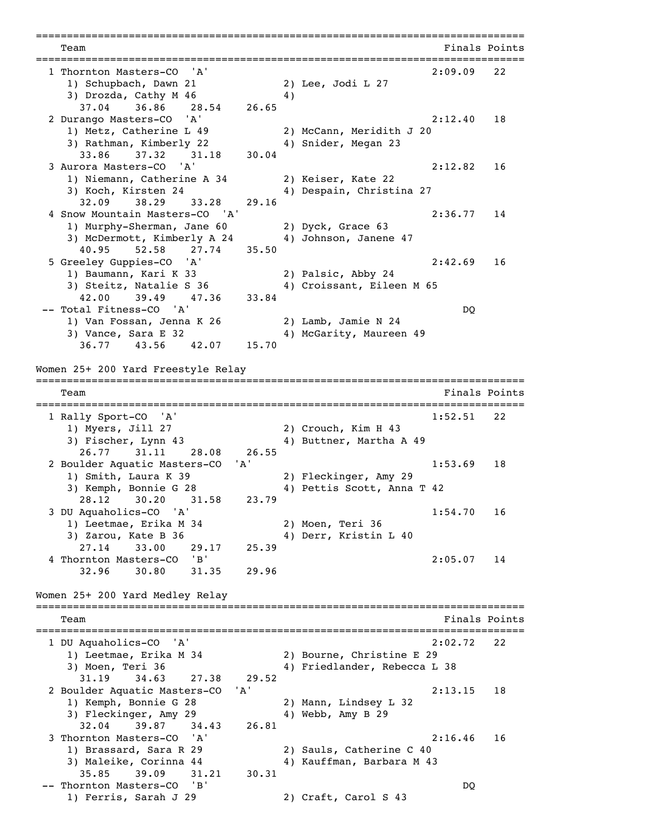=============================================================================== Team **Finals** Points **Properties Finals** Points **Properties Finals** Points =============================================================================== 1 Thornton Masters-CO 'A'<br>
1) Schupbach, Dawn 21<br>
2) Lee, Jodi L 27 1) Schupbach, Dawn 21 2) Lee, Jodi L 27 3) Drozda, Cathy M 46 4) 37.04 36.86 28.54 26.65 2 Durango Masters-CO 'A' 2:12.40 18 1) Metz, Catherine L 49 2) McCann, Meridith J 20 3) Rathman, Kimberly 22 4) Snider, Megan 23<br>33.86 37.32 31.18 30.04 33.86 37.32 31.18 3 Aurora Masters-CO 'A' 2:12.82 16 1) Niemann, Catherine A 34 2) Keiser, Kate 22 3) Koch, Kirsten 24 4) Despain, Christina 27 32.09 38.29 33.28 29.16 4 Snow Mountain Masters-CO 'A' 2:36.77 14 1) Murphy-Sherman, Jane 60 2) Dyck, Grace 63 3) McDermott, Kimberly A 24 4) Johnson, Janene 47 40.95 52.58 27.74 35.50 5 Greeley Guppies-CO 'A' 2:42.69 16 1) Baumann, Kari K 33 2) Palsic, Abby 24 3) Steitz, Natalie S 36 4) Croissant, Eileen M 65 42.00 39.49 47.36 33.84 -- Total Fitness-CO 'A' DQ 1) Van Fossan, Jenna K 26 2) Lamb, Jamie N 24 3) Vance, Sara E 32 4) McGarity, Maureen 49 36.77 43.56 42.07 15.70 Women 25+ 200 Yard Freestyle Relay =============================================================================== Team Finals Points =============================================================================== 1 Rally Sport-CO 'A' 1:52.51 22 1) Myers, Jill 27 2) Crouch, Kim H 43 3) Fischer, Lynn 43 4) Buttner, Martha A 49 26.77 31.11 28.08 26.55 2 Boulder Aquatic Masters-CO 'A' 1:53.69 18 1) Smith, Laura K 39 2) Fleckinger, Amy 29 3) Kemph, Bonnie G 28 4) Pettis Scott, Anna T 42 28.12 30.20 31.58 23.79 3 DU Aquaholics-CO 'A' 1:54.70 16 1) Leetmae, Erika M 34 2) Moen, Teri 36 3) Zarou, Kate B 36 4) Derr, Kristin L 40 27.14 33.00 29.17 25.39 4 Thornton Masters-CO 'B' 2:05.07 14 32.96 30.80 31.35 29.96 Women 25+ 200 Yard Medley Relay =============================================================================== Team Finals Points =============================================================================== 1 DU Aquaholics-CO 'A' 2:02.72 22 1) Leetmae, Erika M 34 2) Bourne, Christine E 29 3) Moen, Teri 36 4) Friedlander, Rebecca L 38 31.19 34.63 27.38 29.52 2 Boulder Aquatic Masters-CO 'A' 2:13.15 18 1) Kemph, Bonnie G 28 2) Mann, Lindsey L 32 3) Fleckinger, Amy 29 4) Webb, Amy B 29 32.04 39.87 34.43 26.81 32.04 39.87 34.43 26.81 3 Thornton Masters-CO 'A' 2:16.46 16 1) Brassard, Sara R 29 2) Sauls, Catherine C 40<br>3) Maleike, Corinna 44 2 4) Kauffman, Barbara M 4 4) Kauffman, Barbara M 43 35.85 39.09 31.21 30.31 -- Thornton Masters-CO 'B' DQ 1) Ferris, Sarah J 29 2) Craft, Carol S 43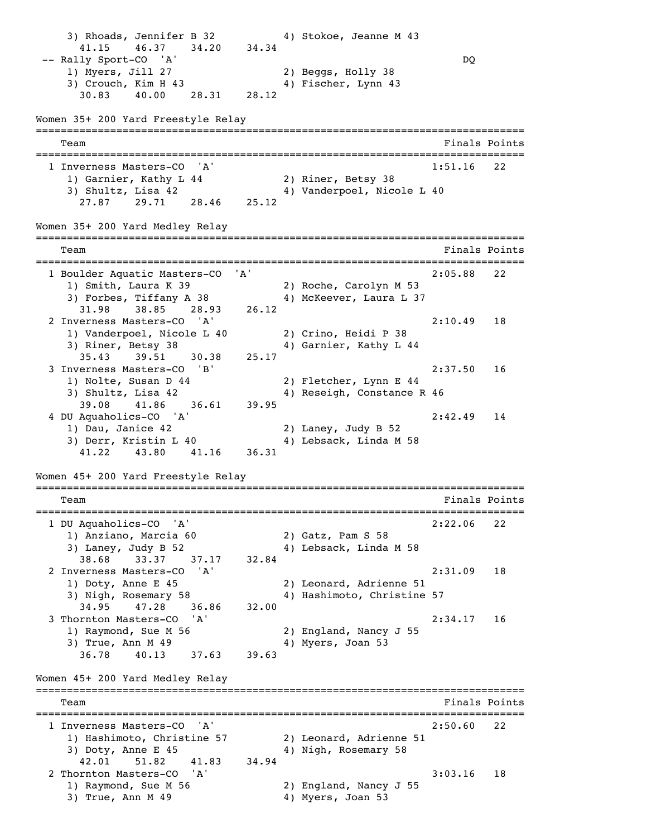3) Rhoads, Jennifer B 32 4) Stokoe, Jeanne M 43 41.15 46.37 34.20 34.34 -- Rally Sport-CO 'A' DQ<br>1) Myers, Jill 27 2) Beggs, Holly 38 2) Beggs, Holly 38 3) Crouch, Kim H 43 4) Fischer, Lynn 43 30.83 40.00 28.31 28.12 Women 35+ 200 Yard Freestyle Relay =============================================================================== Team Finals Points =============================================================================== 1 Inverness Masters-CO 'A' 1:51.16 22 1) Garnier, Kathy L 44 2) Riner, Betsy 38 3) Shultz, Lisa 42 4) Vanderpoel, Nicole L 40 27.87 29.71 28.46 25.12 Women 35+ 200 Yard Medley Relay =============================================================================== Team Finals Points =============================================================================== 1 Boulder Aquatic Masters-CO 'A' 2:05.88 22 1) Smith, Laura K 39 2) Roche, Carolyn M 53 3) Forbes, Tiffany A 38 4) McKeever, Laura L 37 31.98 38.85 28.93 26.12 2 Inverness Masters-CO 'A' 2:10.49 18 1) Vanderpoel, Nicole L 40 2) Crino, Heidi P 38 3) Riner, Betsy 38 4) Garnier, Kathy L 44 35.43 39.51 30.38 25.17 3 Inverness Masters-CO 'B' 2:37.50 16 1) Nolte, Susan D 44 2) Fletcher, Lynn E 44 3) Shultz, Lisa 42 41 Reseigh, Constance R 46 39.08 41.86 36.61 39.95 4 DU Aquaholics-CO 'A' 2:42.49 14 1) Dau, Janice 42 2) Laney, Judy B 52 3) Derr, Kristin L 40 4) Lebsack, Linda M 58 41.22 43.80 41.16 36.31 Women 45+ 200 Yard Freestyle Relay =============================================================================== Team Finals Points =============================================================================== 1 DU Aquaholics-CO 'A' 2:22.06 22 U Ayuunciista<br>1) Anziano, Marcia 60<br>2002 - Pam 3) Laney, Judy B 52 4) Lebsack, Linda M 58 38.68 33.37 37.17 32.84 2 Inverness Masters-CO 'A' 2:31.09 18 1) Doty, Anne E 45 2) Leonard, Adrienne 51 3) Nigh, Rosemary 58 4) Hashimoto, Christine 57 34.95 47.28 36.86 32.00 3 Thornton Masters-CO 'A' 2:34.17 16 1) Raymond, Sue M 56 2) England, Nancy J 55 3) True, Ann M 49 4) Myers, Joan 53 36.78 40.13 37.63 39.63 Women 45+ 200 Yard Medley Relay =============================================================================== Team Finals Points =============================================================================== 1 Inverness Masters-CO 'A' 2:50.60 22 1) Hashimoto, Christine 57 2) Leonard, Adrienne 51 3) Doty, Anne E 45 49 4) Nigh, Rosemary 58 42.01 51.82 41.83 34.94 2 Thornton Masters-CO 'A' 3:03.16 18 1) Raymond, Sue M 56 2) England, Nancy J 55 3) True, Ann M 49 4) Myers, Joan 53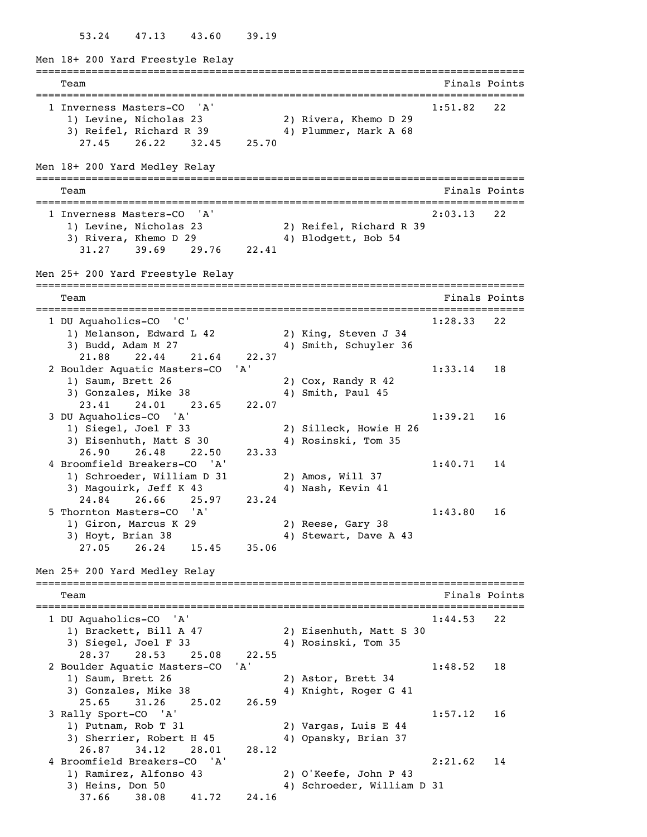53.24 47.13 43.60 39.19

Men 18+ 200 Yard Freestyle Relay =============================================================================== Team Finals Points =============================================================================== 1 Inverness Masters-CO 'A' 1:51.82 22 1) Levine, Nicholas 23 2) Rivera, Khemo D 29 3) Reifel, Richard R 39 4) Plummer, Mark A 68 27.45 26.22 32.45 25.70 Men 18+ 200 Yard Medley Relay =============================================================================== Team Finals Points =============================================================================== 1 Inverness Masters-CO 'A' 2:03.13 22 1) Levine, Nicholas 23 2) Reifel, Richard R 39 3) Rivera, Khemo D 29 4) Blodgett, Bob 54 31.27 39.69 29.76 22.41 Men 25+ 200 Yard Freestyle Relay =============================================================================== Team Finals Points =============================================================================== 1 DU Aquaholics-CO 'C' 1:28.33 22 1) Melanson, Edward L 42 2) King, Steven J 34 3) Budd, Adam M 27 4) Smith, Schuyler 36 21.88 22.44 21.64 22.37 2 Boulder Aquatic Masters-CO 'A' 1:33.14 18 1) Saum, Brett 26 2) Cox, Randy R 42 3) Gonzales, Mike 38 4) Smith, Paul 45 23.41 24.01 23.65 22.07 3 DU Aquaholics-CO 'A' 1:39.21 16 1) Siegel, Joel F 33 2) Silleck, Howie H 26 3) Eisenhuth, Matt S 30 4) Rosinski, Tom 35 26.90 26.48 22.50 23.33 4 Broomfield Breakers-CO 'A' 1:40.71 14 1) Schroeder, William D 31 2) Amos, Will 37 3) Magouirk, Jeff K 43 4) Nash, Kevin 41 24.84 26.66 25.97 23.24 5 Thornton Masters-CO 'A' 1:43.80 16 1) Giron, Marcus K 29 2) Reese, Gary 38 3) Hoyt, Brian 38 4) Stewart, Dave A 43 27.05 26.24 15.45 35.06 Men 25+ 200 Yard Medley Relay =============================================================================== Team Finals Points =============================================================================== 1 DU Aquaholics-CO 'A' 1:44.53 22 1) Brackett, Bill A  $47$  3) Siegel, Joel F 33 4) Rosinski, Tom 35 28.37 28.53 25.08 22.55 2 Boulder Aquatic Masters-CO 'A' 1:48.52 18 1) Saum, Brett 26 2) Astor, Brett 34 3) Gonzales, Mike 38 4) Knight, Roger G 41 25.65 31.26 25.02 26.59 3 Rally Sport-CO 'A' 1:57.12 16 1) Putnam, Rob T 31 2) Vargas, Luis E 44<br>3) Sherrier, Robert H 45 4) Opansky, Brian 37 3) Sherrier, Robert H 45 26.87 34.12 28.01 28.12 4 Broomfield Breakers-CO 'A' 2:21.62 14 1) Ramirez, Alfonso 43 2) O'Keefe, John P 43 3) Heins, Don 50 4) Schroeder, William D 31 37.66 38.08 41.72 24.16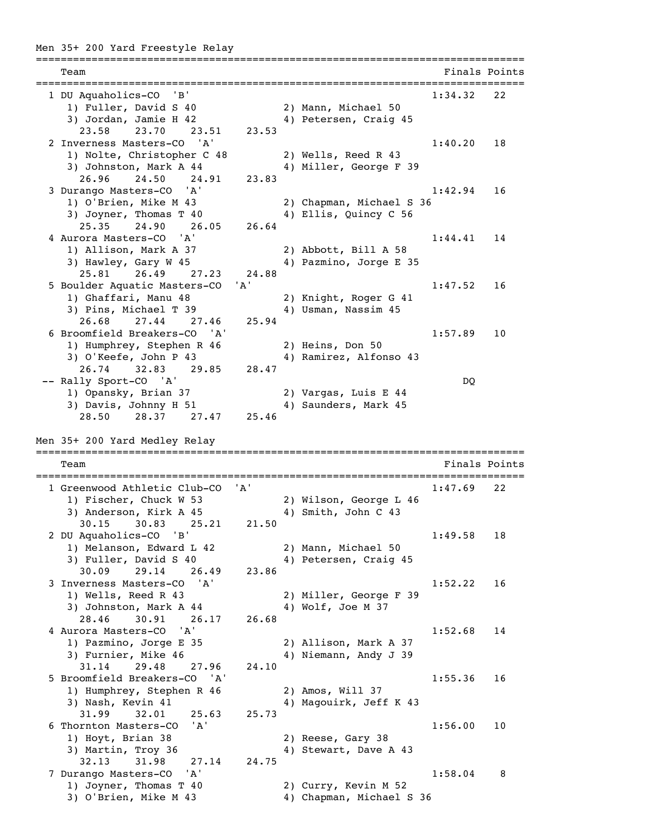## Men 35+ 200 Yard Freestyle Relay

=============================================================================== Team Finals Points =============================================================================== 1 DU Aquaholics-CO 'B' 1:34.32 22 1) Fuller, David S 40 2) Mann, Michael 50 3) Jordan, Jamie H 42 4) Petersen, Craig 45 23.58 23.70 23.51 23.53 2 Inverness Masters-CO 'A' 1:40.20 18 1) Nolte, Christopher C 48 2) Wells, Reed R 43 3) Johnston, Mark A 44 4 4) Miller, George F 39 26.96 24.50 24.91 23.83 3 Durango Masters-CO 'A' 1:42.94 16 1) O'Brien, Mike M 43 2) Chapman, Michael S 36 3) Joyner, Thomas T 40 4) Ellis, Quincy C 56 25.35 24.90 26.05 26.64 4 Aurora Masters-CO 'A' 1:44.41 14 1) Allison, Mark A 37 2) Abbott, Bill A 58 3) Hawley, Gary W 45 4) Pazmino, Jorge E 35 25.81 26.49 27.23 24.88 5 Boulder Aquatic Masters-CO 'A' 1:47.52 16 1) Ghaffari, Manu 48 2) Knight, Roger G 41 3) Pins, Michael T 39 4) Usman, Nassim 45 26.68 27.44 27.46 25.94 6 Broomfield Breakers-CO 'A' 1:57.89 10 1) Humphrey, Stephen R 46 2) Heins, Don 50 3) O'Keefe, John P 43 4) Ramirez, Alfonso 43 26.74 32.83 29.85 28.47 -- Rally Sport-CO 'A' DQ 1) Opansky, Brian 37 2) Vargas, Luis E 44 3) Davis, Johnny H 51 4) Saunders, Mark 45 28.50 28.37 27.47 25.46 Men 35+ 200 Yard Medley Relay =============================================================================== Team Finals Points =============================================================================== 1 Greenwood Athletic Club-CO 'A' 1:47.69 22 1) Fischer, Chuck W 53 2) Wilson, George L 46 3) Anderson, Kirk A 45 4) Smith, John C 43 30.15 30.83 25.21 21.50 2 DU Aquaholics-CO 'B' 1:49.58 18 1) Melanson, Edward L 42 2) Mann, Michael 50 3) Fuller, David S 40 4) Petersen, Craig 45 30.09 29.14 26.49 23.86 3 Inverness Masters-CO 'A' 1:52.22 16 1) Wells, Reed R 43 2) Miller, George F 39 3) Johnston, Mark A 44 4 4) Wolf, Joe M 37 28.46 30.91 26.17 26.68 4 Aurora Masters-CO 'A' 1:52.68 14 1) Pazmino, Jorge E 35 2) Allison, Mark A 37 3) Furnier, Mike 46 4) Niemann, Andy J 39 31.14 29.48 27.96 24.10 5 Broomfield Breakers-CO 'A' 1:55.36 16 1) Humphrey, Stephen R 46 2) Amos, Will 37 3) Nash, Kevin 41 49 Magouirk, Jeff K 43 31.99 32.01 25.63 25.73 6 Thornton Masters-CO 'A' 1:56.00 10 1) Hoyt, Brian 38 2) Reese, Gary 38 3) Martin, Troy 36 4) Stewart, Dave A 43 32.13 31.98 27.14 24.75 7 Durango Masters-CO 'A' 1:58.04 8 1) Joyner, Thomas T 40 2) Curry, Kevin M 52<br>3) O'Brien, Mike M 43 4) Chapman, Michael 4) Chapman, Michael S 36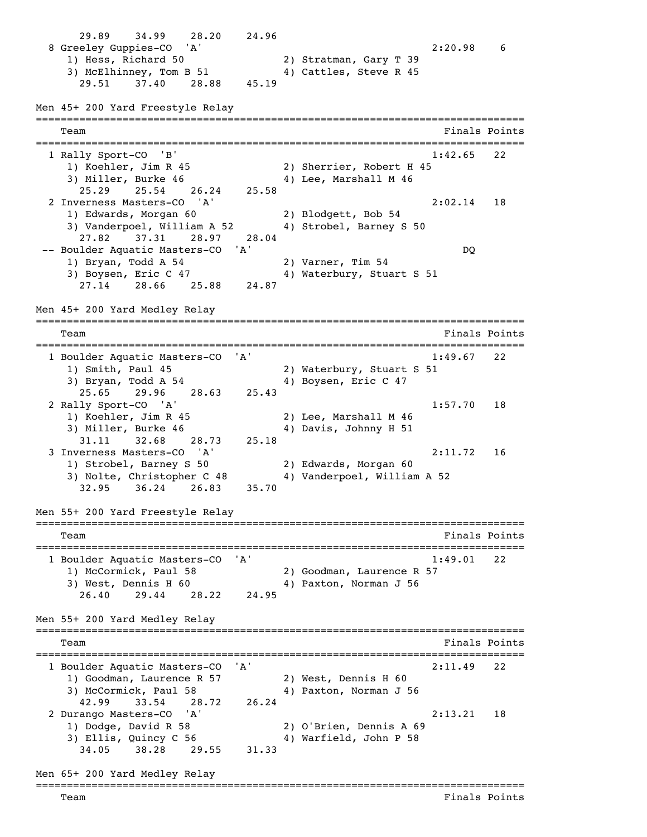29.89 34.99 28.20 24.96 8 Greeley Guppies-CO 'A' 2:20.98 6 1) Hess, Richard 50 2) Stratman, Gary T 39 3) McElhinney, Tom B 51  $\overline{4}$  Cattles, Steve R 45 29.51 37.40 28.88 45.19 Men 45+ 200 Yard Freestyle Relay =============================================================================== Team Finals Points =============================================================================== 1 Rally Sport-CO 'B' 1:42.65 22 1) Koehler, Jim R 45 2) Sherrier, Robert H 45 3) Miller, Burke 46 40 4) Lee, Marshall M 46 25.29 25.54 26.24 25.58 2 Inverness Masters-CO 'A' 2:02.14 18 1) Edwards, Morgan 60 2) Blodgett, Bob 54 3) Vanderpoel, William A 52 4) Strobel, Barney S 50 27.82 37.31 28.97 28.04 -- Boulder Aquatic Masters-CO 'A' DQ 1) Bryan, Todd A 54 2) Varner, Tim 54 3) Boysen, Eric C 47 4) Waterbury, Stuart S 51 27.14 28.66 25.88 24.87 Men 45+ 200 Yard Medley Relay =============================================================================== Team Finals Points =============================================================================== 1 Boulder Aquatic Masters-CO 'A' 1:49.67 22 1) Smith, Paul 45 2) Waterbury, Stuart S 51 3) Bryan, Todd A 54 4) Boysen, Eric C 47 25.65 29.96 28.63 25.43 2 Rally Sport-CO 'A' 1:57.70 18 1) Koehler, Jim R 45 2) Lee, Marshall M 46 3) Miller, Burke 46 4) Davis, Johnny H 51 31.11 32.68 28.73 25.18 3 Inverness Masters-CO 'A' 2:11.72 16 1) Strobel, Barney S 50 2) Edwards, Morgan 60 3) Nolte, Christopher C 48 4) Vanderpoel, William A 52 32.95 36.24 26.83 35.70 Men 55+ 200 Yard Freestyle Relay =============================================================================== Team Finals Points =============================================================================== 1 Boulder Aquatic Masters-CO 'A' 1:49.01 22 1) McCormick, Paul 58 2) Goodman, Laurence R 57 3) West, Dennis H 60 4) Paxton, Norman J 56 26.40 29.44 28.22 24.95 Men 55+ 200 Yard Medley Relay =============================================================================== Team Finals Points =============================================================================== 1 Boulder Aquatic Masters-CO 'A' 2:11.49 22 1) Goodman, Laurence R 57 1) Goodman, Laurence R 57 (2) West, Dennis H 60<br>3) McCormick, Paul 58 (4) Paxton, Norman J 56 42.99 33.54 28.72 26.24 2 Durango Masters-CO 'A' 2:13.21 18 1) Dodge, David R 58 2) O'Brien, Dennis A 69<br>3) Ellis, Quincy C 56 4) Warfield, John P 58 3) Ellis, Quincy  $C$  56 34.05 38.28 29.55 31.33 Men 65+ 200 Yard Medley Relay ===============================================================================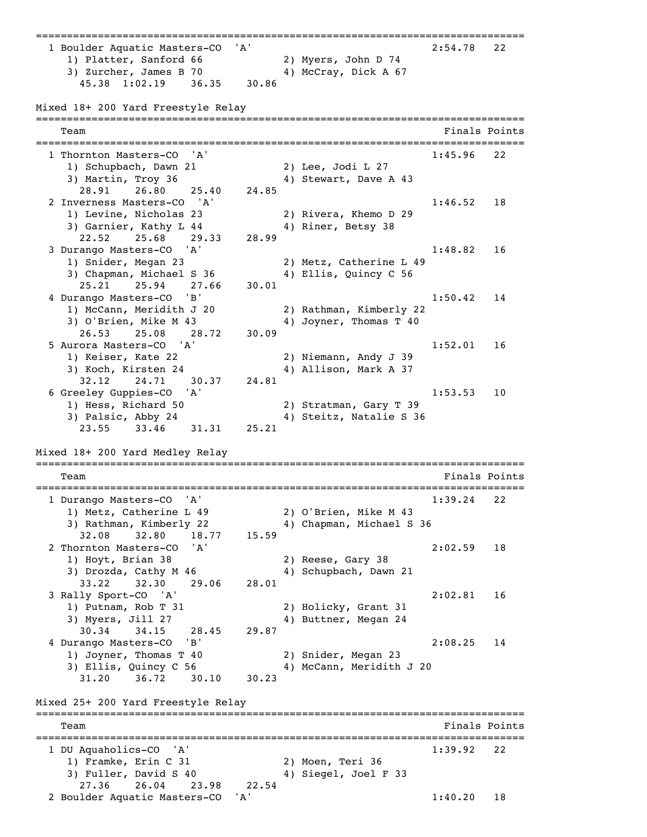=============================================================================== 1 Boulder Aquatic Masters-CO 'A' 2:54.78 22 1) Platter, Sanford 66 2) Myers, John D 74 3) Zurcher, James B 70 4) McCray, Dick A 67 45.38 1:02.19 36.35 30.86 Mixed 18+ 200 Yard Freestyle Relay =============================================================================== Team Finals Points =============================================================================== 1 Thornton Masters-CO 'A' 1:45.96 22 1) Schupbach, Dawn 21 2) Lee, Jodi L 27 3) Martin, Troy 36 4) Stewart, Dave A 43 28.91 26.80 25.40 24.85 2 Inverness Masters-CO 'A' 1:46.52 18 1) Levine, Nicholas 23 2) Rivera, Khemo D 29 3) Garnier, Kathy L 44 4) Riner, Betsy 38 22.52 25.68 29.33 28.99 3 Durango Masters-CO 'A' 1:48.82 16 1) Snider, Megan 23 2) Metz, Catherine L 49 3) Chapman, Michael S 36 4) Ellis, Quincy C 56 25.21 25.94 27.66 30.01 4 Durango Masters-CO 'B' 1:50.42 14 1) McCann, Meridith J 20 2) Rathman, Kimberly 22 3) O'Brien, Mike M 43 4) Joyner, Thomas T 40 26.53 25.08 28.72 30.09 5 Aurora Masters-CO 'A' 1:52.01 16 1) Keiser, Kate 22 2) Niemann, Andy J 39 3) Koch, Kirsten 24 4) Allison, Mark A 37 32.12 24.71 30.37 24.81 6 Greeley Guppies-CO 'A' 1:53.53 10 1) Hess, Richard 50 2) Stratman, Gary T 39 3) Palsic, Abby 24 4) Steitz, Natalie S 36 23.55 33.46 31.31 25.21 Mixed 18+ 200 Yard Medley Relay =============================================================================== Team Finals Points =============================================================================== 1 Durango Masters-CO 'A' 1:39.24 22<br>1) Metz, Catherine L 49 2) O'Brien, Mike M 43 1) Metz, Catherine L 49 2) O'Brien, Mike M 43 3) Rathman, Kimberly 22 4) Chapman, Michael S 36 32.08 32.80 18.77 15.59 2 Thornton Masters-CO 'A' 2:02.59 18 1) Hoyt, Brian 38 2) Reese, Gary 38 3) Drozda, Cathy M 46 4) Schupbach, Dawn 21 33.22 32.30 29.06 28.01 3 Rally Sport-CO 'A' 2:02.81 16 1) Putnam, Rob T 31 2) Holicky, Grant 31 3) Myers, Jill 27 4) Buttner, Megan 24 30.34 34.15 28.45 29.87 4 Durango Masters-CO 'B' 2:08.25 14 1) Joyner, Thomas T 40 2) Snider, Megan 23 3) Ellis, Quincy C 56 4) McCann, Meridith J 20 31.20 36.72 30.10 30.23 Mixed 25+ 200 Yard Freestyle Relay =============================================================================== Team Finals Points =============================================================================== 1 DU Aquaholics-CO 'A' 1:39.92 22 1) Framke, Erin C 31 2) Moen, Teri 36 3) Fuller, David S 40 4) Siegel, Joel F 33 27.36 26.04 23.98 22.54 2 Boulder Aquatic Masters-CO 'A' 1:40.20 18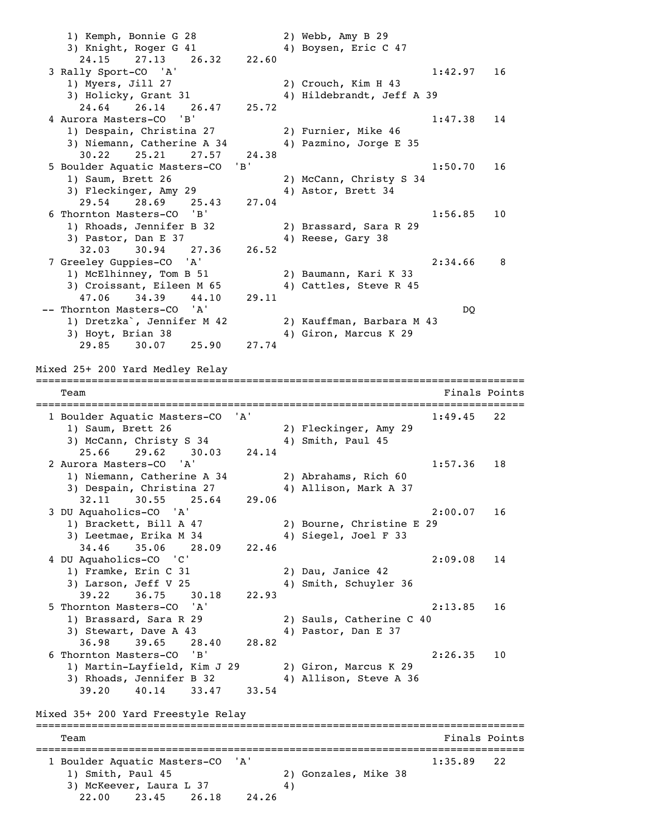1) Kemph, Bonnie G 28 2) Webb, Amy B 29 3) Knight, Roger G 41 4) Boysen, Eric C 47 24.15 27.13 26.32 22.60 3 Rally Sport-CO 'A' 1:42.97 16 1) Myers, Jill 27 2) Crouch, Kim H 43 3) Holicky, Grant 31 4) Hildebrandt, Jeff A 39<br>24.64 26.14 26.47 25.72 24.64 26.14 26.47 4 Aurora Masters-CO 'B' 1:47.38 14 1) Despain, Christina 27 2) Furnier, Mike 46 3) Niemann, Catherine A 34 4) Pazmino, Jorge E 35 30.22 25.21 27.57 24.38 5 Boulder Aquatic Masters-CO 'B' 1:50.70 16 1) Saum, Brett 26 2) McCann, Christy S 34 3) Fleckinger, Amy 29 4) Astor, Brett 34 29.54 28.69 25.43 27.04 6 Thornton Masters-CO 'B' 1:56.85 10 1) Rhoads, Jennifer B 32 2) Brassard, Sara R 29 3) Pastor, Dan E 37 4) Reese, Gary 38 32.03 30.94 27.36 26.52 7 Greeley Guppies-CO 'A' 2:34.66 8 1) McElhinney, Tom B 51 2) Baumann, Kari K 33 3) Croissant, Eileen M 65 4) Cattles, Steve R 45 47.06 34.39 44.10 29.11 -- Thornton Masters-CO 'A' DQ 1) Dretzka`, Jennifer M 42 2) Kauffman, Barbara M 43 3) Hoyt, Brian 38 4) Giron, Marcus K 29 29.85 30.07 25.90 27.74 Mixed 25+ 200 Yard Medley Relay =============================================================================== Team Finals Points =============================================================================== 1 Boulder Aquatic Masters-CO 'A' 1:49.45 22 1) Saum, Brett 26 2) Fleckinger, Amy 29<br>3) McCann, Christy S 34 4) Smith, Paul 45 3) McCann, Christy S 34 25.66 29.62 30.03 24.14 2 Aurora Masters-CO 'A' 1:57.36 18 1) Niemann, Catherine A 34 2) Abrahams, Rich 60 3) Despain, Christina 27 4) Allison, Mark A 37 32.11 30.55 25.64 29.06 3 DU Aquaholics-CO 'A' 2:00.07 16 1) Brackett, Bill A 47 2) Bourne, Christine E 29 3) Leetmae, Erika M 34 4) Siegel, Joel F 33 34.46 35.06 28.09 22.46 4 DU Aquaholics-CO 'C' 2:09.08 14 1) Framke, Erin C 31 2) Dau, Janice 42 3) Larson, Jeff V 25 4) Smith, Schuyler 36 39.22 36.75 30.18 22.93 5 Thornton Masters-CO 'A' 2:13.85 16 1) Brassard, Sara R 29 2) Sauls, Catherine C 40<br>3) Stewart, Dave A 43 49 Pastor, Dan E 37 3) Stewart, Dave A 43 36.98 39.65 28.40 28.82 6 Thornton Masters-CO 'B' 2:26.35 10 1) Martin-Layfield, Kim J 29 2) Giron, Marcus K 29 3) Rhoads, Jennifer B 32 4) Allison, Steve A 36 39.20 40.14 33.47 33.54 Mixed 35+ 200 Yard Freestyle Relay =============================================================================== Team Finals Points =============================================================================== 1 Boulder Aquatic Masters-CO 'A' 1:35.89 22 1) Smith, Paul 45 2) Gonzales, Mike 38<br>3) McKeever, Laura L 37 4) 3) McKeever, Laura L 37<br>22.00 23.45 26.18 24.26 22.00 23.45 26.18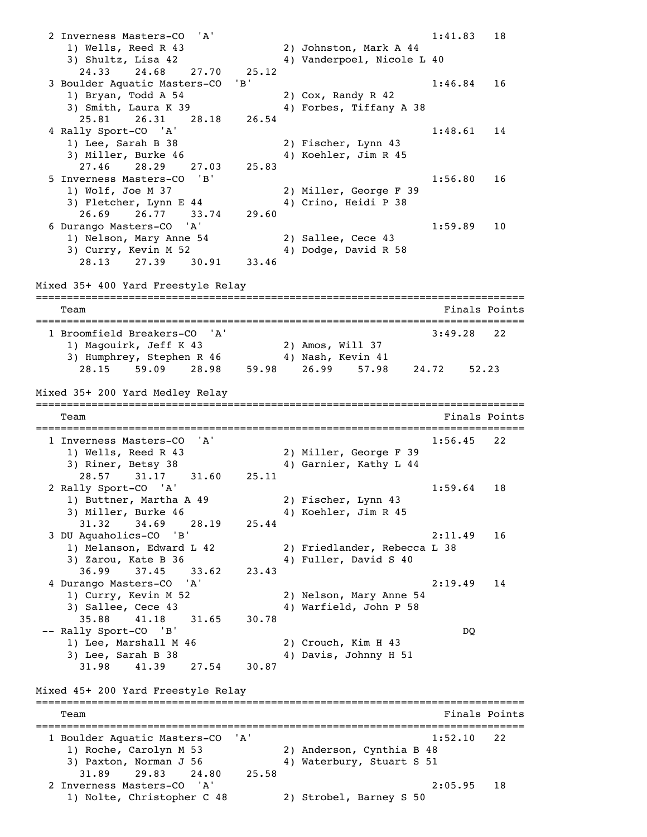2 Inverness Masters-CO 'A' 1:41.83 18 1) Wells, Reed R 43 2) Johnston, Mark A 44 3) Shultz, Lisa 42 4) Vanderpoel, Nicole L 40 24.33 24.68 27.70 25.12 3 Boulder Aquatic Masters-CO 'B' 1:46.84 16 1) Bryan, Todd A 54 2) Cox, Randy R 42 3) Smith, Laura K 39 4) Forbes, Tiffany A 38 25.81 26.31 28.18 26.54 4 Rally Sport-CO 'A' 1:48.61 14 1) Lee, Sarah B 38 2) Fischer, Lynn 43 3) Miller, Burke 46 40 4) Koehler, Jim R 45 27.46 28.29 27.03 25.83 5 Inverness Masters-CO 'B' 1:56.80 16 1) Wolf, Joe M 37 2) Miller, George F 39 3) Fletcher, Lynn E 44 4) Crino, Heidi P 38 26.69 26.77 33.74 29.60 6 Durango Masters-CO 'A' 1:59.89 10 1) Nelson, Mary Anne 54 2) Sallee, Cece 43 3) Curry, Kevin M 52 4) Dodge, David R 58 28.13 27.39 30.91 33.46 Mixed 35+ 400 Yard Freestyle Relay =============================================================================== Team Finals Points =============================================================================== 1 Broomfield Breakers-CO 'A' 3:49.28 22 1) Magouirk, Jeff K 43 2) Amos, Will 37 3) Humphrey, Stephen R 46 4) Nash, Kevin 41 28.15 59.09 28.98 59.98 26.99 57.98 24.72 52.23 Mixed 35+ 200 Yard Medley Relay =============================================================================== Team Finals Points **Finals** Points **Finals** Points **Finals** Points =============================================================================== 1 Inverness Masters-CO 'A' 1:56.45 22 1) Wells, Reed R 43 2) Miller, George F 39 3) Riner, Betsy 38 4) Garnier, Kathy L 44 28.57 31.17 31.60 25.11 2 Rally Sport-CO 'A' 1:59.64 18 1) Buttner, Martha A 49 2) Fischer, Lynn 43 3) Miller, Burke 46 4) Koehler, Jim R 45 31.32 34.69 28.19 25.44 3 DU Aquaholics-CO 'B' 2:11.49 16 1) Melanson, Edward L 42 2) Friedlander, Rebecca L 38 3) Zarou, Kate B 36 4) Fuller, David S 40 36.99 37.45 33.62 23.43 4 Durango Masters-CO 'A' 2:19.49 14 1) Curry, Kevin M 52 2) Nelson, Mary Anne 54 3) Sallee, Cece 43 4) Warfield, John P 58 35.88 41.18 31.65 30.78 -- Rally Sport-CO 'B' DQ  $1)$  Lee, Marshall M 46 1) Lee, Marshall M 46 2) Crouch, Kim H 43<br>3) Lee, Sarah B 38 4) Davis, Johnny H 51 31.98 41.39 27.54 30.87 Mixed 45+ 200 Yard Freestyle Relay =============================================================================== Team Finals Points =============================================================================== 1 Boulder Aquatic Masters-CO 'A' 1:52.10 22 1) Roche, Carolyn M 53 2) Anderson, Cynthia B 48 3) Paxton, Norman J 56 4) Waterbury, Stuart S 51 31.89 29.83 24.80 25.58 2 Inverness Masters-CO 'A' 2:05.95 18 1) Nolte, Christopher C 48 2) Strobel, Barney S 50